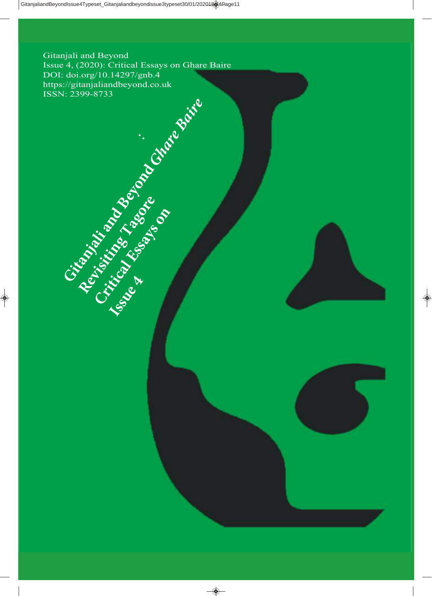Gitanjali and Beyond Issue 4, (2020): Critical Essays on Ghare Baire DOI: doi.org/10.14297/gnb.4<br>https://gitanjaliandbeyond.co.uk https://gitanjaliandbeyond.co.uk ISSN: 2399-8733

:

**Gitanghitic and Beyondary Charles Bair**e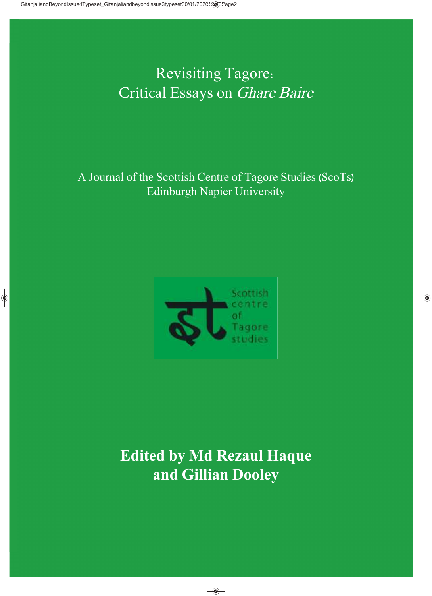Revisiting Tagore: Critical Essays on Ghare Baire

A Journal of the Scottish Centre of Tagore Studies (ScoTs) Edinburgh Napier University



# **Edited by Md Rezaul Haque and Gillian Dooley**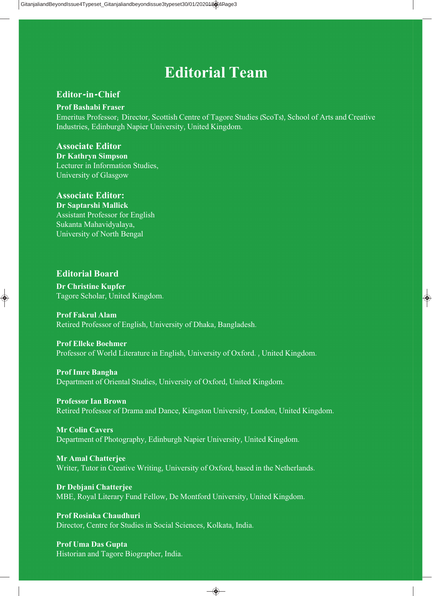# **Editorial Team**

# **Editor-in-Chief**

## **Prof Bashabi Fraser**

Emeritus Professor; Director, Scottish Centre of Tagore Studies (ScoTs), School of Arts and Creative Industries, Edinburgh Napier University, United Kingdom.

# **Associate Editor**

**Dr Kathryn Simpson**  Lecturer in Information Studies, University of Glasgow

# **Associate Editor:**

**Dr Saptarshi Mallick** Assistant Professor for English Sukanta Mahavidyalaya, University of North Bengal

## **Editorial Board**

**Dr Christine Kupfer** Tagore Scholar, United Kingdom.

**Prof Fakrul Alam** Retired Professor of English, University of Dhaka, Bangladesh.

## **Prof Elleke Boehmer**

Professor of World Literature in English, University of Oxford. , United Kingdom.

## **Prof Imre Bangha**

Department of Oriental Studies, University of Oxford, United Kingdom.

**Professor Ian Brown**

Retired Professor of Drama and Dance, Kingston University, London, United Kingdom.

## **Mr Colin Cavers**

Department of Photography, Edinburgh Napier University, United Kingdom.

## **Mr Amal Chatterjee**

Writer, Tutor in Creative Writing, University of Oxford, based in the Netherlands.

# **Dr Debjani Chatterjee**

MBE, Royal Literary Fund Fellow, De Montford University, United Kingdom.

# **Prof Rosinka Chaudhuri**

Director, Centre for Studies in Social Sciences, Kolkata, India.

## **Prof Uma Das Gupta** Historian and Tagore Biographer, India.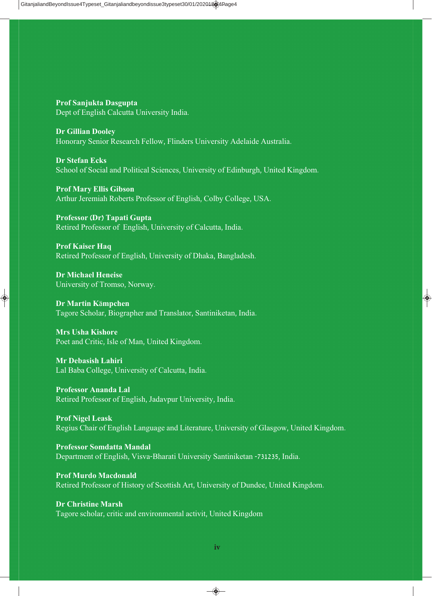**Prof Sanjukta Dasgupta** Dept of English Calcutta University India.

**Dr Gillian Dooley** Honorary Senior Research Fellow, Flinders University Adelaide Australia.

**Dr Stefan Ecks** School of Social and Political Sciences, University of Edinburgh, United Kingdom.

**Prof Mary Ellis Gibson** Arthur Jeremiah Roberts Professor of English, Colby College, USA.

**Professor (Dr) Tapati Gupta** Retired Professor of English, University of Calcutta, India.

**Prof Kaiser Haq** Retired Professor of English, University of Dhaka, Bangladesh.

**Dr Michael Heneise** University of Tromso, Norway.

**Dr Martin K**ä**mpchen** Tagore Scholar, Biographer and Translator, Santiniketan, India.

**Mrs Usha Kishore** Poet and Critic, Isle of Man, United Kingdom.

**Mr Debasish Lahiri** Lal Baba College, University of Calcutta, India.

**Professor Ananda Lal** Retired Professor of English, Jadavpur University, India.

**Prof Nigel Leask** Regius Chair of English Language and Literature, University of Glasgow, United Kingdom.

**Professor Somdatta Mandal** Department of English, Visva-Bharati University Santiniketan -731235, India.

**Prof Murdo Macdonald** Retired Professor of History of Scottish Art, University of Dundee, United Kingdom.

**Dr Christine Marsh** Tagore scholar, critic and environmental activit, United Kingdom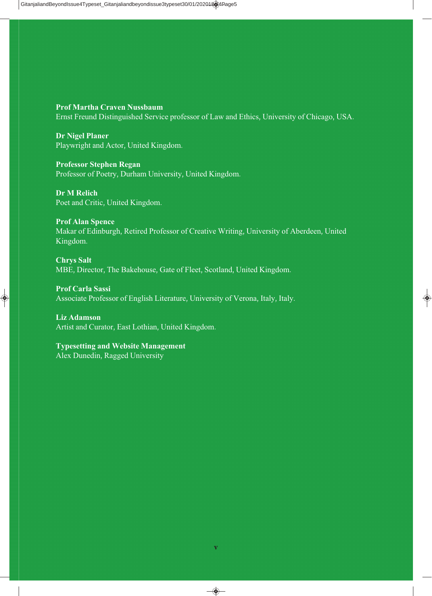**Prof Martha Craven Nussbaum** Ernst Freund Distinguished Service professor of Law and Ethics, University of Chicago, USA.

**Dr Nigel Planer** Playwright and Actor, United Kingdom.

**Professor Stephen Regan** Professor of Poetry, Durham University, United Kingdom.

**Dr M Relich** Poet and Critic, United Kingdom.

**Prof Alan Spence** Makar of Edinburgh, Retired Professor of Creative Writing, University of Aberdeen, United Kingdom.

**Chrys Salt** MBE, Director, The Bakehouse, Gate of Fleet, Scotland, United Kingdom.

**Prof Carla Sassi** Associate Professor of English Literature, University of Verona, Italy, Italy.

**Liz Adamson** Artist and Curator, East Lothian, United Kingdom.

**Typesetting and Website Management** Alex Dunedin, Ragged University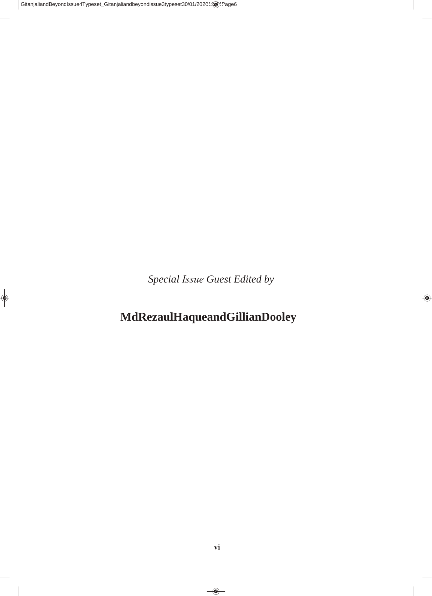*Special Issue Guest Edited by* 

# **Md Rezaul Haque and Gillian Dooley**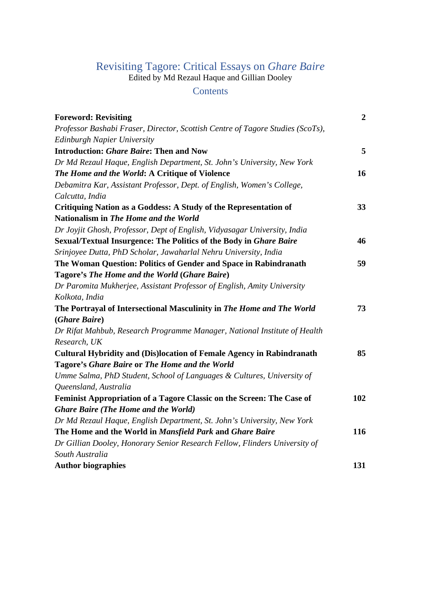# Revisiting Tagore: Critical Essays on *Ghare Baire*

Edited by Md Rezaul Haque and Gillian Dooley

# **Contents**

| <b>Foreword: Revisiting</b>                                                    | $\overline{2}$ |
|--------------------------------------------------------------------------------|----------------|
| Professor Bashabi Fraser, Director, Scottish Centre of Tagore Studies (ScoTs), |                |
| Edinburgh Napier University                                                    |                |
| <b>Introduction: Ghare Baire: Then and Now</b>                                 | 5              |
| Dr Md Rezaul Haque, English Department, St. John's University, New York        |                |
| The Home and the World: A Critique of Violence                                 | 16             |
| Debamitra Kar, Assistant Professor, Dept. of English, Women's College,         |                |
| Calcutta, India                                                                |                |
| Critiquing Nation as a Goddess: A Study of the Representation of               | 33             |
| Nationalism in The Home and the World                                          |                |
| Dr Joyjit Ghosh, Professor, Dept of English, Vidyasagar University, India      |                |
| Sexual/Textual Insurgence: The Politics of the Body in Ghare Baire             | 46             |
| Srinjoyee Dutta, PhD Scholar, Jawaharlal Nehru University, India               |                |
| The Woman Question: Politics of Gender and Space in Rabindranath               | 59             |
| Tagore's The Home and the World (Ghare Baire)                                  |                |
| Dr Paromita Mukherjee, Assistant Professor of English, Amity University        |                |
| Kolkota, India                                                                 |                |
| The Portrayal of Intersectional Masculinity in The Home and The World          | 73             |
| (Ghare Baire)                                                                  |                |
| Dr Rifat Mahbub, Research Programme Manager, National Institute of Health      |                |
| Research, UK                                                                   |                |
| <b>Cultural Hybridity and (Dis)location of Female Agency in Rabindranath</b>   | 85             |
| Tagore's Ghare Baire or The Home and the World                                 |                |
| Umme Salma, PhD Student, School of Languages & Cultures, University of         |                |
| Queensland, Australia                                                          |                |
| Feminist Appropriation of a Tagore Classic on the Screen: The Case of          | 102            |
| <b>Ghare Baire (The Home and the World)</b>                                    |                |
| Dr Md Rezaul Haque, English Department, St. John's University, New York        |                |
| The Home and the World in Mansfield Park and Ghare Baire                       | 116            |
| Dr Gillian Dooley, Honorary Senior Research Fellow, Flinders University of     |                |
| South Australia                                                                |                |
| <b>Author biographies</b>                                                      | 131            |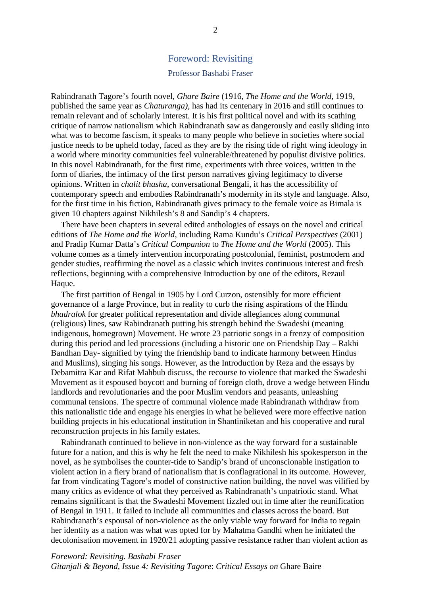## Foreword: Revisiting

### Professor Bashabi Fraser

Rabindranath Tagore's fourth novel, *Ghare Baire* (1916, *The Home and the World,* 1919, published the same year as *Chaturanga)*, has had its centenary in 2016 and still continues to remain relevant and of scholarly interest. It is his first political novel and with its scathing critique of narrow nationalism which Rabindranath saw as dangerously and easily sliding into what was to become fascism, it speaks to many people who believe in societies where social justice needs to be upheld today, faced as they are by the rising tide of right wing ideology in a world where minority communities feel vulnerable/threatened by populist divisive politics. In this novel Rabindranath, for the first time, experiments with three voices, written in the form of diaries, the intimacy of the first person narratives giving legitimacy to diverse opinions. Written in *chalit bhasha*, conversational Bengali, it has the accessibility of contemporary speech and embodies Rabindranath's modernity in its style and language. Also, for the first time in his fiction, Rabindranath gives primacy to the female voice as Bimala is given 10 chapters against Nikhilesh's 8 and Sandip's 4 chapters.

There have been chapters in several edited anthologies of essays on the novel and critical editions of *The Home and the World*, including Rama Kundu's *Critical Perspectives* (2001) and Pradip Kumar Datta's *Critical Companion* to *The Home and the World* (2005). This volume comes as a timely intervention incorporating postcolonial, feminist, postmodern and gender studies, reaffirming the novel as a classic which invites continuous interest and fresh reflections, beginning with a comprehensive Introduction by one of the editors, Rezaul Haque.

The first partition of Bengal in 1905 by Lord Curzon, ostensibly for more efficient governance of a large Province, but in reality to curb the rising aspirations of the Hindu *bhadralok* for greater political representation and divide allegiances along communal (religious) lines, saw Rabindranath putting his strength behind the Swadeshi (meaning indigenous, homegrown) Movement. He wrote 23 patriotic songs in a frenzy of composition during this period and led processions (including a historic one on Friendship Day – Rakhi Bandhan Day- signified by tying the friendship band to indicate harmony between Hindus and Muslims), singing his songs. However, as the Introduction by Reza and the essays by Debamitra Kar and Rifat Mahbub discuss, the recourse to violence that marked the Swadeshi Movement as it espoused boycott and burning of foreign cloth, drove a wedge between Hindu landlords and revolutionaries and the poor Muslim vendors and peasants, unleashing communal tensions. The spectre of communal violence made Rabindranath withdraw from this nationalistic tide and engage his energies in what he believed were more effective nation building projects in his educational institution in Shantiniketan and his cooperative and rural reconstruction projects in his family estates.

Rabindranath continued to believe in non-violence as the way forward for a sustainable future for a nation, and this is why he felt the need to make Nikhilesh his spokesperson in the novel, as he symbolises the counter-tide to Sandip's brand of unconscionable instigation to violent action in a fiery brand of nationalism that is conflagrational in its outcome. However, far from vindicating Tagore's model of constructive nation building, the novel was vilified by many critics as evidence of what they perceived as Rabindranath's unpatriotic stand. What remains significant is that the Swadeshi Movement fizzled out in time after the reunification of Bengal in 1911. It failed to include all communities and classes across the board. But Rabindranath's espousal of non-violence as the only viable way forward for India to regain her identity as a nation was what was opted for by Mahatma Gandhi when he initiated the decolonisation movement in 1920/21 adopting passive resistance rather than violent action as

*Foreword: Revisiting. Bashabi Fraser Gitanjali & Beyond, Issue 4: Revisiting Tagore*: *Critical Essays on* Ghare Baire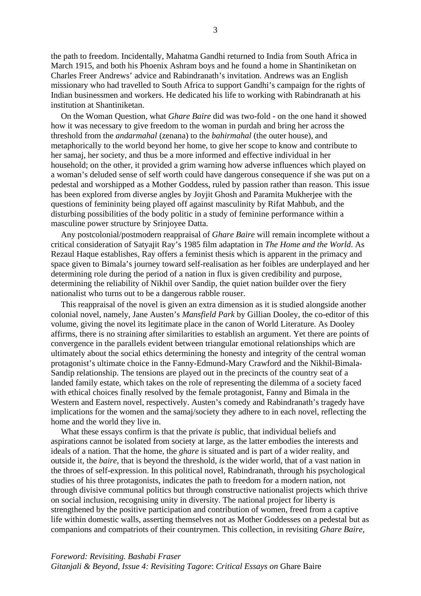the path to freedom. Incidentally, Mahatma Gandhi returned to India from South Africa in March 1915, and both his Phoenix Ashram boys and he found a home in Shantiniketan on Charles Freer Andrews' advice and Rabindranath's invitation. Andrews was an English missionary who had travelled to South Africa to support Gandhi's campaign for the rights of Indian businessmen and workers. He dedicated his life to working with Rabindranath at his institution at Shantiniketan.

On the Woman Question, what *Ghare Baire* did was two-fold - on the one hand it showed how it was necessary to give freedom to the woman in purdah and bring her across the threshold from the *andarmahal* (zenana) to the *bahirmahal* (the outer house), and metaphorically to the world beyond her home, to give her scope to know and contribute to her samaj, her society, and thus be a more informed and effective individual in her household; on the other, it provided a grim warning how adverse influences which played on a woman's deluded sense of self worth could have dangerous consequence if she was put on a pedestal and worshipped as a Mother Goddess, ruled by passion rather than reason. This issue has been explored from diverse angles by Joyjit Ghosh and Paramita Mukherjee with the questions of femininity being played off against masculinity by Rifat Mahbub, and the disturbing possibilities of the body politic in a study of feminine performance within a masculine power structure by Srinjoyee Datta.

Any postcolonial/postmodern reappraisal of *Ghare Baire* will remain incomplete without a critical consideration of Satyajit Ray's 1985 film adaptation in *The Home and the World*. As Rezaul Haque establishes, Ray offers a feminist thesis which is apparent in the primacy and space given to Bimala's journey toward self-realisation as her foibles are underplayed and her determining role during the period of a nation in flux is given credibility and purpose, determining the reliability of Nikhil over Sandip, the quiet nation builder over the fiery nationalist who turns out to be a dangerous rabble rouser.

This reappraisal of the novel is given an extra dimension as it is studied alongside another colonial novel, namely, Jane Austen's *Mansfield Park* by Gillian Dooley, the co-editor of this volume, giving the novel its legitimate place in the canon of World Literature. As Dooley affirms, there is no straining after similarities to establish an argument. Yet there are points of convergence in the parallels evident between triangular emotional relationships which are ultimately about the social ethics determining the honesty and integrity of the central woman protagonist's ultimate choice in the Fanny-Edmund-Mary Crawford and the Nikhil-Bimala-Sandip relationship. The tensions are played out in the precincts of the country seat of a landed family estate, which takes on the role of representing the dilemma of a society faced with ethical choices finally resolved by the female protagonist, Fanny and Bimala in the Western and Eastern novel, respectively. Austen's comedy and Rabindranath's tragedy have implications for the women and the samaj/society they adhere to in each novel, reflecting the home and the world they live in.

What these essays confirm is that the private *is* public, that individual beliefs and aspirations cannot be isolated from society at large, as the latter embodies the interests and ideals of a nation. That the home, the *ghare* is situated and is part of a wider reality, and outside it, the *baire*, that is beyond the threshold, *is* the wider world, that of a vast nation in the throes of self-expression. In this political novel, Rabindranath, through his psychological studies of his three protagonists, indicates the path to freedom for a modern nation, not through divisive communal politics but through constructive nationalist projects which thrive on social inclusion, recognising unity in diversity. The national project for liberty is strengthened by the positive participation and contribution of women, freed from a captive life within domestic walls, asserting themselves not as Mother Goddesses on a pedestal but as companions and compatriots of their countrymen. This collection, in revisiting *Ghare Baire*,

*Foreword: Revisiting. Bashabi Fraser Gitanjali & Beyond, Issue 4: Revisiting Tagore*: *Critical Essays on* Ghare Baire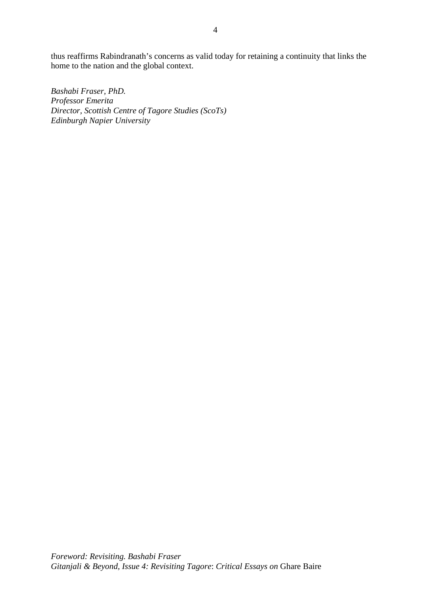thus reaffirms Rabindranath's concerns as valid today for retaining a continuity that links the home to the nation and the global context.

*Bashabi Fraser, PhD. Professor Emerita Director, Scottish Centre of Tagore Studies (ScoTs) Edinburgh Napier University*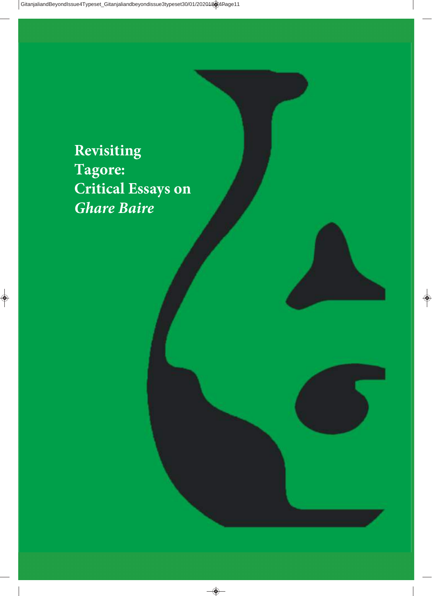**Revisiting Tagore: Critical Essays on**  *Ghare Baire*

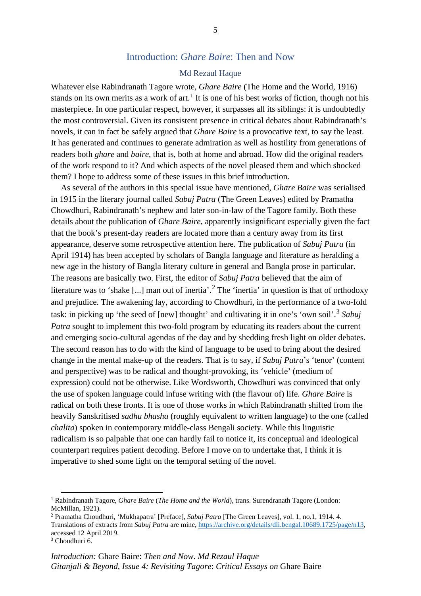## Introduction: *Ghare Baire*: Then and Now

## Md Rezaul Haque

Whatever else Rabindranath Tagore wrote, *Ghare Baire* (The Home and the World, 1916) stands on its own merits as a work of art.<sup>[1](#page-11-0)</sup> It is one of his best works of fiction, though not his masterpiece. In one particular respect, however, it surpasses all its siblings: it is undoubtedly the most controversial. Given its consistent presence in critical debates about Rabindranath's novels, it can in fact be safely argued that *Ghare Baire* is a provocative text, to say the least. It has generated and continues to generate admiration as well as hostility from generations of readers both *ghare* and *baire*, that is, both at home and abroad. How did the original readers of the work respond to it? And which aspects of the novel pleased them and which shocked them? I hope to address some of these issues in this brief introduction.

As several of the authors in this special issue have mentioned, *Ghare Baire* was serialised in 1915 in the literary journal called *Sabuj Patra* (The Green Leaves) edited by Pramatha Chowdhuri, Rabindranath's nephew and later son-in-law of the Tagore family. Both these details about the publication of *Ghare Baire*, apparently insignificant especially given the fact that the book's present-day readers are located more than a century away from its first appearance, deserve some retrospective attention here. The publication of *Sabuj Patra* (in April 1914) has been accepted by scholars of Bangla language and literature as heralding a new age in the history of Bangla literary culture in general and Bangla prose in particular. The reasons are basically two. First, the editor of *Sabuj Patra* believed that the aim of literature was to 'shake [...] man out of inertia'.<sup>[2](#page-11-1)</sup> The 'inertia' in question is that of orthodoxy and prejudice. The awakening lay, according to Chowdhuri, in the performance of a two-fold task: in picking up 'the seed of [new] thought' and cultivating it in one's 'own soil'.[3](#page-11-2) *Sabuj Patra* sought to implement this two-fold program by educating its readers about the current and emerging socio-cultural agendas of the day and by shedding fresh light on older debates. The second reason has to do with the kind of language to be used to bring about the desired change in the mental make-up of the readers. That is to say, if *Sabuj Patra*'s 'tenor' (content and perspective) was to be radical and thought-provoking, its 'vehicle' (medium of expression) could not be otherwise. Like Wordsworth, Chowdhuri was convinced that only the use of spoken language could infuse writing with (the flavour of) life. *Ghare Baire* is radical on both these fronts. It is one of those works in which Rabindranath shifted from the heavily Sanskritised *sadhu bhasha* (roughly equivalent to written language) to the one (called *chalita*) spoken in contemporary middle-class Bengali society. While this linguistic radicalism is so palpable that one can hardly fail to notice it, its conceptual and ideological counterpart requires patient decoding. Before I move on to undertake that, I think it is imperative to shed some light on the temporal setting of the novel.

<span id="page-11-0"></span><sup>1</sup> Rabindranath Tagore, *Ghare Baire* (*The Home and the World*), trans. Surendranath Tagore (London: McMillan, 1921).

<span id="page-11-1"></span><sup>2</sup> Pramatha Choudhuri, 'Mukhapatra' [Preface], *Sabuj Patra* [The Green Leaves], vol. 1, no.1, 1914. 4. Translations of extracts from *Sabuj Patra* are mine[, https://archive.org/details/dli.bengal.10689.1725/page/n13,](https://archive.org/details/dli.bengal.10689.1725/page/n13) accessed 12 April 2019.

<span id="page-11-2"></span> $3$  Choudhuri 6.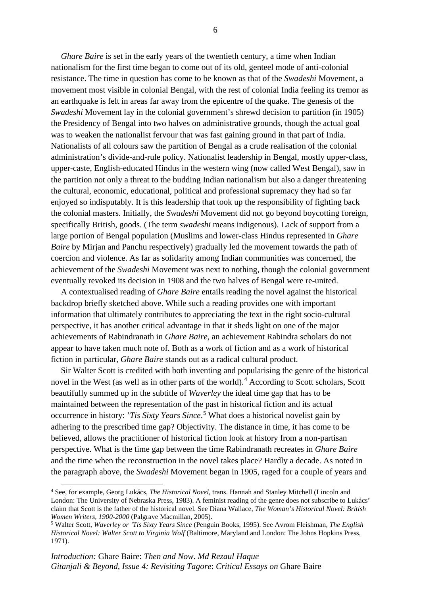*Ghare Baire* is set in the early years of the twentieth century, a time when Indian nationalism for the first time began to come out of its old, genteel mode of anti-colonial resistance. The time in question has come to be known as that of the *Swadeshi* Movement, a movement most visible in colonial Bengal, with the rest of colonial India feeling its tremor as an earthquake is felt in areas far away from the epicentre of the quake. The genesis of the *Swadeshi* Movement lay in the colonial government's shrewd decision to partition (in 1905) the Presidency of Bengal into two halves on administrative grounds, though the actual goal was to weaken the nationalist fervour that was fast gaining ground in that part of India. Nationalists of all colours saw the partition of Bengal as a crude realisation of the colonial administration's divide-and-rule policy. Nationalist leadership in Bengal, mostly upper-class, upper-caste, English-educated Hindus in the western wing (now called West Bengal), saw in the partition not only a threat to the budding Indian nationalism but also a danger threatening the cultural, economic, educational, political and professional supremacy they had so far enjoyed so indisputably. It is this leadership that took up the responsibility of fighting back the colonial masters. Initially, the *Swadeshi* Movement did not go beyond boycotting foreign, specifically British, goods. (The term *swadeshi* means indigenous). Lack of support from a large portion of Bengal population (Muslims and lower-class Hindus represented in *Ghare Baire* by Mirjan and Panchu respectively) gradually led the movement towards the path of coercion and violence. As far as solidarity among Indian communities was concerned, the achievement of the *Swadeshi* Movement was next to nothing, though the colonial government eventually revoked its decision in 1908 and the two halves of Bengal were re-united.

A contextualised reading of *Ghare Baire* entails reading the novel against the historical backdrop briefly sketched above. While such a reading provides one with important information that ultimately contributes to appreciating the text in the right socio-cultural perspective, it has another critical advantage in that it sheds light on one of the major achievements of Rabindranath in *Ghare Baire*, an achievement Rabindra scholars do not appear to have taken much note of. Both as a work of fiction and as a work of historical fiction in particular, *Ghare Baire* stands out as a radical cultural product.

Sir Walter Scott is credited with both inventing and popularising the genre of the historical novel in the West (as well as in other parts of the world).<sup>[4](#page-12-0)</sup> According to Scott scholars, Scott beautifully summed up in the subtitle of *Waverley* the ideal time gap that has to be maintained between the representation of the past in historical fiction and its actual occurrence in history: '*Tis Sixty Years Since*. [5](#page-12-1) What does a historical novelist gain by adhering to the prescribed time gap? Objectivity. The distance in time, it has come to be believed, allows the practitioner of historical fiction look at history from a non-partisan perspective. What is the time gap between the time Rabindranath recreates in *Ghare Baire* and the time when the reconstruction in the novel takes place? Hardly a decade. As noted in the paragraph above, the *Swadeshi* Movement began in 1905, raged for a couple of years and

<span id="page-12-0"></span><sup>4</sup> See, for example, Georg Lukács, *The Historical Novel*, trans. Hannah and Stanley Mitchell (Lincoln and London: The University of Nebraska Press, 1983). A feminist reading of the genre does not subscribe to Lukács' claim that Scott is the father of the historical novel. See Diana Wallace, *The Woman's Historical Novel: British Women Writers, 1900-2000* (Palgrave Macmillan, 2005).

<span id="page-12-1"></span><sup>5</sup> Walter Scott, *Waverley or 'Tis Sixty Years Since* (Penguin Books, 1995). See Avrom Fleishman, *The English Historical Novel: Walter Scott to Virginia Wolf* (Baltimore, Maryland and London: The Johns Hopkins Press, 1971).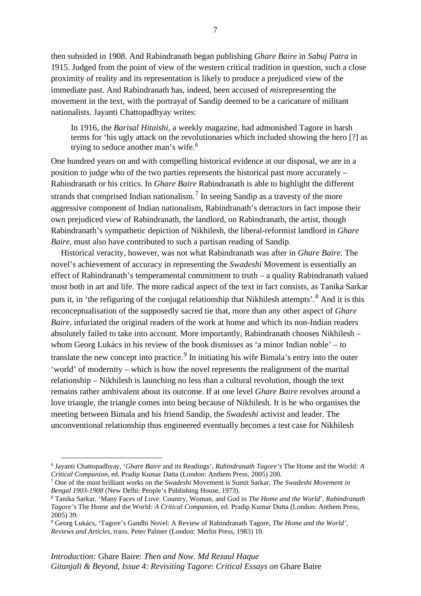then subsided in 1908. And Rabindranath began publishing *Ghare Baire* in *Sabuj Patra* in 1915. Judged from the point of view of the western critical tradition in question, such a close proximity of reality and its representation is likely to produce a prejudiced view of the immediate past. And Rabindranath has, indeed, been accused of *mis*representing the movement in the text, with the portrayal of Sandip deemed to be a caricature of militant nationalists. Jayanti Chattopadhyay writes:

In 1916, the *Barisal Hitaishi*, a weekly magazine, had admonished Tagore in harsh terms for 'his ugly attack on the revolutionaries which included showing the hero [?] as trying to seduce another man's wife.<sup>[6](#page-13-0)</sup>

One hundred years on and with compelling historical evidence at our disposal, we are in a position to judge who of the two parties represents the historical past more accurately – Rabindranath or his critics. In *Ghare Baire* Rabindranath is able to highlight the different strands that comprised Indian nationalism.<sup>[7](#page-13-1)</sup> In seeing Sandip as a travesty of the more aggressive component of Indian nationalism, Rabindranath's detractors in fact impose their own prejudiced view of Rabindranath, the landlord, on Rabindranath, the artist, though Rabindranath's sympathetic depiction of Nikhilesh, the liberal-reformist landlord in *Ghare Baire*, must also have contributed to such a partisan reading of Sandip.

Historical veracity, however, was not what Rabindranath was after in *Ghare Baire*. The novel's achievement of accuracy in representing the *Swadeshi* Movement is essentially an effect of Rabindranath's temperamental commitment to truth – a quality Rabindranath valued most both in art and life. The more radical aspect of the text in fact consists, as Tanika Sarkar puts it, in 'the refiguring of the conjugal relationship that Nikhilesh attempts'.<sup>[8](#page-13-2)</sup> And it is this reconceptualisation of the supposedly sacred tie that, more than any other aspect of *Ghare Baire*, infuriated the original readers of the work at home and which its non-Indian readers absolutely failed to take into account. More importantly, Rabindranath chooses Nikhilesh – whom Georg Lukács in his review of the book dismisses as 'a minor Indian noble' – to translate the new concept into practice.<sup>[9](#page-13-3)</sup> In initiating his wife Bimala's entry into the outer 'world' of modernity – which is how the novel represents the realignment of the marital relationship – Nikhilesh is launching no less than a cultural revolution, though the text remains rather ambivalent about its outcome. If at one level *Ghare Baire* revolves around a love triangle, the triangle comes into being because of Nikhilesh. It is he who organises the meeting between Bimala and his friend Sandip, the *Swadeshi* activist and leader. The unconventional relationship thus engineered eventually becomes a test case for Nikhilesh

<span id="page-13-0"></span><sup>6</sup> Jayanti Chattopadhyay, '*Ghare Baire* and its Readings', *Rabindranath Tagore's* The Home and the World*: A Critical Companion*, ed. Pradip Kumar Datta (London: Anthem Press, 2005) 200.

<span id="page-13-1"></span><sup>7</sup> One of the most brilliant works on the *Swadeshi* Movement is Sumit Sarkar, *The Swadeshi Movement in Bengal 1903-1908* (New Delhi: People's Publishing House, 1973). 8 Tanika Sarkar, 'Many Faces of Love: Country, Woman, and God in *The Home and the World*', *Rabindranath* 

<span id="page-13-2"></span>*Tagore's* The Home and the World*: A Critical Companion*, ed. Pradip Kumar Dutta (London: Anthem Press, 2005) 39.

<span id="page-13-3"></span><sup>9</sup> Georg Lukács, 'Tagore's Gandhi Novel: A Review of Rabindranath Tagore, *The Home and the World'*, *Reviews and Articles,* trans. Peter Palmer (London: Merlin Press, 1983) 10.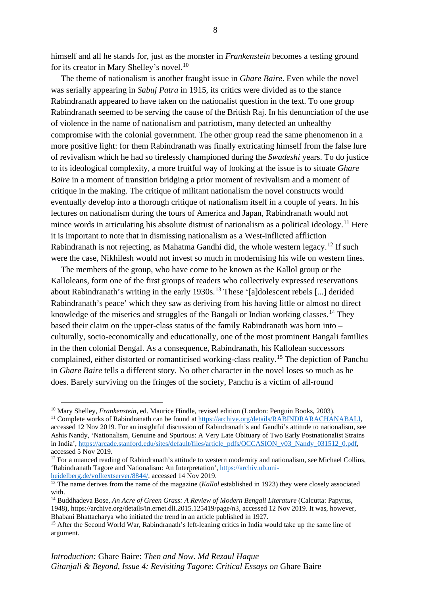himself and all he stands for, just as the monster in *Frankenstein* becomes a testing ground for its creator in Mary Shelley's novel.<sup>[10](#page-14-0)</sup>

The theme of nationalism is another fraught issue in *Ghare Baire*. Even while the novel was serially appearing in *Sabuj Patra* in 1915, its critics were divided as to the stance Rabindranath appeared to have taken on the nationalist question in the text. To one group Rabindranath seemed to be serving the cause of the British Raj. In his denunciation of the use of violence in the name of nationalism and patriotism, many detected an unhealthy compromise with the colonial government. The other group read the same phenomenon in a more positive light: for them Rabindranath was finally extricating himself from the false lure of revivalism which he had so tirelessly championed during the *Swadeshi* years. To do justice to its ideological complexity, a more fruitful way of looking at the issue is to situate *Ghare Baire* in a moment of transition bridging a prior moment of revivalism and a moment of critique in the making. The critique of militant nationalism the novel constructs would eventually develop into a thorough critique of nationalism itself in a couple of years. In his lectures on nationalism during the tours of America and Japan, Rabindranath would not mince words in articulating his absolute distrust of nationalism as a political ideology.<sup>[11](#page-14-1)</sup> Here it is important to note that in dismissing nationalism as a West-inflicted affliction Rabindranath is not rejecting, as Mahatma Gandhi did, the whole western legacy.<sup>[12](#page-14-2)</sup> If such were the case, Nikhilesh would not invest so much in modernising his wife on western lines.

The members of the group, who have come to be known as the Kallol group or the Kalloleans, form one of the first groups of readers who collectively expressed reservations about Rabindranath's writing in the early 1930s.<sup>[13](#page-14-3)</sup> These '[a]dolescent rebels [...] derided Rabindranath's peace' which they saw as deriving from his having little or almost no direct knowledge of the miseries and struggles of the Bangali or Indian working classes.<sup>[14](#page-14-4)</sup> They based their claim on the upper-class status of the family Rabindranath was born into – culturally, socio-economically and educationally, one of the most prominent Bangali families in the then colonial Bengal. As a consequence, Rabindranath, his Kallolean successors complained, either distorted or romanticised working-class reality.[15](#page-14-5) The depiction of Panchu in *Ghare Baire* tells a different story. No other character in the novel loses so much as he does. Barely surviving on the fringes of the society, Panchu is a victim of all-round

<span id="page-14-0"></span><sup>&</sup>lt;sup>10</sup> Mary Shelley, *Frankenstein*, ed. Maurice Hindle, revised edition (London: Penguin Books, 2003).

<span id="page-14-1"></span><sup>&</sup>lt;sup>11</sup> Complete works of Rabindranath can be found at https://archive.org/details/RABINDRARACHANABALI, accessed 12 Nov 2019. For an insightful discussion of Rabindranath's and Gandhi's attitude to nationalism, see Ashis Nandy, 'Nationalism, Genuine and Spurious: A Very Late Obituary of Two Early Postnationalist Strains in India', [https://arcade.stanford.edu/sites/default/files/article\\_pdfs/OCCASION\\_v03\\_Nandy\\_031512\\_0.pdf,](https://arcade.stanford.edu/sites/default/files/article_pdfs/OCCASION_v03_Nandy_031512_0.pdf) accessed 5 Nov 2019.

<span id="page-14-2"></span><sup>&</sup>lt;sup>12</sup> For a nuanced reading of Rabindranath's attitude to western modernity and nationalism, see Michael Collins, 'Rabindranath Tagore and Nationalism: An Interpretation', [https://archiv.ub.uni](https://archiv.ub.uni-heidelberg.de/volltextserver/8844/)[heidelberg.de/volltextserver/8844/,](https://archiv.ub.uni-heidelberg.de/volltextserver/8844/) accessed 14 Nov 2019.

<span id="page-14-3"></span><sup>&</sup>lt;sup>13</sup> The name derives from the name of the magazine (*Kallol* established in 1923) they were closely associated with.

<span id="page-14-4"></span><sup>&</sup>lt;sup>14</sup> Buddhadeva Bose, *An Acre of Green Grass: A Review of Modern Bengali Literature* (Calcutta: Papyrus, 1948), https://archive.org/details/in.ernet.dli.2015.125419/page/n3, accessed 12 Nov 2019. It was, however, Bhabani Bhattacharya who initiated the trend in an article published in 1927.

<span id="page-14-5"></span><sup>&</sup>lt;sup>15</sup> After the Second World War, Rabindranath's left-leaning critics in India would take up the same line of argument.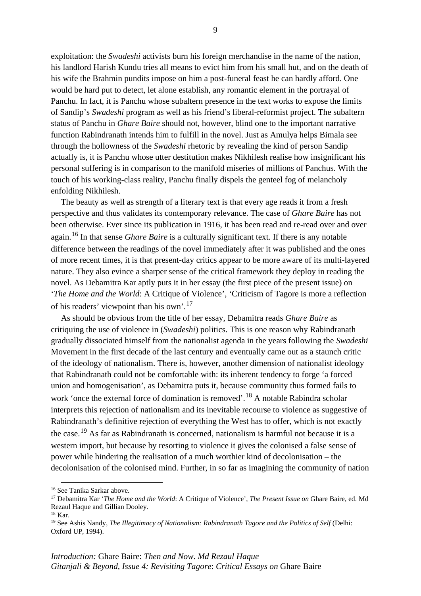exploitation: the *Swadeshi* activists burn his foreign merchandise in the name of the nation, his landlord Harish Kundu tries all means to evict him from his small hut, and on the death of his wife the Brahmin pundits impose on him a post-funeral feast he can hardly afford. One would be hard put to detect, let alone establish, any romantic element in the portrayal of Panchu. In fact, it is Panchu whose subaltern presence in the text works to expose the limits of Sandip's *Swadeshi* program as well as his friend's liberal-reformist project. The subaltern status of Panchu in *Ghare Baire* should not, however, blind one to the important narrative function Rabindranath intends him to fulfill in the novel. Just as Amulya helps Bimala see through the hollowness of the *Swadeshi* rhetoric by revealing the kind of person Sandip actually is, it is Panchu whose utter destitution makes Nikhilesh realise how insignificant his personal suffering is in comparison to the manifold miseries of millions of Panchus. With the touch of his working-class reality, Panchu finally dispels the genteel fog of melancholy enfolding Nikhilesh.

The beauty as well as strength of a literary text is that every age reads it from a fresh perspective and thus validates its contemporary relevance. The case of *Ghare Baire* has not been otherwise. Ever since its publication in 1916, it has been read and re-read over and over again.[16](#page-15-0) In that sense *Ghare Baire* is a culturally significant text. If there is any notable difference between the readings of the novel immediately after it was published and the ones of more recent times, it is that present-day critics appear to be more aware of its multi-layered nature. They also evince a sharper sense of the critical framework they deploy in reading the novel. As Debamitra Kar aptly puts it in her essay (the first piece of the present issue) on '*The Home and the World*: A Critique of Violence', 'Criticism of Tagore is more a reflection of his readers' viewpoint than his own'.[17](#page-15-1)

As should be obvious from the title of her essay, Debamitra reads *Ghare Baire* as critiquing the use of violence in (*Swadeshi*) politics. This is one reason why Rabindranath gradually dissociated himself from the nationalist agenda in the years following the *Swadeshi* Movement in the first decade of the last century and eventually came out as a staunch critic of the ideology of nationalism. There is, however, another dimension of nationalist ideology that Rabindranath could not be comfortable with: its inherent tendency to forge 'a forced union and homogenisation', as Debamitra puts it, because community thus formed fails to work 'once the external force of domination is removed'.[18](#page-15-2) A notable Rabindra scholar interprets this rejection of nationalism and its inevitable recourse to violence as suggestive of Rabindranath's definitive rejection of everything the West has to offer, which is not exactly the case.<sup>[19](#page-15-3)</sup> As far as Rabindranath is concerned, nationalism is harmful not because it is a western import, but because by resorting to violence it gives the colonised a false sense of power while hindering the realisation of a much worthier kind of decolonisation – the decolonisation of the colonised mind. Further, in so far as imagining the community of nation

<span id="page-15-1"></span><span id="page-15-0"></span><sup>&</sup>lt;sup>16</sup> See Tanika Sarkar above.<br><sup>17</sup> Debamitra Kar *'The Home and the World*: A Critique of Violence', *The Present Issue on* Ghare Baire, ed. Md Rezaul Haque and Gillian Dooley.<br><sup>18</sup> Kar.

<span id="page-15-3"></span><span id="page-15-2"></span><sup>&</sup>lt;sup>19</sup> See Ashis Nandy, *The Illegitimacy of Nationalism: Rabindranath Tagore and the Politics of Self (Delhi:* Oxford UP, 1994).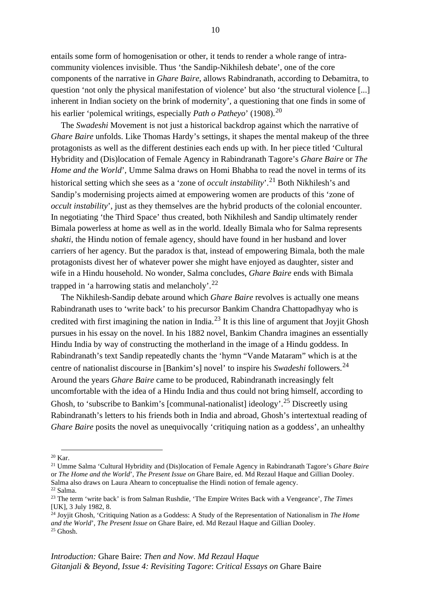entails some form of homogenisation or other, it tends to render a whole range of intracommunity violences invisible. Thus 'the Sandip-Nikhilesh debate', one of the core components of the narrative in *Ghare Baire*, allows Rabindranath, according to Debamitra, to question 'not only the physical manifestation of violence' but also 'the structural violence [...] inherent in Indian society on the brink of modernity', a questioning that one finds in some of his earlier 'polemical writings, especially *Path o Patheyo*' (1908).<sup>[20](#page-16-0)</sup>

The *Swadeshi* Movement is not just a historical backdrop against which the narrative of *Ghare Baire* unfolds. Like Thomas Hardy's settings, it shapes the mental makeup of the three protagonists as well as the different destinies each ends up with. In her piece titled 'Cultural Hybridity and (Dis)location of Female Agency in Rabindranath Tagore's *Ghare Baire* or *The Home and the World*', Umme Salma draws on Homi Bhabha to read the novel in terms of its historical setting which she sees as a 'zone of *occult instability*'.<sup>[21](#page-16-1)</sup> Both Nikhilesh's and Sandip's modernising projects aimed at empowering women are products of this 'zone of *occult instability*', just as they themselves are the hybrid products of the colonial encounter. In negotiating 'the Third Space' thus created, both Nikhilesh and Sandip ultimately render Bimala powerless at home as well as in the world. Ideally Bimala who for Salma represents *shakti*, the Hindu notion of female agency, should have found in her husband and lover carriers of her agency. But the paradox is that, instead of empowering Bimala, both the male protagonists divest her of whatever power she might have enjoyed as daughter, sister and wife in a Hindu household. No wonder, Salma concludes, *Ghare Baire* ends with Bimala trapped in 'a harrowing statis and melancholy'.<sup>[22](#page-16-2)</sup>

The Nikhilesh-Sandip debate around which *Ghare Baire* revolves is actually one means Rabindranath uses to 'write back' to his precursor Bankim Chandra Chattopadhyay who is credited with first imagining the nation in India.<sup>[23](#page-16-3)</sup> It is this line of argument that Joyjit Ghosh pursues in his essay on the novel. In his 1882 novel, Bankim Chandra imagines an essentially Hindu India by way of constructing the motherland in the image of a Hindu goddess. In Rabindranath's text Sandip repeatedly chants the 'hymn "Vande Mataram" which is at the centre of nationalist discourse in [Bankim's] novel' to inspire his *Swadeshi* followers.[24](#page-16-4) Around the years *Ghare Baire* came to be produced, Rabindranath increasingly felt uncomfortable with the idea of a Hindu India and thus could not bring himself, according to Ghosh, to 'subscribe to Bankim's [communal-nationalist] ideology'.[25](#page-16-5) Discreetly using Rabindranath's letters to his friends both in India and abroad, Ghosh's intertextual reading of *Ghare Baire* posits the novel as unequivocally 'critiquing nation as a goddess', an unhealthy

<span id="page-16-0"></span><sup>20</sup> Kar.

<span id="page-16-1"></span><sup>21</sup> Umme Salma 'Cultural Hybridity and (Dis)location of Female Agency in Rabindranath Tagore's *Ghare Baire* or *The Home and the World*', *The Present Issue on* Ghare Baire, ed. Md Rezaul Haque and Gillian Dooley. Salma also draws on Laura Ahearn to conceptualise the Hindi notion of female agency. <sup>22</sup> Salma.

<span id="page-16-3"></span><span id="page-16-2"></span><sup>23</sup> The term 'write back' is from Salman Rushdie, 'The Empire Writes Back with a Vengeance', *The Times*  [UK], 3 July 1982, 8.

<span id="page-16-5"></span><span id="page-16-4"></span><sup>24</sup> Joyjit Ghosh, 'Critiquing Nation as a Goddess: A Study of the Representation of Nationalism in *The Home and the World*', *The Present Issue on* Ghare Baire, ed. Md Rezaul Haque and Gillian Dooley.  $25$  Ghosh.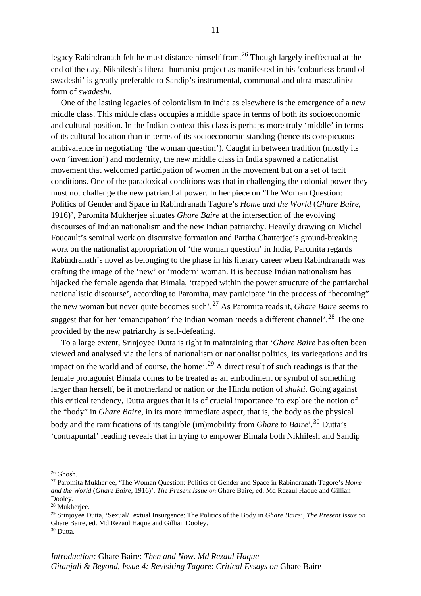11

legacy Rabindranath felt he must distance himself from.<sup>[26](#page-17-0)</sup> Though largely ineffectual at the end of the day, Nikhilesh's liberal-humanist project as manifested in his 'colourless brand of swadeshi' is greatly preferable to Sandip's instrumental, communal and ultra-masculinist form of *swadeshi*.

One of the lasting legacies of colonialism in India as elsewhere is the emergence of a new middle class. This middle class occupies a middle space in terms of both its socioeconomic and cultural position. In the Indian context this class is perhaps more truly 'middle' in terms of its cultural location than in terms of its socioeconomic standing (hence its conspicuous ambivalence in negotiating 'the woman question'). Caught in between tradition (mostly its own 'invention') and modernity, the new middle class in India spawned a nationalist movement that welcomed participation of women in the movement but on a set of tacit conditions. One of the paradoxical conditions was that in challenging the colonial power they must not challenge the new patriarchal power. In her piece on 'The Woman Question: Politics of Gender and Space in Rabindranath Tagore's *Home and the World* (*Ghare Baire*, 1916)', Paromita Mukherjee situates *Ghare Baire* at the intersection of the evolving discourses of Indian nationalism and the new Indian patriarchy. Heavily drawing on Michel Foucault's seminal work on discursive formation and Partha Chatterjee's ground-breaking work on the nationalist appropriation of 'the woman question' in India, Paromita regards Rabindranath's novel as belonging to the phase in his literary career when Rabindranath was crafting the image of the 'new' or 'modern' woman. It is because Indian nationalism has hijacked the female agenda that Bimala, 'trapped within the power structure of the patriarchal nationalistic discourse', according to Paromita, may participate 'in the process of "becoming" the new woman but never quite becomes such'.[27](#page-17-1) As Paromita reads it, *Ghare Baire* seems to suggest that for her 'emancipation' the Indian woman 'needs a different channel'.<sup>[28](#page-17-2)</sup> The one provided by the new patriarchy is self-defeating.

To a large extent, Srinjoyee Dutta is right in maintaining that '*Ghare Baire* has often been viewed and analysed via the lens of nationalism or nationalist politics, its variegations and its impact on the world and of course, the home'.<sup>[29](#page-17-3)</sup> A direct result of such readings is that the female protagonist Bimala comes to be treated as an embodiment or symbol of something larger than herself, be it motherland or nation or the Hindu notion of *shakti*. Going against this critical tendency, Dutta argues that it is of crucial importance 'to explore the notion of the "body" in *Ghare Baire*, in its more immediate aspect, that is, the body as the physical body and the ramifications of its tangible (im)mobility from *Ghare* to *Baire*'.[30](#page-17-4) Dutta's 'contrapuntal' reading reveals that in trying to empower Bimala both Nikhilesh and Sandip

<span id="page-17-3"></span><sup>29</sup> Srinjoyee Dutta, 'Sexual/Textual Insurgence: The Politics of the Body in *Ghare Baire*', *The Present Issue on*  Ghare Baire, ed. Md Rezaul Haque and Gillian Dooley.

<span id="page-17-0"></span> $26$  Ghosh.

<span id="page-17-1"></span><sup>27</sup> Paromita Mukherjee, 'The Woman Question: Politics of Gender and Space in Rabindranath Tagore's *Home and the World* (*Ghare Baire*, 1916)', *The Present Issue on* Ghare Baire, ed. Md Rezaul Haque and Gillian Dooley.

<span id="page-17-2"></span><sup>28</sup> Mukherjee.

<span id="page-17-4"></span><sup>30</sup> Dutta.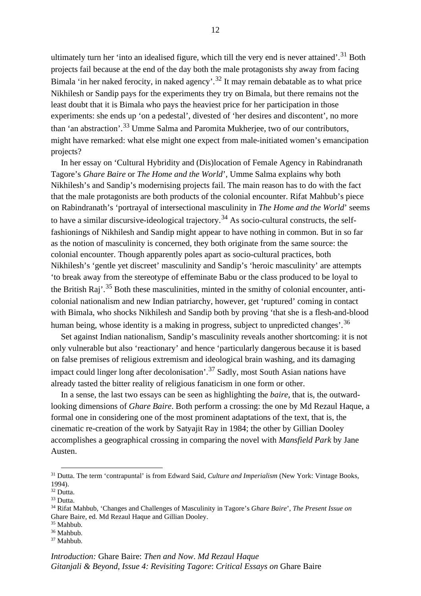ultimately turn her 'into an idealised figure, which till the very end is never attained'.<sup>[31](#page-18-0)</sup> Both projects fail because at the end of the day both the male protagonists shy away from facing Bimala 'in her naked ferocity, in naked agency'.<sup>[32](#page-18-1)</sup> It may remain debatable as to what price Nikhilesh or Sandip pays for the experiments they try on Bimala, but there remains not the least doubt that it is Bimala who pays the heaviest price for her participation in those experiments: she ends up 'on a pedestal', divested of 'her desires and discontent', no more than 'an abstraction'.[33](#page-18-2) Umme Salma and Paromita Mukherjee, two of our contributors, might have remarked: what else might one expect from male-initiated women's emancipation projects?

In her essay on 'Cultural Hybridity and (Dis)location of Female Agency in Rabindranath Tagore's *Ghare Baire* or *The Home and the World*', Umme Salma explains why both Nikhilesh's and Sandip's modernising projects fail. The main reason has to do with the fact that the male protagonists are both products of the colonial encounter. Rifat Mahbub's piece on Rabindranath's 'portrayal of intersectional masculinity in *The Home and the World*' seems to have a similar discursive-ideological trajectory.<sup>[34](#page-18-3)</sup> As socio-cultural constructs, the selffashionings of Nikhilesh and Sandip might appear to have nothing in common. But in so far as the notion of masculinity is concerned, they both originate from the same source: the colonial encounter. Though apparently poles apart as socio-cultural practices, both Nikhilesh's 'gentle yet discreet' masculinity and Sandip's 'heroic masculinity' are attempts 'to break away from the stereotype of effeminate Babu or the class produced to be loyal to the British Raj'.<sup>[35](#page-18-4)</sup> Both these masculinities, minted in the smithy of colonial encounter, anticolonial nationalism and new Indian patriarchy, however, get 'ruptured' coming in contact with Bimala, who shocks Nikhilesh and Sandip both by proving 'that she is a flesh-and-blood human being, whose identity is a making in progress, subject to unpredicted changes'.<sup>[36](#page-18-5)</sup>

Set against Indian nationalism, Sandip's masculinity reveals another shortcoming: it is not only vulnerable but also 'reactionary' and hence 'particularly dangerous because it is based on false premises of religious extremism and ideological brain washing, and its damaging impact could linger long after decolonisation'.[37](#page-18-6) Sadly, most South Asian nations have already tasted the bitter reality of religious fanaticism in one form or other.

In a sense, the last two essays can be seen as highlighting the *baire*, that is, the outwardlooking dimensions of *Ghare Baire*. Both perform a crossing: the one by Md Rezaul Haque, a formal one in considering one of the most prominent adaptations of the text, that is, the cinematic re-creation of the work by Satyajit Ray in 1984; the other by Gillian Dooley accomplishes a geographical crossing in comparing the novel with *Mansfield Park* by Jane Austen.

<span id="page-18-4"></span> $35$  Mahbub.<br> $36$  Mahbub.

<span id="page-18-0"></span><sup>31</sup> Dutta. The term 'contrapuntal' is from Edward Said, *Culture and Imperialism* (New York: Vintage Books, 1994).

<span id="page-18-1"></span><sup>&</sup>lt;sup>32</sup> Dutta.

<span id="page-18-2"></span><sup>33</sup> Dutta.

<span id="page-18-3"></span><sup>34</sup> Rifat Mahbub, 'Changes and Challenges of Masculinity in Tagore's *Ghare Baire*', *The Present Issue on*  Ghare Baire, ed. Md Rezaul Haque and Gillian Dooley.

<span id="page-18-6"></span><span id="page-18-5"></span><sup>&</sup>lt;sup>37</sup> Mahbub.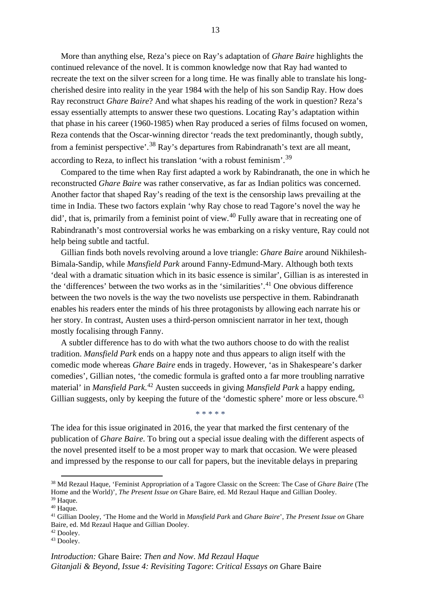More than anything else, Reza's piece on Ray's adaptation of *Ghare Baire* highlights the continued relevance of the novel. It is common knowledge now that Ray had wanted to recreate the text on the silver screen for a long time. He was finally able to translate his longcherished desire into reality in the year 1984 with the help of his son Sandip Ray. How does Ray reconstruct *Ghare Baire*? And what shapes his reading of the work in question? Reza's essay essentially attempts to answer these two questions. Locating Ray's adaptation within that phase in his career (1960-1985) when Ray produced a series of films focused on women, Reza contends that the Oscar-winning director 'reads the text predominantly, though subtly, from a feminist perspective'.<sup>[38](#page-19-0)</sup> Ray's departures from Rabindranath's text are all meant, according to Reza, to inflect his translation 'with a robust feminism'.[39](#page-19-1)

Compared to the time when Ray first adapted a work by Rabindranath, the one in which he reconstructed *Ghare Baire* was rather conservative, as far as Indian politics was concerned. Another factor that shaped Ray's reading of the text is the censorship laws prevailing at the time in India. These two factors explain 'why Ray chose to read Tagore's novel the way he did', that is, primarily from a feminist point of view.<sup>[40](#page-19-2)</sup> Fully aware that in recreating one of Rabindranath's most controversial works he was embarking on a risky venture, Ray could not help being subtle and tactful.

Gillian finds both novels revolving around a love triangle: *Ghare Baire* around Nikhilesh-Bimala-Sandip, while *Mansfield Park* around Fanny-Edmund-Mary. Although both texts 'deal with a dramatic situation which in its basic essence is similar', Gillian is as interested in the 'differences' between the two works as in the 'similarities'.<sup>[41](#page-19-3)</sup> One obvious difference between the two novels is the way the two novelists use perspective in them. Rabindranath enables his readers enter the minds of his three protagonists by allowing each narrate his or her story. In contrast, Austen uses a third-person omniscient narrator in her text, though mostly focalising through Fanny.

A subtler difference has to do with what the two authors choose to do with the realist tradition. *Mansfield Park* ends on a happy note and thus appears to align itself with the comedic mode whereas *Ghare Baire* ends in tragedy. However, 'as in Shakespeare's darker comedies', Gillian notes, 'the comedic formula is grafted onto a far more troubling narrative material' in *Mansfield Park*. [42](#page-19-4) Austen succeeds in giving *Mansfield Park* a happy ending, Gillian suggests, only by keeping the future of the 'domestic sphere' more or less obscure.<sup>[43](#page-19-5)</sup>

\* \* \* \* \*

The idea for this issue originated in 2016, the year that marked the first centenary of the publication of *Ghare Baire*. To bring out a special issue dealing with the different aspects of the novel presented itself to be a most proper way to mark that occasion. We were pleased and impressed by the response to our call for papers, but the inevitable delays in preparing

<span id="page-19-0"></span><sup>38</sup> Md Rezaul Haque, 'Feminist Appropriation of a Tagore Classic on the Screen: The Case of *Ghare Baire* (The Home and the World)', *The Present Issue on* Ghare Baire, ed. Md Rezaul Haque and Gillian Dooley.

<span id="page-19-1"></span><sup>39</sup> Haque.

<span id="page-19-2"></span><sup>40</sup> Haque.

<span id="page-19-3"></span><sup>41</sup> Gillian Dooley, 'The Home and the World in *Mansfield Park* and *Ghare Baire*', *The Present Issue on* Ghare Baire, ed. Md Rezaul Haque and Gillian Dooley.

<span id="page-19-4"></span><sup>42</sup> Dooley.

<span id="page-19-5"></span><sup>&</sup>lt;sup>43</sup> Dooley.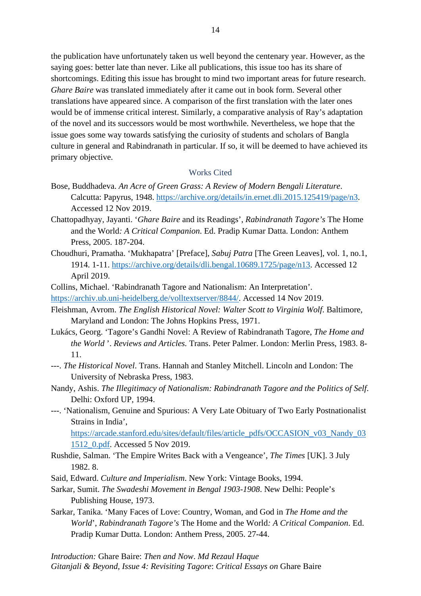the publication have unfortunately taken us well beyond the centenary year. However, as the saying goes: better late than never. Like all publications, this issue too has its share of shortcomings. Editing this issue has brought to mind two important areas for future research. *Ghare Baire* was translated immediately after it came out in book form. Several other translations have appeared since. A comparison of the first translation with the later ones would be of immense critical interest. Similarly, a comparative analysis of Ray's adaptation of the novel and its successors would be most worthwhile. Nevertheless, we hope that the issue goes some way towards satisfying the curiosity of students and scholars of Bangla culture in general and Rabindranath in particular. If so, it will be deemed to have achieved its primary objective.

### Works Cited

- Bose, Buddhadeva. *An Acre of Green Grass: A Review of Modern Bengali Literature*. Calcutta: Papyrus, 1948. https://archive.org/details/in.ernet.dli.2015.125419/page/n3. Accessed 12 Nov 2019.
- Chattopadhyay, Jayanti. '*Ghare Baire* and its Readings', *Rabindranath Tagore's* The Home and the World*: A Critical Companion*. Ed. Pradip Kumar Datta. London: Anthem Press, 2005. 187-204.
- Choudhuri, Pramatha. 'Mukhapatra' [Preface], *Sabuj Patra* [The Green Leaves], vol. 1, no.1, 1914. 1-11. https://archive.org/details/dli.bengal.10689.1725/page/n13. Accessed 12 April 2019.
- Collins, Michael. 'Rabindranath Tagore and Nationalism: An Interpretation'.

https://archiv.ub.uni-heidelberg.de/volltextserver/8844/. Accessed 14 Nov 2019.

- Fleishman, Avrom. *[The English Historical Novel: Walte](https://archiv.ub.uni-heidelberg.de/volltextserver/8844/)r Scott to Virginia Wolf*. Baltimore, Maryland and London: The Johns Hopkins Press, 1971.
- Lukács, Georg. 'Tagore's Gandhi Novel: A Review of Rabindranath Tagore, *The Home and the World* '. *Reviews and Articles.* Trans. Peter Palmer. London: Merlin Press, 1983. 8- 11.
- ---. *The Historical Novel*. Trans. Hannah and Stanley Mitchell. Lincoln and London: The University of Nebraska Press, 1983.
- Nandy, Ashis. *The Illegitimacy of Nationalism: Rabindranath Tagore and the Politics of Self*. Delhi: Oxford UP, 1994.
- ---. 'Nationalism, Genuine and Spurious: A Very Late Obituary of Two Early Postnationalist Strains in India',

https://arcade.stanford.edu/sites/default/files/article\_pdfs/OCCASION\_v03\_Nandy\_03 [1512\\_0.pdf. Accessed 5 Nov 2019.](https://arcade.stanford.edu/sites/default/files/article_pdfs/OCCASION_v03_Nandy_031512_0.pdf) 

- [Rushdie, Salman.](https://arcade.stanford.edu/sites/default/files/article_pdfs/OCCASION_v03_Nandy_031512_0.pdf) 'The Empire Writes Back with a Vengeance', *The Times* [UK]. 3 July 1982. 8.
- Said, Edward. *Culture and Imperialism*. New York: Vintage Books, 1994.
- Sarkar, Sumit. *The Swadeshi Movement in Bengal 1903-1908*. New Delhi: People's Publishing House, 1973.
- Sarkar, Tanika. 'Many Faces of Love: Country, Woman, and God in *The Home and the World*', *Rabindranath Tagore's* The Home and the World*: A Critical Companion*. Ed. Pradip Kumar Dutta. London: Anthem Press, 2005. 27-44.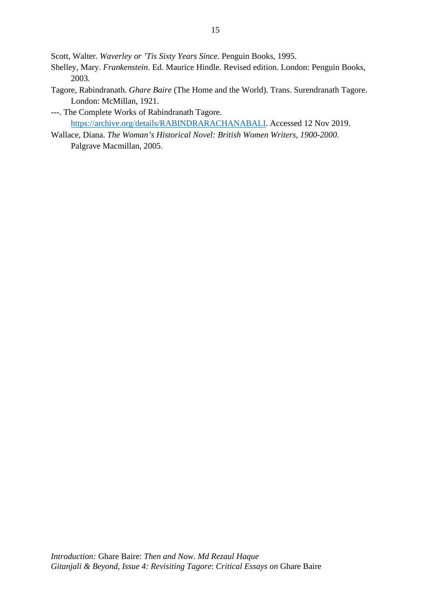Scott, Walter. *Waverley or 'Tis Sixty Years Since*. Penguin Books, 1995.

- Shelley, Mary. *Frankenstein*. Ed. Maurice Hindle. Revised edition. London: Penguin Books, 2003.
- Tagore, Rabindranath. *Ghare Baire* (The Home and the World). Trans. Surendranath Tagore. London: McMillan, 1921.
- ---. The Complete Works of Rabindranath Tagore. https://archive.org/details/RABINDRARACHANABALI. Accessed 12 Nov 2019.
- Wallace, Diana. *[The Woman's Historical Novel: British Women](https://archive.org/details/RABINDRARACHANABALI) Writers, 1900-2000*. Palgrave Macmillan, 2005.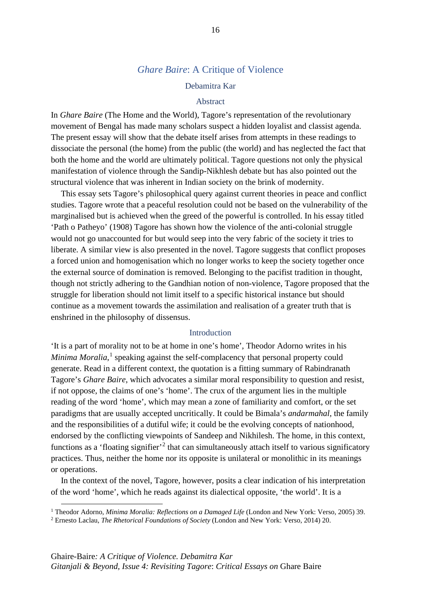# *Ghare Baire*: A Critique of Violence

#### Debamitra Kar

### Abstract

In *Ghare Baire* (The Home and the World), Tagore's representation of the revolutionary movement of Bengal has made many scholars suspect a hidden loyalist and classist agenda. The present essay will show that the debate itself arises from attempts in these readings to dissociate the personal (the home) from the public (the world) and has neglected the fact that both the home and the world are ultimately political. Tagore questions not only the physical manifestation of violence through the Sandip-Nikhlesh debate but has also pointed out the structural violence that was inherent in Indian society on the brink of modernity.

This essay sets Tagore's philosophical query against current theories in peace and conflict studies. Tagore wrote that a peaceful resolution could not be based on the vulnerability of the marginalised but is achieved when the greed of the powerful is controlled. In his essay titled 'Path o Patheyo' (1908) Tagore has shown how the violence of the anti-colonial struggle would not go unaccounted for but would seep into the very fabric of the society it tries to liberate. A similar view is also presented in the novel. Tagore suggests that conflict proposes a forced union and homogenisation which no longer works to keep the society together once the external source of domination is removed. Belonging to the pacifist tradition in thought, though not strictly adhering to the Gandhian notion of non-violence, Tagore proposed that the struggle for liberation should not limit itself to a specific historical instance but should continue as a movement towards the assimilation and realisation of a greater truth that is enshrined in the philosophy of dissensus.

#### **Introduction**

'It is a part of morality not to be at home in one's home', Theodor Adorno writes in his Minima Moralia,<sup>[1](#page-22-0)</sup> speaking against the self-complacency that personal property could generate. Read in a different context, the quotation is a fitting summary of Rabindranath Tagore's *Ghare Baire*, which advocates a similar moral responsibility to question and resist, if not oppose, the claims of one's 'home'. The crux of the argument lies in the multiple reading of the word 'home', which may mean a zone of familiarity and comfort, or the set paradigms that are usually accepted uncritically. It could be Bimala's *andarmahal*, the family and the responsibilities of a dutiful wife; it could be the evolving concepts of nationhood, endorsed by the conflicting viewpoints of Sandeep and Nikhilesh. The home, in this context, functions as a 'floating signifier'<sup>[2](#page-22-1)</sup> that can simultaneously attach itself to various significatory practices. Thus, neither the home nor its opposite is unilateral or monolithic in its meanings or operations.

In the context of the novel, Tagore, however, posits a clear indication of his interpretation of the word 'home', which he reads against its dialectical opposite, 'the world'. It is a

<span id="page-22-0"></span><sup>1</sup> Theodor Adorno, *Minima Moralia: Reflections on a Damaged Life* (London and New York: Verso, 2005) 39.

<span id="page-22-1"></span><sup>2</sup> Ernesto Laclau, *The Rhetorical Foundations of Society* (London and New York: Verso, 2014) 20.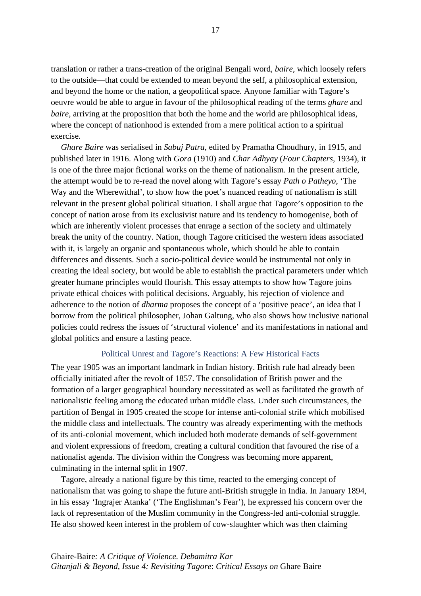translation or rather a trans-creation of the original Bengali word, *baire*, which loosely refers to the outside—that could be extended to mean beyond the self, a philosophical extension, and beyond the home or the nation, a geopolitical space. Anyone familiar with Tagore's oeuvre would be able to argue in favour of the philosophical reading of the terms *ghare* and *baire*, arriving at the proposition that both the home and the world are philosophical ideas, where the concept of nationhood is extended from a mere political action to a spiritual exercise.

*Ghare Baire* was serialised in *Sabuj Patra*, edited by Pramatha Choudhury, in 1915, and published later in 1916. Along with *Gora* (1910) and *Char Adhyay* (*Four Chapters*, 1934), it is one of the three major fictional works on the theme of nationalism. In the present article, the attempt would be to re-read the novel along with Tagore's essay *Path o Patheyo*, 'The Way and the Wherewithal', to show how the poet's nuanced reading of nationalism is still relevant in the present global political situation. I shall argue that Tagore's opposition to the concept of nation arose from its exclusivist nature and its tendency to homogenise, both of which are inherently violent processes that enrage a section of the society and ultimately break the unity of the country. Nation, though Tagore criticised the western ideas associated with it, is largely an organic and spontaneous whole, which should be able to contain differences and dissents. Such a socio-political device would be instrumental not only in creating the ideal society, but would be able to establish the practical parameters under which greater humane principles would flourish. This essay attempts to show how Tagore joins private ethical choices with political decisions. Arguably, his rejection of violence and adherence to the notion of *dharma* proposes the concept of a 'positive peace', an idea that I borrow from the political philosopher, Johan Galtung, who also shows how inclusive national policies could redress the issues of 'structural violence' and its manifestations in national and global politics and ensure a lasting peace.

### Political Unrest and Tagore's Reactions: A Few Historical Facts

The year 1905 was an important landmark in Indian history. British rule had already been officially initiated after the revolt of 1857. The consolidation of British power and the formation of a larger geographical boundary necessitated as well as facilitated the growth of nationalistic feeling among the educated urban middle class. Under such circumstances, the partition of Bengal in 1905 created the scope for intense anti-colonial strife which mobilised the middle class and intellectuals. The country was already experimenting with the methods of its anti-colonial movement, which included both moderate demands of self-government and violent expressions of freedom, creating a cultural condition that favoured the rise of a nationalist agenda. The division within the Congress was becoming more apparent, culminating in the internal split in 1907.

Tagore, already a national figure by this time, reacted to the emerging concept of nationalism that was going to shape the future anti-British struggle in India. In January 1894, in his essay 'Ingrajer Atanka' ('The Englishman's Fear'), he expressed his concern over the lack of representation of the Muslim community in the Congress-led anti-colonial struggle. He also showed keen interest in the problem of cow-slaughter which was then claiming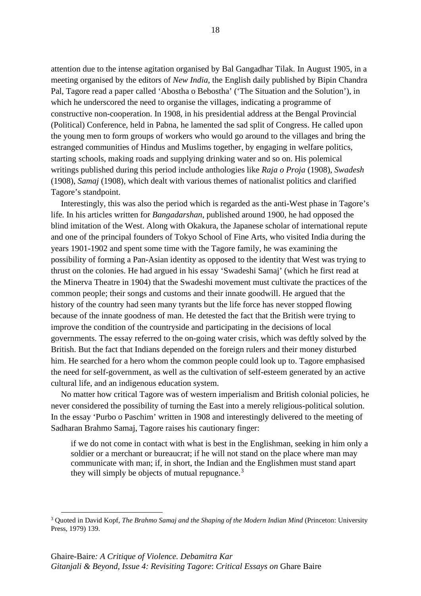attention due to the intense agitation organised by Bal Gangadhar Tilak. In August 1905, in a meeting organised by the editors of *New India*, the English daily published by Bipin Chandra Pal, Tagore read a paper called 'Abostha o Bebostha' ('The Situation and the Solution'), in which he underscored the need to organise the villages, indicating a programme of constructive non-cooperation. In 1908, in his presidential address at the Bengal Provincial (Political) Conference, held in Pabna, he lamented the sad split of Congress. He called upon the young men to form groups of workers who would go around to the villages and bring the estranged communities of Hindus and Muslims together, by engaging in welfare politics, starting schools, making roads and supplying drinking water and so on. His polemical writings published during this period include anthologies like *Raja o Proja* (1908), *Swadesh* (1908), *Samaj* (1908), which dealt with various themes of nationalist politics and clarified Tagore's standpoint.

Interestingly, this was also the period which is regarded as the anti-West phase in Tagore's life. In his articles written for *Bangadarshan*, published around 1900, he had opposed the blind imitation of the West. Along with Okakura, the Japanese scholar of international repute and one of the principal founders of Tokyo School of Fine Arts, who visited India during the years 1901-1902 and spent some time with the Tagore family, he was examining the possibility of forming a Pan-Asian identity as opposed to the identity that West was trying to thrust on the colonies. He had argued in his essay 'Swadeshi Samaj' (which he first read at the Minerva Theatre in 1904) that the Swadeshi movement must cultivate the practices of the common people; their songs and customs and their innate goodwill. He argued that the history of the country had seen many tyrants but the life force has never stopped flowing because of the innate goodness of man. He detested the fact that the British were trying to improve the condition of the countryside and participating in the decisions of local governments. The essay referred to the on-going water crisis, which was deftly solved by the British. But the fact that Indians depended on the foreign rulers and their money disturbed him. He searched for a hero whom the common people could look up to. Tagore emphasised the need for self-government, as well as the cultivation of self-esteem generated by an active cultural life, and an indigenous education system.

No matter how critical Tagore was of western imperialism and British colonial policies, he never considered the possibility of turning the East into a merely religious-political solution. In the essay 'Purbo o Paschim' written in 1908 and interestingly delivered to the meeting of Sadharan Brahmo Samaj, Tagore raises his cautionary finger:

if we do not come in contact with what is best in the Englishman, seeking in him only a soldier or a merchant or bureaucrat; if he will not stand on the place where man may communicate with man; if, in short, the Indian and the Englishmen must stand apart they will simply be objects of mutual repugnance.<sup>[3](#page-24-0)</sup>

<span id="page-24-0"></span><sup>3</sup> Quoted in David Kopf, *The Brahmo Samaj and the Shaping of the Modern Indian Mind* (Princeton: University Press, 1979) 139.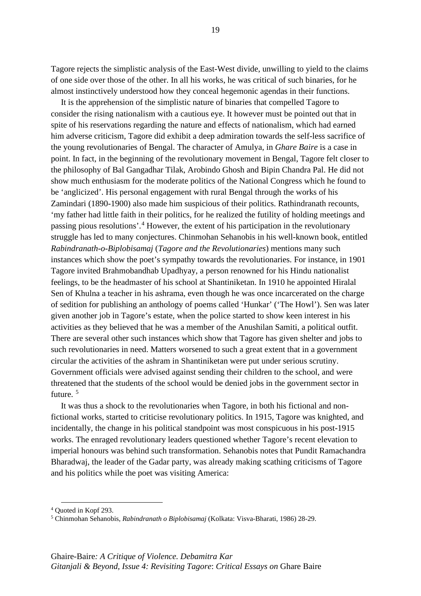Tagore rejects the simplistic analysis of the East-West divide, unwilling to yield to the claims of one side over those of the other. In all his works, he was critical of such binaries, for he almost instinctively understood how they conceal hegemonic agendas in their functions.

It is the apprehension of the simplistic nature of binaries that compelled Tagore to consider the rising nationalism with a cautious eye. It however must be pointed out that in spite of his reservations regarding the nature and effects of nationalism, which had earned him adverse criticism, Tagore did exhibit a deep admiration towards the self-less sacrifice of the young revolutionaries of Bengal. The character of Amulya, in *Ghare Baire* is a case in point. In fact, in the beginning of the revolutionary movement in Bengal, Tagore felt closer to the philosophy of Bal Gangadhar Tilak, Arobindo Ghosh and Bipin Chandra Pal. He did not show much enthusiasm for the moderate politics of the National Congress which he found to be 'anglicized'. His personal engagement with rural Bengal through the works of his Zamindari (1890-1900) also made him suspicious of their politics. Rathindranath recounts, 'my father had little faith in their politics, for he realized the futility of holding meetings and passing pious resolutions'.[4](#page-25-0) However, the extent of his participation in the revolutionary struggle has led to many conjectures. Chinmohan Sehanobis in his well-known book, entitled *Rabindranath-o-Biplobisamaj* (*Tagore and the Revolutionaries*) mentions many such instances which show the poet's sympathy towards the revolutionaries. For instance, in 1901 Tagore invited Brahmobandhab Upadhyay, a person renowned for his Hindu nationalist feelings, to be the headmaster of his school at Shantiniketan. In 1910 he appointed Hiralal Sen of Khulna a teacher in his ashrama, even though he was once incarcerated on the charge of sedition for publishing an anthology of poems called 'Hunkar' ('The Howl'). Sen was later given another job in Tagore's estate, when the police started to show keen interest in his activities as they believed that he was a member of the Anushilan Samiti, a political outfit. There are several other such instances which show that Tagore has given shelter and jobs to such revolutionaries in need. Matters worsened to such a great extent that in a government circular the activities of the ashram in Shantiniketan were put under serious scrutiny. Government officials were advised against sending their children to the school, and were threatened that the students of the school would be denied jobs in the government sector in future. [5](#page-25-1)

It was thus a shock to the revolutionaries when Tagore, in both his fictional and nonfictional works, started to criticise revolutionary politics. In 1915, Tagore was knighted, and incidentally, the change in his political standpoint was most conspicuous in his post-1915 works. The enraged revolutionary leaders questioned whether Tagore's recent elevation to imperial honours was behind such transformation. Sehanobis notes that Pundit Ramachandra Bharadwaj, the leader of the Gadar party, was already making scathing criticisms of Tagore and his politics while the poet was visiting America:

<span id="page-25-0"></span><sup>4</sup> Quoted in Kopf 293.

<span id="page-25-1"></span><sup>5</sup> Chinmohan Sehanobis, *Rabindranath o Biplobisamaj* (Kolkata: Visva-Bharati, 1986) 28-29.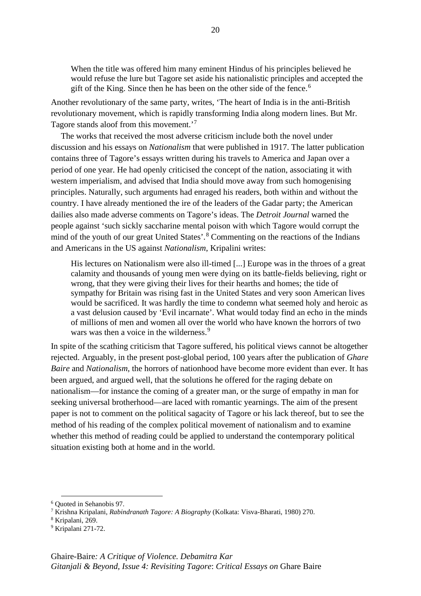When the title was offered him many eminent Hindus of his principles believed he would refuse the lure but Tagore set aside his nationalistic principles and accepted the gift of the King. Since then he has been on the other side of the fence.<sup>[6](#page-26-0)</sup>

Another revolutionary of the same party, writes, 'The heart of India is in the anti-British revolutionary movement, which is rapidly transforming India along modern lines. But Mr. Tagore stands aloof from this movement.'<sup>[7](#page-26-1)</sup>

The works that received the most adverse criticism include both the novel under discussion and his essays on *Nationalism* that were published in 1917. The latter publication contains three of Tagore's essays written during his travels to America and Japan over a period of one year. He had openly criticised the concept of the nation, associating it with western imperialism, and advised that India should move away from such homogenising principles. Naturally, such arguments had enraged his readers, both within and without the country. I have already mentioned the ire of the leaders of the Gadar party; the American dailies also made adverse comments on Tagore's ideas. The *Detroit Journal* warned the people against 'such sickly saccharine mental poison with which Tagore would corrupt the mind of the youth of our great United States'. [8](#page-26-2) Commenting on the reactions of the Indians and Americans in the US against *Nationalism*, Kripalini writes:

His lectures on Nationalism were also ill-timed [...] Europe was in the throes of a great calamity and thousands of young men were dying on its battle-fields believing, right or wrong, that they were giving their lives for their hearths and homes; the tide of sympathy for Britain was rising fast in the United States and very soon American lives would be sacrificed. It was hardly the time to condemn what seemed holy and heroic as a vast delusion caused by 'Evil incarnate'. What would today find an echo in the minds of millions of men and women all over the world who have known the horrors of two wars was then a voice in the wilderness.<sup>[9](#page-26-3)</sup>

In spite of the scathing criticism that Tagore suffered, his political views cannot be altogether rejected. Arguably, in the present post-global period, 100 years after the publication of *Ghare Baire* and *Nationalism*, the horrors of nationhood have become more evident than ever. It has been argued, and argued well, that the solutions he offered for the raging debate on nationalism—for instance the coming of a greater man, or the surge of empathy in man for seeking universal brotherhood—are laced with romantic yearnings. The aim of the present paper is not to comment on the political sagacity of Tagore or his lack thereof, but to see the method of his reading of the complex political movement of nationalism and to examine whether this method of reading could be applied to understand the contemporary political situation existing both at home and in the world.

<span id="page-26-0"></span><sup>6</sup> Quoted in Sehanobis 97.

<span id="page-26-1"></span><sup>7</sup> Krishna Kripalani, *Rabindranath Tagore: A Biography* (Kolkata: Visva-Bharati, 1980) 270.

<span id="page-26-2"></span><sup>8</sup> Kripalani, 269.

<span id="page-26-3"></span><sup>9</sup> Kripalani 271-72.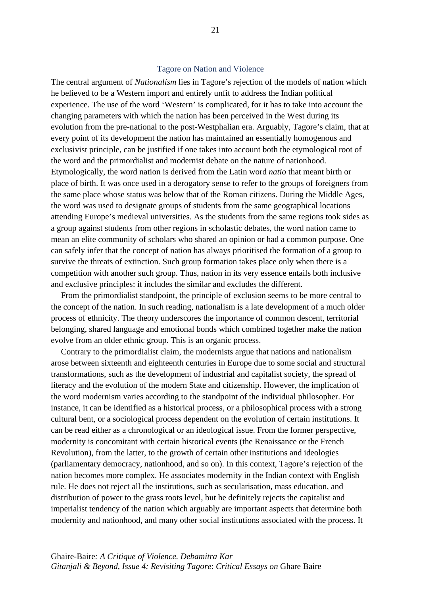### Tagore on Nation and Violence

The central argument of *Nationalism* lies in Tagore's rejection of the models of nation which he believed to be a Western import and entirely unfit to address the Indian political experience. The use of the word 'Western' is complicated, for it has to take into account the changing parameters with which the nation has been perceived in the West during its evolution from the pre-national to the post-Westphalian era. Arguably, Tagore's claim, that at every point of its development the nation has maintained an essentially homogenous and exclusivist principle, can be justified if one takes into account both the etymological root of the word and the primordialist and modernist debate on the nature of nationhood. Etymologically, the word nation is derived from the Latin word *natio* that meant birth or place of birth. It was once used in a derogatory sense to refer to the groups of foreigners from the same place whose status was below that of the Roman citizens. During the Middle Ages, the word was used to designate groups of students from the same geographical locations attending Europe's medieval universities. As the students from the same regions took sides as a group against students from other regions in scholastic debates, the word nation came to mean an elite community of scholars who shared an opinion or had a common purpose. One can safely infer that the concept of nation has always prioritised the formation of a group to survive the threats of extinction. Such group formation takes place only when there is a competition with another such group. Thus, nation in its very essence entails both inclusive and exclusive principles: it includes the similar and excludes the different.

From the primordialist standpoint, the principle of exclusion seems to be more central to the concept of the nation. In such reading, nationalism is a late development of a much older process of ethnicity. The theory underscores the importance of common descent, territorial belonging, shared language and emotional bonds which combined together make the nation evolve from an older ethnic group. This is an organic process.

Contrary to the primordialist claim, the modernists argue that nations and nationalism arose between sixteenth and eighteenth centuries in Europe due to some social and structural transformations, such as the development of industrial and capitalist society, the spread of literacy and the evolution of the modern State and citizenship. However, the implication of the word modernism varies according to the standpoint of the individual philosopher. For instance, it can be identified as a historical process, or a philosophical process with a strong cultural bent, or a sociological process dependent on the evolution of certain institutions. It can be read either as a chronological or an ideological issue. From the former perspective, modernity is concomitant with certain historical events (the Renaissance or the French Revolution), from the latter, to the growth of certain other institutions and ideologies (parliamentary democracy, nationhood, and so on). In this context, Tagore's rejection of the nation becomes more complex. He associates modernity in the Indian context with English rule. He does not reject all the institutions, such as secularisation, mass education, and distribution of power to the grass roots level, but he definitely rejects the capitalist and imperialist tendency of the nation which arguably are important aspects that determine both modernity and nationhood, and many other social institutions associated with the process. It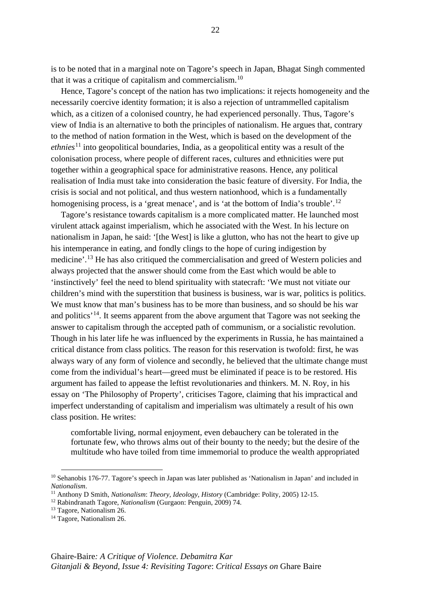is to be noted that in a marginal note on Tagore's speech in Japan, Bhagat Singh commented that it was a critique of capitalism and commercialism.[10](#page-28-0)

Hence, Tagore's concept of the nation has two implications: it rejects homogeneity and the necessarily coercive identity formation; it is also a rejection of untrammelled capitalism which, as a citizen of a colonised country, he had experienced personally. Thus, Tagore's view of India is an alternative to both the principles of nationalism. He argues that, contrary to the method of nation formation in the West, which is based on the development of the *ethnies*[11](#page-28-1) into geopolitical boundaries, India, as a geopolitical entity was a result of the colonisation process, where people of different races, cultures and ethnicities were put together within a geographical space for administrative reasons. Hence, any political realisation of India must take into consideration the basic feature of diversity. For India, the crisis is social and not political, and thus western nationhood, which is a fundamentally homogenising process, is a 'great menace', and is 'at the bottom of India's trouble'.<sup>[12](#page-28-2)</sup>

Tagore's resistance towards capitalism is a more complicated matter. He launched most virulent attack against imperialism, which he associated with the West. In his lecture on nationalism in Japan, he said: '[the West] is like a glutton, who has not the heart to give up his intemperance in eating, and fondly clings to the hope of curing indigestion by medicine'.<sup>[13](#page-28-3)</sup> He has also critiqued the commercialisation and greed of Western policies and always projected that the answer should come from the East which would be able to 'instinctively' feel the need to blend spirituality with statecraft: 'We must not vitiate our children's mind with the superstition that business is business, war is war, politics is politics. We must know that man's business has to be more than business, and so should be his war and politics'[14](#page-28-4). It seems apparent from the above argument that Tagore was not seeking the answer to capitalism through the accepted path of communism, or a socialistic revolution. Though in his later life he was influenced by the experiments in Russia, he has maintained a critical distance from class politics. The reason for this reservation is twofold: first, he was always wary of any form of violence and secondly, he believed that the ultimate change must come from the individual's heart—greed must be eliminated if peace is to be restored. His argument has failed to appease the leftist revolutionaries and thinkers. M. N. Roy, in his essay on 'The Philosophy of Property', criticises Tagore, claiming that his impractical and imperfect understanding of capitalism and imperialism was ultimately a result of his own class position. He writes:

comfortable living, normal enjoyment, even debauchery can be tolerated in the fortunate few, who throws alms out of their bounty to the needy; but the desire of the multitude who have toiled from time immemorial to produce the wealth appropriated

<span id="page-28-0"></span><sup>10</sup> Sehanobis 176-77. Tagore's speech in Japan was later published as 'Nationalism in Japan' and included in *Nationalism*.

<sup>11</sup> Anthony D Smith, *Nationalism*: *Theory, Ideology, History* (Cambridge: Polity, 2005) 12-15.

<span id="page-28-2"></span><span id="page-28-1"></span><sup>12</sup> Rabindranath Tagore, *Nationalism* (Gurgaon: Penguin, 2009) 74.

<span id="page-28-3"></span><sup>&</sup>lt;sup>13</sup> Tagore, Nationalism 26.

<span id="page-28-4"></span><sup>&</sup>lt;sup>14</sup> Tagore, Nationalism 26.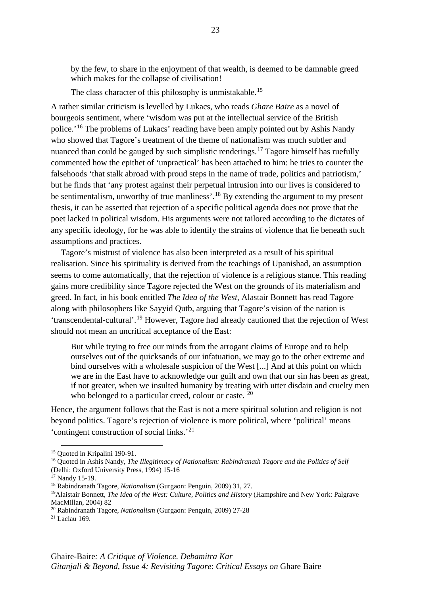by the few, to share in the enjoyment of that wealth, is deemed to be damnable greed which makes for the collapse of civilisation!

The class character of this philosophy is unmistakable.<sup>[15](#page-29-0)</sup>

A rather similar criticism is levelled by Lukacs, who reads *Ghare Baire* as a novel of bourgeois sentiment, where 'wisdom was put at the intellectual service of the British police.'[16](#page-29-1) The problems of Lukacs' reading have been amply pointed out by Ashis Nandy who showed that Tagore's treatment of the theme of nationalism was much subtler and nuanced than could be gauged by such simplistic renderings.<sup>[17](#page-29-2)</sup> Tagore himself has ruefully commented how the epithet of 'unpractical' has been attached to him: he tries to counter the falsehoods 'that stalk abroad with proud steps in the name of trade, politics and patriotism,' but he finds that 'any protest against their perpetual intrusion into our lives is considered to be sentimentalism, unworthy of true manliness'.<sup>[18](#page-29-3)</sup> By extending the argument to my present thesis, it can be asserted that rejection of a specific political agenda does not prove that the poet lacked in political wisdom. His arguments were not tailored according to the dictates of any specific ideology, for he was able to identify the strains of violence that lie beneath such assumptions and practices.

Tagore's mistrust of violence has also been interpreted as a result of his spiritual realisation. Since his spirituality is derived from the teachings of Upanishad, an assumption seems to come automatically, that the rejection of violence is a religious stance. This reading gains more credibility since Tagore rejected the West on the grounds of its materialism and greed. In fact, in his book entitled *The Idea of the West*, Alastair Bonnett has read Tagore along with philosophers like Sayyid Qutb, arguing that Tagore's vision of the nation is 'transcendental-cultural'.[19](#page-29-4) However, Tagore had already cautioned that the rejection of West should not mean an uncritical acceptance of the East:

But while trying to free our minds from the arrogant claims of Europe and to help ourselves out of the quicksands of our infatuation, we may go to the other extreme and bind ourselves with a wholesale suspicion of the West [...] And at this point on which we are in the East have to acknowledge our guilt and own that our sin has been as great, if not greater, when we insulted humanity by treating with utter disdain and cruelty men who belonged to a particular creed, colour or caste. <sup>[20](#page-29-5)</sup>

Hence, the argument follows that the East is not a mere spiritual solution and religion is not beyond politics. Tagore's rejection of violence is more political, where 'political' means 'contingent construction of social links.'[21](#page-29-6)

<sup>15</sup> Quoted in Kripalini 190-91.

<span id="page-29-1"></span><span id="page-29-0"></span><sup>16</sup> Quoted in Ashis Nandy, *The Illegitimacy of Nationalism: Rabindranath Tagore and the Politics of Self*  (Delhi: Oxford University Press, 1994) 15-16

<span id="page-29-2"></span><sup>&</sup>lt;sup>17</sup> Nandy 15-19.

<span id="page-29-3"></span><sup>18</sup> Rabindranath Tagore, *Nationalism* (Gurgaon: Penguin, 2009) 31, 27.

<span id="page-29-4"></span><sup>19</sup>Alaistair Bonnett, *The Idea of the West: Culture, Politics and History* (Hampshire and New York: Palgrave MacMillan, 2004) 82

<span id="page-29-5"></span><sup>20</sup> Rabindranath Tagore, *Nationalism* (Gurgaon: Penguin, 2009) 27-28

<span id="page-29-6"></span> $21$  Laclau 169.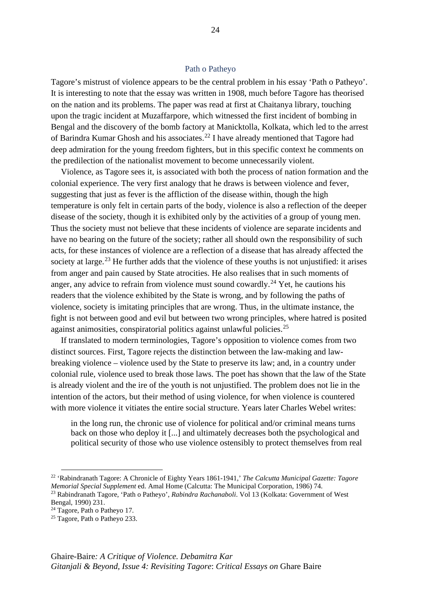## Path o Patheyo

Tagore's mistrust of violence appears to be the central problem in his essay 'Path o Patheyo'. It is interesting to note that the essay was written in 1908, much before Tagore has theorised on the nation and its problems. The paper was read at first at Chaitanya library, touching upon the tragic incident at Muzaffarpore, which witnessed the first incident of bombing in Bengal and the discovery of the bomb factory at Manicktolla, Kolkata, which led to the arrest of Barindra Kumar Ghosh and his associates.<sup>[22](#page-30-0)</sup> I have already mentioned that Tagore had deep admiration for the young freedom fighters, but in this specific context he comments on the predilection of the nationalist movement to become unnecessarily violent.

Violence, as Tagore sees it, is associated with both the process of nation formation and the colonial experience. The very first analogy that he draws is between violence and fever, suggesting that just as fever is the affliction of the disease within, though the high temperature is only felt in certain parts of the body, violence is also a reflection of the deeper disease of the society, though it is exhibited only by the activities of a group of young men. Thus the society must not believe that these incidents of violence are separate incidents and have no bearing on the future of the society; rather all should own the responsibility of such acts, for these instances of violence are a reflection of a disease that has already affected the society at large.<sup>[23](#page-30-1)</sup> He further adds that the violence of these youths is not unjustified: it arises from anger and pain caused by State atrocities. He also realises that in such moments of anger, any advice to refrain from violence must sound cowardly.<sup>[24](#page-30-2)</sup> Yet, he cautions his readers that the violence exhibited by the State is wrong, and by following the paths of violence, society is imitating principles that are wrong. Thus, in the ultimate instance, the fight is not between good and evil but between two wrong principles, where hatred is posited against animosities, conspiratorial politics against unlawful policies.[25](#page-30-3)

If translated to modern terminologies, Tagore's opposition to violence comes from two distinct sources. First, Tagore rejects the distinction between the law-making and lawbreaking violence – violence used by the State to preserve its law; and, in a country under colonial rule, violence used to break those laws. The poet has shown that the law of the State is already violent and the ire of the youth is not unjustified. The problem does not lie in the intention of the actors, but their method of using violence, for when violence is countered with more violence it vitiates the entire social structure. Years later Charles Webel writes:

in the long run, the chronic use of violence for political and/or criminal means turns back on those who deploy it [...] and ultimately decreases both the psychological and political security of those who use violence ostensibly to protect themselves from real

<span id="page-30-0"></span><sup>22</sup> 'Rabindranath Tagore: A Chronicle of Eighty Years 1861-1941,' *The Calcutta Municipal Gazette: Tagore Memorial Special Supplement* ed. Amal Home (Calcutta: The Municipal Corporation, 1986) 74. <sup>23</sup> Rabindranath Tagore, 'Path o Patheyo', *Rabindra Rachanaboli*. Vol 13 (Kolkata: Government of West

<span id="page-30-1"></span>Bengal, 1990) 231.

<span id="page-30-2"></span><sup>24</sup> Tagore, Path o Patheyo 17.

<span id="page-30-3"></span><sup>&</sup>lt;sup>25</sup> Tagore, Path o Patheyo 233.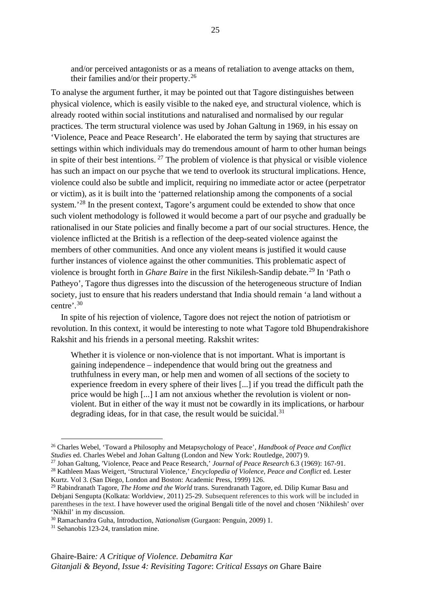and/or perceived antagonists or as a means of retaliation to avenge attacks on them, their families and/or their property.[26](#page-31-0)

To analyse the argument further, it may be pointed out that Tagore distinguishes between physical violence, which is easily visible to the naked eye, and structural violence, which is already rooted within social institutions and naturalised and normalised by our regular practices. The term structural violence was used by Johan Galtung in 1969, in his essay on 'Violence, Peace and Peace Research'. He elaborated the term by saying that structures are settings within which individuals may do tremendous amount of harm to other human beings in spite of their best intentions.  $27$  The problem of violence is that physical or visible violence has such an impact on our psyche that we tend to overlook its structural implications. Hence, violence could also be subtle and implicit, requiring no immediate actor or actee (perpetrator or victim), as it is built into the 'patterned relationship among the components of a social system.<sup>[28](#page-31-2)</sup> In the present context, Tagore's argument could be extended to show that once such violent methodology is followed it would become a part of our psyche and gradually be rationalised in our State policies and finally become a part of our social structures. Hence, the violence inflicted at the British is a reflection of the deep-seated violence against the members of other communities. And once any violent means is justified it would cause further instances of violence against the other communities. This problematic aspect of violence is brought forth in *Ghare Baire* in the first Nikilesh-Sandip debate.<sup>[29](#page-31-3)</sup> In 'Path o Patheyo', Tagore thus digresses into the discussion of the heterogeneous structure of Indian society, just to ensure that his readers understand that India should remain 'a land without a centre'.[30](#page-31-4)

In spite of his rejection of violence, Tagore does not reject the notion of patriotism or revolution. In this context, it would be interesting to note what Tagore told Bhupendrakishore Rakshit and his friends in a personal meeting. Rakshit writes:

Whether it is violence or non-violence that is not important. What is important is gaining independence – independence that would bring out the greatness and truthfulness in every man, or help men and women of all sections of the society to experience freedom in every sphere of their lives [...] if you tread the difficult path the price would be high [...] I am not anxious whether the revolution is violent or nonviolent. But in either of the way it must not be cowardly in its implications, or harbour degrading ideas, for in that case, the result would be suicidal. $31$ 

<span id="page-31-1"></span><sup>27</sup> Johan Galtung, 'Violence, Peace and Peace Research,' *Journal of Peace Research* 6.3 (1969): 167-91.

<span id="page-31-0"></span><sup>26</sup> Charles Webel, 'Toward a Philosophy and Metapsychology of Peace', *Handbook of Peace and Conflict Studies* ed. Charles Webel and Johan Galtung (London and New York: Routledge, 2007) 9.

<span id="page-31-2"></span><sup>28</sup> Kathleen Maas Weigert, 'Structural Violence,' *Encyclopedia of Violence, Peace and Conflict* ed. Lester Kurtz. Vol 3. (San Diego, London and Boston: Academic Press, 1999) 126.

<span id="page-31-3"></span><sup>29</sup> Rabindranath Tagore, *The Home and the World* trans. Surendranath Tagore, ed. Dilip Kumar Basu and Debjani Sengupta (Kolkata: Worldview, 2011) 25-29. Subsequent references to this work will be included in parentheses in the text. I have however used the original Bengali title of the novel and chosen 'Nikhilesh' over 'Nikhil' in my discussion.

<span id="page-31-4"></span><sup>30</sup> Ramachandra Guha, Introduction, *Nationalism* (Gurgaon: Penguin, 2009) 1.

<span id="page-31-5"></span><sup>31</sup> Sehanobis 123-24, translation mine.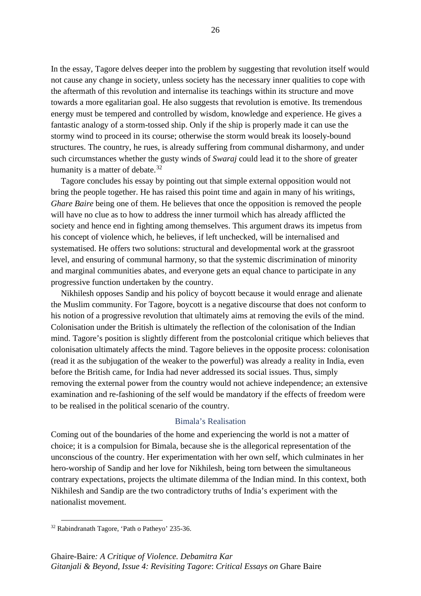In the essay, Tagore delves deeper into the problem by suggesting that revolution itself would not cause any change in society, unless society has the necessary inner qualities to cope with the aftermath of this revolution and internalise its teachings within its structure and move towards a more egalitarian goal. He also suggests that revolution is emotive. Its tremendous energy must be tempered and controlled by wisdom, knowledge and experience. He gives a fantastic analogy of a storm-tossed ship. Only if the ship is properly made it can use the stormy wind to proceed in its course; otherwise the storm would break its loosely-bound structures. The country, he rues, is already suffering from communal disharmony, and under such circumstances whether the gusty winds of *Swaraj* could lead it to the shore of greater humanity is a matter of debate. $32$ 

Tagore concludes his essay by pointing out that simple external opposition would not bring the people together. He has raised this point time and again in many of his writings, *Ghare Baire* being one of them. He believes that once the opposition is removed the people will have no clue as to how to address the inner turmoil which has already afflicted the society and hence end in fighting among themselves. This argument draws its impetus from his concept of violence which, he believes, if left unchecked, will be internalised and systematised. He offers two solutions: structural and developmental work at the grassroot level, and ensuring of communal harmony, so that the systemic discrimination of minority and marginal communities abates, and everyone gets an equal chance to participate in any progressive function undertaken by the country.

Nikhilesh opposes Sandip and his policy of boycott because it would enrage and alienate the Muslim community. For Tagore, boycott is a negative discourse that does not conform to his notion of a progressive revolution that ultimately aims at removing the evils of the mind. Colonisation under the British is ultimately the reflection of the colonisation of the Indian mind. Tagore's position is slightly different from the postcolonial critique which believes that colonisation ultimately affects the mind. Tagore believes in the opposite process: colonisation (read it as the subjugation of the weaker to the powerful) was already a reality in India, even before the British came, for India had never addressed its social issues. Thus, simply removing the external power from the country would not achieve independence; an extensive examination and re-fashioning of the self would be mandatory if the effects of freedom were to be realised in the political scenario of the country.

## Bimala's Realisation

Coming out of the boundaries of the home and experiencing the world is not a matter of choice; it is a compulsion for Bimala, because she is the allegorical representation of the unconscious of the country. Her experimentation with her own self, which culminates in her hero-worship of Sandip and her love for Nikhilesh, being torn between the simultaneous contrary expectations, projects the ultimate dilemma of the Indian mind. In this context, both Nikhilesh and Sandip are the two contradictory truths of India's experiment with the nationalist movement.

<span id="page-32-0"></span><sup>32</sup> Rabindranath Tagore, 'Path o Patheyo' 235-36.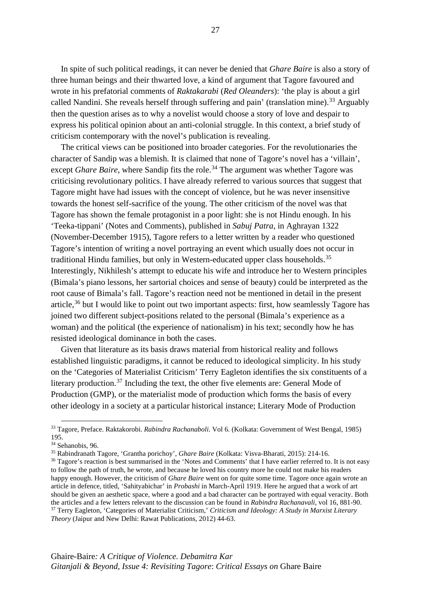In spite of such political readings, it can never be denied that *Ghare Baire* is also a story of three human beings and their thwarted love, a kind of argument that Tagore favoured and wrote in his prefatorial comments of *Raktakarabi* (*Red Oleanders*): 'the play is about a girl called Nandini. She reveals herself through suffering and pain' (translation mine).<sup>[33](#page-33-0)</sup> Arguably then the question arises as to why a novelist would choose a story of love and despair to express his political opinion about an anti-colonial struggle. In this context, a brief study of criticism contemporary with the novel's publication is revealing.

The critical views can be positioned into broader categories. For the revolutionaries the character of Sandip was a blemish. It is claimed that none of Tagore's novel has a 'villain', except *Ghare Baire*, where Sandip fits the role.<sup>[34](#page-33-1)</sup> The argument was whether Tagore was criticising revolutionary politics. I have already referred to various sources that suggest that Tagore might have had issues with the concept of violence, but he was never insensitive towards the honest self-sacrifice of the young. The other criticism of the novel was that Tagore has shown the female protagonist in a poor light: she is not Hindu enough. In his 'Teeka-tippani' (Notes and Comments), published in *Sabuj Patra*, in Aghrayan 1322 (November-December 1915), Tagore refers to a letter written by a reader who questioned Tagore's intention of writing a novel portraying an event which usually does not occur in traditional Hindu families, but only in Western-educated upper class households.<sup>[35](#page-33-2)</sup> Interestingly, Nikhilesh's attempt to educate his wife and introduce her to Western principles (Bimala's piano lessons, her sartorial choices and sense of beauty) could be interpreted as the root cause of Bimala's fall. Tagore's reaction need not be mentioned in detail in the present article,  $36$  but I would like to point out two important aspects: first, how seamlessly Tagore has joined two different subject-positions related to the personal (Bimala's experience as a woman) and the political (the experience of nationalism) in his text; secondly how he has resisted ideological dominance in both the cases.

Given that literature as its basis draws material from historical reality and follows established linguistic paradigms, it cannot be reduced to ideological simplicity. In his study on the 'Categories of Materialist Criticism' Terry Eagleton identifies the six constituents of a literary production.<sup>[37](#page-33-4)</sup> Including the text, the other five elements are: General Mode of Production (GMP), or the materialist mode of production which forms the basis of every other ideology in a society at a particular historical instance; Literary Mode of Production

<span id="page-33-0"></span><sup>33</sup> Tagore, Preface. Raktakorobi. *Rabindra Rachanaboli*. Vol 6. (Kolkata: Government of West Bengal, 1985) 195.

<span id="page-33-1"></span><sup>&</sup>lt;sup>34</sup> Sehanobis, 96.

<span id="page-33-2"></span><sup>35</sup> Rabindranath Tagore, 'Grantha porichoy', *Ghare Baire* (Kolkata: Visva-Bharati, 2015): 214-16.

<span id="page-33-4"></span><span id="page-33-3"></span><sup>&</sup>lt;sup>36</sup> Tagore's reaction is best summarised in the 'Notes and Comments' that I have earlier referred to. It is not easy to follow the path of truth, he wrote, and because he loved his country more he could not make his readers happy enough. However, the criticism of *Ghare Baire* went on for quite some time. Tagore once again wrote an article in defence, titled, 'Sahityabichar' in *Probashi* in March-April 1919. Here he argued that a work of art should be given an aesthetic space, where a good and a bad character can be portrayed with equal veracity. Both the articles and a few letters relevant to the discussion can be found in Rabindra Rachanavali, vol 16, 881-90.<br><sup>37</sup> Terry Eagleton, 'Categories of Materialist Criticism,' Criticism and Ideology: A Study in Marxist Literar *Theory* (Jaipur and New Delhi: Rawat Publications, 2012) 44-63.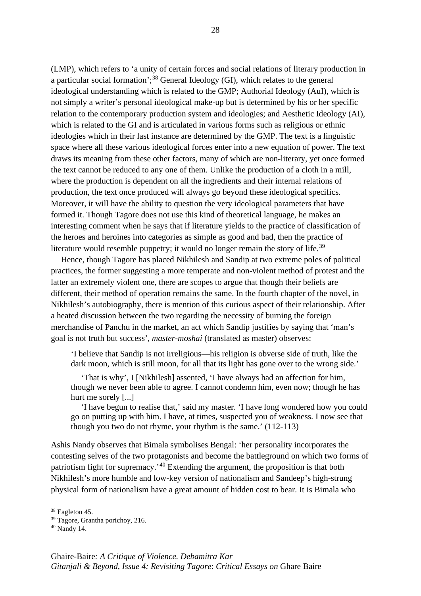(LMP), which refers to 'a unity of certain forces and social relations of literary production in a particular social formation';<sup>[38](#page-34-0)</sup> General Ideology (GI), which relates to the general ideological understanding which is related to the GMP; Authorial Ideology (AuI), which is not simply a writer's personal ideological make-up but is determined by his or her specific relation to the contemporary production system and ideologies; and Aesthetic Ideology (AI), which is related to the GI and is articulated in various forms such as religious or ethnic ideologies which in their last instance are determined by the GMP. The text is a linguistic space where all these various ideological forces enter into a new equation of power. The text draws its meaning from these other factors, many of which are non-literary, yet once formed the text cannot be reduced to any one of them. Unlike the production of a cloth in a mill, where the production is dependent on all the ingredients and their internal relations of production, the text once produced will always go beyond these ideological specifics. Moreover, it will have the ability to question the very ideological parameters that have formed it. Though Tagore does not use this kind of theoretical language, he makes an interesting comment when he says that if literature yields to the practice of classification of the heroes and heroines into categories as simple as good and bad, then the practice of literature would resemble puppetry; it would no longer remain the story of life.<sup>[39](#page-34-1)</sup>

Hence, though Tagore has placed Nikhilesh and Sandip at two extreme poles of political practices, the former suggesting a more temperate and non-violent method of protest and the latter an extremely violent one, there are scopes to argue that though their beliefs are different, their method of operation remains the same. In the fourth chapter of the novel, in Nikhilesh's autobiography, there is mention of this curious aspect of their relationship. After a heated discussion between the two regarding the necessity of burning the foreign merchandise of Panchu in the market, an act which Sandip justifies by saying that 'man's goal is not truth but success', *master-moshai* (translated as master) observes:

'I believe that Sandip is not irreligious—his religion is obverse side of truth, like the dark moon, which is still moon, for all that its light has gone over to the wrong side.'

'That is why', I [Nikhilesh] assented, 'I have always had an affection for him, though we never been able to agree. I cannot condemn him, even now; though he has hurt me sorely [...]

'I have begun to realise that,' said my master. 'I have long wondered how you could go on putting up with him. I have, at times, suspected you of weakness. I now see that though you two do not rhyme, your rhythm is the same.' (112-113)

Ashis Nandy observes that Bimala symbolises Bengal: 'her personality incorporates the contesting selves of the two protagonists and become the battleground on which two forms of patriotism fight for supremacy.'[40](#page-34-2) Extending the argument, the proposition is that both Nikhilesh's more humble and low-key version of nationalism and Sandeep's high-strung physical form of nationalism have a great amount of hidden cost to bear. It is Bimala who

<span id="page-34-0"></span><sup>38</sup> Eagleton 45.

<span id="page-34-1"></span><sup>&</sup>lt;sup>39</sup> Tagore, Grantha porichoy, 216.

<span id="page-34-2"></span><sup>40</sup> Nandy 14.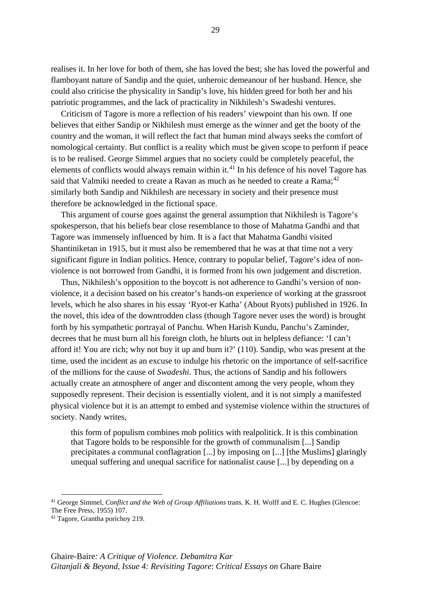realises it. In her love for both of them, she has loved the best; she has loved the powerful and flamboyant nature of Sandip and the quiet, unheroic demeanour of her husband. Hence, she could also criticise the physicality in Sandip's love, his hidden greed for both her and his patriotic programmes, and the lack of practicality in Nikhilesh's Swadeshi ventures.

Criticism of Tagore is more a reflection of his readers' viewpoint than his own. If one believes that either Sandip or Nikhilesh must emerge as the winner and get the booty of the country and the woman, it will reflect the fact that human mind always seeks the comfort of nomological certainty. But conflict is a reality which must be given scope to perform if peace is to be realised. George Simmel argues that no society could be completely peaceful, the elements of conflicts would always remain within it.<sup>[41](#page-35-0)</sup> In his defence of his novel Tagore has said that Valmiki needed to create a Ravan as much as he needed to create a Rama;<sup>[42](#page-35-1)</sup> similarly both Sandip and Nikhilesh are necessary in society and their presence must therefore be acknowledged in the fictional space.

This argument of course goes against the general assumption that Nikhilesh is Tagore's spokesperson, that his beliefs bear close resemblance to those of Mahatma Gandhi and that Tagore was immensely influenced by him. It is a fact that Mahatma Gandhi visited Shantiniketan in 1915, but it must also be remembered that he was at that time not a very significant figure in Indian politics. Hence, contrary to popular belief, Tagore's idea of nonviolence is not borrowed from Gandhi, it is formed from his own judgement and discretion.

Thus, Nikhilesh's opposition to the boycott is not adherence to Gandhi's version of nonviolence, it a decision based on his creator's hands-on experience of working at the grassroot levels, which he also shares in his essay 'Ryot-er Katha' (About Ryots) published in 1926. In the novel, this idea of the downtrodden class (though Tagore never uses the word) is brought forth by his sympathetic portrayal of Panchu. When Harish Kundu, Panchu's Zaminder, decrees that he must burn all his foreign cloth, he blurts out in helpless defiance: 'I can't afford it! You are rich; why not buy it up and burn it?' (110). Sandip, who was present at the time, used the incident as an excuse to indulge his rhetoric on the importance of self-sacrifice of the millions for the cause of *Swadeshi*. Thus, the actions of Sandip and his followers actually create an atmosphere of anger and discontent among the very people, whom they supposedly represent. Their decision is essentially violent, and it is not simply a manifested physical violence but it is an attempt to embed and systemise violence within the structures of society. Nandy writes,

this form of populism combines mob politics with realpolitick. It is this combination that Tagore holds to be responsible for the growth of communalism [...] Sandip precipitates a communal conflagration [...] by imposing on [...] [the Muslims] glaringly unequal suffering and unequal sacrifice for nationalist cause [...] by depending on a

<span id="page-35-0"></span><sup>&</sup>lt;sup>41</sup> George Simmel, *Conflict and the Web of Group Affiliations* trans. K. H. Wolff and E. C. Hughes (Glencoe: The Free Press, 1955) 107.

<span id="page-35-1"></span><sup>42</sup> Tagore, Grantha porichoy 219.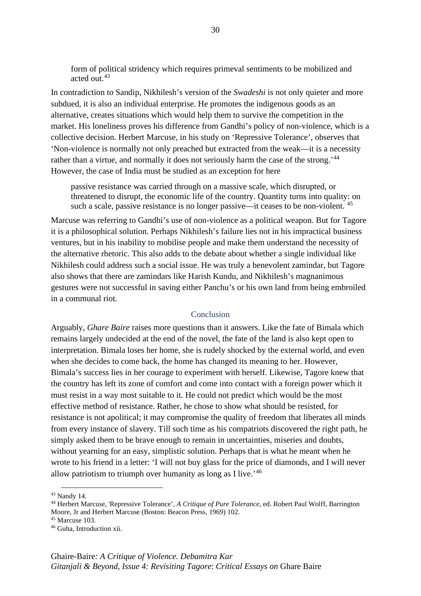form of political stridency which requires primeval sentiments to be mobilized and acted out.[43](#page-36-0)

In contradiction to Sandip, Nikhilesh's version of the *Swadeshi* is not only quieter and more subdued, it is also an individual enterprise. He promotes the indigenous goods as an alternative, creates situations which would help them to survive the competition in the market. His loneliness proves his difference from Gandhi's policy of non-violence, which is a collective decision. Herbert Marcuse, in his study on 'Repressive Tolerance', observes that 'Non-violence is normally not only preached but extracted from the weak—it is a necessity rather than a virtue, and normally it does not seriously harm the case of the strong.'[44](#page-36-1) However, the case of India must be studied as an exception for here

passive resistance was carried through on a massive scale, which disrupted, or threatened to disrupt, the economic life of the country. Quantity turns into quality: on such a scale, passive resistance is no longer passive—it ceases to be non-violent.  $45$ 

Marcuse was referring to Gandhi's use of non-violence as a political weapon. But for Tagore it is a philosophical solution. Perhaps Nikhilesh's failure lies not in his impractical business ventures, but in his inability to mobilise people and make them understand the necessity of the alternative rhetoric. This also adds to the debate about whether a single individual like Nikhilesh could address such a social issue. He was truly a benevolent zamindar, but Tagore also shows that there are zamindars like Harish Kundu, and Nikhilesh's magnanimous gestures were not successful in saving either Panchu's or his own land from being embroiled in a communal riot.

# Conclusion

Arguably, *Ghare Baire* raises more questions than it answers. Like the fate of Bimala which remains largely undecided at the end of the novel, the fate of the land is also kept open to interpretation. Bimala loses her home, she is rudely shocked by the external world, and even when she decides to come back, the home has changed its meaning to her. However, Bimala's success lies in her courage to experiment with herself. Likewise, Tagore knew that the country has left its zone of comfort and come into contact with a foreign power which it must resist in a way most suitable to it. He could not predict which would be the most effective method of resistance. Rather, he chose to show what should be resisted, for resistance is not apolitical; it may compromise the quality of freedom that liberates all minds from every instance of slavery. Till such time as his compatriots discovered the right path, he simply asked them to be brave enough to remain in uncertainties, miseries and doubts, without yearning for an easy, simplistic solution. Perhaps that is what he meant when he wrote to his friend in a letter: 'I will not buy glass for the price of diamonds, and I will never allow patriotism to triumph over humanity as long as I live.<sup> $46$ </sup>

<span id="page-36-0"></span><sup>43</sup> Nandy 14.

<span id="page-36-1"></span><sup>44</sup> Herbert Marcuse, 'Repressive Tolerance', *A Critique of Pure Tolerance*, ed. Robert Paul Wolff, Barrington Moore, Jr and Herbert Marcuse (Boston: Beacon Press, 1969) 102.

<span id="page-36-2"></span><sup>45</sup> Marcuse 103.

<span id="page-36-3"></span><sup>46</sup> Guha, Introduction xii.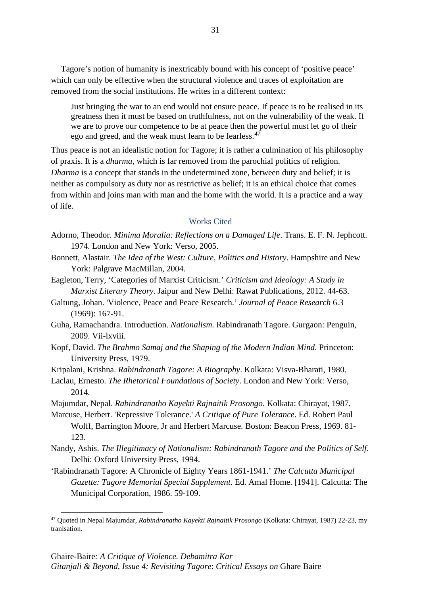Tagore's notion of humanity is inextricably bound with his concept of 'positive peace' which can only be effective when the structural violence and traces of exploitation are removed from the social institutions. He writes in a different context:

Just bringing the war to an end would not ensure peace. If peace is to be realised in its greatness then it must be based on truthfulness, not on the vulnerability of the weak. If we are to prove our competence to be at peace then the powerful must let go of their ego and greed, and the weak must learn to be fearless.<sup>[47](#page-37-0)</sup>

Thus peace is not an idealistic notion for Tagore; it is rather a culmination of his philosophy of praxis. It is a *dharma*, which is far removed from the parochial politics of religion. *Dharma* is a concept that stands in the undetermined zone, between duty and belief; it is neither as compulsory as duty nor as restrictive as belief; it is an ethical choice that comes from within and joins man with man and the home with the world. It is a practice and a way of life.

## Works Cited

- Adorno, Theodor. *Minima Moralia: Reflections on a Damaged Life*. Trans. E. F. N. Jephcott. 1974. London and New York: Verso, 2005.
- Bonnett, Alastair. *The Idea of the West: Culture, Politics and History*. Hampshire and New York: Palgrave MacMillan, 2004.
- Eagleton, Terry, 'Categories of Marxist Criticism.' *Criticism and Ideology: A Study in Marxist Literary Theory*. Jaipur and New Delhi: Rawat Publications, 2012. 44-63.
- Galtung, Johan. 'Violence, Peace and Peace Research.' *Journal of Peace Research* 6.3 (1969): 167-91.
- Guha, Ramachandra. Introduction. *Nationalism*. Rabindranath Tagore. Gurgaon: Penguin, 2009. Vii-lxviii.
- Kopf, David. *The Brahmo Samaj and the Shaping of the Modern Indian Mind*. Princeton: University Press, 1979.
- Kripalani, Krishna. *Rabindranath Tagore: A Biography*. Kolkata: Visva-Bharati, 1980.
- Laclau, Ernesto. *The Rhetorical Foundations of Society*. London and New York: Verso, 2014.
- Majumdar, Nepal. *Rabindranatho Kayekti Rajnaitik Prosongo*. Kolkata: Chirayat, 1987.
- Marcuse, Herbert. 'Repressive Tolerance.' *A Critique of Pure Tolerance*. Ed. Robert Paul Wolff, Barrington Moore, Jr and Herbert Marcuse. Boston: Beacon Press, 1969. 81- 123.
- Nandy, Ashis. *The Illegitimacy of Nationalism: Rabindranath Tagore and the Politics of Self*. Delhi: Oxford University Press, 1994.
- 'Rabindranath Tagore: A Chronicle of Eighty Years 1861-1941.' *The Calcutta Municipal Gazette: Tagore Memorial Special Supplement*. Ed. Amal Home. [1941]. Calcutta: The Municipal Corporation, 1986. 59-109.

<span id="page-37-0"></span><sup>47</sup> Quoted in Nepal Majumdar, *Rabindranatho Kayekti Rajnaitik Prosongo* (Kolkata: Chirayat, 1987) 22-23, my tranlsation.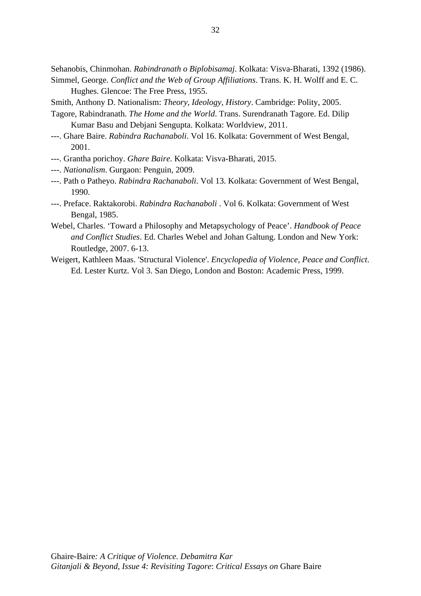Sehanobis, Chinmohan. *Rabindranath o Biplobisamaj*. Kolkata: Visva-Bharati, 1392 (1986).

- Simmel, George. *Conflict and the Web of Group Affiliations*. Trans. K. H. Wolff and E. C. Hughes. Glencoe: The Free Press, 1955.
- Smith, Anthony D. Nationalism: *Theory, Ideology, History*. Cambridge: Polity, 2005.
- Tagore, Rabindranath. *The Home and the World*. Trans. Surendranath Tagore. Ed. Dilip Kumar Basu and Debjani Sengupta. Kolkata: Worldview, 2011.
- ---. Ghare Baire. *Rabindra Rachanaboli*. Vol 16. Kolkata: Government of West Bengal, 2001.
- ---. Grantha porichoy. *Ghare Baire*. Kolkata: Visva-Bharati, 2015.
- ---. *Nationalism*. Gurgaon: Penguin, 2009.
- ---. Path o Patheyo. *Rabindra Rachanaboli*. Vol 13. Kolkata: Government of West Bengal, 1990.
- ---. Preface. Raktakorobi. *Rabindra Rachanaboli* . Vol 6. Kolkata: Government of West Bengal, 1985.
- Webel, Charles. 'Toward a Philosophy and Metapsychology of Peace'. *Handbook of Peace and Conflict Studies*. Ed. Charles Webel and Johan Galtung. London and New York: Routledge, 2007. 6-13.
- Weigert, Kathleen Maas. 'Structural Violence'. *Encyclopedia of Violence, Peace and Conflict*. Ed. Lester Kurtz. Vol 3. San Diego, London and Boston: Academic Press, 1999.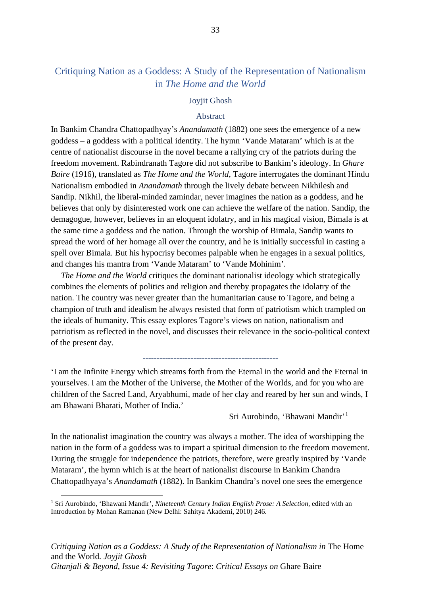# Critiquing Nation as a Goddess: A Study of the Representation of Nationalism in *The Home and the World*

# Joyjit Ghosh

## Abstract

In Bankim Chandra Chattopadhyay's *Anandamath* (1882) one sees the emergence of a new goddess – a goddess with a political identity. The hymn 'Vande Mataram' which is at the centre of nationalist discourse in the novel became a rallying cry of the patriots during the freedom movement. Rabindranath Tagore did not subscribe to Bankim's ideology. In *Ghare Baire* (1916), translated as *The Home and the World*, Tagore interrogates the dominant Hindu Nationalism embodied in *Anandamath* through the lively debate between Nikhilesh and Sandip. Nikhil, the liberal-minded zamindar, never imagines the nation as a goddess, and he believes that only by disinterested work one can achieve the welfare of the nation. Sandip, the demagogue, however, believes in an eloquent idolatry, and in his magical vision, Bimala is at the same time a goddess and the nation. Through the worship of Bimala, Sandip wants to spread the word of her homage all over the country, and he is initially successful in casting a spell over Bimala. But his hypocrisy becomes palpable when he engages in a sexual politics, and changes his mantra from 'Vande Mataram' to 'Vande Mohinim'.

*The Home and the World* critiques the dominant nationalist ideology which strategically combines the elements of politics and religion and thereby propagates the idolatry of the nation. The country was never greater than the humanitarian cause to Tagore, and being a champion of truth and idealism he always resisted that form of patriotism which trampled on the ideals of humanity. This essay explores Tagore's views on nation, nationalism and patriotism as reflected in the novel, and discusses their relevance in the socio-political context of the present day.

#### ------------------------------------------------

'I am the Infinite Energy which streams forth from the Eternal in the world and the Eternal in yourselves. I am the Mother of the Universe, the Mother of the Worlds, and for you who are children of the Sacred Land, Aryabhumi, made of her clay and reared by her sun and winds, I am Bhawani Bharati, Mother of India.'

Sri Aurobindo, 'Bhawani Mandir'[1](#page-39-0)

In the nationalist imagination the country was always a mother. The idea of worshipping the nation in the form of a goddess was to impart a spiritual dimension to the freedom movement. During the struggle for independence the patriots, therefore, were greatly inspired by 'Vande Mataram', the hymn which is at the heart of nationalist discourse in Bankim Chandra Chattopadhyaya's *Anandamath* (1882). In Bankim Chandra's novel one sees the emergence

<span id="page-39-0"></span><sup>1</sup> Sri Aurobindo, 'Bhawani Mandir', *Nineteenth Century Indian English Prose: A Selection,* edited with an Introduction by Mohan Ramanan (New Delhi: Sahitya Akademi, 2010) 246.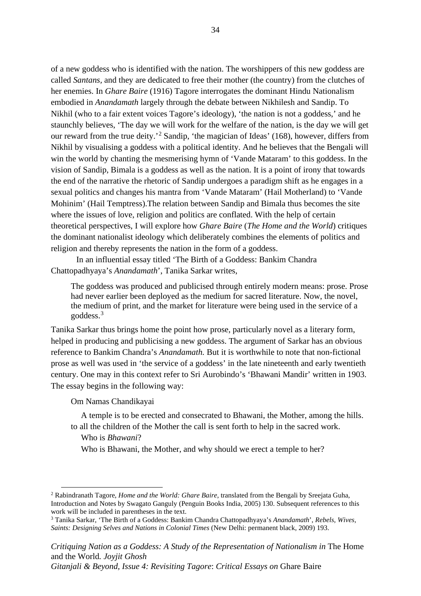of a new goddess who is identified with the nation. The worshippers of this new goddess are called *Santans,* and they are dedicated to free their mother (the country) from the clutches of her enemies. In *Ghare Baire* (1916) Tagore interrogates the dominant Hindu Nationalism embodied in *Anandamath* largely through the debate between Nikhilesh and Sandip. To Nikhil (who to a fair extent voices Tagore's ideology), 'the nation is not a goddess,' and he staunchly believes, 'The day we will work for the welfare of the nation, is the day we will get our reward from the true deity.'<sup>[2](#page-40-0)</sup> Sandip, 'the magician of Ideas' (168), however, differs from Nikhil by visualising a goddess with a political identity. And he believes that the Bengali will win the world by chanting the mesmerising hymn of 'Vande Mataram' to this goddess. In the vision of Sandip, Bimala is a goddess as well as the nation. It is a point of irony that towards the end of the narrative the rhetoric of Sandip undergoes a paradigm shift as he engages in a sexual politics and changes his mantra from 'Vande Mataram' (Hail Motherland) to 'Vande Mohinim' (Hail Temptress).The relation between Sandip and Bimala thus becomes the site where the issues of love, religion and politics are conflated. With the help of certain theoretical perspectives, I will explore how *Ghare Baire* (*The Home and the World*) critiques the dominant nationalist ideology which deliberately combines the elements of politics and religion and thereby represents the nation in the form of a goddess.

In an influential essay titled 'The Birth of a Goddess: Bankim Chandra Chattopadhyaya's *Anandamath*', Tanika Sarkar writes,

The goddess was produced and publicised through entirely modern means: prose. Prose had never earlier been deployed as the medium for sacred literature. Now, the novel, the medium of print, and the market for literature were being used in the service of a goddess.[3](#page-40-1)

Tanika Sarkar thus brings home the point how prose, particularly novel as a literary form, helped in producing and publicising a new goddess. The argument of Sarkar has an obvious reference to Bankim Chandra's *Anandamath.* But it is worthwhile to note that non-fictional prose as well was used in 'the service of a goddess' in the late nineteenth and early twentieth century. One may in this context refer to Sri Aurobindo's 'Bhawani Mandir' written in 1903. The essay begins in the following way:

Om Namas Chandikayai

A temple is to be erected and consecrated to Bhawani, the Mother, among the hills. to all the children of the Mother the call is sent forth to help in the sacred work.

# Who is *Bhawani*?

Who is Bhawani, the Mother, and why should we erect a temple to her?

<span id="page-40-0"></span><sup>2</sup> Rabindranath Tagore, *Home and the World: Ghare Baire*, translated from the Bengali by Sreejata Guha, Introduction and Notes by Swagato Ganguly (Penguin Books India, 2005) 130. Subsequent references to this work will be included in parentheses in the text.

<span id="page-40-1"></span><sup>3</sup> Tanika Sarkar, 'The Birth of a Goddess: Bankim Chandra Chattopadhyaya's *Anandamath*', *Rebels, Wives, Saints: Designing Selves and Nations in Colonial Times* (New Delhi: permanent black, 2009) 193.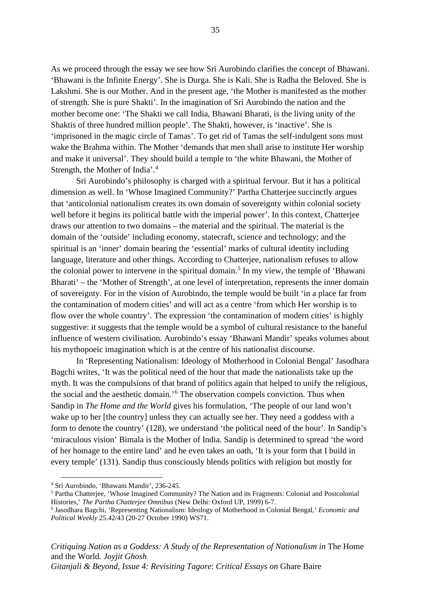As we proceed through the essay we see how Sri Aurobindo clarifies the concept of Bhawani. 'Bhawani is the Infinite Energy'. She is Durga. She is Kali. She is Radha the Beloved. She is Lakshmi. She is our Mother. And in the present age, 'the Mother is manifested as the mother of strength. She is pure Shakti'. In the imagination of Sri Aurobindo the nation and the mother become one: 'The Shakti we call India, Bhawani Bharati, is the living unity of the Shaktis of three hundred million people'. The Shakti, however, is 'inactive'. She is 'imprisoned in the magic circle of Tamas'. To get rid of Tamas the self-indulgent sons must wake the Brahma within. The Mother 'demands that men shall arise to institute Her worship and make it universal'. They should build a temple to 'the white Bhawani, the Mother of Strength, the Mother of India'. [4](#page-41-0)

Sri Aurobindo's philosophy is charged with a spiritual fervour. But it has a political dimension as well. In 'Whose Imagined Community?' Partha Chatterjee succinctly argues that 'anticolonial nationalism creates its own domain of sovereignty within colonial society well before it begins its political battle with the imperial power'. In this context, Chatterjee draws our attention to two domains – the material and the spiritual. The material is the domain of the 'outside' including economy, statecraft, science and technology; and the spiritual is an 'inner' domain bearing the 'essential' marks of cultural identity including language, literature and other things. According to Chatterjee, nationalism refuses to allow the colonial power to intervene in the spiritual domain. [5](#page-41-1) In my view, the temple of 'Bhawani Bharati' – the 'Mother of Strength', at one level of interpretation, represents the inner domain of sovereignty. For in the vision of Aurobindo, the temple would be built 'in a place far from the contamination of modern cities' and will act as a centre 'from which Her worship is to flow over the whole country'. The expression 'the contamination of modern cities' is highly suggestive: it suggests that the temple would be a symbol of cultural resistance to the baneful influence of western civilisation. Aurobindo's essay 'Bhawani Mandir' speaks volumes about his mythopoeic imagination which is at the centre of his nationalist discourse.

In 'Representing Nationalism: Ideology of Motherhood in Colonial Bengal' Jasodhara Bagchi writes, 'It was the political need of the hour that made the nationalists take up the myth. It was the compulsions of that brand of politics again that helped to unify the religious, the social and the aesthetic domain.' [6](#page-41-2) The observation compels conviction. Thus when Sandip in *The Home and the World* gives his formulation, 'The people of our land won't wake up to her [the country] unless they can actually see her. They need a goddess with a form to denote the country' (128), we understand 'the political need of the hour'. In Sandip's 'miraculous vision' Bimala is the Mother of India. Sandip is determined to spread 'the word of her homage to the entire land' and he even takes an oath, 'It is your form that I build in every temple' (131). Sandip thus consciously blends politics with religion but mostly for

<span id="page-41-0"></span><sup>4</sup> Sri Aurobindo, 'Bhawani Mandir', 236-245.

<span id="page-41-1"></span><sup>5</sup> Partha Chatterjee, 'Whose Imagined Community? The Nation and its Fragments: Colonial and Postcolonial Histories,' *The Partha Chatterjee Omnibus* (New Delhi: Oxford UP, 1999) 6-7.

<span id="page-41-2"></span><sup>6</sup> Jasodhara Bagchi, 'Representing Nationalism: Ideology of Motherhood in Colonial Bengal,' *Economic and Political Weekly* 25.42/43 (20-27 October 1990) WS71.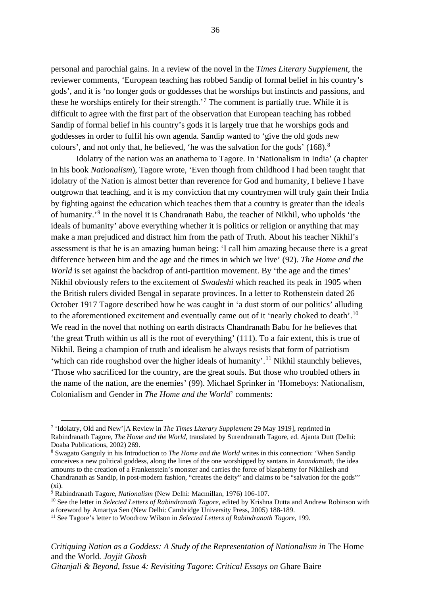personal and parochial gains. In a review of the novel in the *Times Literary Supplement*, the reviewer comments, 'European teaching has robbed Sandip of formal belief in his country's gods', and it is 'no longer gods or goddesses that he worships but instincts and passions, and these he worships entirely for their strength.'[7](#page-42-0) The comment is partially true. While it is difficult to agree with the first part of the observation that European teaching has robbed Sandip of formal belief in his country's gods it is largely true that he worships gods and goddesses in order to fulfil his own agenda. Sandip wanted to 'give the old gods new colours', and not only that, he believed, 'he was the salvation for the gods' (168).[8](#page-42-1)

Idolatry of the nation was an anathema to Tagore. In 'Nationalism in India' (a chapter in his book *Nationalism*), Tagore wrote, 'Even though from childhood I had been taught that idolatry of the Nation is almost better than reverence for God and humanity, I believe I have outgrown that teaching, and it is my conviction that my countrymen will truly gain their India by fighting against the education which teaches them that a country is greater than the ideals of humanity.'[9](#page-42-2) In the novel it is Chandranath Babu, the teacher of Nikhil, who upholds 'the ideals of humanity' above everything whether it is politics or religion or anything that may make a man prejudiced and distract him from the path of Truth. About his teacher Nikhil's assessment is that he is an amazing human being: 'I call him amazing because there is a great difference between him and the age and the times in which we live' (92). *The Home and the World* is set against the backdrop of anti-partition movement. By 'the age and the times' Nikhil obviously refers to the excitement of *Swadeshi* which reached its peak in 1905 when the British rulers divided Bengal in separate provinces. In a letter to Rothenstein dated 26 October 1917 Tagore described how he was caught in 'a dust storm of our politics' alluding to the aforementioned excitement and eventually came out of it 'nearly choked to death'.<sup>[10](#page-42-3)</sup> We read in the novel that nothing on earth distracts Chandranath Babu for he believes that 'the great Truth within us all is the root of everything' (111). To a fair extent, this is true of Nikhil. Being a champion of truth and idealism he always resists that form of patriotism 'which can ride roughshod over the higher ideals of humanity'.<sup>[11](#page-42-4)</sup> Nikhil staunchly believes, 'Those who sacrificed for the country, are the great souls. But those who troubled others in the name of the nation, are the enemies' (99). Michael Sprinker in 'Homeboys: Nationalism, Colonialism and Gender in *The Home and the World*' comments:

*Critiquing Nation as a Goddess: A Study of the Representation of Nationalism in The Home* and the World*. Joyjit Ghosh Gitanjali & Beyond, Issue 4: Revisiting Tagore*: *Critical Essays on* Ghare Baire

<span id="page-42-0"></span><sup>7</sup> 'Idolatry, Old and New'[A Review in *The Times Literary Supplement* 29 May 1919], reprinted in Rabindranath Tagore, *The Home and the World*, translated by Surendranath Tagore, ed. Ajanta Dutt (Delhi: Doaba Publications, 2002) 269.

<span id="page-42-1"></span><sup>8</sup> Swagato Ganguly in his Introduction to *The Home and the World* writes in this connection: 'When Sandip conceives a new political goddess, along the lines of the one worshipped by santans in *Anandamath*, the idea amounts to the creation of a Frankenstein's monster and carries the force of blasphemy for Nikhilesh and Chandranath as Sandip, in post-modern fashion, "creates the deity" and claims to be "salvation for the gods"'  $(x<sub>i</sub>)$ .

<span id="page-42-2"></span><sup>9</sup> Rabindranath Tagore, *Nationalism* (New Delhi: Macmillan, 1976) 106-107.

<span id="page-42-3"></span><sup>&</sup>lt;sup>10</sup> See the letter in *Selected Letters of Rabindranath Tagore*, edited by Krishna Dutta and Andrew Robinson with a foreword by Amartya Sen (New Delhi: Cambridge University Press, 2005) 188-189.

<span id="page-42-4"></span><sup>11</sup> See Tagore's letter to Woodrow Wilson in *Selected Letters of Rabindranath Tagore*, 199.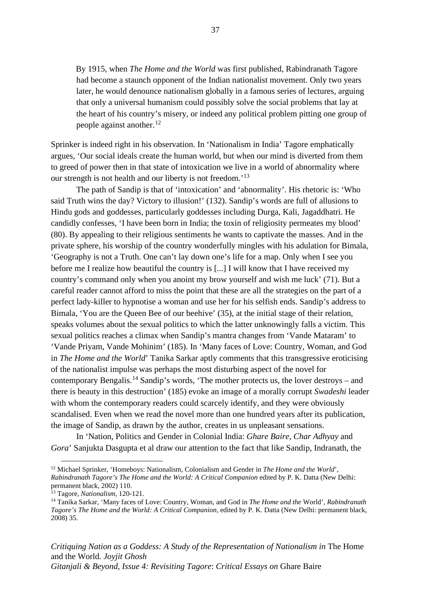By 1915, when *The Home and the World* was first published, Rabindranath Tagore had become a staunch opponent of the Indian nationalist movement. Only two years later, he would denounce nationalism globally in a famous series of lectures, arguing that only a universal humanism could possibly solve the social problems that lay at the heart of his country's misery, or indeed any political problem pitting one group of people against another.<sup>[12](#page-43-0)</sup>

Sprinker is indeed right in his observation. In 'Nationalism in India' Tagore emphatically argues, 'Our social ideals create the human world, but when our mind is diverted from them to greed of power then in that state of intoxication we live in a world of abnormality where our strength is not health and our liberty is not freedom.'<sup>[13](#page-43-1)</sup>

The path of Sandip is that of 'intoxication' and 'abnormality'. His rhetoric is: 'Who said Truth wins the day? Victory to illusion!' (132). Sandip's words are full of allusions to Hindu gods and goddesses, particularly goddesses including Durga, Kali, Jagaddhatri. He candidly confesses, 'I have been born in India; the toxin of religiosity permeates my blood' (80). By appealing to their religious sentiments he wants to captivate the masses. And in the private sphere, his worship of the country wonderfully mingles with his adulation for Bimala, 'Geography is not a Truth. One can't lay down one's life for a map. Only when I see you before me I realize how beautiful the country is [...] I will know that I have received my country's command only when you anoint my brow yourself and wish me luck' (71). But a careful reader cannot afford to miss the point that these are all the strategies on the part of a perfect lady-killer to hypnotise a woman and use her for his selfish ends. Sandip's address to Bimala, 'You are the Queen Bee of our beehive' (35), at the initial stage of their relation, speaks volumes about the sexual politics to which the latter unknowingly falls a victim. This sexual politics reaches a climax when Sandip's mantra changes from 'Vande Mataram' to 'Vande Priyam, Vande Mohinim' (185). In 'Many faces of Love: Country, Woman, and God in *The Home and the World*' Tanika Sarkar aptly comments that this transgressive eroticising of the nationalist impulse was perhaps the most disturbing aspect of the novel for contemporary Bengalis.<sup>[14](#page-43-2)</sup> Sandip's words, 'The mother protects us, the lover destroys – and there is beauty in this destruction' (185) evoke an image of a morally corrupt *Swadeshi* leader with whom the contemporary readers could scarcely identify, and they were obviously scandalised. Even when we read the novel more than one hundred years after its publication, the image of Sandip, as drawn by the author, creates in us unpleasant sensations.

In 'Nation, Politics and Gender in Colonial India: *Ghare Baire, Char Adhyay* and *Gora*' Sanjukta Dasgupta et al draw our attention to the fact that like Sandip, Indranath, the

*Critiquing Nation as a Goddess: A Study of the Representation of Nationalism in* The Home and the World*. Joyjit Ghosh* 

<span id="page-43-0"></span><sup>12</sup> Michael Sprinker, 'Homeboys: Nationalism, Colonialism and Gender in *The Home and the World*', *Rabindranath Tagore's The Home and the World: A Critical Companion* edited by P. K. Datta (New Delhi: permanent black, 2002) 110.

<span id="page-43-1"></span><sup>13</sup> Tagore, *Nationalism*, 120-121.

<span id="page-43-2"></span><sup>14</sup> Tanika Sarkar, 'Many faces of Love: Country, Woman, and God in *The Home and the* World', *Rabindranath Tagore's The Home and the World: A Critical Companion*, edited by P. K. Datta (New Delhi: permanent black, 2008) 35.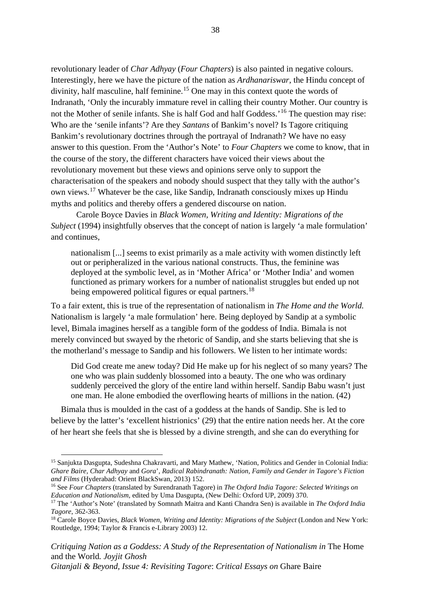revolutionary leader of *Char Adhyay* (*Four Chapters*) is also painted in negative colours. Interestingly, here we have the picture of the nation as *Ardhanariswar,* the Hindu concept of divinity, half masculine, half feminine.<sup>[15](#page-44-0)</sup> One may in this context quote the words of Indranath, 'Only the incurably immature revel in calling their country Mother. Our country is not the Mother of senile infants. She is half God and half Goddess.<sup>'[16](#page-44-1)</sup> The question may rise: Who are the 'senile infants'? Are they *Santans* of Bankim's novel? Is Tagore critiquing Bankim's revolutionary doctrines through the portrayal of Indranath? We have no easy answer to this question. From the 'Author's Note' to *Four Chapters* we come to know, that in the course of the story, the different characters have voiced their views about the revolutionary movement but these views and opinions serve only to support the characterisation of the speakers and nobody should suspect that they tally with the author's own views.[17](#page-44-2) Whatever be the case, like Sandip, Indranath consciously mixes up Hindu myths and politics and thereby offers a gendered discourse on nation.

Carole Boyce Davies in *Black Women, Writing and Identity: Migrations of the Subject* (1994) insightfully observes that the concept of nation is largely 'a male formulation' and continues,

nationalism [...] seems to exist primarily as a male activity with women distinctly left out or peripheralized in the various national constructs. Thus, the feminine was deployed at the symbolic level, as in 'Mother Africa' or 'Mother India' and women functioned as primary workers for a number of nationalist struggles but ended up not being empowered political figures or equal partners.<sup>[18](#page-44-3)</sup>

To a fair extent, this is true of the representation of nationalism in *The Home and the World.*  Nationalism is largely 'a male formulation' here. Being deployed by Sandip at a symbolic level, Bimala imagines herself as a tangible form of the goddess of India. Bimala is not merely convinced but swayed by the rhetoric of Sandip, and she starts believing that she is the motherland's message to Sandip and his followers. We listen to her intimate words:

Did God create me anew today? Did He make up for his neglect of so many years? The one who was plain suddenly blossomed into a beauty. The one who was ordinary suddenly perceived the glory of the entire land within herself. Sandip Babu wasn't just one man. He alone embodied the overflowing hearts of millions in the nation. (42)

Bimala thus is moulded in the cast of a goddess at the hands of Sandip. She is led to believe by the latter's 'excellent histrionics' (29) that the entire nation needs her. At the core of her heart she feels that she is blessed by a divine strength, and she can do everything for

*Critiquing Nation as a Goddess: A Study of the Representation of Nationalism in The Home* and the World*. Joyjit Ghosh* 

*Gitanjali & Beyond, Issue 4: Revisiting Tagore*: *Critical Essays on* Ghare Baire

<span id="page-44-0"></span><sup>15</sup> Sanjukta Dasgupta, Sudeshna Chakravarti, and Mary Mathew, 'Nation, Politics and Gender in Colonial India: *Ghare Baire, Char Adhyay* and *Gora*', *Radical Rabindranath: Nation, Family and Gender in Tagore's Fiction and Films* (Hyderabad: Orient BlackSwan, 2013) 152.

<span id="page-44-1"></span><sup>16</sup> See *Four Chapters* (translated by Surendranath Tagore) in *The Oxford India Tagore: Selected Writings on Education and Nationalism*, edited by Uma Dasgupta, (New Delhi: Oxford UP, 2009) 370.

<span id="page-44-2"></span><sup>&</sup>lt;sup>17</sup> The 'Author's Note' (translated by Somnath Maitra and Kanti Chandra Sen) is available in *The Oxford India* Tagore, 362-363.

<span id="page-44-3"></span><sup>&</sup>lt;sup>18</sup> Carole Boyce Davies, *Black Women, Writing and Identity: Migrations of the Subject* (London and New York: Routledge, 1994; Taylor & Francis e-Library 2003) 12.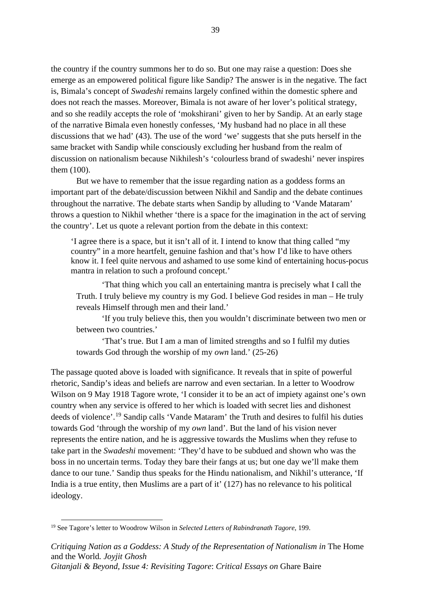the country if the country summons her to do so. But one may raise a question: Does she emerge as an empowered political figure like Sandip? The answer is in the negative. The fact is, Bimala's concept of *Swadeshi* remains largely confined within the domestic sphere and does not reach the masses. Moreover, Bimala is not aware of her lover's political strategy, and so she readily accepts the role of 'mokshirani' given to her by Sandip. At an early stage of the narrative Bimala even honestly confesses, 'My husband had no place in all these discussions that we had' (43). The use of the word 'we' suggests that she puts herself in the same bracket with Sandip while consciously excluding her husband from the realm of discussion on nationalism because Nikhilesh's 'colourless brand of swadeshi' never inspires them (100).

But we have to remember that the issue regarding nation as a goddess forms an important part of the debate/discussion between Nikhil and Sandip and the debate continues throughout the narrative. The debate starts when Sandip by alluding to 'Vande Mataram' throws a question to Nikhil whether 'there is a space for the imagination in the act of serving the country'. Let us quote a relevant portion from the debate in this context:

'I agree there is a space, but it isn't all of it. I intend to know that thing called "my country" in a more heartfelt, genuine fashion and that's how I'd like to have others know it. I feel quite nervous and ashamed to use some kind of entertaining hocus-pocus mantra in relation to such a profound concept.'

'That thing which you call an entertaining mantra is precisely what I call the Truth. I truly believe my country is my God. I believe God resides in man – He truly reveals Himself through men and their land.'

'If you truly believe this, then you wouldn't discriminate between two men or between two countries.'

'That's true. But I am a man of limited strengths and so I fulfil my duties towards God through the worship of my *own* land.' (25-26)

The passage quoted above is loaded with significance. It reveals that in spite of powerful rhetoric, Sandip's ideas and beliefs are narrow and even sectarian. In a letter to Woodrow Wilson on 9 May 1918 Tagore wrote, 'I consider it to be an act of impiety against one's own country when any service is offered to her which is loaded with secret lies and dishonest deeds of violence'. [19](#page-45-0) Sandip calls 'Vande Mataram' the Truth and desires to fulfil his duties towards God 'through the worship of my *own* land'. But the land of his vision never represents the entire nation, and he is aggressive towards the Muslims when they refuse to take part in the *Swadeshi* movement: 'They'd have to be subdued and shown who was the boss in no uncertain terms. Today they bare their fangs at us; but one day we'll make them dance to our tune.' Sandip thus speaks for the Hindu nationalism, and Nikhil's utterance, 'If India is a true entity, then Muslims are a part of it' (127) has no relevance to his political ideology.

<span id="page-45-0"></span><sup>19</sup> See Tagore's letter to Woodrow Wilson in *Selected Letters of Rabindranath Tagore*, 199.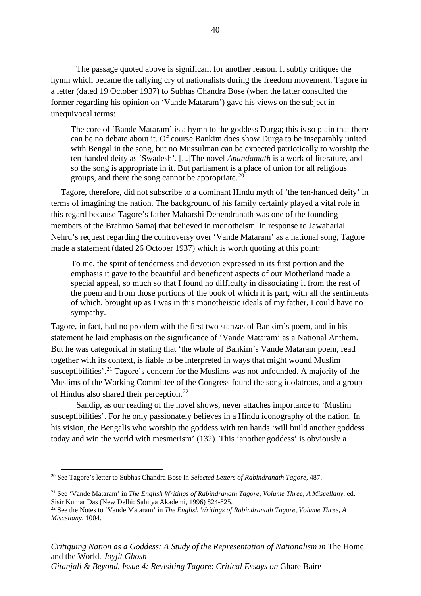The passage quoted above is significant for another reason. It subtly critiques the hymn which became the rallying cry of nationalists during the freedom movement. Tagore in a letter (dated 19 October 1937) to Subhas Chandra Bose (when the latter consulted the former regarding his opinion on 'Vande Mataram') gave his views on the subject in unequivocal terms:

The core of 'Bande Mataram' is a hymn to the goddess Durga; this is so plain that there can be no debate about it. Of course Bankim does show Durga to be inseparably united with Bengal in the song, but no Mussulman can be expected patriotically to worship the ten-handed deity as 'Swadesh'. [...]The novel *Anandamath* is a work of literature, and so the song is appropriate in it. But parliament is a place of union for all religious groups, and there the song cannot be appropriate.<sup>[20](#page-46-0)</sup>

Tagore, therefore, did not subscribe to a dominant Hindu myth of 'the ten-handed deity' in terms of imagining the nation. The background of his family certainly played a vital role in this regard because Tagore's father Maharshi Debendranath was one of the founding members of the Brahmo Samaj that believed in monotheism. In response to Jawaharlal Nehru's request regarding the controversy over 'Vande Mataram' as a national song, Tagore made a statement (dated 26 October 1937) which is worth quoting at this point:

To me, the spirit of tenderness and devotion expressed in its first portion and the emphasis it gave to the beautiful and beneficent aspects of our Motherland made a special appeal, so much so that I found no difficulty in dissociating it from the rest of the poem and from those portions of the book of which it is part, with all the sentiments of which, brought up as I was in this monotheistic ideals of my father, I could have no sympathy.

Tagore, in fact, had no problem with the first two stanzas of Bankim's poem, and in his statement he laid emphasis on the significance of 'Vande Mataram' as a National Anthem. But he was categorical in stating that 'the whole of Bankim's Vande Mataram poem, read together with its context, is liable to be interpreted in ways that might wound Muslim susceptibilities'.<sup>[21](#page-46-1)</sup> Tagore's concern for the Muslims was not unfounded. A majority of the Muslims of the Working Committee of the Congress found the song idolatrous, and a group of Hindus also shared their perception.[22](#page-46-2)

Sandip, as our reading of the novel shows, never attaches importance to 'Muslim susceptibilities'. For he only passionately believes in a Hindu iconography of the nation. In his vision, the Bengalis who worship the goddess with ten hands 'will build another goddess today and win the world with mesmerism' (132). This 'another goddess' is obviously a

<span id="page-46-0"></span><sup>20</sup> See Tagore's letter to Subhas Chandra Bose in *Selected Letters of Rabindranath Tagore*, 487.

<span id="page-46-1"></span><sup>21</sup> See 'Vande Mataram' in *The English Writings of Rabindranath Tagore, Volume Three, A Miscellany*, ed. Sisir Kumar Das (New Delhi: Sahitya Akademi, 1996) 824-825.

<span id="page-46-2"></span><sup>22</sup> See the Notes to 'Vande Mataram' in *The English Writings of Rabindranath Tagore, Volume Three, A Miscellany*, 1004.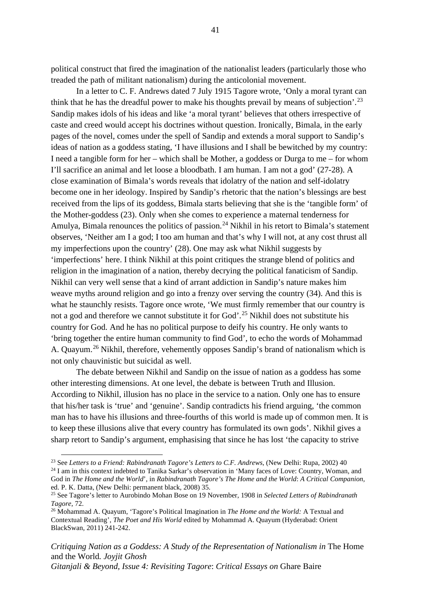political construct that fired the imagination of the nationalist leaders (particularly those who treaded the path of militant nationalism) during the anticolonial movement.

In a letter to C. F. Andrews dated 7 July 1915 Tagore wrote, 'Only a moral tyrant can think that he has the dreadful power to make his thoughts prevail by means of subjection'.<sup>[23](#page-47-0)</sup> Sandip makes idols of his ideas and like 'a moral tyrant' believes that others irrespective of caste and creed would accept his doctrines without question. Ironically, Bimala, in the early pages of the novel, comes under the spell of Sandip and extends a moral support to Sandip's ideas of nation as a goddess stating, 'I have illusions and I shall be bewitched by my country: I need a tangible form for her – which shall be Mother, a goddess or Durga to me – for whom I'll sacrifice an animal and let loose a bloodbath. I am human. I am not a god' (27-28). A close examination of Bimala's words reveals that idolatry of the nation and self-idolatry become one in her ideology. Inspired by Sandip's rhetoric that the nation's blessings are best received from the lips of its goddess, Bimala starts believing that she is the 'tangible form' of the Mother-goddess (23). Only when she comes to experience a maternal tenderness for Amulya, Bimala renounces the politics of passion.<sup>[24](#page-47-1)</sup> Nikhil in his retort to Bimala's statement observes, 'Neither am I a god; I too am human and that's why I will not, at any cost thrust all my imperfections upon the country' (28). One may ask what Nikhil suggests by 'imperfections' here. I think Nikhil at this point critiques the strange blend of politics and religion in the imagination of a nation, thereby decrying the political fanaticism of Sandip. Nikhil can very well sense that a kind of arrant addiction in Sandip's nature makes him weave myths around religion and go into a frenzy over serving the country (34). And this is what he staunchly resists. Tagore once wrote, 'We must firmly remember that our country is not a god and therefore we cannot substitute it for God'.<sup>[25](#page-47-2)</sup> Nikhil does not substitute his country for God. And he has no political purpose to deify his country. He only wants to 'bring together the entire human community to find God', to echo the words of Mohammad A. Quayum. [26](#page-47-3) Nikhil, therefore, vehemently opposes Sandip's brand of nationalism which is not only chauvinistic but suicidal as well.

The debate between Nikhil and Sandip on the issue of nation as a goddess has some other interesting dimensions. At one level, the debate is between Truth and Illusion. According to Nikhil, illusion has no place in the service to a nation. Only one has to ensure that his/her task is 'true' and 'genuine'. Sandip contradicts his friend arguing, 'the common man has to have his illusions and three-fourths of this world is made up of common men. It is to keep these illusions alive that every country has formulated its own gods'. Nikhil gives a sharp retort to Sandip's argument, emphasising that since he has lost 'the capacity to strive

*Critiquing Nation as a Goddess: A Study of the Representation of Nationalism in The Home* and the World*. Joyjit Ghosh Gitanjali & Beyond, Issue 4: Revisiting Tagore*: *Critical Essays on* Ghare Baire

<span id="page-47-0"></span><sup>23</sup> See *Letters to a Friend: Rabindranath Tagore's Letters to C.F. Andrews*, (New Delhi: Rupa, 2002) 40

<span id="page-47-1"></span><sup>&</sup>lt;sup>24</sup> I am in this context indebted to Tanika Sarkar's observation in 'Many faces of Love: Country, Woman, and God in *The Home and the World*', in *Rabindranath Tagore's The Home and the World*: *A Critical Companion,*  ed. P. K. Datta, (New Delhi: permanent black, 2008) 35.

<span id="page-47-2"></span><sup>25</sup> See Tagore's letter to Aurobindo Mohan Bose on 19 November, 1908 in *Selected Letters of Rabindranath Tagore*, 72.

<span id="page-47-3"></span><sup>26</sup> Mohammad A. Quayum, 'Tagore's Political Imagination in *The Home and the World:* A Textual and Contextual Reading', *The Poet and His World* edited by Mohammad A. Quayum (Hyderabad: Orient BlackSwan, 2011) 241-242.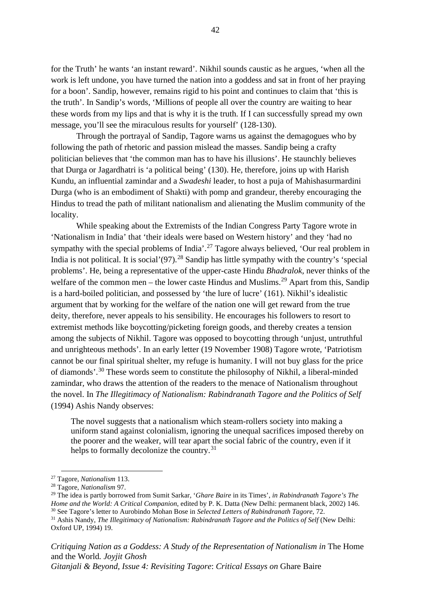for the Truth' he wants 'an instant reward'. Nikhil sounds caustic as he argues, 'when all the work is left undone, you have turned the nation into a goddess and sat in front of her praying for a boon'. Sandip, however, remains rigid to his point and continues to claim that 'this is the truth'. In Sandip's words, 'Millions of people all over the country are waiting to hear these words from my lips and that is why it is the truth. If I can successfully spread my own message, you'll see the miraculous results for yourself' (128-130).

Through the portrayal of Sandip, Tagore warns us against the demagogues who by following the path of rhetoric and passion mislead the masses. Sandip being a crafty politician believes that 'the common man has to have his illusions'. He staunchly believes that Durga or Jagardhatri is 'a political being' (130). He, therefore, joins up with Harish Kundu, an influential zamindar and a *Swadeshi* leader, to host a puja of Mahishasurmardini Durga (who is an embodiment of Shakti) with pomp and grandeur, thereby encouraging the Hindus to tread the path of militant nationalism and alienating the Muslim community of the locality.

While speaking about the Extremists of the Indian Congress Party Tagore wrote in 'Nationalism in India' that 'their ideals were based on Western history' and they 'had no sympathy with the special problems of India'.<sup>[27](#page-48-0)</sup> Tagore always believed, 'Our real problem in India is not political. It is social  $(97)$ <sup>[28](#page-48-1)</sup> Sandip has little sympathy with the country's 'special problems'. He, being a representative of the upper-caste Hindu *Bhadralok,* never thinks of the welfare of the common men – the lower caste Hindus and Muslims.<sup>[29](#page-48-2)</sup> Apart from this, Sandip is a hard-boiled politician, and possessed by 'the lure of lucre' (161). Nikhil's idealistic argument that by working for the welfare of the nation one will get reward from the true deity, therefore, never appeals to his sensibility. He encourages his followers to resort to extremist methods like boycotting/picketing foreign goods, and thereby creates a tension among the subjects of Nikhil. Tagore was opposed to boycotting through 'unjust, untruthful and unrighteous methods'. In an early letter (19 November 1908) Tagore wrote, 'Patriotism cannot be our final spiritual shelter, my refuge is humanity. I will not buy glass for the price of diamonds'.<sup>[30](#page-48-3)</sup> These words seem to constitute the philosophy of Nikhil, a liberal-minded zamindar, who draws the attention of the readers to the menace of Nationalism throughout the novel. In *The Illegitimacy of Nationalism: Rabindranath Tagore and the Politics of Self*  (1994) Ashis Nandy observes:

The novel suggests that a nationalism which steam-rollers society into making a uniform stand against colonialism, ignoring the unequal sacrifices imposed thereby on the poorer and the weaker, will tear apart the social fabric of the country, even if it helps to formally decolonize the country.<sup>[31](#page-48-4)</sup>

*Critiquing Nation as a Goddess: A Study of the Representation of Nationalism in The Home* and the World*. Joyjit Ghosh* 

*Gitanjali & Beyond, Issue 4: Revisiting Tagore*: *Critical Essays on* Ghare Baire

<span id="page-48-0"></span><sup>27</sup> Tagore, *Nationalism* 113.

<span id="page-48-1"></span><sup>28</sup> Tagore, *Nationalism* 97.

<span id="page-48-2"></span><sup>29</sup> The idea is partly borrowed from Sumit Sarkar, '*Ghare Baire* in its Times', *in Rabindranath Tagore's The Home and the World: A Critical Companion*, edited by P. K. Datta (New Delhi: permanent black, 2002) 146. <sup>30</sup> See Tagore's letter to Aurobindo Mohan Bose in *Selected Letters of Rabindranath Tagore*, 72.

<span id="page-48-4"></span><span id="page-48-3"></span><sup>&</sup>lt;sup>31</sup> Ashis Nandy, *The Illegitimacy of Nationalism: Rabindranath Tagore and the Politics of Self* (New Delhi: Oxford UP, 1994) 19.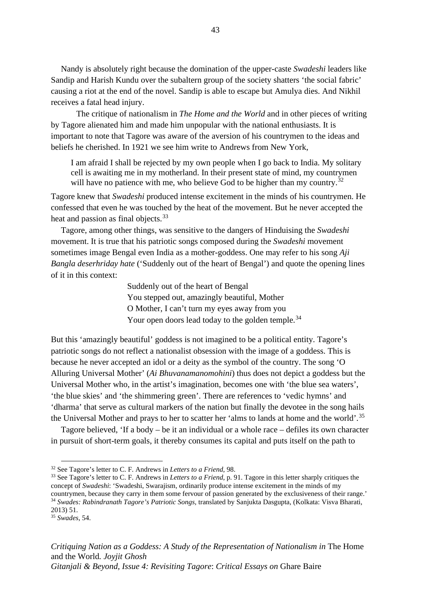Nandy is absolutely right because the domination of the upper-caste *Swadeshi* leaders like Sandip and Harish Kundu over the subaltern group of the society shatters 'the social fabric' causing a riot at the end of the novel. Sandip is able to escape but Amulya dies. And Nikhil receives a fatal head injury.

The critique of nationalism in *The Home and the World* and in other pieces of writing by Tagore alienated him and made him unpopular with the national enthusiasts. It is important to note that Tagore was aware of the aversion of his countrymen to the ideas and beliefs he cherished. In 1921 we see him write to Andrews from New York,

I am afraid I shall be rejected by my own people when I go back to India. My solitary cell is awaiting me in my motherland. In their present state of mind, my countrymen will have no patience with me, who believe God to be higher than my country.<sup>[32](#page-49-0)</sup>

Tagore knew that *Swadeshi* produced intense excitement in the minds of his countrymen. He confessed that even he was touched by the heat of the movement. But he never accepted the heat and passion as final objects.<sup>[33](#page-49-1)</sup>

Tagore, among other things, was sensitive to the dangers of Hinduising the *Swadeshi*  movement. It is true that his patriotic songs composed during the *Swadeshi* movement sometimes image Bengal even India as a mother-goddess. One may refer to his song *Aji Bangla deserhriday hate* ('Suddenly out of the heart of Bengal') and quote the opening lines of it in this context:

> Suddenly out of the heart of Bengal You stepped out, amazingly beautiful, Mother O Mother, I can't turn my eyes away from you Your open doors lead today to the golden temple.<sup>[34](#page-49-2)</sup>

But this 'amazingly beautiful' goddess is not imagined to be a political entity. Tagore's patriotic songs do not reflect a nationalist obsession with the image of a goddess. This is because he never accepted an idol or a deity as the symbol of the country. The song 'O Alluring Universal Mother' (*Ai Bhuvanamanomohini*) thus does not depict a goddess but the Universal Mother who, in the artist's imagination, becomes one with 'the blue sea waters', 'the blue skies' and 'the shimmering green'. There are references to 'vedic hymns' and 'dharma' that serve as cultural markers of the nation but finally the devotee in the song hails the Universal Mother and prays to her to scatter her 'alms to lands at home and the world'.<sup>[35](#page-49-3)</sup>

Tagore believed, 'If a body – be it an individual or a whole race – defiles its own character in pursuit of short-term goals, it thereby consumes its capital and puts itself on the path to

<span id="page-49-0"></span><sup>32</sup> See Tagore's letter to C. F. Andrews in *Letters to a Friend*, 98.

<span id="page-49-1"></span><sup>33</sup> See Tagore's letter to C. F. Andrews in *Letters to a Friend*, p. 91. Tagore in this letter sharply critiques the concept of *Swadeshi*: 'Swadeshi, Swarajism, ordinarily produce intense excitement in the minds of my countrymen, because they carry in them some fervour of passion generated by the exclusiveness of their range.' <sup>34</sup> Swades: Rabindranath Tagore's Patriotic Songs, translated by Sanjukta Dasgupta, (Kolkata: Visva Bharati, 2013) 51.

<span id="page-49-3"></span><span id="page-49-2"></span><sup>35</sup> *Swades*, 54.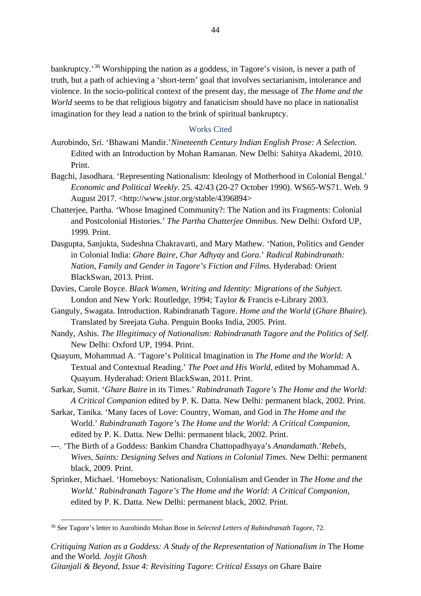bankruptcy.<sup>[36](#page-50-0)</sup> Worshipping the nation as a goddess, in Tagore's vision, is never a path of truth, but a path of achieving a 'short-term' goal that involves sectarianism, intolerance and violence. In the socio-political context of the present day, the message of *The Home and the World* seems to be that religious bigotry and fanaticism should have no place in nationalist imagination for they lead a nation to the brink of spiritual bankruptcy.

# Works Cited

- Aurobindo, Sri. 'Bhawani Mandir.'*Nineteenth Century Indian English Prose: A Selection.*  Edited with an Introduction by Mohan Ramanan. New Delhi: Sahitya Akademi, 2010. Print.
- Bagchi, Jasodhara. 'Representing Nationalism: Ideology of Motherhood in Colonial Bengal.' *Economic and Political Weekly*. 25. 42/43 (20-27 October 1990). WS65-WS71. Web. 9 August 2017. <http://www.jstor.org/stable/4396894>
- Chatterjee, Partha. 'Whose Imagined Community?: The Nation and its Fragments: Colonial and Postcolonial Histories.' *The Partha Chatterjee Omnibus.* New Delhi: Oxford UP, 1999. Print.
- Dasgupta, Sanjukta, Sudeshna Chakravarti, and Mary Mathew. 'Nation, Politics and Gender in Colonial India: *Ghare Baire, Char Adhyay* and *Gora*.' *Radical Rabindranath: Nation, Family and Gender in Tagore's Fiction and Films.* Hyderabad: Orient BlackSwan, 2013. Print.
- Davies, Carole Boyce. *Black Women, Writing and Identity: Migrations of the Subject.*  London and New York: Routledge, 1994; Taylor & Francis e-Library 2003.
- Ganguly, Swagata. Introduction. Rabindranath Tagore. *Home and the World* (*Ghare Bhaire*). Translated by Sreejata Guha. Penguin Books India, 2005. Print.
- Nandy, Ashis. *The Illegitimacy of Nationalism: Rabindranath Tagore and the Politics of Self*. New Delhi: Oxford UP, 1994. Print.
- Quayum, Mohammad A. 'Tagore's Political Imagination in *The Home and the World:* A Textual and Contextual Reading.' *The Poet and His World*, edited by Mohammad A. Quayum. Hyderabad: Orient BlackSwan, 2011. Print.
- Sarkar, Sumit. '*Ghare Baire* in its Times.' *Rabindranath Tagore's The Home and the World: A Critical Companion* edited by P. K. Datta. New Delhi: permanent black, 2002. Print.
- Sarkar, Tanika. 'Many faces of Love: Country, Woman, and God in *The Home and the*  World.' *Rabindranath Tagore's The Home and the World: A Critical Companion*, edited by P. K. Datta. New Delhi: permanent black, 2002. Print.
- ---. 'The Birth of a Goddess: Bankim Chandra Chattopadhyaya's *Anandamath*.'*Rebels, Wives, Saints: Designing Selves and Nations in Colonial Times.* New Delhi: permanent black, 2009. Print.
- Sprinker, Michael. 'Homeboys: Nationalism, Colonialism and Gender in *The Home and the World.*' *Rabindranath Tagore's The Home and the World: A Critical Companion*, edited by P. K. Datta. New Delhi: permanent black, 2002. Print.

<span id="page-50-0"></span><sup>36</sup> See Tagore's letter to Aurobindo Mohan Bose in *Selected Letters of Rabindranath Tagore*, 72.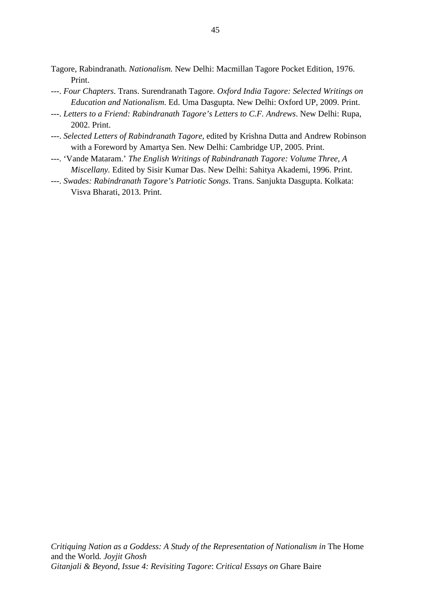Tagore, Rabindranath. *Nationalism.* New Delhi: Macmillan Tagore Pocket Edition, 1976. Print.

- ---. *Four Chapters*. Trans. Surendranath Tagore. *Oxford India Tagore: Selected Writings on Education and Nationalism*. Ed. Uma Dasgupta. New Delhi: Oxford UP, 2009. Print.
- ---. *Letters to a Friend: Rabindranath Tagore's Letters to C.F. Andrews*. New Delhi: Rupa, 2002. Print.
- ---. *Selected Letters of Rabindranath Tagore*, edited by Krishna Dutta and Andrew Robinson with a Foreword by Amartya Sen. New Delhi: Cambridge UP, 2005. Print.
- ---. 'Vande Mataram.' *The English Writings of Rabindranath Tagore: Volume Three, A Miscellany.* Edited by Sisir Kumar Das. New Delhi: Sahitya Akademi, 1996. Print.
- ---. *Swades: Rabindranath Tagore's Patriotic Songs*. Trans. Sanjukta Dasgupta. Kolkata: Visva Bharati, 2013. Print.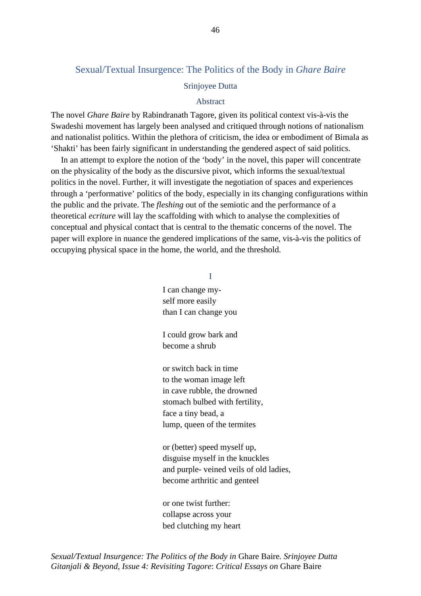# Sexual/Textual Insurgence: The Politics of the Body in *Ghare Baire*

## Srinjoyee Dutta

#### Abstract

The novel *Ghare Baire* by Rabindranath Tagore, given its political context vis-à-vis the Swadeshi movement has largely been analysed and critiqued through notions of nationalism and nationalist politics. Within the plethora of criticism, the idea or embodiment of Bimala as 'Shakti' has been fairly significant in understanding the gendered aspect of said politics.

In an attempt to explore the notion of the 'body' in the novel, this paper will concentrate on the physicality of the body as the discursive pivot, which informs the sexual/textual politics in the novel. Further, it will investigate the negotiation of spaces and experiences through a 'performative' politics of the body, especially in its changing configurations within the public and the private. The *fleshing* out of the semiotic and the performance of a theoretical *ecriture* will lay the scaffolding with which to analyse the complexities of conceptual and physical contact that is central to the thematic concerns of the novel. The paper will explore in nuance the gendered implications of the same, vis-à-vis the politics of occupying physical space in the home, the world, and the threshold.

I

I can change myself more easily than I can change you

I could grow bark and become a shrub

or switch back in time to the woman image left in cave rubble, the drowned stomach bulbed with fertility, face a tiny bead, a lump, queen of the termites

or (better) speed myself up, disguise myself in the knuckles and purple- veined veils of old ladies, become arthritic and genteel

or one twist further: collapse across your bed clutching my heart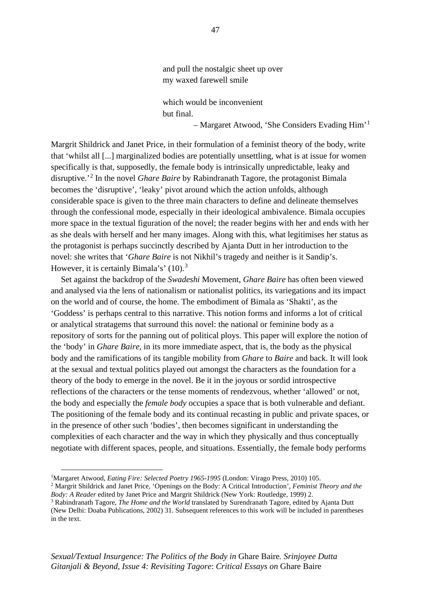# and pull the nostalgic sheet up over my waxed farewell smile

which would be inconvenient but final.

– Margaret Atwood, 'She Considers Evading Him'[1](#page-53-0)

Margrit Shildrick and Janet Price, in their formulation of a feminist theory of the body, write that 'whilst all [...] marginalized bodies are potentially unsettling, what is at issue for women specifically is that, supposedly, the female body is intrinsically unpredictable, leaky and disruptive.'[2](#page-53-1) In the novel *Ghare Baire* by Rabindranath Tagore, the protagonist Bimala becomes the 'disruptive', 'leaky' pivot around which the action unfolds, although considerable space is given to the three main characters to define and delineate themselves through the confessional mode, especially in their ideological ambivalence. Bimala occupies more space in the textual figuration of the novel; the reader begins with her and ends with her as she deals with herself and her many images. Along with this, what legitimises her status as the protagonist is perhaps succinctly described by Ajanta Dutt in her introduction to the novel: she writes that '*Ghare Baire* is not Nikhil's tragedy and neither is it Sandip's. However, it is certainly Bimala's' (10).<sup>[3](#page-53-2)</sup>

Set against the backdrop of the *Swadeshi* Movement, *Ghare Baire* has often been viewed and analysed via the lens of nationalism or nationalist politics, its variegations and its impact on the world and of course, the home. The embodiment of Bimala as 'Shakti', as the 'Goddess' is perhaps central to this narrative. This notion forms and informs a lot of critical or analytical stratagems that surround this novel: the national or feminine body as a repository of sorts for the panning out of political ploys. This paper will explore the notion of the 'body' in *Ghare Baire*, in its more immediate aspect, that is, the body as the physical body and the ramifications of its tangible mobility from *Ghare* to *Baire* and back. It will look at the sexual and textual politics played out amongst the characters as the foundation for a theory of the body to emerge in the novel. Be it in the joyous or sordid introspective reflections of the characters or the tense moments of rendezvous, whether 'allowed' or not, the body and especially the *female body* occupies a space that is both vulnerable and defiant. The positioning of the female body and its continual recasting in public and private spaces, or in the presence of other such 'bodies', then becomes significant in understanding the complexities of each character and the way in which they physically and thus conceptually negotiate with different spaces, people, and situations. Essentially, the female body performs

<span id="page-53-0"></span><sup>&</sup>lt;sup>1</sup>Margaret Atwood, *Eating Fire: Selected Poetry 1965-1995* (London: Virago Press, 2010) 105.

<span id="page-53-1"></span><sup>2</sup> Margrit Shildrick and Janet Price, 'Openings on the Body: A Critical Introduction', *Feminist Theory and the Body: A Reader* edited by Janet Price and Margrit Shildrick (New York: Routledge, 1999) 2.

<span id="page-53-2"></span><sup>3</sup> Rabindranath Tagore, *The Home and the World* translated by Surendranath Tagore, edited by Ajanta Dutt (New Delhi: Doaba Publications, 2002) 31. Subsequent references to this work will be included in parentheses in the text.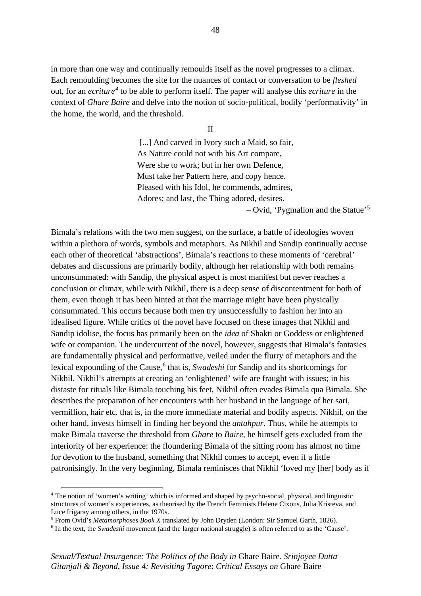in more than one way and continually remoulds itself as the novel progresses to a climax. Each remoulding becomes the site for the nuances of contact or conversation to be *fleshed*  out, for an *ecriture[4](#page-54-0)* to be able to perform itself. The paper will analyse this *ecriture* in the context of *Ghare Baire* and delve into the notion of socio-political, bodily 'performativity' in the home, the world, and the threshold.

II

[...] And carved in Ivory such a Maid, so fair, As Nature could not with his Art compare, Were she to work; but in her own Defence, Must take her Pattern here, and copy hence. Pleased with his Idol, he commends, admires, Adores; and last, the Thing adored, desires.

– Ovid, 'Pygmalion and the Statue'[5](#page-54-1)

Bimala's relations with the two men suggest, on the surface, a battle of ideologies woven within a plethora of words, symbols and metaphors. As Nikhil and Sandip continually accuse each other of theoretical 'abstractions', Bimala's reactions to these moments of 'cerebral' debates and discussions are primarily bodily, although her relationship with both remains unconsummated: with Sandip, the physical aspect is most manifest but never reaches a conclusion or climax, while with Nikhil, there is a deep sense of discontentment for both of them, even though it has been hinted at that the marriage might have been physically consummated. This occurs because both men try unsuccessfully to fashion her into an idealised figure. While critics of the novel have focused on these images that Nikhil and Sandip idolise, the focus has primarily been on the *idea* of Shakti or Goddess or enlightened wife or companion. The undercurrent of the novel, however, suggests that Bimala's fantasies are fundamentally physical and performative, veiled under the flurry of metaphors and the lexical expounding of the Cause, [6](#page-54-2) that is, *Swadeshi* for Sandip and its shortcomings for Nikhil. Nikhil's attempts at creating an 'enlightened' wife are fraught with issues; in his distaste for rituals like Bimala touching his feet, Nikhil often evades Bimala qua Bimala. She describes the preparation of her encounters with her husband in the language of her sari, vermillion, hair etc. that is, in the more immediate material and bodily aspects. Nikhil, on the other hand, invests himself in finding her beyond the *antahpur*. Thus, while he attempts to make Bimala traverse the threshold from *Ghare* to *Baire*, he himself gets excluded from the interiority of her experience: the floundering Bimala of the sitting room has almost no time for devotion to the husband, something that Nikhil comes to accept, even if a little patronisingly. In the very beginning, Bimala reminisces that Nikhil 'loved my [her] body as if

<span id="page-54-0"></span><sup>4</sup> The notion of 'women's writing' which is informed and shaped by psycho-social, physical, and linguistic structures of women's experiences, as theorised by the French Feminists Helene Cixous, Julia Kristeva, and Luce Irigaray among others, in the 1970s.

<span id="page-54-1"></span><sup>5</sup> From Ovid's *Metamorphoses Book X* translated by John Dryden (London: Sir Samuel Garth, 1826).

<span id="page-54-2"></span><sup>6</sup> In the text, the *Swadeshi* movement (and the larger national struggle) is often referred to as the 'Cause'.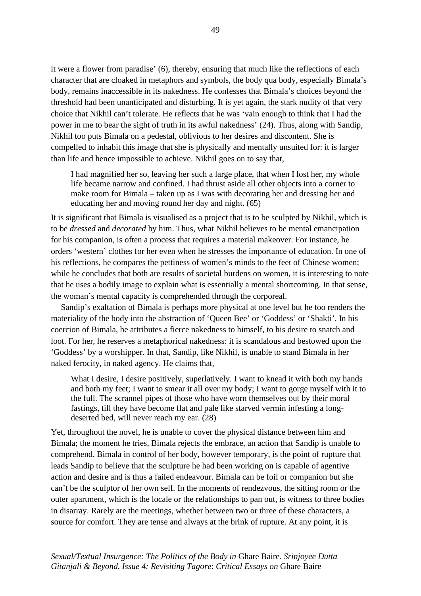it were a flower from paradise' (6), thereby, ensuring that much like the reflections of each character that are cloaked in metaphors and symbols, the body qua body, especially Bimala's body, remains inaccessible in its nakedness. He confesses that Bimala's choices beyond the threshold had been unanticipated and disturbing. It is yet again, the stark nudity of that very choice that Nikhil can't tolerate. He reflects that he was 'vain enough to think that I had the power in me to bear the sight of truth in its awful nakedness' (24). Thus, along with Sandip, Nikhil too puts Bimala on a pedestal, oblivious to her desires and discontent. She is compelled to inhabit this image that she is physically and mentally unsuited for: it is larger than life and hence impossible to achieve. Nikhil goes on to say that,

I had magnified her so, leaving her such a large place, that when I lost her, my whole life became narrow and confined. I had thrust aside all other objects into a corner to make room for Bimala – taken up as I was with decorating her and dressing her and educating her and moving round her day and night. (65)

It is significant that Bimala is visualised as a project that is to be sculpted by Nikhil, which is to be *dressed* and *decorated* by him. Thus, what Nikhil believes to be mental emancipation for his companion, is often a process that requires a material makeover. For instance, he orders 'western' clothes for her even when he stresses the importance of education. In one of his reflections, he compares the pettiness of women's minds to the feet of Chinese women; while he concludes that both are results of societal burdens on women, it is interesting to note that he uses a bodily image to explain what is essentially a mental shortcoming. In that sense, the woman's mental capacity is comprehended through the corporeal.

Sandip's exaltation of Bimala is perhaps more physical at one level but he too renders the materiality of the body into the abstraction of 'Queen Bee' or 'Goddess' or 'Shakti'. In his coercion of Bimala, he attributes a fierce nakedness to himself, to his desire to snatch and loot. For her, he reserves a metaphorical nakedness: it is scandalous and bestowed upon the 'Goddess' by a worshipper. In that, Sandip, like Nikhil, is unable to stand Bimala in her naked ferocity, in naked agency. He claims that,

What I desire, I desire positively, superlatively. I want to knead it with both my hands and both my feet; I want to smear it all over my body; I want to gorge myself with it to the full. The scrannel pipes of those who have worn themselves out by their moral fastings, till they have become flat and pale like starved vermin infesting a longdeserted bed, will never reach my ear. (28)

Yet, throughout the novel, he is unable to cover the physical distance between him and Bimala; the moment he tries, Bimala rejects the embrace, an action that Sandip is unable to comprehend. Bimala in control of her body, however temporary, is the point of rupture that leads Sandip to believe that the sculpture he had been working on is capable of agentive action and desire and is thus a failed endeavour. Bimala can be foil or companion but she can't be the sculptor of her own self. In the moments of rendezvous, the sitting room or the outer apartment, which is the locale or the relationships to pan out, is witness to three bodies in disarray. Rarely are the meetings, whether between two or three of these characters, a source for comfort. They are tense and always at the brink of rupture. At any point, it is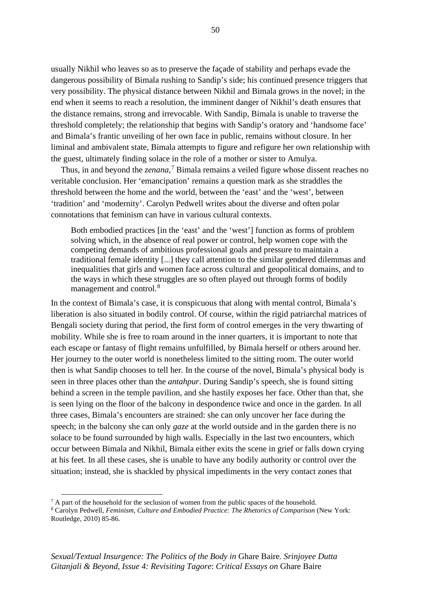usually Nikhil who leaves so as to preserve the façade of stability and perhaps evade the dangerous possibility of Bimala rushing to Sandip's side; his continued presence triggers that very possibility. The physical distance between Nikhil and Bimala grows in the novel; in the end when it seems to reach a resolution, the imminent danger of Nikhil's death ensures that the distance remains, strong and irrevocable. With Sandip, Bimala is unable to traverse the threshold completely; the relationship that begins with Sandip's oratory and 'handsome face' and Bimala's frantic unveiling of her own face in public, remains without closure. In her liminal and ambivalent state, Bimala attempts to figure and refigure her own relationship with the guest, ultimately finding solace in the role of a mother or sister to Amulya.

Thus, in and beyond the *zenana,* [7](#page-56-0) Bimala remains a veiled figure whose dissent reaches no veritable conclusion. Her 'emancipation' remains a question mark as she straddles the threshold between the home and the world, between the 'east' and the 'west', between 'tradition' and 'modernity'. Carolyn Pedwell writes about the diverse and often polar connotations that feminism can have in various cultural contexts.

Both embodied practices [in the 'east' and the 'west'] function as forms of problem solving which, in the absence of real power or control, help women cope with the competing demands of ambitious professional goals and pressure to maintain a traditional female identity [...] they call attention to the similar gendered dilemmas and inequalities that girls and women face across cultural and geopolitical domains, and to the ways in which these struggles are so often played out through forms of bodily management and control.<sup>[8](#page-56-1)</sup>

In the context of Bimala's case, it is conspicuous that along with mental control, Bimala's liberation is also situated in bodily control. Of course, within the rigid patriarchal matrices of Bengali society during that period, the first form of control emerges in the very thwarting of mobility. While she is free to roam around in the inner quarters, it is important to note that each escape or fantasy of flight remains unfulfilled, by Bimala herself or others around her. Her journey to the outer world is nonetheless limited to the sitting room. The outer world then is what Sandip chooses to tell her. In the course of the novel, Bimala's physical body is seen in three places other than the *antahpur*. During Sandip's speech, she is found sitting behind a screen in the temple pavilion, and she hastily exposes her face. Other than that, she is seen lying on the floor of the balcony in despondence twice and once in the garden. In all three cases, Bimala's encounters are strained: she can only uncover her face during the speech; in the balcony she can only *gaze* at the world outside and in the garden there is no solace to be found surrounded by high walls. Especially in the last two encounters, which occur between Bimala and Nikhil, Bimala either exits the scene in grief or falls down crying at his feet. In all these cases, she is unable to have any bodily authority or control over the situation; instead, she is shackled by physical impediments in the very contact zones that

<span id="page-56-0"></span> $<sup>7</sup>$  A part of the household for the seclusion of women from the public spaces of the household.</sup>

<span id="page-56-1"></span><sup>8</sup> Carolyn Pedwell, *Feminism, Culture and Embodied Practice: The Rhetorics of Comparison* (New York: Routledge, 2010) 85-86.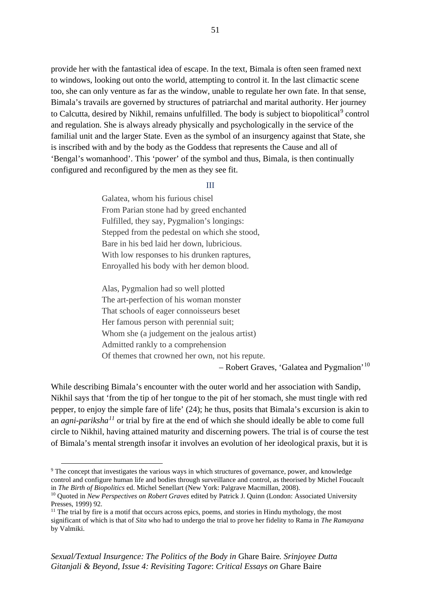provide her with the fantastical idea of escape. In the text, Bimala is often seen framed next to windows, looking out onto the world, attempting to control it. In the last climactic scene too, she can only venture as far as the window, unable to regulate her own fate. In that sense, Bimala's travails are governed by structures of patriarchal and marital authority. Her journey to Calcutta, desired by Nikhil, remains unfulfilled. The body is subject to biopolitical<sup>[9](#page-57-0)</sup> control and regulation. She is always already physically and psychologically in the service of the familial unit and the larger State. Even as the symbol of an insurgency against that State, she is inscribed with and by the body as the Goddess that represents the Cause and all of 'Bengal's womanhood'. This 'power' of the symbol and thus, Bimala, is then continually configured and reconfigured by the men as they see fit.

#### III

Galatea, whom his furious chisel From Parian stone had by greed enchanted Fulfilled, they say, Pygmalion's longings: Stepped from the pedestal on which she stood, Bare in his bed laid her down, lubricious. With low responses to his drunken raptures, Enroyalled his body with her demon blood.

Alas, Pygmalion had so well plotted The art-perfection of his woman monster That schools of eager connoisseurs beset Her famous person with perennial suit; Whom she (a judgement on the jealous artist) Admitted rankly to a comprehension Of themes that crowned her own, not his repute.

– Robert Graves, 'Galatea and Pygmalion'<sup>[10](#page-57-1)</sup>

While describing Bimala's encounter with the outer world and her association with Sandip, Nikhil says that 'from the tip of her tongue to the pit of her stomach, she must tingle with red pepper, to enjoy the simple fare of life' (24); he thus, posits that Bimala's excursion is akin to an *agni-pariksha[11](#page-57-2)* or trial by fire at the end of which she should ideally be able to come full circle to Nikhil, having attained maturity and discerning powers. The trial is of course the test of Bimala's mental strength insofar it involves an evolution of her ideological praxis, but it is

<span id="page-57-0"></span><sup>&</sup>lt;sup>9</sup> The concept that investigates the various ways in which structures of governance, power, and knowledge control and configure human life and bodies through surveillance and control, as theorised by Michel Foucault in *The Birth of Biopolitics* ed. Michel Senellart (New York: Palgrave Macmillan, 2008).

<span id="page-57-1"></span><sup>10</sup> Quoted in *New Perspectives on Robert Graves* edited by Patrick J. Quinn (London: Associated University Presses, 1999) 92.

<span id="page-57-2"></span> $11$  The trial by fire is a motif that occurs across epics, poems, and stories in Hindu mythology, the most significant of which is that of *Sita* who had to undergo the trial to prove her fidelity to Rama in *The Ramayana*  by Valmiki.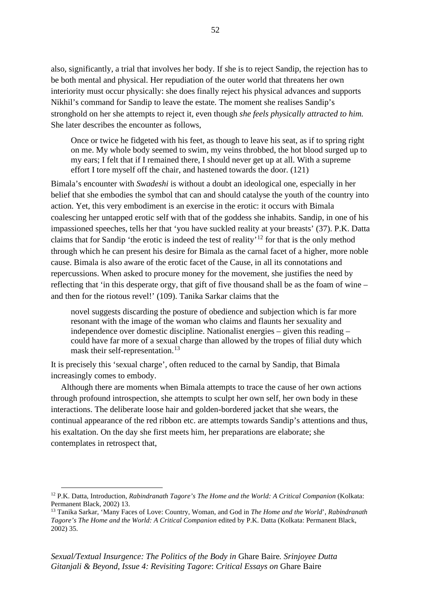also, significantly, a trial that involves her body. If she is to reject Sandip, the rejection has to be both mental and physical. Her repudiation of the outer world that threatens her own interiority must occur physically: she does finally reject his physical advances and supports Nikhil's command for Sandip to leave the estate. The moment she realises Sandip's stronghold on her she attempts to reject it, even though *she feels physically attracted to him.*  She later describes the encounter as follows,

Once or twice he fidgeted with his feet, as though to leave his seat, as if to spring right on me. My whole body seemed to swim, my veins throbbed, the hot blood surged up to my ears; I felt that if I remained there, I should never get up at all. With a supreme effort I tore myself off the chair, and hastened towards the door. (121)

Bimala's encounter with *Swadeshi* is without a doubt an ideological one, especially in her belief that she embodies the symbol that can and should catalyse the youth of the country into action. Yet, this very embodiment is an exercise in the erotic: it occurs with Bimala coalescing her untapped erotic self with that of the goddess she inhabits. Sandip, in one of his impassioned speeches, tells her that 'you have suckled reality at your breasts' (37). P.K. Datta claims that for Sandip 'the erotic is indeed the test of reality'[12](#page-58-0) for that is the only method through which he can present his desire for Bimala as the carnal facet of a higher, more noble cause. Bimala is also aware of the erotic facet of the Cause, in all its connotations and repercussions. When asked to procure money for the movement, she justifies the need by reflecting that 'in this desperate orgy, that gift of five thousand shall be as the foam of wine – and then for the riotous revel!' (109). Tanika Sarkar claims that the

novel suggests discarding the posture of obedience and subjection which is far more resonant with the image of the woman who claims and flaunts her sexuality and independence over domestic discipline. Nationalist energies – given this reading – could have far more of a sexual charge than allowed by the tropes of filial duty which mask their self-representation.<sup>[13](#page-58-1)</sup>

It is precisely this 'sexual charge', often reduced to the carnal by Sandip, that Bimala increasingly comes to embody.

Although there are moments when Bimala attempts to trace the cause of her own actions through profound introspection, she attempts to sculpt her own self, her own body in these interactions. The deliberate loose hair and golden-bordered jacket that she wears, the continual appearance of the red ribbon etc. are attempts towards Sandip's attentions and thus, his exaltation. On the day she first meets him, her preparations are elaborate; she contemplates in retrospect that,

<span id="page-58-0"></span><sup>&</sup>lt;sup>12</sup> P.K. Datta, Introduction, *Rabindranath Tagore's The Home and the World: A Critical Companion* (Kolkata: Permanent Black, 2002) 13.

<span id="page-58-1"></span><sup>13</sup> Tanika Sarkar, 'Many Faces of Love: Country, Woman, and God in *The Home and the World*', *Rabindranath Tagore's The Home and the World: A Critical Companion* edited by P.K. Datta (Kolkata: Permanent Black, 2002) 35.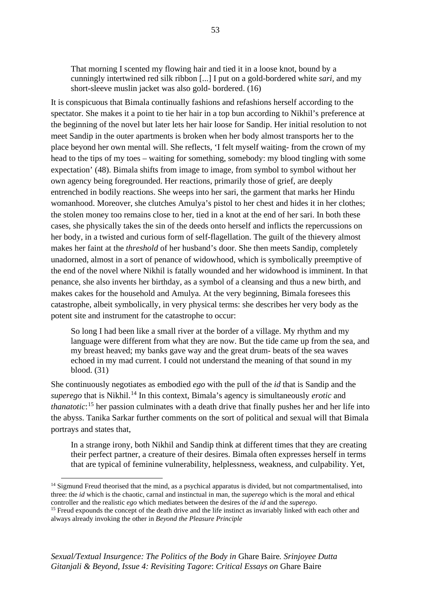That morning I scented my flowing hair and tied it in a loose knot, bound by a cunningly intertwined red silk ribbon [...] I put on a gold-bordered white *sari,* and my short-sleeve muslin jacket was also gold- bordered. (16)

It is conspicuous that Bimala continually fashions and refashions herself according to the spectator. She makes it a point to tie her hair in a top bun according to Nikhil's preference at the beginning of the novel but later lets her hair loose for Sandip. Her initial resolution to not meet Sandip in the outer apartments is broken when her body almost transports her to the place beyond her own mental will. She reflects, 'I felt myself waiting- from the crown of my head to the tips of my toes – waiting for something, somebody: my blood tingling with some expectation' (48). Bimala shifts from image to image, from symbol to symbol without her own agency being foregrounded. Her reactions, primarily those of grief, are deeply entrenched in bodily reactions. She weeps into her sari, the garment that marks her Hindu womanhood. Moreover, she clutches Amulya's pistol to her chest and hides it in her clothes; the stolen money too remains close to her, tied in a knot at the end of her sari. In both these cases, she physically takes the sin of the deeds onto herself and inflicts the repercussions on her body, in a twisted and curious form of self-flagellation. The guilt of the thievery almost makes her faint at the *threshold* of her husband's door. She then meets Sandip, completely unadorned, almost in a sort of penance of widowhood, which is symbolically preemptive of the end of the novel where Nikhil is fatally wounded and her widowhood is imminent. In that penance, she also invents her birthday, as a symbol of a cleansing and thus a new birth, and makes cakes for the household and Amulya. At the very beginning, Bimala foresees this catastrophe, albeit symbolically, in very physical terms: she describes her very body as the potent site and instrument for the catastrophe to occur:

So long I had been like a small river at the border of a village. My rhythm and my language were different from what they are now. But the tide came up from the sea, and my breast heaved; my banks gave way and the great drum- beats of the sea waves echoed in my mad current. I could not understand the meaning of that sound in my blood. (31)

She continuously negotiates as embodied *ego* with the pull of the *id* that is Sandip and the *superego* that is Nikhil. [14](#page-59-0) In this context, Bimala's agency is simultaneously *erotic* and *thanatotic*: [15](#page-59-1) her passion culminates with a death drive that finally pushes her and her life into the abyss. Tanika Sarkar further comments on the sort of political and sexual will that Bimala portrays and states that,

In a strange irony, both Nikhil and Sandip think at different times that they are creating their perfect partner, a creature of their desires. Bimala often expresses herself in terms that are typical of feminine vulnerability, helplessness, weakness, and culpability. Yet,

<span id="page-59-0"></span><sup>&</sup>lt;sup>14</sup> Sigmund Freud theorised that the mind, as a psychical apparatus is divided, but not compartmentalised, into three: the *id* which is the chaotic, carnal and instinctual in man, the *superego* which is the moral and ethical controller and the realistic *ego* which mediates between the desires of the *id* and the *superego*.<br><sup>15</sup> Freud expounds the concept of the death drive and the life instinct as invariably linked with each other and

<span id="page-59-1"></span>always already invoking the other in *Beyond the Pleasure Principle*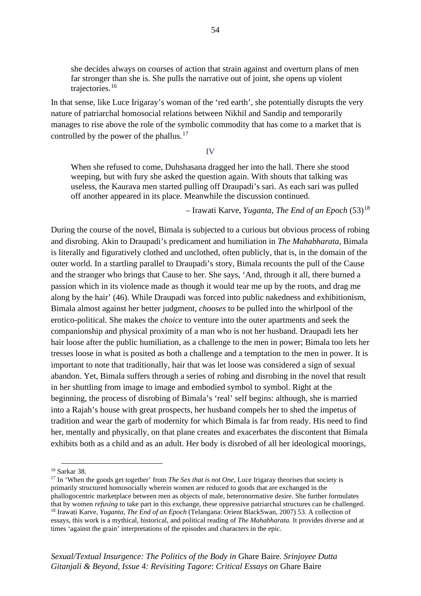she decides always on courses of action that strain against and overturn plans of men far stronger than she is. She pulls the narrative out of joint, she opens up violent trajectories.[16](#page-60-0)

In that sense, like Luce Irigaray's woman of the 'red earth', she potentially disrupts the very nature of patriarchal homosocial relations between Nikhil and Sandip and temporarily manages to rise above the role of the symbolic commodity that has come to a market that is controlled by the power of the phallus.<sup>[17](#page-60-1)</sup>

#### IV

When she refused to come, Duhshasana dragged her into the hall. There she stood weeping, but with fury she asked the question again. With shouts that talking was useless, the Kaurava men started pulling off Draupadi's sari. As each sari was pulled off another appeared in its place. Meanwhile the discussion continued.

– Irawati Karve, *Yuganta, The End of an Epoch* (53)[18](#page-60-2)

During the course of the novel, Bimala is subjected to a curious but obvious process of robing and disrobing. Akin to Draupadi's predicament and humiliation in *The Mahabharata*, Bimala is literally and figuratively clothed and unclothed, often publicly, that is, in the domain of the outer world. In a startling parallel to Draupadi's story, Bimala recounts the pull of the Cause and the stranger who brings that Cause to her. She says, 'And, through it all, there burned a passion which in its violence made as though it would tear me up by the roots, and drag me along by the hair' (46). While Draupadi was forced into public nakedness and exhibitionism, Bimala almost against her better judgment, *chooses* to be pulled into the whirlpool of the erotico-political. She makes the *choice* to venture into the outer apartments and seek the companionship and physical proximity of a man who is not her husband. Draupadi lets her hair loose after the public humiliation, as a challenge to the men in power; Bimala too lets her tresses loose in what is posited as both a challenge and a temptation to the men in power. It is important to note that traditionally, hair that was let loose was considered a sign of sexual abandon. Yet, Bimala suffers through a series of robing and disrobing in the novel that result in her shuttling from image to image and embodied symbol to symbol. Right at the beginning, the process of disrobing of Bimala's 'real' self begins: although, she is married into a Rajah's house with great prospects, her husband compels her to shed the impetus of tradition and wear the garb of modernity for which Bimala is far from ready. His need to find her, mentally and physically, on that plane creates and exacerbates the discontent that Bimala exhibits both as a child and as an adult. Her body is disrobed of all her ideological moorings,

<span id="page-60-0"></span><sup>16</sup> Sarkar 38.

<span id="page-60-2"></span><span id="page-60-1"></span><sup>&</sup>lt;sup>17</sup> In 'When the goods get together' from *The Sex that is not One*, Luce Irigaray theorises that society is primarily structured homosocially wherein women are reduced to goods that are exchanged in the phallogocentric marketplace between men as objects of male, heteronormative desire. She further formulates that by women *refusing* to take part in this exchange, these oppressive patriarchal structures can be challenged.<br><sup>18</sup> Irawati Karve, *Yuganta, The End of an Epoch* (Telangana: Orient BlackSwan, 2007) 53. A collection of essays, this work is a mythical, historical, and political reading of *The Mahabharata.* It provides diverse and at times 'against the grain' interpretations of the episodes and characters in the epic.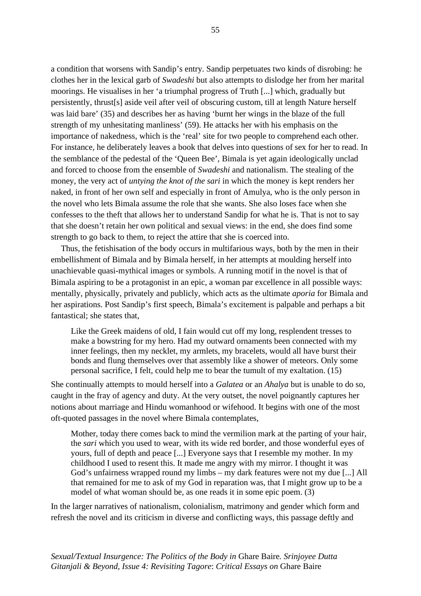a condition that worsens with Sandip's entry. Sandip perpetuates two kinds of disrobing: he clothes her in the lexical garb of *Swadeshi* but also attempts to dislodge her from her marital moorings. He visualises in her 'a triumphal progress of Truth [...] which, gradually but persistently, thrust[s] aside veil after veil of obscuring custom, till at length Nature herself was laid bare' (35) and describes her as having 'burnt her wings in the blaze of the full strength of my unhesitating manliness' (59). He attacks her with his emphasis on the importance of nakedness, which is the 'real' site for two people to comprehend each other. For instance, he deliberately leaves a book that delves into questions of sex for her to read. In the semblance of the pedestal of the 'Queen Bee', Bimala is yet again ideologically unclad and forced to choose from the ensemble of *Swadeshi* and nationalism. The stealing of the money, the very act of *untying the knot of the sari* in which the money is kept renders her naked, in front of her own self and especially in front of Amulya, who is the only person in the novel who lets Bimala assume the role that she wants. She also loses face when she confesses to the theft that allows her to understand Sandip for what he is. That is not to say that she doesn't retain her own political and sexual views: in the end, she does find some strength to go back to them, to reject the attire that she is coerced into.

Thus, the fetishisation of the body occurs in multifarious ways, both by the men in their embellishment of Bimala and by Bimala herself, in her attempts at moulding herself into unachievable quasi-mythical images or symbols. A running motif in the novel is that of Bimala aspiring to be a protagonist in an epic, a woman par excellence in all possible ways: mentally, physically, privately and publicly, which acts as the ultimate *aporia* for Bimala and her aspirations. Post Sandip's first speech, Bimala's excitement is palpable and perhaps a bit fantastical; she states that,

Like the Greek maidens of old, I fain would cut off my long, resplendent tresses to make a bowstring for my hero. Had my outward ornaments been connected with my inner feelings, then my necklet, my armlets, my bracelets, would all have burst their bonds and flung themselves over that assembly like a shower of meteors. Only some personal sacrifice, I felt, could help me to bear the tumult of my exaltation. (15)

She continually attempts to mould herself into a *Galatea* or an *Ahalya* but is unable to do so, caught in the fray of agency and duty. At the very outset, the novel poignantly captures her notions about marriage and Hindu womanhood or wifehood. It begins with one of the most oft-quoted passages in the novel where Bimala contemplates,

Mother, today there comes back to mind the vermilion mark at the parting of your hair, the *sari* which you used to wear, with its wide red border, and those wonderful eyes of yours, full of depth and peace [...] Everyone says that I resemble my mother. In my childhood I used to resent this. It made me angry with my mirror. I thought it was God's unfairness wrapped round my limbs – my dark features were not my due [...] All that remained for me to ask of my God in reparation was, that I might grow up to be a model of what woman should be, as one reads it in some epic poem. (3)

In the larger narratives of nationalism, colonialism, matrimony and gender which form and refresh the novel and its criticism in diverse and conflicting ways, this passage deftly and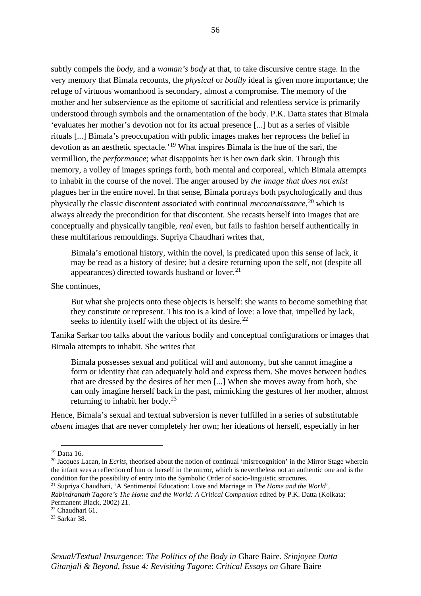subtly compels the *body*, and a *woman's body* at that, to take discursive centre stage. In the very memory that Bimala recounts, the *physical* or *bodily* ideal is given more importance; the refuge of virtuous womanhood is secondary, almost a compromise. The memory of the mother and her subservience as the epitome of sacrificial and relentless service is primarily understood through symbols and the ornamentation of the body. P.K. Datta states that Bimala 'evaluates her mother's devotion not for its actual presence [...] but as a series of visible rituals [...] Bimala's preoccupation with public images makes her reprocess the belief in devotion as an aesthetic spectacle.'[19](#page-62-0) What inspires Bimala is the hue of the sari, the vermillion, the *performance*; what disappoints her is her own dark skin. Through this memory, a volley of images springs forth, both mental and corporeal, which Bimala attempts to inhabit in the course of the novel. The anger aroused by *the image that does not exist*  plagues her in the entire novel. In that sense, Bimala portrays both psychologically and thus physically the classic discontent associated with continual *meconnaissance*, [20](#page-62-1) which is always already the precondition for that discontent. She recasts herself into images that are conceptually and physically tangible, *real* even, but fails to fashion herself authentically in these multifarious remouldings. Supriya Chaudhari writes that,

Bimala's emotional history, within the novel, is predicated upon this sense of lack, it may be read as a history of desire; but a desire returning upon the self, not (despite all appearances) directed towards husband or lover. $^{21}$  $^{21}$  $^{21}$ 

She continues,

But what she projects onto these objects is herself: she wants to become something that they constitute or represent. This too is a kind of love: a love that, impelled by lack, seeks to identify itself with the object of its desire.<sup>[22](#page-62-3)</sup>

Tanika Sarkar too talks about the various bodily and conceptual configurations or images that Bimala attempts to inhabit. She writes that

Bimala possesses sexual and political will and autonomy, but she cannot imagine a form or identity that can adequately hold and express them. She moves between bodies that are dressed by the desires of her men [...] When she moves away from both, she can only imagine herself back in the past, mimicking the gestures of her mother, almost returning to inhabit her body.[23](#page-62-4)

Hence, Bimala's sexual and textual subversion is never fulfilled in a series of substitutable *absent* images that are never completely her own; her ideations of herself, especially in her

<span id="page-62-0"></span><sup>&</sup>lt;sup>19</sup> Datta 16.

<span id="page-62-1"></span><sup>&</sup>lt;sup>20</sup> Jacques Lacan, in *Ecrits*, theorised about the notion of continual 'misrecognition' in the Mirror Stage wherein the infant sees a reflection of him or herself in the mirror, which is nevertheless not an authentic one and is the condition for the possibility of entry into the Symbolic Order of socio-linguistic structures.

<span id="page-62-2"></span><sup>21</sup> Supriya Chaudhari, 'A Sentimental Education: Love and Marriage in *The Home and the World*', *Rabindranath Tagore's The Home and the World: A Critical Companion* edited by P.K. Datta (Kolkata: Permanent Black, 2002) 21.

<span id="page-62-3"></span><sup>22</sup> Chaudhari 61.

<span id="page-62-4"></span><sup>23</sup> Sarkar 38.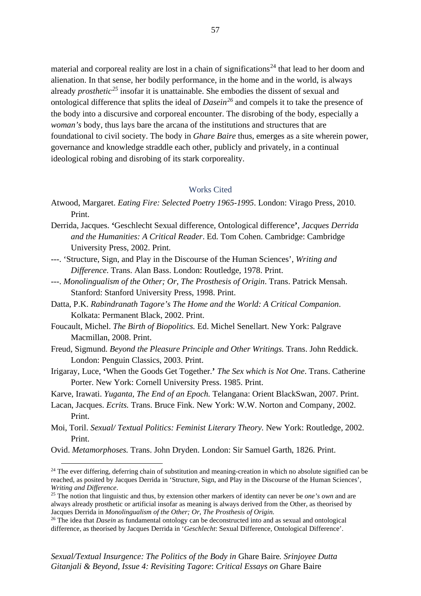material and corporeal reality are lost in a chain of significations<sup>[24](#page-63-0)</sup> that lead to her doom and alienation. In that sense, her bodily performance, in the home and in the world, is always already *prosthetic[25](#page-63-1)* insofar it is unattainable. She embodies the dissent of sexual and ontological difference that splits the ideal of *Dasein[26](#page-63-2)* and compels it to take the presence of the body into a discursive and corporeal encounter. The disrobing of the body, especially a *woman's* body, thus lays bare the arcana of the institutions and structures that are foundational to civil society. The body in *Ghare Baire* thus, emerges as a site wherein power, governance and knowledge straddle each other, publicly and privately, in a continual ideological robing and disrobing of its stark corporeality.

## Works Cited

- Atwood, Margaret. *Eating Fire: Selected Poetry 1965-1995*. London: Virago Press, 2010. Print.
- Derrida, Jacques. **'**Geschlecht Sexual difference, Ontological difference**'**, *Jacques Derrida and the Humanities: A Critical Reader*. Ed. Tom Cohen. Cambridge: Cambridge University Press, 2002. Print.
- ---. 'Structure, Sign, and Play in the Discourse of the Human Sciences', *Writing and Difference*. Trans. Alan Bass. London: Routledge, 1978. Print.
- ---. *Monolingualism of the Other; Or, The Prosthesis of Origin*. Trans. Patrick Mensah. Stanford: Stanford University Press, 1998. Print.
- Datta, P.K. *Rabindranath Tagore's The Home and the World: A Critical Companion*. Kolkata: Permanent Black, 2002. Print.
- Foucault, Michel. *The Birth of Biopolitics.* Ed. Michel Senellart. New York: Palgrave Macmillan, 2008. Print.
- Freud, Sigmund. *Beyond the Pleasure Principle and Other Writings.* Trans. John Reddick. London: Penguin Classics, 2003. Print.
- Irigaray, Luce, **'**When the Goods Get Together.**'** *The Sex which is Not One*. Trans. Catherine Porter. New York: Cornell University Press. 1985. Print.
- Karve, Irawati. *Yuganta, The End of an Epoch.* Telangana: Orient BlackSwan, 2007. Print.
- Lacan, Jacques. *Ecrits.* Trans. Bruce Fink. New York: W.W. Norton and Company, 2002. Print.
- Moi, Toril. *Sexual/ Textual Politics: Feminist Literary Theory.* New York: Routledge, 2002. Print.
- Ovid. *Metamorphoses.* Trans. John Dryden. London: Sir Samuel Garth, 1826. Print.

<span id="page-63-0"></span> $24$  The ever differing, deferring chain of substitution and meaning-creation in which no absolute signified can be reached, as posited by Jacques Derrida in 'Structure, Sign, and Play in the Discourse of the Human Sciences', *Writing and Difference*.

<span id="page-63-1"></span><sup>25</sup> The notion that linguistic and thus, by extension other markers of identity can never be *one's own* and are always already prosthetic or artificial insofar as meaning is always derived from the Other, as theorised by Jacques Derrida in *Monolingualism of the Other; Or, The Prosthesis of Origin.*

<span id="page-63-2"></span><sup>&</sup>lt;sup>26</sup> The idea that *Dasein* as fundamental ontology can be deconstructed into and as sexual and ontological difference, as theorised by Jacques Derrida in '*Geschlecht*: Sexual Difference, Ontological Difference'.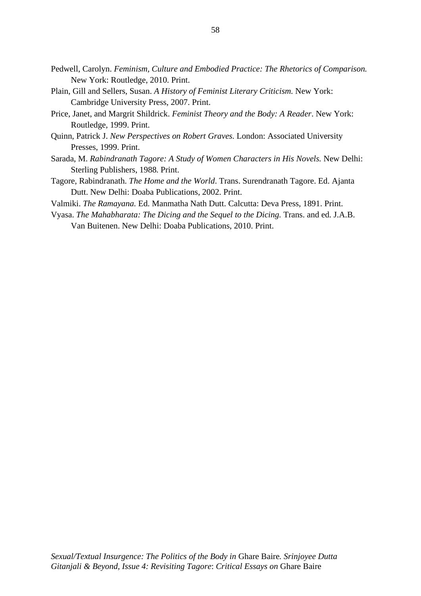- Pedwell, Carolyn. *Feminism, Culture and Embodied Practice: The Rhetorics of Comparison.*  New York: Routledge, 2010. Print.
- Plain, Gill and Sellers, Susan. *A History of Feminist Literary Criticism.* New York: Cambridge University Press, 2007. Print.
- Price, Janet, and Margrit Shildrick. *Feminist Theory and the Body: A Reader*. New York: Routledge, 1999. Print.
- Quinn, Patrick J. *New Perspectives on Robert Graves.* London: Associated University Presses, 1999. Print.
- Sarada, M. *Rabindranath Tagore: A Study of Women Characters in His Novels.* New Delhi: Sterling Publishers, 1988. Print.
- Tagore, Rabindranath. *The Home and the World*. Trans. Surendranath Tagore. Ed. Ajanta Dutt. New Delhi: Doaba Publications, 2002. Print.
- Valmiki. *The Ramayana.* Ed. Manmatha Nath Dutt. Calcutta: Deva Press, 1891. Print.
- Vyasa. *The Mahabharata: The Dicing and the Sequel to the Dicing.* Trans. and ed. J.A.B. Van Buitenen. New Delhi: Doaba Publications, 2010. Print.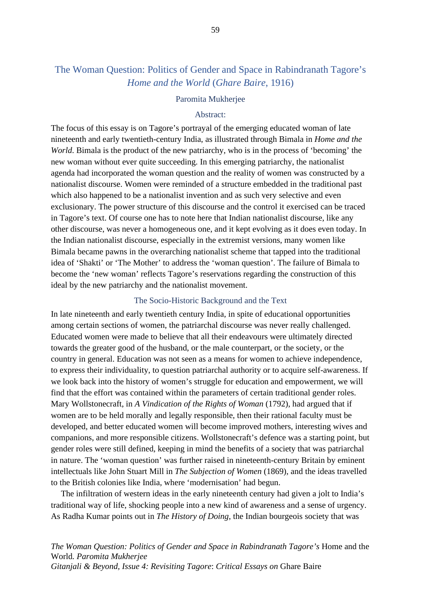# The Woman Question: Politics of Gender and Space in Rabindranath Tagore's *Home and the World* (*Ghare Baire*, 1916)

### Paromita Mukherjee

## Abstract:

The focus of this essay is on Tagore's portrayal of the emerging educated woman of late nineteenth and early twentieth-century India, as illustrated through Bimala in *Home and the World*. Bimala is the product of the new patriarchy, who is in the process of 'becoming' the new woman without ever quite succeeding. In this emerging patriarchy, the nationalist agenda had incorporated the woman question and the reality of women was constructed by a nationalist discourse. Women were reminded of a structure embedded in the traditional past which also happened to be a nationalist invention and as such very selective and even exclusionary. The power structure of this discourse and the control it exercised can be traced in Tagore's text. Of course one has to note here that Indian nationalist discourse, like any other discourse, was never a homogeneous one, and it kept evolving as it does even today. In the Indian nationalist discourse, especially in the extremist versions, many women like Bimala became pawns in the overarching nationalist scheme that tapped into the traditional idea of 'Shakti' or 'The Mother' to address the 'woman question'. The failure of Bimala to become the 'new woman' reflects Tagore's reservations regarding the construction of this ideal by the new patriarchy and the nationalist movement.

## The Socio-Historic Background and the Text

In late nineteenth and early twentieth century India, in spite of educational opportunities among certain sections of women, the patriarchal discourse was never really challenged. Educated women were made to believe that all their endeavours were ultimately directed towards the greater good of the husband, or the male counterpart, or the society, or the country in general. Education was not seen as a means for women to achieve independence, to express their individuality, to question patriarchal authority or to acquire self-awareness. If we look back into the history of women's struggle for education and empowerment, we will find that the effort was contained within the parameters of certain traditional gender roles. Mary Wollstonecraft, in *A Vindication of the Rights of Woman* (1792), had argued that if women are to be held morally and legally responsible, then their rational faculty must be developed, and better educated women will become improved mothers, interesting wives and companions, and more responsible citizens. Wollstonecraft's defence was a starting point, but gender roles were still defined, keeping in mind the benefits of a society that was patriarchal in nature. The 'woman question' was further raised in nineteenth-century Britain by eminent intellectuals like John Stuart Mill in *The Subjection of Women* (1869), and the ideas travelled to the British colonies like India, where 'modernisation' had begun.

The infiltration of western ideas in the early nineteenth century had given a jolt to India's traditional way of life, shocking people into a new kind of awareness and a sense of urgency. As Radha Kumar points out in *The History of Doing*, the Indian bourgeois society that was

*The Woman Question: Politics of Gender and Space in Rabindranath Tagore's* Home and the World*. Paromita Mukherjee Gitanjali & Beyond, Issue 4: Revisiting Tagore*: *Critical Essays on* Ghare Baire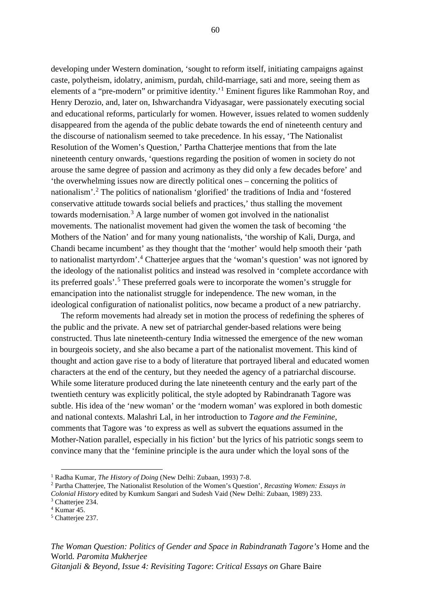developing under Western domination, 'sought to reform itself, initiating campaigns against caste, polytheism, idolatry, animism, purdah, child-marriage, sati and more, seeing them as elements of a "pre-modern" or primitive identity.'<sup>[1](#page-66-0)</sup> Eminent figures like Rammohan Roy, and Henry Derozio, and, later on, Ishwarchandra Vidyasagar, were passionately executing social and educational reforms, particularly for women. However, issues related to women suddenly disappeared from the agenda of the public debate towards the end of nineteenth century and the discourse of nationalism seemed to take precedence. In his essay, 'The Nationalist Resolution of the Women's Question,' Partha Chatterjee mentions that from the late nineteenth century onwards, 'questions regarding the position of women in society do not arouse the same degree of passion and acrimony as they did only a few decades before' and 'the overwhelming issues now are directly political ones – concerning the politics of nationalism'. [2](#page-66-1) The politics of nationalism 'glorified' the traditions of India and 'fostered conservative attitude towards social beliefs and practices,' thus stalling the movement towards modernisation.<sup>[3](#page-66-2)</sup> A large number of women got involved in the nationalist movements. The nationalist movement had given the women the task of becoming 'the Mothers of the Nation' and for many young nationalists, 'the worship of Kali, Durga, and Chandi became incumbent' as they thought that the 'mother' would help smooth their 'path to nationalist martyrdom'. [4](#page-66-3) Chatterjee argues that the 'woman's question' was not ignored by the ideology of the nationalist politics and instead was resolved in 'complete accordance with its preferred goals'. [5](#page-66-4) These preferred goals were to incorporate the women's struggle for emancipation into the nationalist struggle for independence. The new woman, in the ideological configuration of nationalist politics, now became a product of a new patriarchy.

The reform movements had already set in motion the process of redefining the spheres of the public and the private. A new set of patriarchal gender-based relations were being constructed. Thus late nineteenth-century India witnessed the emergence of the new woman in bourgeois society, and she also became a part of the nationalist movement. This kind of thought and action gave rise to a body of literature that portrayed liberal and educated women characters at the end of the century, but they needed the agency of a patriarchal discourse. While some literature produced during the late nineteenth century and the early part of the twentieth century was explicitly political, the style adopted by Rabindranath Tagore was subtle. His idea of the 'new woman' or the 'modern woman' was explored in both domestic and national contexts. Malashri Lal, in her introduction to *Tagore and the Feminine*, comments that Tagore was 'to express as well as subvert the equations assumed in the Mother-Nation parallel, especially in his fiction' but the lyrics of his patriotic songs seem to convince many that the 'feminine principle is the aura under which the loyal sons of the

*The Woman Question: Politics of Gender and Space in Rabindranath Tagore's* Home and the World*. Paromita Mukherjee*

*Gitanjali & Beyond, Issue 4: Revisiting Tagore*: *Critical Essays on* Ghare Baire

<span id="page-66-0"></span><sup>1</sup> Radha Kumar, *The History of Doing* (New Delhi: Zubaan, 1993) 7-8.

<span id="page-66-1"></span><sup>2</sup> Partha Chatterjee, The Nationalist Resolution of the Women's Question', *Recasting Women: Essays in Colonial History* edited by Kumkum Sangari and Sudesh Vaid (New Delhi: Zubaan, 1989) 233.

<span id="page-66-2"></span><sup>&</sup>lt;sup>3</sup> Chatterjee 234.

<span id="page-66-3"></span><sup>4</sup> Kumar 45.

<span id="page-66-4"></span><sup>5</sup> Chatterjee 237.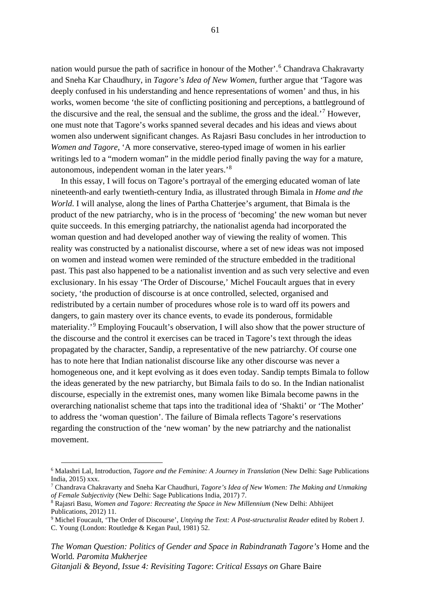nation would pursue the path of sacrifice in honour of the Mother'. [6](#page-67-0) Chandrava Chakravarty and Sneha Kar Chaudhury, in *Tagore's Idea of New Women*, further argue that 'Tagore was deeply confused in his understanding and hence representations of women' and thus, in his works, women become 'the site of conflicting positioning and perceptions, a battleground of the discursive and the real, the sensual and the sublime, the gross and the ideal.<sup>'[7](#page-67-1)</sup> However, one must note that Tagore's works spanned several decades and his ideas and views about women also underwent significant changes. As Rajasri Basu concludes in her introduction to *Women and Tagore*, 'A more conservative, stereo-typed image of women in his earlier writings led to a "modern woman" in the middle period finally paving the way for a mature, autonomous, independent woman in the later years.'[8](#page-67-2)

In this essay, I will focus on Tagore's portrayal of the emerging educated woman of late nineteenth-and early twentieth-century India, as illustrated through Bimala in *Home and the World*. I will analyse, along the lines of Partha Chatterjee's argument, that Bimala is the product of the new patriarchy, who is in the process of 'becoming' the new woman but never quite succeeds. In this emerging patriarchy, the nationalist agenda had incorporated the woman question and had developed another way of viewing the reality of women. This reality was constructed by a nationalist discourse, where a set of new ideas was not imposed on women and instead women were reminded of the structure embedded in the traditional past. This past also happened to be a nationalist invention and as such very selective and even exclusionary. In his essay 'The Order of Discourse,' Michel Foucault argues that in every society, 'the production of discourse is at once controlled, selected, organised and redistributed by a certain number of procedures whose role is to ward off its powers and dangers, to gain mastery over its chance events, to evade its ponderous, formidable materiality.'[9](#page-67-3) Employing Foucault's observation, I will also show that the power structure of the discourse and the control it exercises can be traced in Tagore's text through the ideas propagated by the character, Sandip, a representative of the new patriarchy. Of course one has to note here that Indian nationalist discourse like any other discourse was never a homogeneous one, and it kept evolving as it does even today. Sandip tempts Bimala to follow the ideas generated by the new patriarchy, but Bimala fails to do so. In the Indian nationalist discourse, especially in the extremist ones, many women like Bimala become pawns in the overarching nationalist scheme that taps into the traditional idea of 'Shakti' or 'The Mother' to address the 'woman question'. The failure of Bimala reflects Tagore's reservations regarding the construction of the 'new woman' by the new patriarchy and the nationalist movement.

*The Woman Question: Politics of Gender and Space in Rabindranath Tagore's* Home and the World*. Paromita Mukherjee Gitanjali & Beyond, Issue 4: Revisiting Tagore*: *Critical Essays on* Ghare Baire

<span id="page-67-0"></span><sup>6</sup> Malashri Lal, Introduction, *Tagore and the Feminine: A Journey in Translation* (New Delhi: Sage Publications India, 2015) xxx.

<span id="page-67-1"></span><sup>7</sup> Chandrava Chakravarty and Sneha Kar Chaudhuri, *Tagore's Idea of New Women: The Making and Unmaking of Female Subjectivity* (New Delhi: Sage Publications India, 2017) 7.

<span id="page-67-2"></span><sup>8</sup> Rajasri Basu, *Women and Tagore: Recreating the Space in New Millennium* (New Delhi: Abhijeet Publications, 2012) 11.

<span id="page-67-3"></span><sup>9</sup> Michel Foucault, 'The Order of Discourse', *Untying the Text: A Post-structuralist Reader* edited by Robert J. C. Young (London: Routledge & Kegan Paul, 1981) 52.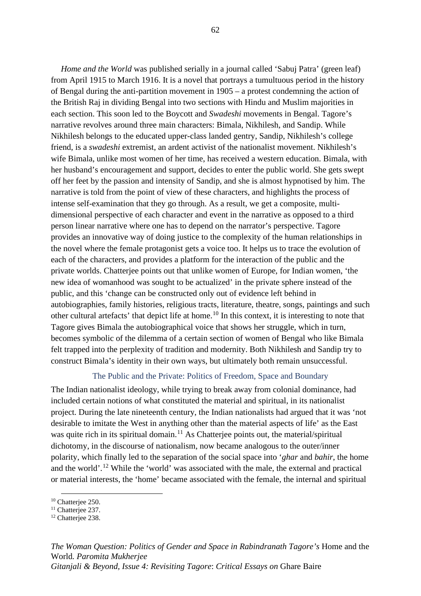*Home and the World* was published serially in a journal called 'Sabuj Patra' (green leaf) from April 1915 to March 1916. It is a novel that portrays a tumultuous period in the history of Bengal during the anti-partition movement in 1905 – a protest condemning the action of the British Raj in dividing Bengal into two sections with Hindu and Muslim majorities in each section. This soon led to the Boycott and *Swadeshi* movements in Bengal. Tagore's narrative revolves around three main characters: Bimala, Nikhilesh, and Sandip. While Nikhilesh belongs to the educated upper-class landed gentry, Sandip, Nikhilesh's college friend, is a *swadeshi* extremist, an ardent activist of the nationalist movement. Nikhilesh's wife Bimala, unlike most women of her time, has received a western education. Bimala, with her husband's encouragement and support, decides to enter the public world. She gets swept off her feet by the passion and intensity of Sandip, and she is almost hypnotised by him. The narrative is told from the point of view of these characters, and highlights the process of intense self-examination that they go through. As a result, we get a composite, multidimensional perspective of each character and event in the narrative as opposed to a third person linear narrative where one has to depend on the narrator's perspective. Tagore provides an innovative way of doing justice to the complexity of the human relationships in the novel where the female protagonist gets a voice too. It helps us to trace the evolution of each of the characters, and provides a platform for the interaction of the public and the private worlds. Chatterjee points out that unlike women of Europe, for Indian women, 'the new idea of womanhood was sought to be actualized' in the private sphere instead of the public, and this 'change can be constructed only out of evidence left behind in autobiographies, family histories, religious tracts, literature, theatre, songs, paintings and such other cultural artefacts' that depict life at home.<sup>[10](#page-68-0)</sup> In this context, it is interesting to note that Tagore gives Bimala the autobiographical voice that shows her struggle, which in turn, becomes symbolic of the dilemma of a certain section of women of Bengal who like Bimala felt trapped into the perplexity of tradition and modernity. Both Nikhilesh and Sandip try to construct Bimala's identity in their own ways, but ultimately both remain unsuccessful.

## The Public and the Private: Politics of Freedom, Space and Boundary

The Indian nationalist ideology, while trying to break away from colonial dominance, had included certain notions of what constituted the material and spiritual, in its nationalist project. During the late nineteenth century, the Indian nationalists had argued that it was 'not desirable to imitate the West in anything other than the material aspects of life' as the East was quite rich in its spiritual domain.<sup>[11](#page-68-1)</sup> As Chatterjee points out, the material/spiritual dichotomy, in the discourse of nationalism, now became analogous to the outer/inner polarity, which finally led to the separation of the social space into '*ghar* and *bahir*, the home and the world'.<sup>[12](#page-68-2)</sup> While the 'world' was associated with the male, the external and practical or material interests, the 'home' became associated with the female, the internal and spiritual

<span id="page-68-0"></span><sup>&</sup>lt;sup>10</sup> Chatterjee 250.

<span id="page-68-1"></span><sup>&</sup>lt;sup>11</sup> Chatteriee 237.

<span id="page-68-2"></span><sup>&</sup>lt;sup>12</sup> Chatterjee 238.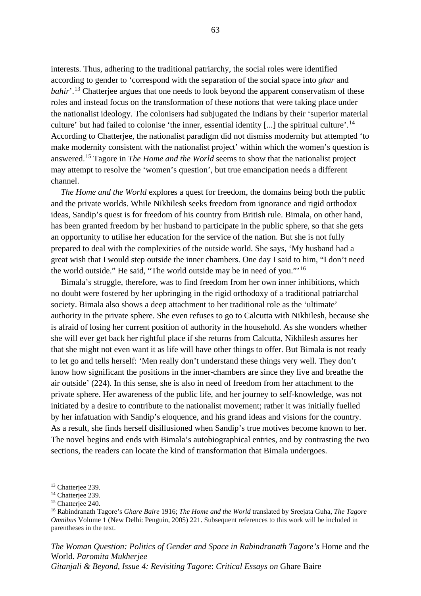interests. Thus, adhering to the traditional patriarchy, the social roles were identified according to gender to 'correspond with the separation of the social space into *ghar* and bahir'.<sup>[13](#page-69-0)</sup> Chatterjee argues that one needs to look beyond the apparent conservatism of these roles and instead focus on the transformation of these notions that were taking place under the nationalist ideology. The colonisers had subjugated the Indians by their 'superior material culture' but had failed to colonise 'the inner, essential identity [...] the spiritual culture'.<sup>[14](#page-69-1)</sup> According to Chatterjee, the nationalist paradigm did not dismiss modernity but attempted 'to make modernity consistent with the nationalist project' within which the women's question is answered.[15](#page-69-2) Tagore in *The Home and the World* seems to show that the nationalist project may attempt to resolve the 'women's question', but true emancipation needs a different channel.

*The Home and the World* explores a quest for freedom, the domains being both the public and the private worlds. While Nikhilesh seeks freedom from ignorance and rigid orthodox ideas, Sandip's quest is for freedom of his country from British rule. Bimala, on other hand, has been granted freedom by her husband to participate in the public sphere, so that she gets an opportunity to utilise her education for the service of the nation. But she is not fully prepared to deal with the complexities of the outside world. She says, 'My husband had a great wish that I would step outside the inner chambers. One day I said to him, "I don't need the world outside." He said, "The world outside may be in need of you."'[16](#page-69-3)

Bimala's struggle, therefore, was to find freedom from her own inner inhibitions, which no doubt were fostered by her upbringing in the rigid orthodoxy of a traditional patriarchal society. Bimala also shows a deep attachment to her traditional role as the 'ultimate' authority in the private sphere. She even refuses to go to Calcutta with Nikhilesh, because she is afraid of losing her current position of authority in the household. As she wonders whether she will ever get back her rightful place if she returns from Calcutta, Nikhilesh assures her that she might not even want it as life will have other things to offer. But Bimala is not ready to let go and tells herself: 'Men really don't understand these things very well. They don't know how significant the positions in the inner-chambers are since they live and breathe the air outside' (224). In this sense, she is also in need of freedom from her attachment to the private sphere. Her awareness of the public life, and her journey to self-knowledge, was not initiated by a desire to contribute to the nationalist movement; rather it was initially fuelled by her infatuation with Sandip's eloquence, and his grand ideas and visions for the country. As a result, she finds herself disillusioned when Sandip's true motives become known to her. The novel begins and ends with Bimala's autobiographical entries, and by contrasting the two sections, the readers can locate the kind of transformation that Bimala undergoes.

*The Woman Question: Politics of Gender and Space in Rabindranath Tagore's* Home and the World*. Paromita Mukherjee*

<span id="page-69-0"></span><sup>&</sup>lt;sup>13</sup> Chatteriee 239.

<span id="page-69-1"></span><sup>&</sup>lt;sup>14</sup> Chatteriee 239.

<span id="page-69-2"></span><sup>&</sup>lt;sup>15</sup> Chatterjee 240.

<span id="page-69-3"></span><sup>16</sup> Rabindranath Tagore's *Ghare Baire* 1916; *The Home and the World* translated by Sreejata Guha, *The Tagore Omnibus* Volume 1 (New Delhi: Penguin, 2005) 221. Subsequent references to this work will be included in parentheses in the text.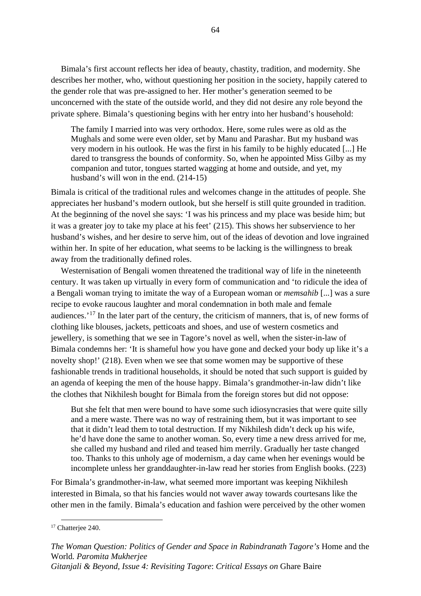Bimala's first account reflects her idea of beauty, chastity, tradition, and modernity. She describes her mother, who, without questioning her position in the society, happily catered to the gender role that was pre-assigned to her. Her mother's generation seemed to be unconcerned with the state of the outside world, and they did not desire any role beyond the private sphere. Bimala's questioning begins with her entry into her husband's household:

The family I married into was very orthodox. Here, some rules were as old as the Mughals and some were even older, set by Manu and Parashar. But my husband was very modern in his outlook. He was the first in his family to be highly educated [...] He dared to transgress the bounds of conformity. So, when he appointed Miss Gilby as my companion and tutor, tongues started wagging at home and outside, and yet, my husband's will won in the end. (214-15)

Bimala is critical of the traditional rules and welcomes change in the attitudes of people. She appreciates her husband's modern outlook, but she herself is still quite grounded in tradition. At the beginning of the novel she says: 'I was his princess and my place was beside him; but it was a greater joy to take my place at his feet' (215). This shows her subservience to her husband's wishes, and her desire to serve him, out of the ideas of devotion and love ingrained within her. In spite of her education, what seems to be lacking is the willingness to break away from the traditionally defined roles.

Westernisation of Bengali women threatened the traditional way of life in the nineteenth century. It was taken up virtually in every form of communication and 'to ridicule the idea of a Bengali woman trying to imitate the way of a European woman or *memsahib* [...] was a sure recipe to evoke raucous laughter and moral condemnation in both male and female audiences.'[17](#page-70-0) In the later part of the century, the criticism of manners, that is, of new forms of clothing like blouses, jackets, petticoats and shoes, and use of western cosmetics and jewellery, is something that we see in Tagore's novel as well, when the sister-in-law of Bimala condemns her: 'It is shameful how you have gone and decked your body up like it's a novelty shop!' (218). Even when we see that some women may be supportive of these fashionable trends in traditional households, it should be noted that such support is guided by an agenda of keeping the men of the house happy. Bimala's grandmother-in-law didn't like the clothes that Nikhilesh bought for Bimala from the foreign stores but did not oppose:

But she felt that men were bound to have some such idiosyncrasies that were quite silly and a mere waste. There was no way of restraining them, but it was important to see that it didn't lead them to total destruction. If my Nikhilesh didn't deck up his wife, he'd have done the same to another woman. So, every time a new dress arrived for me, she called my husband and riled and teased him merrily. Gradually her taste changed too. Thanks to this unholy age of modernism, a day came when her evenings would be incomplete unless her granddaughter-in-law read her stories from English books. (223)

For Bimala's grandmother-in-law, what seemed more important was keeping Nikhilesh interested in Bimala, so that his fancies would not waver away towards courtesans like the other men in the family. Bimala's education and fashion were perceived by the other women

<span id="page-70-0"></span><sup>&</sup>lt;sup>17</sup> Chatterjee 240.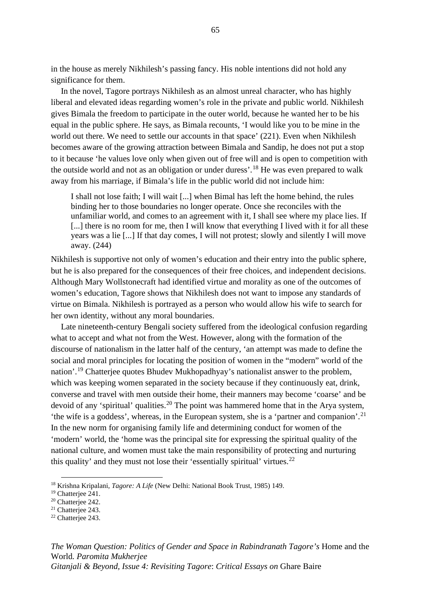in the house as merely Nikhilesh's passing fancy. His noble intentions did not hold any significance for them.

In the novel, Tagore portrays Nikhilesh as an almost unreal character, who has highly liberal and elevated ideas regarding women's role in the private and public world. Nikhilesh gives Bimala the freedom to participate in the outer world, because he wanted her to be his equal in the public sphere. He says, as Bimala recounts, 'I would like you to be mine in the world out there. We need to settle our accounts in that space' (221). Even when Nikhilesh becomes aware of the growing attraction between Bimala and Sandip, he does not put a stop to it because 'he values love only when given out of free will and is open to competition with the outside world and not as an obligation or under duress'.<sup>[18](#page-71-0)</sup> He was even prepared to walk away from his marriage, if Bimala's life in the public world did not include him:

I shall not lose faith; I will wait [...] when Bimal has left the home behind, the rules binding her to those boundaries no longer operate. Once she reconciles with the unfamiliar world, and comes to an agreement with it, I shall see where my place lies. If [...] there is no room for me, then I will know that everything I lived with it for all these years was a lie [...] If that day comes, I will not protest; slowly and silently I will move away. (244)

Nikhilesh is supportive not only of women's education and their entry into the public sphere, but he is also prepared for the consequences of their free choices, and independent decisions. Although Mary Wollstonecraft had identified virtue and morality as one of the outcomes of women's education, Tagore shows that Nikhilesh does not want to impose any standards of virtue on Bimala. Nikhilesh is portrayed as a person who would allow his wife to search for her own identity, without any moral boundaries.

Late nineteenth-century Bengali society suffered from the ideological confusion regarding what to accept and what not from the West. However, along with the formation of the discourse of nationalism in the latter half of the century, 'an attempt was made to define the social and moral principles for locating the position of women in the "modern" world of the nation'.<sup>[19](#page-71-1)</sup> Chatterjee quotes Bhudev Mukhopadhyay's nationalist answer to the problem, which was keeping women separated in the society because if they continuously eat, drink, converse and travel with men outside their home, their manners may become 'coarse' and be devoid of any 'spiritual' qualities.<sup>[20](#page-71-2)</sup> The point was hammered home that in the Arya system, 'the wife is a goddess', whereas, in the European system, she is a 'partner and companion'. [21](#page-71-3) In the new norm for organising family life and determining conduct for women of the 'modern' world, the 'home was the principal site for expressing the spiritual quality of the national culture, and women must take the main responsibility of protecting and nurturing this quality' and they must not lose their 'essentially spiritual' virtues.<sup>[22](#page-71-4)</sup>

*The Woman Question: Politics of Gender and Space in Rabindranath Tagore's* Home and the World*. Paromita Mukherjee Gitanjali & Beyond, Issue 4: Revisiting Tagore*: *Critical Essays on* Ghare Baire

<sup>18</sup> Krishna Kripalani, *Tagore: A Life* (New Delhi: National Book Trust, 1985) 149.

<span id="page-71-1"></span><span id="page-71-0"></span><sup>&</sup>lt;sup>19</sup> Chatterjee 241.

<span id="page-71-2"></span><sup>&</sup>lt;sup>20</sup> Chatterjee 242.

<span id="page-71-3"></span><sup>&</sup>lt;sup>21</sup> Chatteriee 243.

<span id="page-71-4"></span><sup>&</sup>lt;sup>22</sup> Chatterjee 243.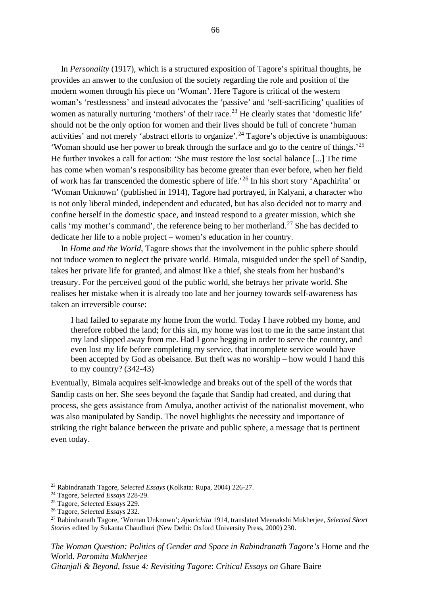In *Personality* (1917), which is a structured exposition of Tagore's spiritual thoughts, he provides an answer to the confusion of the society regarding the role and position of the modern women through his piece on 'Woman'. Here Tagore is critical of the western woman's 'restlessness' and instead advocates the 'passive' and 'self-sacrificing' qualities of women as naturally nurturing 'mothers' of their race.<sup>[23](#page-72-0)</sup> He clearly states that 'domestic life' should not be the only option for women and their lives should be full of concrete 'human activities' and not merely 'abstract efforts to organize'.<sup>[24](#page-72-1)</sup> Tagore's objective is unambiguous: 'Woman should use her power to break through the surface and go to the centre of things.' [25](#page-72-2) He further invokes a call for action: 'She must restore the lost social balance [...] The time has come when woman's responsibility has become greater than ever before, when her field of work has far transcended the domestic sphere of life.'[26](#page-72-3) In his short story 'Apachirita' or 'Woman Unknown' (published in 1914), Tagore had portrayed, in Kalyani, a character who is not only liberal minded, independent and educated, but has also decided not to marry and confine herself in the domestic space, and instead respond to a greater mission, which she calls 'my mother's command', the reference being to her motherland.<sup>[27](#page-72-4)</sup> She has decided to dedicate her life to a noble project – women's education in her country.

In *Home and the World*, Tagore shows that the involvement in the public sphere should not induce women to neglect the private world. Bimala, misguided under the spell of Sandip, takes her private life for granted, and almost like a thief, she steals from her husband's treasury. For the perceived good of the public world, she betrays her private world. She realises her mistake when it is already too late and her journey towards self-awareness has taken an irreversible course:

I had failed to separate my home from the world. Today I have robbed my home, and therefore robbed the land; for this sin, my home was lost to me in the same instant that my land slipped away from me. Had I gone begging in order to serve the country, and even lost my life before completing my service, that incomplete service would have been accepted by God as obeisance. But theft was no worship – how would I hand this to my country? (342-43)

Eventually, Bimala acquires self-knowledge and breaks out of the spell of the words that Sandip casts on her. She sees beyond the façade that Sandip had created, and during that process, she gets assistance from Amulya, another activist of the nationalist movement, who was also manipulated by Sandip. The novel highlights the necessity and importance of striking the right balance between the private and public sphere, a message that is pertinent even today.

*The Woman Question: Politics of Gender and Space in Rabindranath Tagore's* Home and the World*. Paromita Mukherjee*

*Gitanjali & Beyond, Issue 4: Revisiting Tagore*: *Critical Essays on* Ghare Baire

<span id="page-72-0"></span><sup>23</sup> Rabindranath Tagore, *Selected Essays* (Kolkata: Rupa, 2004) 226-27.

<span id="page-72-1"></span><sup>24</sup> Tagore, *Selected Essays* 228-29.

<span id="page-72-2"></span><sup>25</sup> Tagore, *Selected Essays* 229.

<span id="page-72-3"></span><sup>26</sup> Tagore, *Selected Essays* 232.

<span id="page-72-4"></span><sup>27</sup> Rabindranath Tagore, 'Woman Unknown'; *Aparichita* 1914, translated Meenakshi Mukherjee, *Selected Short Stories* edited by Sukanta Chaudhuri (New Delhi: Oxford University Press, 2000) 230.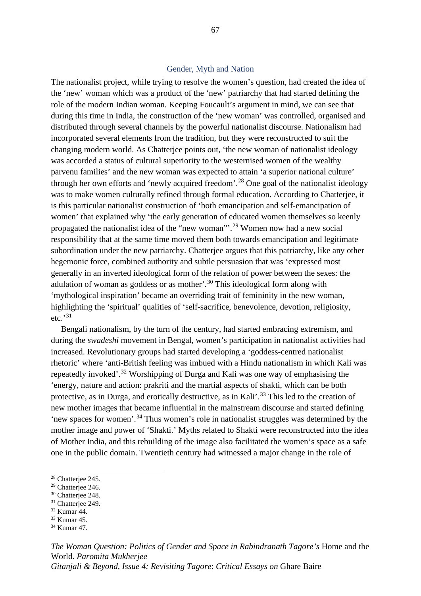## Gender, Myth and Nation

The nationalist project, while trying to resolve the women's question, had created the idea of the 'new' woman which was a product of the 'new' patriarchy that had started defining the role of the modern Indian woman. Keeping Foucault's argument in mind, we can see that during this time in India, the construction of the 'new woman' was controlled, organised and distributed through several channels by the powerful nationalist discourse. Nationalism had incorporated several elements from the tradition, but they were reconstructed to suit the changing modern world. As Chatterjee points out, 'the new woman of nationalist ideology was accorded a status of cultural superiority to the westernised women of the wealthy parvenu families' and the new woman was expected to attain 'a superior national culture' through her own efforts and 'newly acquired freedom'. [28](#page-73-0) One goal of the nationalist ideology was to make women culturally refined through formal education. According to Chatterjee, it is this particular nationalist construction of 'both emancipation and self-emancipation of women' that explained why 'the early generation of educated women themselves so keenly propagated the nationalist idea of the "new woman"'.<sup>[29](#page-73-1)</sup> Women now had a new social responsibility that at the same time moved them both towards emancipation and legitimate subordination under the new patriarchy. Chatterjee argues that this patriarchy, like any other hegemonic force, combined authority and subtle persuasion that was 'expressed most generally in an inverted ideological form of the relation of power between the sexes: the adulation of woman as goddess or as mother'.<sup>[30](#page-73-2)</sup> This ideological form along with 'mythological inspiration' became an overriding trait of femininity in the new woman, highlighting the 'spiritual' qualities of 'self-sacrifice, benevolence, devotion, religiosity, etc.'[31](#page-73-3)

Bengali nationalism, by the turn of the century, had started embracing extremism, and during the *swadeshi* movement in Bengal, women's participation in nationalist activities had increased. Revolutionary groups had started developing a 'goddess-centred nationalist rhetoric' where 'anti-British feeling was imbued with a Hindu nationalism in which Kali was repeatedly invoked'.<sup>[32](#page-73-4)</sup> Worshipping of Durga and Kali was one way of emphasising the 'energy, nature and action: prakriti and the martial aspects of shakti, which can be both protective, as in Durga, and erotically destructive, as in Kali'.<sup>[33](#page-73-5)</sup> This led to the creation of new mother images that became influential in the mainstream discourse and started defining 'new spaces for women'. [34](#page-73-6) Thus women's role in nationalist struggles was determined by the mother image and power of 'Shakti.' Myths related to Shakti were reconstructed into the idea of Mother India, and this rebuilding of the image also facilitated the women's space as a safe one in the public domain. Twentieth century had witnessed a major change in the role of

*The Woman Question: Politics of Gender and Space in Rabindranath Tagore's* Home and the World*. Paromita Mukherjee Gitanjali & Beyond, Issue 4: Revisiting Tagore*: *Critical Essays on* Ghare Baire

<span id="page-73-0"></span><sup>&</sup>lt;sup>28</sup> Chatteriee 245.

<span id="page-73-1"></span><sup>&</sup>lt;sup>29</sup> Chatteriee 246.

<span id="page-73-2"></span><sup>&</sup>lt;sup>30</sup> Chatterjee 248.

<span id="page-73-3"></span><sup>&</sup>lt;sup>31</sup> Chatterjee 249.

<span id="page-73-4"></span><sup>32</sup> Kumar 44.

<span id="page-73-5"></span><sup>33</sup> Kumar 45.

<span id="page-73-6"></span><sup>34</sup> Kumar 47.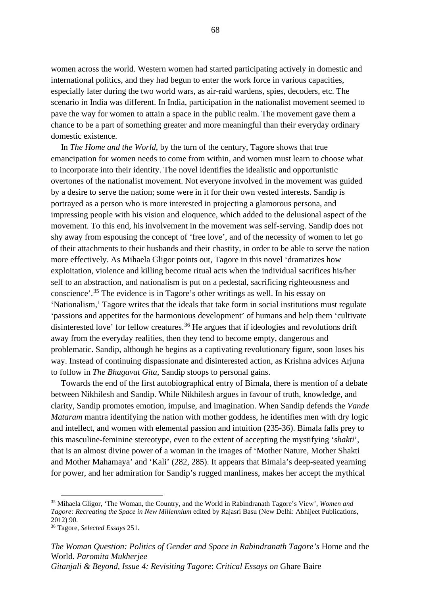women across the world. Western women had started participating actively in domestic and international politics, and they had begun to enter the work force in various capacities, especially later during the two world wars, as air-raid wardens, spies, decoders, etc. The scenario in India was different. In India, participation in the nationalist movement seemed to pave the way for women to attain a space in the public realm. The movement gave them a chance to be a part of something greater and more meaningful than their everyday ordinary domestic existence.

In *The Home and the World*, by the turn of the century, Tagore shows that true emancipation for women needs to come from within, and women must learn to choose what to incorporate into their identity. The novel identifies the idealistic and opportunistic overtones of the nationalist movement. Not everyone involved in the movement was guided by a desire to serve the nation; some were in it for their own vested interests. Sandip is portrayed as a person who is more interested in projecting a glamorous persona, and impressing people with his vision and eloquence, which added to the delusional aspect of the movement. To this end, his involvement in the movement was self-serving. Sandip does not shy away from espousing the concept of 'free love', and of the necessity of women to let go of their attachments to their husbands and their chastity, in order to be able to serve the nation more effectively. As Mihaela Gligor points out, Tagore in this novel 'dramatizes how exploitation, violence and killing become ritual acts when the individual sacrifices his/her self to an abstraction, and nationalism is put on a pedestal, sacrificing righteousness and conscience'. [35](#page-74-0) The evidence is in Tagore's other writings as well. In his essay on 'Nationalism,' Tagore writes that the ideals that take form in social institutions must regulate 'passions and appetites for the harmonious development' of humans and help them 'cultivate disinterested love' for fellow creatures.<sup>[36](#page-74-1)</sup> He argues that if ideologies and revolutions drift away from the everyday realities, then they tend to become empty, dangerous and problematic. Sandip, although he begins as a captivating revolutionary figure, soon loses his way. Instead of continuing dispassionate and disinterested action, as Krishna advices Arjuna to follow in *The Bhagavat Gita*, Sandip stoops to personal gains.

Towards the end of the first autobiographical entry of Bimala, there is mention of a debate between Nikhilesh and Sandip. While Nikhilesh argues in favour of truth, knowledge, and clarity, Sandip promotes emotion, impulse, and imagination. When Sandip defends the *Vande Mataram* mantra identifying the nation with mother goddess, he identifies men with dry logic and intellect, and women with elemental passion and intuition (235-36). Bimala falls prey to this masculine-feminine stereotype, even to the extent of accepting the mystifying '*shakti*', that is an almost divine power of a woman in the images of 'Mother Nature, Mother Shakti and Mother Mahamaya' and 'Kali' (282, 285). It appears that Bimala's deep-seated yearning for power, and her admiration for Sandip's rugged manliness, makes her accept the mythical

<span id="page-74-0"></span><sup>35</sup> Mihaela Gligor, 'The Woman, the Country, and the World in Rabindranath Tagore's View', *Women and Tagore: Recreating the Space in New Millennium* edited by Rajasri Basu (New Delhi: Abhijeet Publications, 2012) 90.

<span id="page-74-1"></span><sup>36</sup> Tagore, *Selected Essays* 251.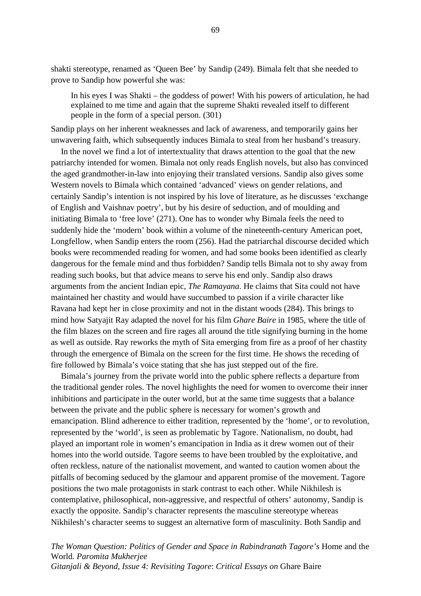shakti stereotype, renamed as 'Queen Bee' by Sandip (249). Bimala felt that she needed to prove to Sandip how powerful she was:

In his eyes I was Shakti – the goddess of power! With his powers of articulation, he had explained to me time and again that the supreme Shakti revealed itself to different people in the form of a special person. (301)

Sandip plays on her inherent weaknesses and lack of awareness, and temporarily gains her unwavering faith, which subsequently induces Bimala to steal from her husband's treasury.

In the novel we find a lot of intertextuality that draws attention to the goal that the new patriarchy intended for women. Bimala not only reads English novels, but also has convinced the aged grandmother-in-law into enjoying their translated versions. Sandip also gives some Western novels to Bimala which contained 'advanced' views on gender relations, and certainly Sandip's intention is not inspired by his love of literature, as he discusses 'exchange of English and Vaishnav poetry', but by his desire of seduction, and of moulding and initiating Bimala to 'free love' (271). One has to wonder why Bimala feels the need to suddenly hide the 'modern' book within a volume of the nineteenth-century American poet, Longfellow, when Sandip enters the room (256). Had the patriarchal discourse decided which books were recommended reading for women, and had some books been identified as clearly dangerous for the female mind and thus forbidden? Sandip tells Bimala not to shy away from reading such books, but that advice means to serve his end only. Sandip also draws arguments from the ancient Indian epic, *The Ramayana*. He claims that Sita could not have maintained her chastity and would have succumbed to passion if a virile character like Ravana had kept her in close proximity and not in the distant woods (284). This brings to mind how Satyajit Ray adapted the novel for his film *Ghare Baire* in 1985, where the title of the film blazes on the screen and fire rages all around the title signifying burning in the home as well as outside. Ray reworks the myth of Sita emerging from fire as a proof of her chastity through the emergence of Bimala on the screen for the first time. He shows the receding of fire followed by Bimala's voice stating that she has just stepped out of the fire.

Bimala's journey from the private world into the public sphere reflects a departure from the traditional gender roles. The novel highlights the need for women to overcome their inner inhibitions and participate in the outer world, but at the same time suggests that a balance between the private and the public sphere is necessary for women's growth and emancipation. Blind adherence to either tradition, represented by the 'home', or to revolution, represented by the 'world', is seen as problematic by Tagore. Nationalism, no doubt, had played an important role in women's emancipation in India as it drew women out of their homes into the world outside. Tagore seems to have been troubled by the exploitative, and often reckless, nature of the nationalist movement, and wanted to caution women about the pitfalls of becoming seduced by the glamour and apparent promise of the movement. Tagore positions the two male protagonists in stark contrast to each other. While Nikhilesh is contemplative, philosophical, non-aggressive, and respectful of others' autonomy, Sandip is exactly the opposite. Sandip's character represents the masculine stereotype whereas Nikhilesh's character seems to suggest an alternative form of masculinity. Both Sandip and

*The Woman Question: Politics of Gender and Space in Rabindranath Tagore's* Home and the World*. Paromita Mukherjee Gitanjali & Beyond, Issue 4: Revisiting Tagore*: *Critical Essays on* Ghare Baire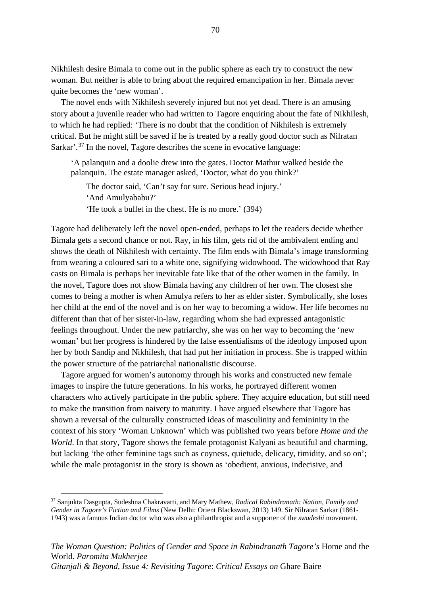Nikhilesh desire Bimala to come out in the public sphere as each try to construct the new woman. But neither is able to bring about the required emancipation in her. Bimala never quite becomes the 'new woman'.

The novel ends with Nikhilesh severely injured but not yet dead. There is an amusing story about a juvenile reader who had written to Tagore enquiring about the fate of Nikhilesh, to which he had replied: 'There is no doubt that the condition of Nikhilesh is extremely critical. But he might still be saved if he is treated by a really good doctor such as Nilratan Sarkar'.<sup>[37](#page-76-0)</sup> In the novel, Tagore describes the scene in evocative language:

'A palanquin and a doolie drew into the gates. Doctor Mathur walked beside the palanquin. The estate manager asked, 'Doctor, what do you think?'

The doctor said, 'Can't say for sure. Serious head injury.' 'And Amulyababu?' 'He took a bullet in the chest. He is no more.' (394)

Tagore had deliberately left the novel open-ended, perhaps to let the readers decide whether Bimala gets a second chance or not. Ray, in his film, gets rid of the ambivalent ending and shows the death of Nikhilesh with certainty. The film ends with Bimala's image transforming from wearing a coloured sari to a white one, signifying widowhood**.** The widowhood that Ray casts on Bimala is perhaps her inevitable fate like that of the other women in the family. In the novel, Tagore does not show Bimala having any children of her own. The closest she comes to being a mother is when Amulya refers to her as elder sister. Symbolically, she loses her child at the end of the novel and is on her way to becoming a widow. Her life becomes no different than that of her sister-in-law, regarding whom she had expressed antagonistic feelings throughout. Under the new patriarchy, she was on her way to becoming the 'new woman' but her progress is hindered by the false essentialisms of the ideology imposed upon her by both Sandip and Nikhilesh, that had put her initiation in process. She is trapped within the power structure of the patriarchal nationalistic discourse.

Tagore argued for women's autonomy through his works and constructed new female images to inspire the future generations. In his works, he portrayed different women characters who actively participate in the public sphere. They acquire education, but still need to make the transition from naivety to maturity. I have argued elsewhere that Tagore has shown a reversal of the culturally constructed ideas of masculinity and femininity in the context of his story 'Woman Unknown' which was published two years before *Home and the World*. In that story, Tagore shows the female protagonist Kalyani as beautiful and charming, but lacking 'the other feminine tags such as coyness, quietude, delicacy, timidity, and so on'; while the male protagonist in the story is shown as 'obedient, anxious, indecisive, and

<span id="page-76-0"></span><sup>37</sup> Sanjukta Dasgupta, Sudeshna Chakravarti, and Mary Mathew, *Radical Rabindranath: Nation, Family and Gender in Tagore's Fiction and Films* (New Delhi: Orient Blackswan, 2013) 149. Sir Nilratan Sarkar (1861- 1943) was a famous Indian doctor who was also a philanthropist and a supporter of the *swadeshi* movement.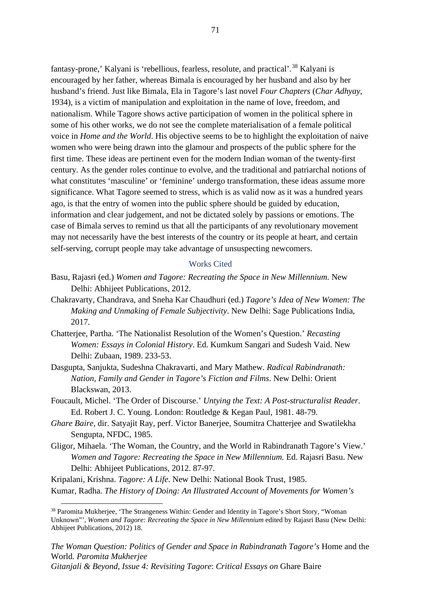fantasy-prone,' Kalyani is 'rebellious, fearless, resolute, and practical'.<sup>[38](#page-77-0)</sup> Kalyani is encouraged by her father, whereas Bimala is encouraged by her husband and also by her husband's friend. Just like Bimala, Ela in Tagore's last novel *Four Chapters* (*Char Adhyay*, 1934), is a victim of manipulation and exploitation in the name of love, freedom, and nationalism. While Tagore shows active participation of women in the political sphere in some of his other works, we do not see the complete materialisation of a female political voice in *Home and the World*. His objective seems to be to highlight the exploitation of naive women who were being drawn into the glamour and prospects of the public sphere for the first time. These ideas are pertinent even for the modern Indian woman of the twenty-first century. As the gender roles continue to evolve, and the traditional and patriarchal notions of what constitutes 'masculine' or 'feminine' undergo transformation, these ideas assume more significance. What Tagore seemed to stress, which is as valid now as it was a hundred years ago, is that the entry of women into the public sphere should be guided by education, information and clear judgement, and not be dictated solely by passions or emotions. The case of Bimala serves to remind us that all the participants of any revolutionary movement may not necessarily have the best interests of the country or its people at heart, and certain self-serving, corrupt people may take advantage of unsuspecting newcomers.

## Works Cited

- Basu, Rajasri (ed.) *Women and Tagore: Recreating the Space in New Millennium.* New Delhi: Abhijeet Publications, 2012.
- Chakravarty, Chandrava, and Sneha Kar Chaudhuri (ed.) *Tagore's Idea of New Women: The Making and Unmaking of Female Subjectivity*. New Delhi: Sage Publications India, 2017.
- Chatterjee, Partha. 'The Nationalist Resolution of the Women's Question.' *Recasting Women: Essays in Colonial History*. Ed. Kumkum Sangari and Sudesh Vaid. New Delhi: Zubaan, 1989. 233-53.
- Dasgupta, Sanjukta, Sudeshna Chakravarti, and Mary Mathew. *Radical Rabindranath: Nation, Family and Gender in Tagore's Fiction and Films*. New Delhi: Orient Blackswan, 2013.
- Foucault, Michel. 'The Order of Discourse.' *Untying the Text: A Post-structuralist Reader*. Ed. Robert J. C. Young. London: Routledge & Kegan Paul, 1981. 48-79.
- *Ghare Baire*, dir. Satyajit Ray, perf. Victor Banerjee, Soumitra Chatterjee and Swatilekha Sengupta, NFDC, 1985.
- Gligor, Mihaela. 'The Woman, the Country, and the World in Rabindranath Tagore's View.' *Women and Tagore: Recreating the Space in New Millennium.* Ed. Rajasri Basu. New Delhi: Abhijeet Publications, 2012. 87-97.

Kripalani, Krishna. *Tagore: A Life*. New Delhi: National Book Trust, 1985.

Kumar, Radha. *The History of Doing: An Illustrated Account of Movements for Women's* 

*The Woman Question: Politics of Gender and Space in Rabindranath Tagore's* Home and the World*. Paromita Mukherjee Gitanjali & Beyond, Issue 4: Revisiting Tagore*: *Critical Essays on* Ghare Baire

<span id="page-77-0"></span><sup>&</sup>lt;sup>38</sup> Paromita Mukherjee, 'The Strangeness Within: Gender and Identity in Tagore's Short Story, "Woman Unknown"', *Women and Tagore: Recreating the Space in New Millennium* edited by Rajasri Basu (New Delhi: Abhijeet Publications, 2012) 18.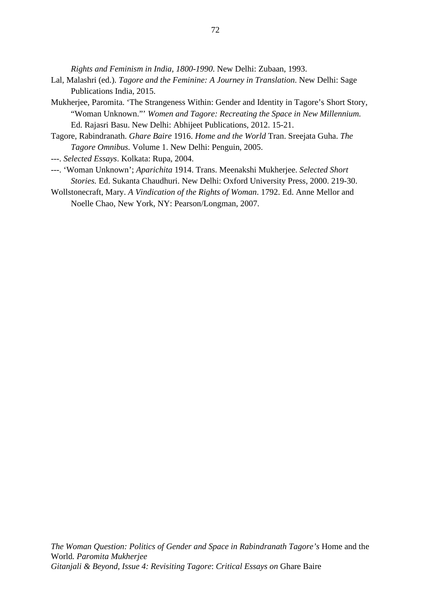*Rights and Feminism in India, 1800-1990*. New Delhi: Zubaan, 1993.

- Lal, Malashri (ed.). *Tagore and the Feminine: A Journey in Translation*. New Delhi: Sage Publications India, 2015.
- Mukherjee, Paromita. 'The Strangeness Within: Gender and Identity in Tagore's Short Story, "Woman Unknown."' *Women and Tagore: Recreating the Space in New Millennium.* Ed. Rajasri Basu. New Delhi: Abhijeet Publications, 2012. 15-21.
- Tagore, Rabindranath. *Ghare Baire* 1916. *Home and the World* Tran. Sreejata Guha. *The Tagore Omnibus.* Volume 1. New Delhi: Penguin, 2005.
- ---. *Selected Essays*. Kolkata: Rupa, 2004.
- ---. 'Woman Unknown'; *Aparichita* 1914. Trans. Meenakshi Mukherjee. *Selected Short Stories.* Ed. Sukanta Chaudhuri. New Delhi: Oxford University Press, 2000. 219-30.
- Wollstonecraft, Mary. *A Vindication of the Rights of Woman*. 1792. Ed. Anne Mellor and Noelle Chao, New York, NY: Pearson/Longman, 2007.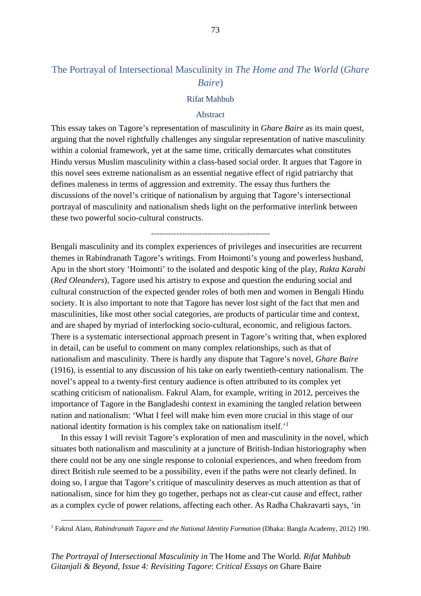# The Portrayal of Intersectional Masculinity in *The Home and The World* (*Ghare Baire*)

## Rifat Mahbub

## Abstract

This essay takes on Tagore's representation of masculinity in *Ghare Baire* as its main quest, arguing that the novel rightfully challenges any singular representation of native masculinity within a colonial framework, yet at the same time, critically demarcates what constitutes Hindu versus Muslim masculinity within a class-based social order. It argues that Tagore in this novel sees extreme nationalism as an essential negative effect of rigid patriarchy that defines maleness in terms of aggression and extremity. The essay thus furthers the discussions of the novel's critique of nationalism by arguing that Tagore's intersectional portrayal of masculinity and nationalism sheds light on the performative interlink between these two powerful socio-cultural constructs.

------------------------------------------

Bengali masculinity and its complex experiences of privileges and insecurities are recurrent themes in Rabindranath Tagore's writings. From Hoimonti's young and powerless husband, Apu in the short story 'Hoimonti' to the isolated and despotic king of the play, *Rakta Karabi* (*Red Oleanders*), Tagore used his artistry to expose and question the enduring social and cultural construction of the expected gender roles of both men and women in Bengali Hindu society. It is also important to note that Tagore has never lost sight of the fact that men and masculinities, like most other social categories, are products of particular time and context, and are shaped by myriad of interlocking socio-cultural, economic, and religious factors. There is a systematic intersectional approach present in Tagore's writing that, when explored in detail, can be useful to comment on many complex relationships, such as that of nationalism and masculinity. There is hardly any dispute that Tagore's novel, *Ghare Baire*  (1916), is essential to any discussion of his take on early twentieth-century nationalism. The novel's appeal to a twenty-first century audience is often attributed to its complex yet scathing criticism of nationalism. Fakrul Alam, for example, writing in 2012, perceives the importance of Tagore in the Bangladeshi context in examining the tangled relation between nation and nationalism: 'What I feel will make him even more crucial in this stage of our national identity formation is his complex take on nationalism itself.'<sup>[1](#page-79-0)</sup>

In this essay I will revisit Tagore's exploration of men and masculinity in the novel, which situates both nationalism and masculinity at a juncture of British-Indian historiography when there could not be any one single response to colonial experiences, and when freedom from direct British rule seemed to be a possibility, even if the paths were not clearly defined. In doing so, I argue that Tagore's critique of masculinity deserves as much attention as that of nationalism, since for him they go together, perhaps not as clear-cut cause and effect, rather as a complex cycle of power relations, affecting each other. As Radha Chakravarti says, 'in

<span id="page-79-0"></span><sup>1</sup> Fakrul Alam, *Rabindranath Tagore and the National Identity Formation* (Dhaka: Bangla Academy, 2012) 190.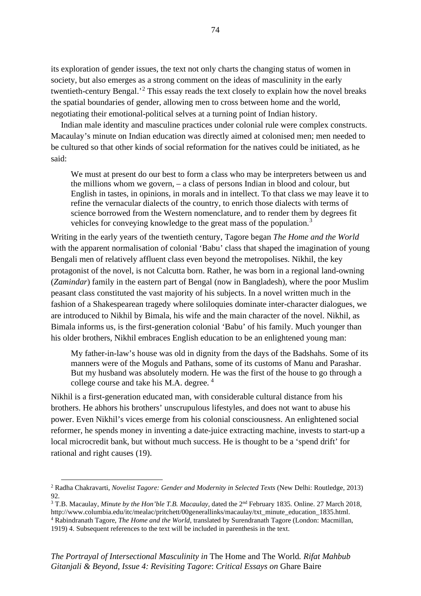its exploration of gender issues, the text not only charts the changing status of women in society, but also emerges as a strong comment on the ideas of masculinity in the early twentieth-century Bengal.<sup>[2](#page-80-0)</sup> This essay reads the text closely to explain how the novel breaks the spatial boundaries of gender, allowing men to cross between home and the world, negotiating their emotional-political selves at a turning point of Indian history.

Indian male identity and masculine practices under colonial rule were complex constructs. Macaulay's minute on Indian education was directly aimed at colonised men; men needed to be cultured so that other kinds of social reformation for the natives could be initiated, as he said:

We must at present do our best to form a class who may be interpreters between us and the millions whom we govern, – a class of persons Indian in blood and colour, but English in tastes, in opinions, in morals and in intellect. To that class we may leave it to refine the vernacular dialects of the country, to enrich those dialects with terms of science borrowed from the Western nomenclature, and to render them by degrees fit vehicles for conveying knowledge to the great mass of the population.<sup>[3](#page-80-1)</sup>

Writing in the early years of the twentieth century, Tagore began *The Home and the World* with the apparent normalisation of colonial 'Babu' class that shaped the imagination of young Bengali men of relatively affluent class even beyond the metropolises. Nikhil, the key protagonist of the novel, is not Calcutta born. Rather, he was born in a regional land-owning (*Zamindar*) family in the eastern part of Bengal (now in Bangladesh), where the poor Muslim peasant class constituted the vast majority of his subjects. In a novel written much in the fashion of a Shakespearean tragedy where soliloquies dominate inter-character dialogues, we are introduced to Nikhil by Bimala, his wife and the main character of the novel. Nikhil, as Bimala informs us, is the first-generation colonial 'Babu' of his family. Much younger than his older brothers, Nikhil embraces English education to be an enlightened young man:

My father-in-law's house was old in dignity from the days of the Badshahs. Some of its manners were of the Moguls and Pathans, some of its customs of Manu and Parashar. But my husband was absolutely modern. He was the first of the house to go through a college course and take his M.A. degree.<sup>[4](#page-80-2)</sup>

Nikhil is a first-generation educated man, with considerable cultural distance from his brothers. He abhors his brothers' unscrupulous lifestyles, and does not want to abuse his power. Even Nikhil's vices emerge from his colonial consciousness. An enlightened social reformer, he spends money in inventing a date-juice extracting machine, invests to start-up a local microcredit bank, but without much success. He is thought to be a 'spend drift' for rational and right causes (19).

<span id="page-80-0"></span><sup>2</sup> Radha Chakravarti, *Novelist Tagore: Gender and Modernity in Selected Texts* (New Delhi: Routledge, 2013) 92.

<span id="page-80-2"></span><span id="page-80-1"></span><sup>&</sup>lt;sup>3</sup> T.B. Macaulay, *Minute by the Hon'ble T.B. Macaulay*, dated the 2<sup>nd</sup> February 1835. Online. 27 March 2018, http://www.columbia.edu/itc/mealac/pritchett/00generallinks/macaulay/txt\_minute\_education\_1835.html. <sup>4</sup> Rabindranath Tagore, *The Home and the World*, translated by Surendranath Tagore (London: Macmillan, 1919) 4. Subsequent references to the text will be included in parenthesis in the text.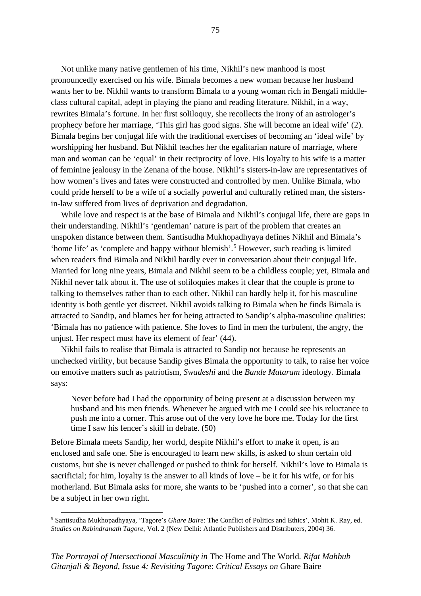Not unlike many native gentlemen of his time, Nikhil's new manhood is most pronouncedly exercised on his wife. Bimala becomes a new woman because her husband wants her to be. Nikhil wants to transform Bimala to a young woman rich in Bengali middleclass cultural capital, adept in playing the piano and reading literature. Nikhil, in a way, rewrites Bimala's fortune. In her first soliloquy, she recollects the irony of an astrologer's prophecy before her marriage, 'This girl has good signs. She will become an ideal wife' (2). Bimala begins her conjugal life with the traditional exercises of becoming an 'ideal wife' by worshipping her husband. But Nikhil teaches her the egalitarian nature of marriage, where man and woman can be 'equal' in their reciprocity of love. His loyalty to his wife is a matter of feminine jealousy in the Zenana of the house. Nikhil's sisters-in-law are representatives of how women's lives and fates were constructed and controlled by men. Unlike Bimala, who could pride herself to be a wife of a socially powerful and culturally refined man, the sistersin-law suffered from lives of deprivation and degradation.

While love and respect is at the base of Bimala and Nikhil's conjugal life, there are gaps in their understanding. Nikhil's 'gentleman' nature is part of the problem that creates an unspoken distance between them. Santisudha Mukhopadhyaya defines Nikhil and Bimala's 'home life' as 'complete and happy without blemish'. [5](#page-81-0) However, such reading is limited when readers find Bimala and Nikhil hardly ever in conversation about their conjugal life. Married for long nine years, Bimala and Nikhil seem to be a childless couple; yet, Bimala and Nikhil never talk about it. The use of soliloquies makes it clear that the couple is prone to talking to themselves rather than to each other. Nikhil can hardly help it, for his masculine identity is both gentle yet discreet. Nikhil avoids talking to Bimala when he finds Bimala is attracted to Sandip, and blames her for being attracted to Sandip's alpha-masculine qualities: 'Bimala has no patience with patience. She loves to find in men the turbulent, the angry, the unjust. Her respect must have its element of fear' (44).

Nikhil fails to realise that Bimala is attracted to Sandip not because he represents an unchecked virility, but because Sandip gives Bimala the opportunity to talk, to raise her voice on emotive matters such as patriotism, *Swadeshi* and the *Bande Mataram* ideology. Bimala says:

Never before had I had the opportunity of being present at a discussion between my husband and his men friends. Whenever he argued with me I could see his reluctance to push me into a corner. This arose out of the very love he bore me. Today for the first time I saw his fencer's skill in debate. (50)

Before Bimala meets Sandip, her world, despite Nikhil's effort to make it open, is an enclosed and safe one. She is encouraged to learn new skills, is asked to shun certain old customs, but she is never challenged or pushed to think for herself. Nikhil's love to Bimala is sacrificial; for him, loyalty is the answer to all kinds of love – be it for his wife, or for his motherland. But Bimala asks for more, she wants to be 'pushed into a corner', so that she can be a subject in her own right.

<span id="page-81-0"></span><sup>5</sup> Santisudha Mukhopadhyaya, 'Tagore's *Ghare Baire*: The Conflict of Politics and Ethics', Mohit K. Ray, ed. *Studies on Rabindranath Tagore*, Vol. 2 (New Delhi: Atlantic Publishers and Distributers, 2004) 36.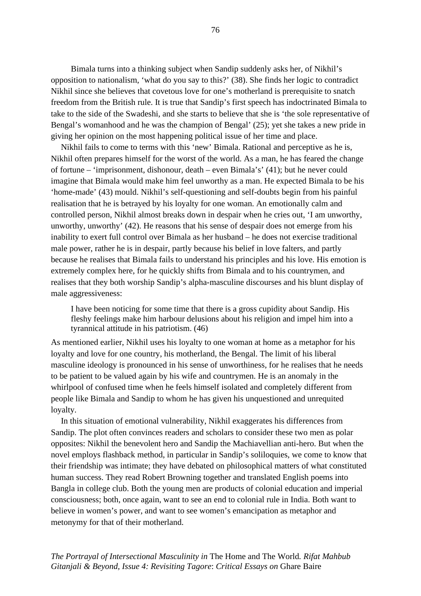Bimala turns into a thinking subject when Sandip suddenly asks her, of Nikhil's opposition to nationalism, 'what do you say to this?' (38). She finds her logic to contradict Nikhil since she believes that covetous love for one's motherland is prerequisite to snatch freedom from the British rule. It is true that Sandip's first speech has indoctrinated Bimala to take to the side of the Swadeshi, and she starts to believe that she is 'the sole representative of Bengal's womanhood and he was the champion of Bengal' (25); yet she takes a new pride in giving her opinion on the most happening political issue of her time and place.

Nikhil fails to come to terms with this 'new' Bimala. Rational and perceptive as he is, Nikhil often prepares himself for the worst of the world. As a man, he has feared the change of fortune – 'imprisonment, dishonour, death – even Bimala's' (41); but he never could imagine that Bimala would make him feel unworthy as a man. He expected Bimala to be his 'home-made' (43) mould. Nikhil's self-questioning and self-doubts begin from his painful realisation that he is betrayed by his loyalty for one woman. An emotionally calm and controlled person, Nikhil almost breaks down in despair when he cries out, 'I am unworthy, unworthy, unworthy' (42). He reasons that his sense of despair does not emerge from his inability to exert full control over Bimala as her husband – he does not exercise traditional male power, rather he is in despair, partly because his belief in love falters, and partly because he realises that Bimala fails to understand his principles and his love. His emotion is extremely complex here, for he quickly shifts from Bimala and to his countrymen, and realises that they both worship Sandip's alpha-masculine discourses and his blunt display of male aggressiveness:

I have been noticing for some time that there is a gross cupidity about Sandip. His fleshy feelings make him harbour delusions about his religion and impel him into a tyrannical attitude in his patriotism. (46)

As mentioned earlier, Nikhil uses his loyalty to one woman at home as a metaphor for his loyalty and love for one country, his motherland, the Bengal. The limit of his liberal masculine ideology is pronounced in his sense of unworthiness, for he realises that he needs to be patient to be valued again by his wife and countrymen. He is an anomaly in the whirlpool of confused time when he feels himself isolated and completely different from people like Bimala and Sandip to whom he has given his unquestioned and unrequited loyalty.

In this situation of emotional vulnerability, Nikhil exaggerates his differences from Sandip. The plot often convinces readers and scholars to consider these two men as polar opposites: Nikhil the benevolent hero and Sandip the Machiavellian anti-hero. But when the novel employs flashback method, in particular in Sandip's soliloquies, we come to know that their friendship was intimate; they have debated on philosophical matters of what constituted human success. They read Robert Browning together and translated English poems into Bangla in college club. Both the young men are products of colonial education and imperial consciousness; both, once again, want to see an end to colonial rule in India. Both want to believe in women's power, and want to see women's emancipation as metaphor and metonymy for that of their motherland.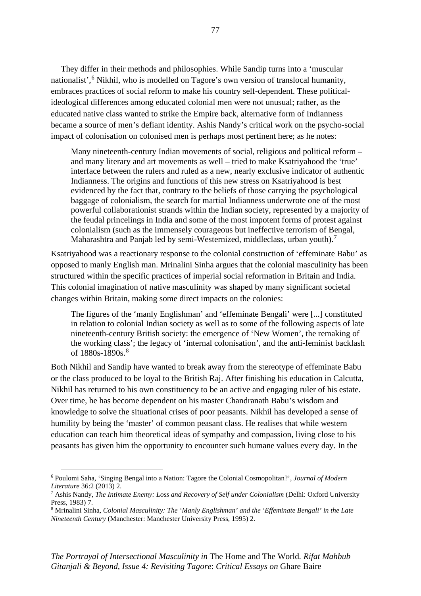They differ in their methods and philosophies. While Sandip turns into a 'muscular nationalist',<sup>[6](#page-83-0)</sup> Nikhil, who is modelled on Tagore's own version of translocal humanity, embraces practices of social reform to make his country self-dependent. These politicalideological differences among educated colonial men were not unusual; rather, as the educated native class wanted to strike the Empire back, alternative form of Indianness became a source of men's defiant identity. Ashis Nandy's critical work on the psycho-social impact of colonisation on colonised men is perhaps most pertinent here; as he notes:

Many nineteenth-century Indian movements of social, religious and political reform – and many literary and art movements as well – tried to make Ksatriyahood the 'true' interface between the rulers and ruled as a new, nearly exclusive indicator of authentic Indianness. The origins and functions of this new stress on Ksatriyahood is best evidenced by the fact that, contrary to the beliefs of those carrying the psychological baggage of colonialism, the search for martial Indianness underwrote one of the most powerful collaborationist strands within the Indian society, represented by a majority of the feudal princelings in India and some of the most impotent forms of protest against colonialism (such as the immensely courageous but ineffective terrorism of Bengal, Maharashtra and Panjab led by semi-Westernized, middleclass, urban youth).<sup>[7](#page-83-1)</sup>

Ksatriyahood was a reactionary response to the colonial construction of 'effeminate Babu' as opposed to manly English man. Mrinalini Sinha argues that the colonial masculinity has been structured within the specific practices of imperial social reformation in Britain and India. This colonial imagination of native masculinity was shaped by many significant societal changes within Britain, making some direct impacts on the colonies:

The figures of the 'manly Englishman' and 'effeminate Bengali' were [...] constituted in relation to colonial Indian society as well as to some of the following aspects of late nineteenth-century British society: the emergence of 'New Women', the remaking of the working class'; the legacy of 'internal colonisation', and the anti-feminist backlash of 1[8](#page-83-2)80s-1890s.<sup>8</sup>

Both Nikhil and Sandip have wanted to break away from the stereotype of effeminate Babu or the class produced to be loyal to the British Raj. After finishing his education in Calcutta, Nikhil has returned to his own constituency to be an active and engaging ruler of his estate. Over time, he has become dependent on his master Chandranath Babu's wisdom and knowledge to solve the situational crises of poor peasants. Nikhil has developed a sense of humility by being the 'master' of common peasant class. He realises that while western education can teach him theoretical ideas of sympathy and compassion, living close to his peasants has given him the opportunity to encounter such humane values every day. In the

<span id="page-83-0"></span><sup>6</sup> Poulomi Saha, 'Singing Bengal into a Nation: Tagore the Colonial Cosmopolitan?', *Journal of Modern Literature* 36:2 (2013) 2.

<span id="page-83-1"></span><sup>7</sup> Ashis Nandy, *The Intimate Enemy: Loss and Recovery of Self under Colonialism* (Delhi: Oxford University Press, 1983) 7.

<span id="page-83-2"></span><sup>8</sup> Mrinalini Sinha, *Colonial Masculinity: The 'Manly Englishman' and the 'Effeminate Bengali' in the Late Nineteenth Century* (Manchester: Manchester University Press, 1995) 2.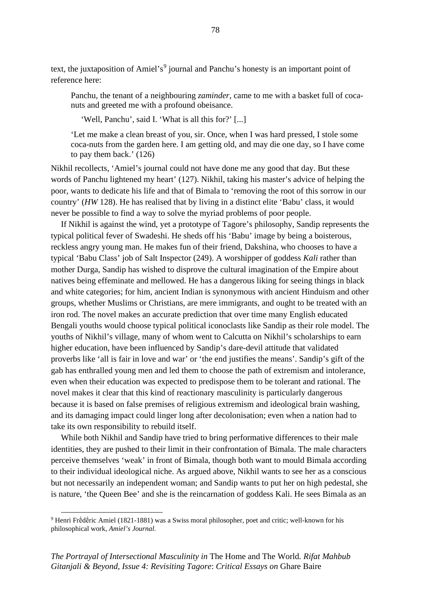text, the juxtaposition of Amiel's<sup>[9](#page-84-0)</sup> journal and Panchu's honesty is an important point of reference here:

Panchu, the tenant of a neighbouring *zaminder*, came to me with a basket full of cocanuts and greeted me with a profound obeisance.

'Well, Panchu', said I. 'What is all this for?' [...]

'Let me make a clean breast of you, sir. Once, when I was hard pressed, I stole some coca-nuts from the garden here. I am getting old, and may die one day, so I have come to pay them back.' (126)

Nikhil recollects, 'Amiel's journal could not have done me any good that day. But these words of Panchu lightened my heart' (127). Nikhil, taking his master's advice of helping the poor, wants to dedicate his life and that of Bimala to 'removing the root of this sorrow in our country' (*HW* 128). He has realised that by living in a distinct elite 'Babu' class, it would never be possible to find a way to solve the myriad problems of poor people.

If Nikhil is against the wind, yet a prototype of Tagore's philosophy, Sandip represents the typical political fever of Swadeshi. He sheds off his 'Babu' image by being a boisterous, reckless angry young man. He makes fun of their friend, Dakshina, who chooses to have a typical 'Babu Class' job of Salt Inspector (249). A worshipper of goddess *Kali* rather than mother Durga, Sandip has wished to disprove the cultural imagination of the Empire about natives being effeminate and mellowed. He has a dangerous liking for seeing things in black and white categories; for him, ancient Indian is synonymous with ancient Hinduism and other groups, whether Muslims or Christians, are mere immigrants, and ought to be treated with an iron rod. The novel makes an accurate prediction that over time many English educated Bengali youths would choose typical political iconoclasts like Sandip as their role model. The youths of Nikhil's village, many of whom went to Calcutta on Nikhil's scholarships to earn higher education, have been influenced by Sandip's dare-devil attitude that validated proverbs like 'all is fair in love and war' or 'the end justifies the means'. Sandip's gift of the gab has enthralled young men and led them to choose the path of extremism and intolerance, even when their education was expected to predispose them to be tolerant and rational. The novel makes it clear that this kind of reactionary masculinity is particularly dangerous because it is based on false premises of religious extremism and ideological brain washing, and its damaging impact could linger long after decolonisation; even when a nation had to take its own responsibility to rebuild itself.

While both Nikhil and Sandip have tried to bring performative differences to their male identities, they are pushed to their limit in their confrontation of Bimala. The male characters perceive themselves 'weak' in front of Bimala, though both want to mould Bimala according to their individual ideological niche. As argued above, Nikhil wants to see her as a conscious but not necessarily an independent woman; and Sandip wants to put her on high pedestal, she is nature, 'the Queen Bee' and she is the reincarnation of goddess Kali. He sees Bimala as an

<span id="page-84-0"></span><sup>9</sup> Henri Frḕdḕric Amiel (1821-1881) was a Swiss moral philosopher, poet and critic; well-known for his philosophical work, *Amiel's Journal*.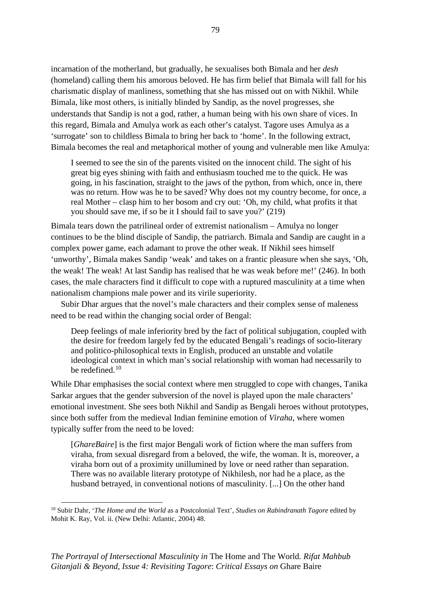incarnation of the motherland, but gradually, he sexualises both Bimala and her *desh* (homeland) calling them his amorous beloved. He has firm belief that Bimala will fall for his charismatic display of manliness, something that she has missed out on with Nikhil. While Bimala, like most others, is initially blinded by Sandip, as the novel progresses, she understands that Sandip is not a god, rather, a human being with his own share of vices. In this regard, Bimala and Amulya work as each other's catalyst. Tagore uses Amulya as a 'surrogate' son to childless Bimala to bring her back to 'home'. In the following extract, Bimala becomes the real and metaphorical mother of young and vulnerable men like Amulya:

I seemed to see the sin of the parents visited on the innocent child. The sight of his great big eyes shining with faith and enthusiasm touched me to the quick. He was going, in his fascination, straight to the jaws of the python, from which, once in, there was no return. How was he to be saved? Why does not my country become, for once, a real Mother – clasp him to her bosom and cry out: 'Oh, my child, what profits it that you should save me, if so be it I should fail to save you?' (219)

Bimala tears down the patrilineal order of extremist nationalism – Amulya no longer continues to be the blind disciple of Sandip, the patriarch. Bimala and Sandip are caught in a complex power game, each adamant to prove the other weak. If Nikhil sees himself 'unworthy', Bimala makes Sandip 'weak' and takes on a frantic pleasure when she says, 'Oh, the weak! The weak! At last Sandip has realised that he was weak before me!' (246). In both cases, the male characters find it difficult to cope with a ruptured masculinity at a time when nationalism champions male power and its virile superiority.

Subir Dhar argues that the novel's male characters and their complex sense of maleness need to be read within the changing social order of Bengal:

Deep feelings of male inferiority bred by the fact of political subjugation, coupled with the desire for freedom largely fed by the educated Bengali's readings of socio-literary and politico-philosophical texts in English, produced an unstable and volatile ideological context in which man's social relationship with woman had necessarily to be redefined.[10](#page-85-0)

While Dhar emphasises the social context where men struggled to cope with changes, Tanika Sarkar argues that the gender subversion of the novel is played upon the male characters' emotional investment. She sees both Nikhil and Sandip as Bengali heroes without prototypes, since both suffer from the medieval Indian feminine emotion of *Viraha*, where women typically suffer from the need to be loved:

[*GhareBaire*] is the first major Bengali work of fiction where the man suffers from viraha, from sexual disregard from a beloved, the wife, the woman. It is, moreover, a viraha born out of a proximity unillumined by love or need rather than separation. There was no available literary prototype of Nikhilesh, nor had he a place, as the husband betrayed, in conventional notions of masculinity. [...] On the other hand

<span id="page-85-0"></span><sup>10</sup> Subir Dahr, '*The Home and the World* as a Postcolonial Text', *Studies on Rabindranath Tagore* edited by Mohit K. Ray, Vol. ii. (New Delhi: Atlantic, 2004) 48.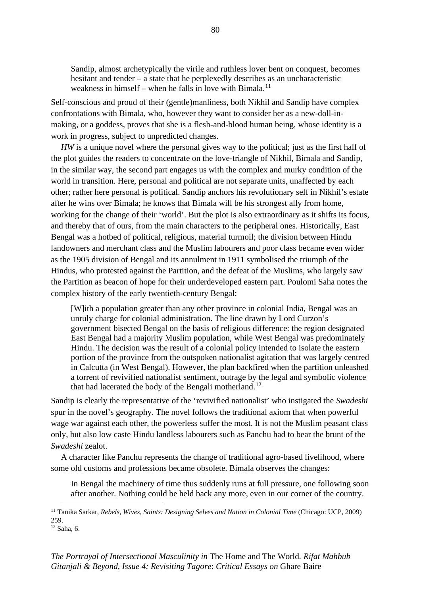Sandip, almost archetypically the virile and ruthless lover bent on conquest, becomes hesitant and tender – a state that he perplexedly describes as an uncharacteristic weakness in himself – when he falls in love with Bimala.<sup>[11](#page-86-0)</sup>

Self-conscious and proud of their (gentle)manliness, both Nikhil and Sandip have complex confrontations with Bimala, who, however they want to consider her as a new-doll-inmaking, or a goddess, proves that she is a flesh-and-blood human being, whose identity is a work in progress, subject to unpredicted changes.

*HW* is a unique novel where the personal gives way to the political; just as the first half of the plot guides the readers to concentrate on the love-triangle of Nikhil, Bimala and Sandip, in the similar way, the second part engages us with the complex and murky condition of the world in transition. Here, personal and political are not separate units, unaffected by each other; rather here personal is political. Sandip anchors his revolutionary self in Nikhil's estate after he wins over Bimala; he knows that Bimala will be his strongest ally from home, working for the change of their 'world'. But the plot is also extraordinary as it shifts its focus, and thereby that of ours, from the main characters to the peripheral ones. Historically, East Bengal was a hotbed of political, religious, material turmoil; the division between Hindu landowners and merchant class and the Muslim labourers and poor class became even wider as the 1905 division of Bengal and its annulment in 1911 symbolised the triumph of the Hindus, who protested against the Partition, and the defeat of the Muslims, who largely saw the Partition as beacon of hope for their underdeveloped eastern part. Poulomi Saha notes the complex history of the early twentieth-century Bengal:

[W]ith a population greater than any other province in colonial India, Bengal was an unruly charge for colonial administration. The line drawn by Lord Curzon's government bisected Bengal on the basis of religious difference: the region designated East Bengal had a majority Muslim population, while West Bengal was predominately Hindu. The decision was the result of a colonial policy intended to isolate the eastern portion of the province from the outspoken nationalist agitation that was largely centred in Calcutta (in West Bengal). However, the plan backfired when the partition unleashed a torrent of revivified nationalist sentiment, outrage by the legal and symbolic violence that had lacerated the body of the Bengali motherland.<sup>[12](#page-86-1)</sup>

Sandip is clearly the representative of the 'revivified nationalist' who instigated the *Swadeshi*  spur in the novel's geography. The novel follows the traditional axiom that when powerful wage war against each other, the powerless suffer the most. It is not the Muslim peasant class only, but also low caste Hindu landless labourers such as Panchu had to bear the brunt of the *Swadeshi* zealot.

A character like Panchu represents the change of traditional agro-based livelihood, where some old customs and professions became obsolete. Bimala observes the changes:

In Bengal the machinery of time thus suddenly runs at full pressure, one following soon after another. Nothing could be held back any more, even in our corner of the country.

<span id="page-86-0"></span><sup>11</sup> Tanika Sarkar, *Rebels, Wives, Saints: Designing Selves and Nation in Colonial Time* (Chicago: UCP, 2009) 259.

<span id="page-86-1"></span><sup>12</sup> Saha, 6.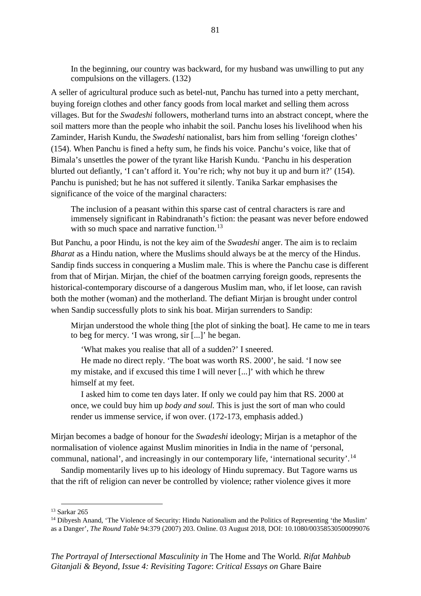In the beginning, our country was backward, for my husband was unwilling to put any compulsions on the villagers. (132)

A seller of agricultural produce such as betel-nut, Panchu has turned into a petty merchant, buying foreign clothes and other fancy goods from local market and selling them across villages. But for the *Swadeshi* followers, motherland turns into an abstract concept, where the soil matters more than the people who inhabit the soil. Panchu loses his livelihood when his Zaminder, Harish Kundu, the *Swadeshi* nationalist, bars him from selling 'foreign clothes' (154). When Panchu is fined a hefty sum, he finds his voice. Panchu's voice, like that of Bimala's unsettles the power of the tyrant like Harish Kundu. 'Panchu in his desperation blurted out defiantly, 'I can't afford it. You're rich; why not buy it up and burn it?' (154). Panchu is punished; but he has not suffered it silently. Tanika Sarkar emphasises the significance of the voice of the marginal characters:

The inclusion of a peasant within this sparse cast of central characters is rare and immensely significant in Rabindranath's fiction: the peasant was never before endowed with so much space and narrative function.<sup>[13](#page-87-0)</sup>

But Panchu, a poor Hindu, is not the key aim of the *Swadeshi* anger. The aim is to reclaim *Bharat* as a Hindu nation, where the Muslims should always be at the mercy of the Hindus. Sandip finds success in conquering a Muslim male. This is where the Panchu case is different from that of Mirjan. Mirjan, the chief of the boatmen carrying foreign goods, represents the historical-contemporary discourse of a dangerous Muslim man, who, if let loose, can ravish both the mother (woman) and the motherland. The defiant Mirjan is brought under control when Sandip successfully plots to sink his boat. Mirjan surrenders to Sandip:

Mirjan understood the whole thing [the plot of sinking the boat]. He came to me in tears to beg for mercy. 'I was wrong, sir [...]' he began.

'What makes you realise that all of a sudden?' I sneered.

He made no direct reply. 'The boat was worth RS. 2000', he said. 'I now see my mistake, and if excused this time I will never [...]' with which he threw himself at my feet.

I asked him to come ten days later. If only we could pay him that RS. 2000 at once, we could buy him up *body and soul.* This is just the sort of man who could render us immense service, if won over. (172-173, emphasis added.)

Mirjan becomes a badge of honour for the *Swadeshi* ideology; Mirjan is a metaphor of the normalisation of violence against Muslim minorities in India in the name of 'personal, communal, national', and increasingly in our contemporary life, 'international security'.<sup>[14](#page-87-1)</sup>

Sandip momentarily lives up to his ideology of Hindu supremacy. But Tagore warns us that the rift of religion can never be controlled by violence; rather violence gives it more

<span id="page-87-0"></span><sup>13</sup> Sarkar 265

<span id="page-87-1"></span><sup>&</sup>lt;sup>14</sup> Dibyesh Anand, 'The Violence of Security: Hindu Nationalism and the Politics of Representing 'the Muslim' as a Danger', *The Round Table* 94:379 (2007) 203. Online. 03 August 2018, DOI: 10.1080/00358530500099076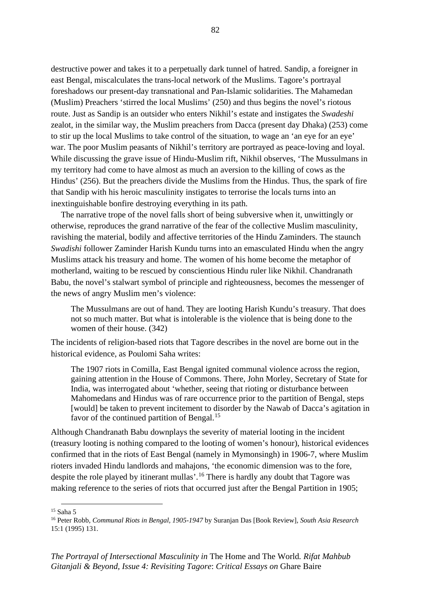destructive power and takes it to a perpetually dark tunnel of hatred. Sandip, a foreigner in east Bengal, miscalculates the trans-local network of the Muslims. Tagore's portrayal foreshadows our present-day transnational and Pan-Islamic solidarities. The Mahamedan (Muslim) Preachers 'stirred the local Muslims' (250) and thus begins the novel's riotous route. Just as Sandip is an outsider who enters Nikhil's estate and instigates the *Swadeshi*  zealot, in the similar way, the Muslim preachers from Dacca (present day Dhaka) (253) come to stir up the local Muslims to take control of the situation, to wage an 'an eye for an eye' war. The poor Muslim peasants of Nikhil's territory are portrayed as peace-loving and loyal. While discussing the grave issue of Hindu-Muslim rift, Nikhil observes, 'The Mussulmans in my territory had come to have almost as much an aversion to the killing of cows as the Hindus' (256). But the preachers divide the Muslims from the Hindus. Thus, the spark of fire that Sandip with his heroic masculinity instigates to terrorise the locals turns into an inextinguishable bonfire destroying everything in its path.

The narrative trope of the novel falls short of being subversive when it, unwittingly or otherwise, reproduces the grand narrative of the fear of the collective Muslim masculinity, ravishing the material, bodily and affective territories of the Hindu Zaminders. The staunch *Swadishi* follower Zaminder Harish Kundu turns into an emasculated Hindu when the angry Muslims attack his treasury and home. The women of his home become the metaphor of motherland, waiting to be rescued by conscientious Hindu ruler like Nikhil. Chandranath Babu, the novel's stalwart symbol of principle and righteousness, becomes the messenger of the news of angry Muslim men's violence:

The Mussulmans are out of hand. They are looting Harish Kundu's treasury. That does not so much matter. But what is intolerable is the violence that is being done to the women of their house. (342)

The incidents of religion-based riots that Tagore describes in the novel are borne out in the historical evidence, as Poulomi Saha writes:

The 1907 riots in Comilla, East Bengal ignited communal violence across the region, gaining attention in the House of Commons. There, John Morley, Secretary of State for India, was interrogated about 'whether, seeing that rioting or disturbance between Mahomedans and Hindus was of rare occurrence prior to the partition of Bengal, steps [would] be taken to prevent incitement to disorder by the Nawab of Dacca's agitation in favor of the continued partition of Bengal.<sup>[15](#page-88-0)</sup>

Although Chandranath Babu downplays the severity of material looting in the incident (treasury looting is nothing compared to the looting of women's honour), historical evidences confirmed that in the riots of East Bengal (namely in Mymonsingh) in 1906-7, where Muslim rioters invaded Hindu landlords and mahajons, 'the economic dimension was to the fore, despite the role played by itinerant mullas'.<sup>[16](#page-88-1)</sup> There is hardly any doubt that Tagore was making reference to the series of riots that occurred just after the Bengal Partition in 1905;

<span id="page-88-0"></span><sup>15</sup> Saha 5

<span id="page-88-1"></span><sup>16</sup> Peter Robb, *Communal Riots in Bengal, 1905-1947* by Suranjan Das [Book Review], *South Asia Research* 15:1 (1995) 131.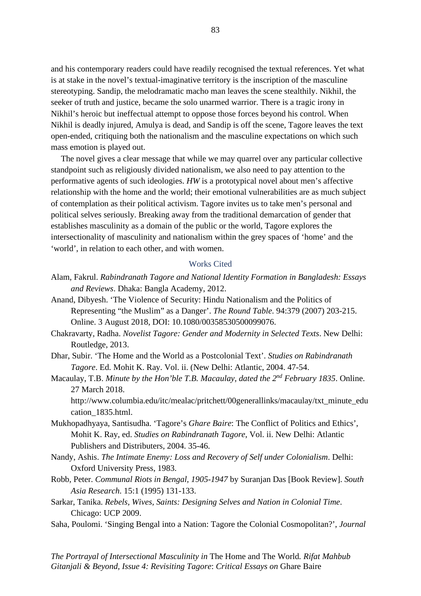and his contemporary readers could have readily recognised the textual references. Yet what is at stake in the novel's textual-imaginative territory is the inscription of the masculine stereotyping. Sandip, the melodramatic macho man leaves the scene stealthily. Nikhil, the seeker of truth and justice, became the solo unarmed warrior. There is a tragic irony in Nikhil's heroic but ineffectual attempt to oppose those forces beyond his control. When Nikhil is deadly injured, Amulya is dead, and Sandip is off the scene, Tagore leaves the text open-ended, critiquing both the nationalism and the masculine expectations on which such mass emotion is played out.

The novel gives a clear message that while we may quarrel over any particular collective standpoint such as religiously divided nationalism, we also need to pay attention to the performative agents of such ideologies. *HW* is a prototypical novel about men's affective relationship with the home and the world; their emotional vulnerabilities are as much subject of contemplation as their political activism. Tagore invites us to take men's personal and political selves seriously. Breaking away from the traditional demarcation of gender that establishes masculinity as a domain of the public or the world, Tagore explores the intersectionality of masculinity and nationalism within the grey spaces of 'home' and the 'world', in relation to each other, and with women.

#### Works Cited

- Alam, Fakrul. *Rabindranath Tagore and National Identity Formation in Bangladesh: Essays and Reviews*. Dhaka: Bangla Academy, 2012.
- Anand, Dibyesh. 'The Violence of Security: Hindu Nationalism and the Politics of Representing "the Muslim" as a Danger'. *The Round Table*. 94:379 (2007) 203-215. Online. 3 August 2018, DOI: 10.1080/00358530500099076.
- Chakravarty, Radha. *Novelist Tagore: Gender and Modernity in Selected Texts*. New Delhi: Routledge, 2013.
- Dhar, Subir. 'The Home and the World as a Postcolonial Text'. *Studies on Rabindranath Tagore*. Ed. Mohit K. Ray. Vol. ii. (New Delhi: Atlantic, 2004. 47-54.
- Macaulay, T.B. *Minute by the Hon'ble T.B. Macaulay, dated the 2nd February 1835*. Online. 27 March 2018.

http://www.columbia.edu/itc/mealac/pritchett/00generallinks/macaulay/txt\_minute\_edu cation\_1835.html.

- Mukhopadhyaya, Santisudha. 'Tagore's *Ghare Baire*: The Conflict of Politics and Ethics', Mohit K. Ray, ed. *Studies on Rabindranath Tagore*, Vol. ii. New Delhi: Atlantic Publishers and Distributers, 2004. 35-46.
- Nandy, Ashis. *The Intimate Enemy: Loss and Recovery of Self under Colonialism*. Delhi: Oxford University Press, 1983.
- Robb, Peter. *Communal Riots in Bengal, 1905-1947* by Suranjan Das [Book Review]. *South Asia Research*. 15:1 (1995) 131-133.
- Sarkar, Tanika. *Rebels, Wives, Saints: Designing Selves and Nation in Colonial Time*. Chicago: UCP 2009.
- Saha, Poulomi. 'Singing Bengal into a Nation: Tagore the Colonial Cosmopolitan?', *Journal*

*The Portrayal of Intersectional Masculinity in* The Home and The World*. Rifat Mahbub Gitanjali & Beyond, Issue 4: Revisiting Tagore*: *Critical Essays on* Ghare Baire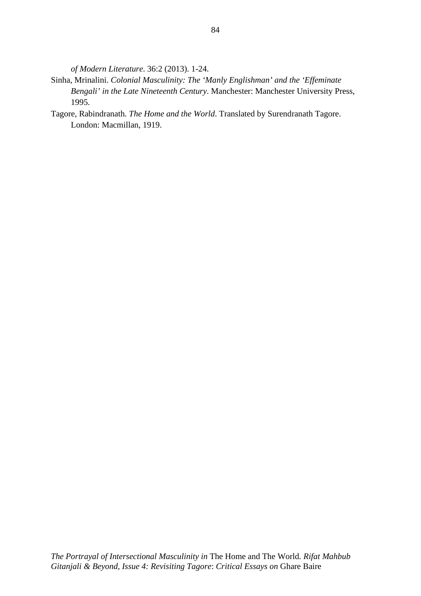*of Modern Literature*. 36:2 (2013). 1-24.

- Sinha, Mrinalini. *Colonial Masculinity: The 'Manly Englishman' and the 'Effeminate Bengali' in the Late Nineteenth Century*. Manchester: Manchester University Press, 1995.
- Tagore, Rabindranath. *The Home and the World*. Translated by Surendranath Tagore. London: Macmillan, 1919.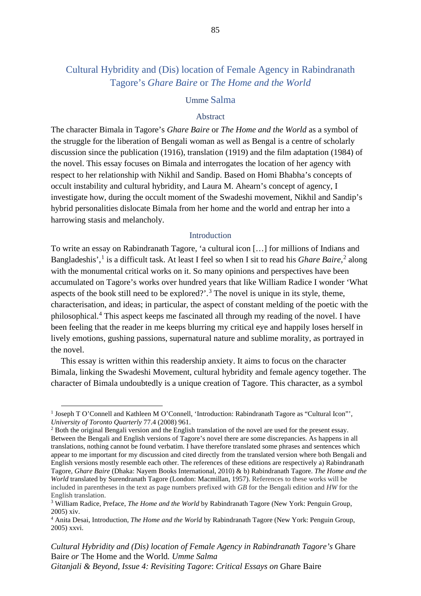# Cultural Hybridity and (Dis) location of Female Agency in Rabindranath Tagore's *Ghare Baire* or *The Home and the World*

# Umme Salma

## Abstract

The character Bimala in Tagore's *Ghare Baire* or *The Home and the World* as a symbol of the struggle for the liberation of Bengali woman as well as Bengal is a centre of scholarly discussion since the publication (1916), translation (1919) and the film adaptation (1984) of the novel. This essay focuses on Bimala and interrogates the location of her agency with respect to her relationship with Nikhil and Sandip. Based on Homi Bhabha's concepts of occult instability and cultural hybridity, and Laura M. Ahearn's concept of agency, I investigate how, during the occult moment of the Swadeshi movement, Nikhil and Sandip's hybrid personalities dislocate Bimala from her home and the world and entrap her into a harrowing stasis and melancholy.

### Introduction

To write an essay on Rabindranath Tagore, 'a cultural icon […] for millions of Indians and Bangladeshis',<sup>[1](#page-91-0)</sup> is a difficult task. At least I feel so when I sit to read his *Ghare Baire*,<sup>[2](#page-91-1)</sup> along with the monumental critical works on it. So many opinions and perspectives have been accumulated on Tagore's works over hundred years that like William Radice I wonder 'What aspects of the book still need to be explored?'.<sup>[3](#page-91-2)</sup> The novel is unique in its style, theme, characterisation, and ideas; in particular, the aspect of constant melding of the poetic with the philosophical.[4](#page-91-3) This aspect keeps me fascinated all through my reading of the novel. I have been feeling that the reader in me keeps blurring my critical eye and happily loses herself in lively emotions, gushing passions, supernatural nature and sublime morality, as portrayed in the novel.

This essay is written within this readership anxiety. It aims to focus on the character Bimala, linking the Swadeshi Movement, cultural hybridity and female agency together. The character of Bimala undoubtedly is a unique creation of Tagore. This character, as a symbol

<span id="page-91-0"></span><sup>&</sup>lt;sup>1</sup> Joseph T O'Connell and Kathleen M O'Connell, 'Introduction: Rabindranath Tagore as "Cultural Icon"', *University of Toronto Quarterly* 77.4 (2008) 961.

<span id="page-91-1"></span><sup>2</sup> Both the original Bengali version and the English translation of the novel are used for the present essay. Between the Bengali and English versions of Tagore's novel there are some discrepancies. As happens in all translations, nothing cannot be found verbatim. I have therefore translated some phrases and sentences which appear to me important for my discussion and cited directly from the translated version where both Bengali and English versions mostly resemble each other. The references of these editions are respectively a) Rabindranath Tagore, *Ghare Baire* (Dhaka: Nayem Books International, 2010) & b) Rabindranath Tagore. *The Home and the World* translated by Surendranath Tagore (London: Macmillan, 1957). References to these works will be included in parentheses in the text as page numbers prefixed with *GB* for the Bengali edition and *HW* for the English translation.

<span id="page-91-2"></span><sup>3</sup> William Radice, Preface, *The Home and the World* by Rabindranath Tagore (New York: Penguin Group, 2005) xiv.

<span id="page-91-3"></span><sup>4</sup> Anita Desai, Introduction, *The Home and the World* by Rabindranath Tagore (New York: Penguin Group, 2005) xxvi.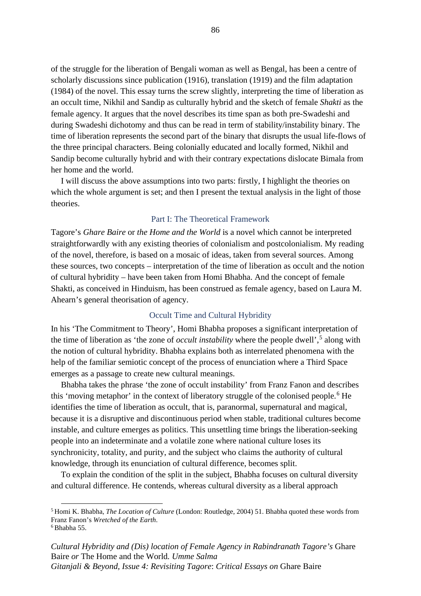of the struggle for the liberation of Bengali woman as well as Bengal, has been a centre of scholarly discussions since publication (1916), translation (1919) and the film adaptation (1984) of the novel. This essay turns the screw slightly, interpreting the time of liberation as an occult time, Nikhil and Sandip as culturally hybrid and the sketch of female *Shakti* as the female agency. It argues that the novel describes its time span as both pre-Swadeshi and during Swadeshi dichotomy and thus can be read in term of stability/instability binary. The time of liberation represents the second part of the binary that disrupts the usual life-flows of the three principal characters. Being colonially educated and locally formed, Nikhil and Sandip become culturally hybrid and with their contrary expectations dislocate Bimala from her home and the world.

I will discuss the above assumptions into two parts: firstly, I highlight the theories on which the whole argument is set; and then I present the textual analysis in the light of those theories.

## Part I: The Theoretical Framework

Tagore's *Ghare Baire* or *the Home and the World* is a novel which cannot be interpreted straightforwardly with any existing theories of colonialism and postcolonialism. My reading of the novel, therefore, is based on a mosaic of ideas, taken from several sources. Among these sources, two concepts – interpretation of the time of liberation as occult and the notion of cultural hybridity – have been taken from Homi Bhabha. And the concept of female Shakti, as conceived in Hinduism, has been construed as female agency, based on Laura M. Ahearn's general theorisation of agency.

## Occult Time and Cultural Hybridity

In his 'The Commitment to Theory', Homi Bhabha proposes a significant interpretation of the time of liberation as 'the zone of *occult instability* where the people dwell',<sup>[5](#page-92-0)</sup> along with the notion of cultural hybridity. Bhabha explains both as interrelated phenomena with the help of the familiar semiotic concept of the process of enunciation where a Third Space emerges as a passage to create new cultural meanings.

Bhabha takes the phrase 'the zone of occult instability' from Franz Fanon and describes this 'moving metaphor' in the context of liberatory struggle of the colonised people.<sup>[6](#page-92-1)</sup> He identifies the time of liberation as occult, that is, paranormal, supernatural and magical, because it is a disruptive and discontinuous period when stable, traditional cultures become instable, and culture emerges as politics. This unsettling time brings the liberation-seeking people into an indeterminate and a volatile zone where national culture loses its synchronicity, totality, and purity, and the subject who claims the authority of cultural knowledge, through its enunciation of cultural difference, becomes split.

To explain the condition of the split in the subject, Bhabha focuses on cultural diversity and cultural difference. He contends, whereas cultural diversity as a liberal approach

<span id="page-92-0"></span><sup>5</sup> Homi K. Bhabha, *The Location of Culture* (London: Routledge, 2004) 51. Bhabha quoted these words from Franz Fanon's *Wretched of the Earth*.

<span id="page-92-1"></span><sup>6</sup> Bhabha 55.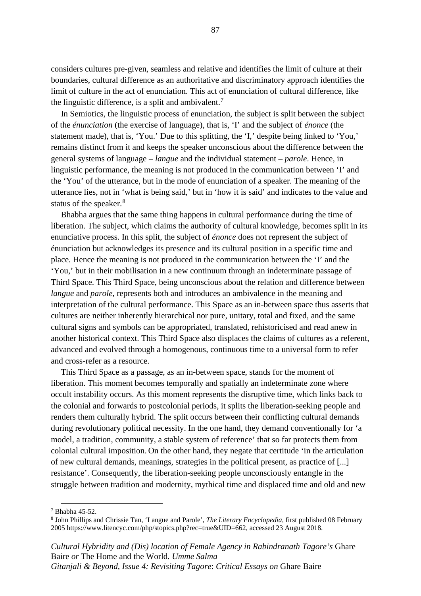considers cultures pre-given, seamless and relative and identifies the limit of culture at their boundaries, cultural difference as an authoritative and discriminatory approach identifies the limit of culture in the act of enunciation. This act of enunciation of cultural difference, like the linguistic difference, is a split and ambivalent.<sup>[7](#page-93-0)</sup>

In Semiotics, the linguistic process of enunciation, the subject is split between the subject of the *énunciation* (the exercise of language), that is, 'I' and the subject of *énonce* (the statement made), that is, 'You.' Due to this splitting, the 'I,' despite being linked to 'You,' remains distinct from it and keeps the speaker unconscious about the difference between the general systems of language – *langue* and the individual statement – *parole*. Hence, in linguistic performance, the meaning is not produced in the communication between 'I' and the 'You' of the utterance, but in the mode of enunciation of a speaker. The meaning of the utterance lies, not in 'what is being said,' but in 'how it is said' and indicates to the value and status of the speaker.<sup>[8](#page-93-1)</sup>

Bhabha argues that the same thing happens in cultural performance during the time of liberation. The subject, which claims the authority of cultural knowledge, becomes split in its enunciative process. In this split, the subject of *énonce* does not represent the subject of énunciation but acknowledges its presence and its cultural position in a specific time and place. Hence the meaning is not produced in the communication between the 'I' and the 'You,' but in their mobilisation in a new continuum through an indeterminate passage of Third Space. This Third Space, being unconscious about the relation and difference between *langue* and *parole*, represents both and introduces an ambivalence in the meaning and interpretation of the cultural performance. This Space as an in-between space thus asserts that cultures are neither inherently hierarchical nor pure, unitary, total and fixed, and the same cultural signs and symbols can be appropriated, translated, rehistoricised and read anew in another historical context. This Third Space also displaces the claims of cultures as a referent, advanced and evolved through a homogenous, continuous time to a universal form to refer and cross-refer as a resource.

This Third Space as a passage, as an in-between space, stands for the moment of liberation. This moment becomes temporally and spatially an indeterminate zone where occult instability occurs. As this moment represents the disruptive time, which links back to the colonial and forwards to postcolonial periods, it splits the liberation-seeking people and renders them culturally hybrid. The split occurs between their conflicting cultural demands during revolutionary political necessity. In the one hand, they demand conventionally for 'a model, a tradition, community, a stable system of reference' that so far protects them from colonial cultural imposition. On the other hand, they negate that certitude 'in the articulation of new cultural demands, meanings, strategies in the political present, as practice of [...] resistance'. Consequently, the liberation-seeking people unconsciously entangle in the struggle between tradition and modernity, mythical time and displaced time and old and new

<span id="page-93-0"></span><sup>7</sup> Bhabha 45-52.

<span id="page-93-1"></span><sup>8</sup> John Phillips and Chrissie Tan, 'Langue and Parole', *The Literary Encyclopedia*, first published 08 February 2005 https://www.litencyc.com/php/stopics.php?rec=true&UID=662, accessed 23 August 2018.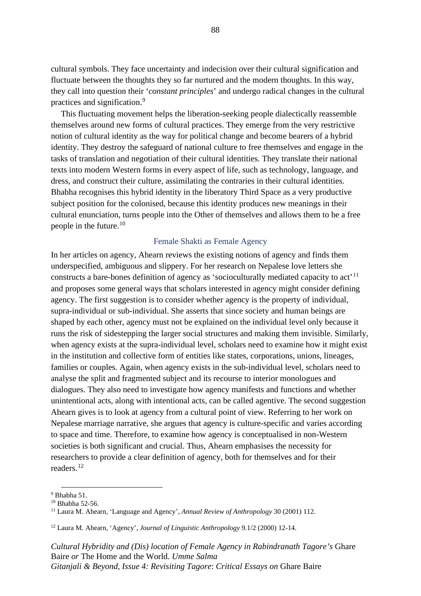cultural symbols. They face uncertainty and indecision over their cultural signification and fluctuate between the thoughts they so far nurtured and the modern thoughts. In this way, they call into question their '*constant principles*' and undergo radical changes in the cultural practices and signification.[9](#page-94-0)

This fluctuating movement helps the liberation-seeking people dialectically reassemble themselves around new forms of cultural practices. They emerge from the very restrictive notion of cultural identity as the way for political change and become bearers of a hybrid identity. They destroy the safeguard of national culture to free themselves and engage in the tasks of translation and negotiation of their cultural identities. They translate their national texts into modern Western forms in every aspect of life, such as technology, language, and dress, and construct their culture, assimilating the contraries in their cultural identities. Bhabha recognises this hybrid identity in the liberatory Third Space as a very productive subject position for the colonised, because this identity produces new meanings in their cultural enunciation, turns people into the Other of themselves and allows them to be a free people in the future.[10](#page-94-1)

#### Female Shakti as Female Agency

In her articles on agency, Ahearn reviews the existing notions of agency and finds them underspecified, ambiguous and slippery. For her research on Nepalese love letters she constructs a bare-bones definition of agency as 'socioculturally mediated capacity to act'<sup>[11](#page-94-2)</sup> and proposes some general ways that scholars interested in agency might consider defining agency. The first suggestion is to consider whether agency is the property of individual, supra-individual or sub-individual. She asserts that since society and human beings are shaped by each other, agency must not be explained on the individual level only because it runs the risk of sidestepping the larger social structures and making them invisible. Similarly, when agency exists at the supra-individual level, scholars need to examine how it might exist in the institution and collective form of entities like states, corporations, unions, lineages, families or couples. Again, when agency exists in the sub-individual level, scholars need to analyse the split and fragmented subject and its recourse to interior monologues and dialogues. They also need to investigate how agency manifests and functions and whether unintentional acts, along with intentional acts, can be called agentive. The second suggestion Ahearn gives is to look at agency from a cultural point of view. Referring to her work on Nepalese marriage narrative, she argues that agency is culture-specific and varies according to space and time. Therefore, to examine how agency is conceptualised in non-Western societies is both significant and crucial. Thus, Ahearn emphasises the necessity for researchers to provide a clear definition of agency, both for themselves and for their readers.<sup>[12](#page-94-3)</sup>

<span id="page-94-0"></span> $9$  Bhabha 51.

<span id="page-94-1"></span><sup>10</sup> Bhabha 52-56.

<span id="page-94-2"></span><sup>11</sup> Laura M. Ahearn, 'Language and Agency', *Annual Review of Anthropology* 30 (2001) 112.

<span id="page-94-3"></span><sup>12</sup> Laura M. Ahearn, 'Agency', *Journal of Linguistic Anthropology* 9.1/2 (2000) 12-14.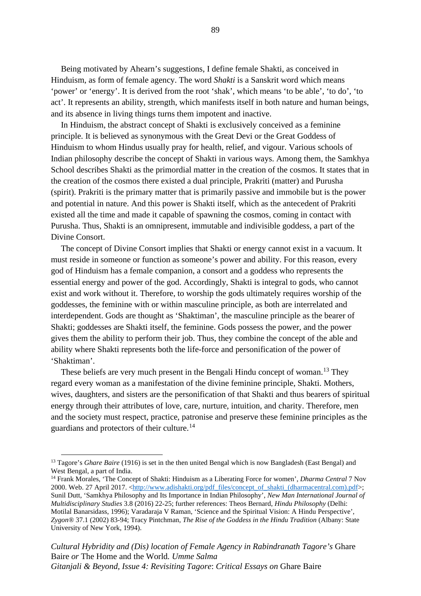Being motivated by Ahearn's suggestions, I define female Shakti, as conceived in Hinduism, as form of female agency. The word *Shakti* is a Sanskrit word which means 'power' or 'energy'. It is derived from the root 'shak', which means 'to be able', 'to do', 'to act'. It represents an ability, strength, which manifests itself in both nature and human beings, and its absence in living things turns them impotent and inactive.

In Hinduism, the abstract concept of Shakti is exclusively conceived as a feminine principle. It is believed as synonymous with the Great Devi or the Great Goddess of Hinduism to whom Hindus usually pray for health, relief, and vigour. Various schools of Indian philosophy describe the concept of Shakti in various ways. Among them, the Samkhya School describes Shakti as the primordial matter in the creation of the cosmos. It states that in the creation of the cosmos there existed a dual principle, Prakriti (matter) and Purusha (spirit). Prakriti is the primary matter that is primarily passive and immobile but is the power and potential in nature. And this power is Shakti itself, which as the antecedent of Prakriti existed all the time and made it capable of spawning the cosmos, coming in contact with Purusha. Thus, Shakti is an omnipresent, immutable and indivisible goddess, a part of the Divine Consort.

The concept of Divine Consort implies that Shakti or energy cannot exist in a vacuum. It must reside in someone or function as someone's power and ability. For this reason, every god of Hinduism has a female companion, a consort and a goddess who represents the essential energy and power of the god. Accordingly, Shakti is integral to gods, who cannot exist and work without it. Therefore, to worship the gods ultimately requires worship of the goddesses, the feminine with or within masculine principle, as both are interrelated and interdependent. Gods are thought as 'Shaktiman', the masculine principle as the bearer of Shakti; goddesses are Shakti itself, the feminine. Gods possess the power, and the power gives them the ability to perform their job. Thus, they combine the concept of the able and ability where Shakti represents both the life-force and personification of the power of 'Shaktiman'.

These beliefs are very much present in the Bengali Hindu concept of woman.<sup>[13](#page-95-0)</sup> They regard every woman as a manifestation of the divine feminine principle, Shakti. Mothers, wives, daughters, and sisters are the personification of that Shakti and thus bearers of spiritual energy through their attributes of love, care, nurture, intuition, and charity. Therefore, men and the society must respect, practice, patronise and preserve these feminine principles as the guardians and protectors of their culture.[14](#page-95-1)

<span id="page-95-0"></span><sup>&</sup>lt;sup>13</sup> Tagore's *Ghare Baire* (1916) is set in the then united Bengal which is now Bangladesh (East Bengal) and West Bengal, a part of India.

<span id="page-95-1"></span><sup>14</sup> Frank Morales, 'The Concept of Shakti: Hinduism as a Liberating Force for women', *Dharma Central* 7 Nov 2000. Web. 27 April 2017. [<http://www.adishakti.org/pdf\\_files/concept\\_of\\_shakti\\_\(dharmacentral.com\).pdf>](http://www.adishakti.org/pdf_files/concept_of_shakti_(dharmacentral.com).pdf); Sunil Dutt, 'Samkhya Philosophy and Its Importance in Indian Philosophy', *New Man International Journal of Multidisciplinary Studies* 3.8 (2016) 22-25; further references: Theos Bernard, *Hindu Philosophy* (Delhi: Motilal Banarsidass, 1996); Varadaraja V Raman, 'Science and the Spiritual Vision: A Hindu Perspective', *Zygon®* 37.1 (2002) 83-94; Tracy Pintchman, *The Rise of the Goddess in the Hindu Tradition* (Albany: State University of New York, 1994).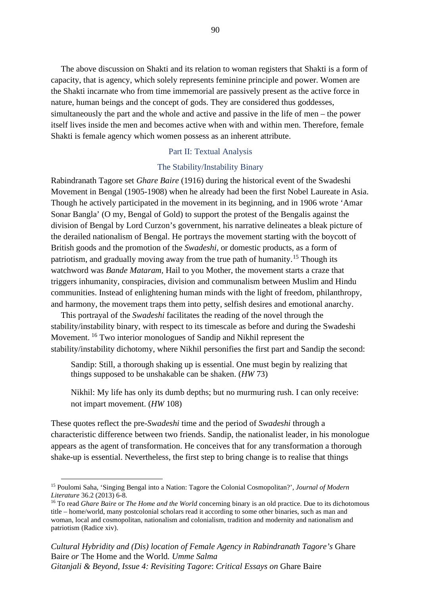The above discussion on Shakti and its relation to woman registers that Shakti is a form of capacity, that is agency, which solely represents feminine principle and power. Women are the Shakti incarnate who from time immemorial are passively present as the active force in nature, human beings and the concept of gods. They are considered thus goddesses, simultaneously the part and the whole and active and passive in the life of men – the power itself lives inside the men and becomes active when with and within men. Therefore, female Shakti is female agency which women possess as an inherent attribute.

#### Part II: Textual Analysis

#### The Stability/Instability Binary

Rabindranath Tagore set *Ghare Baire* (1916) during the historical event of the Swadeshi Movement in Bengal (1905-1908) when he already had been the first Nobel Laureate in Asia. Though he actively participated in the movement in its beginning, and in 1906 wrote 'Amar Sonar Bangla' (O my, Bengal of Gold) to support the protest of the Bengalis against the division of Bengal by Lord Curzon's government, his narrative delineates a bleak picture of the derailed nationalism of Bengal. He portrays the movement starting with the boycott of British goods and the promotion of the *Swadeshi*, or domestic products, as a form of patriotism, and gradually moving away from the true path of humanity.<sup>[15](#page-96-0)</sup> Though its watchword was *Bande Mataram,* Hail to you Mother, the movement starts a craze that triggers inhumanity, conspiracies, division and communalism between Muslim and Hindu communities. Instead of enlightening human minds with the light of freedom, philanthropy, and harmony, the movement traps them into petty, selfish desires and emotional anarchy.

This portrayal of the *Swadeshi* facilitates the reading of the novel through the stability/instability binary, with respect to its timescale as before and during the Swadeshi Movement. [16](#page-96-1) Two interior monologues of Sandip and Nikhil represent the stability/instability dichotomy, where Nikhil personifies the first part and Sandip the second:

Sandip: Still, a thorough shaking up is essential. One must begin by realizing that things supposed to be unshakable can be shaken. (*HW* 73)

Nikhil: My life has only its dumb depths; but no murmuring rush. I can only receive: not impart movement. (*HW* 108)

These quotes reflect the pre-*Swadeshi* time and the period of *Swadeshi* through a characteristic difference between two friends. Sandip, the nationalist leader, in his monologue appears as the agent of transformation. He conceives that for any transformation a thorough shake-up is essential. Nevertheless, the first step to bring change is to realise that things

<span id="page-96-0"></span><sup>15</sup> Poulomi Saha, 'Singing Bengal into a Nation: Tagore the Colonial Cosmopolitan?', *Journal of Modern Literature* 36.2 (2013) 6-8.

<span id="page-96-1"></span><sup>&</sup>lt;sup>16</sup> To read *Ghare Baire* or *The Home and the World* concerning binary is an old practice. Due to its dichotomous title – home/world, many postcolonial scholars read it according to some other binaries, such as man and woman, local and cosmopolitan, nationalism and colonialism, tradition and modernity and nationalism and patriotism (Radice xiv).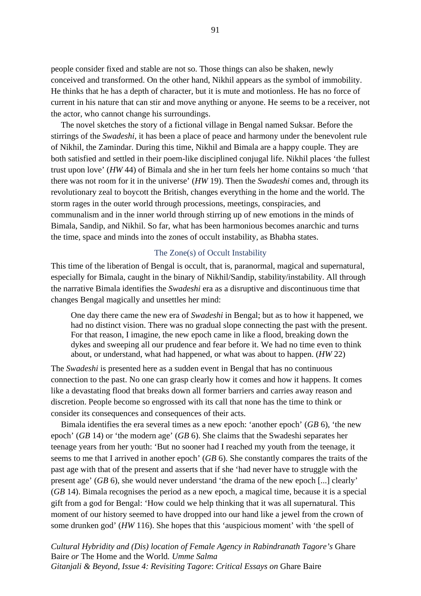people consider fixed and stable are not so. Those things can also be shaken, newly conceived and transformed. On the other hand, Nikhil appears as the symbol of immobility. He thinks that he has a depth of character, but it is mute and motionless. He has no force of current in his nature that can stir and move anything or anyone. He seems to be a receiver, not the actor, who cannot change his surroundings.

The novel sketches the story of a fictional village in Bengal named Suksar. Before the stirrings of the *Swadeshi*, it has been a place of peace and harmony under the benevolent rule of Nikhil, the Zamindar. During this time, Nikhil and Bimala are a happy couple. They are both satisfied and settled in their poem-like disciplined conjugal life. Nikhil places 'the fullest trust upon love' (*HW* 44) of Bimala and she in her turn feels her home contains so much 'that there was not room for it in the universe' (*HW* 19). Then the *Swadeshi* comes and, through its revolutionary zeal to boycott the British, changes everything in the home and the world. The storm rages in the outer world through processions, meetings, conspiracies, and communalism and in the inner world through stirring up of new emotions in the minds of Bimala, Sandip, and Nikhil. So far, what has been harmonious becomes anarchic and turns the time, space and minds into the zones of occult instability, as Bhabha states.

## The Zone(s) of Occult Instability

This time of the liberation of Bengal is occult, that is, paranormal, magical and supernatural, especially for Bimala, caught in the binary of Nikhil/Sandip, stability/instability. All through the narrative Bimala identifies the *Swadeshi* era as a disruptive and discontinuous time that changes Bengal magically and unsettles her mind:

One day there came the new era of *Swadeshi* in Bengal; but as to how it happened, we had no distinct vision. There was no gradual slope connecting the past with the present. For that reason, I imagine, the new epoch came in like a flood, breaking down the dykes and sweeping all our prudence and fear before it. We had no time even to think about, or understand, what had happened, or what was about to happen. (*HW* 22)

The *Swadeshi* is presented here as a sudden event in Bengal that has no continuous connection to the past. No one can grasp clearly how it comes and how it happens. It comes like a devastating flood that breaks down all former barriers and carries away reason and discretion. People become so engrossed with its call that none has the time to think or consider its consequences and consequences of their acts.

Bimala identifies the era several times as a new epoch: 'another epoch' (*GB* 6), 'the new epoch' (*GB* 14) or 'the modern age' (*GB* 6). She claims that the Swadeshi separates her teenage years from her youth: 'But no sooner had I reached my youth from the teenage, it seems to me that I arrived in another epoch' (*GB* 6). She constantly compares the traits of the past age with that of the present and asserts that if she 'had never have to struggle with the present age' (*GB* 6), she would never understand 'the drama of the new epoch [...] clearly' (*GB* 14). Bimala recognises the period as a new epoch, a magical time, because it is a special gift from a god for Bengal: 'How could we help thinking that it was all supernatural. This moment of our history seemed to have dropped into our hand like a jewel from the crown of some drunken god' (*HW* 116). She hopes that this 'auspicious moment' with 'the spell of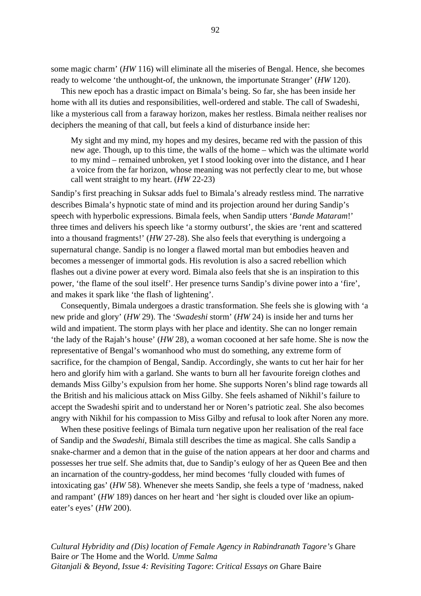some magic charm' (*HW* 116) will eliminate all the miseries of Bengal. Hence, she becomes ready to welcome 'the unthought-of, the unknown, the importunate Stranger' (*HW* 120).

This new epoch has a drastic impact on Bimala's being. So far, she has been inside her home with all its duties and responsibilities, well-ordered and stable. The call of Swadeshi, like a mysterious call from a faraway horizon, makes her restless. Bimala neither realises nor deciphers the meaning of that call, but feels a kind of disturbance inside her:

My sight and my mind, my hopes and my desires, became red with the passion of this new age. Though, up to this time, the walls of the home – which was the ultimate world to my mind – remained unbroken, yet I stood looking over into the distance, and I hear a voice from the far horizon, whose meaning was not perfectly clear to me, but whose call went straight to my heart. (*HW* 22-23)

Sandip's first preaching in Suksar adds fuel to Bimala's already restless mind. The narrative describes Bimala's hypnotic state of mind and its projection around her during Sandip's speech with hyperbolic expressions. Bimala feels, when Sandip utters '*Bande Mataram*!' three times and delivers his speech like 'a stormy outburst', the skies are 'rent and scattered into a thousand fragments!' (*HW* 27-28). She also feels that everything is undergoing a supernatural change. Sandip is no longer a flawed mortal man but embodies heaven and becomes a messenger of immortal gods. His revolution is also a sacred rebellion which flashes out a divine power at every word. Bimala also feels that she is an inspiration to this power, 'the flame of the soul itself'. Her presence turns Sandip's divine power into a 'fire', and makes it spark like 'the flash of lightening'.

Consequently, Bimala undergoes a drastic transformation. She feels she is glowing with 'a new pride and glory' (*HW* 29). The '*Swadeshi* storm' (*HW* 24) is inside her and turns her wild and impatient. The storm plays with her place and identity. She can no longer remain 'the lady of the Rajah's house' (*HW* 28), a woman cocooned at her safe home. She is now the representative of Bengal's womanhood who must do something, any extreme form of sacrifice, for the champion of Bengal, Sandip. Accordingly, she wants to cut her hair for her hero and glorify him with a garland. She wants to burn all her favourite foreign clothes and demands Miss Gilby's expulsion from her home. She supports Noren's blind rage towards all the British and his malicious attack on Miss Gilby. She feels ashamed of Nikhil's failure to accept the Swadeshi spirit and to understand her or Noren's patriotic zeal. She also becomes angry with Nikhil for his compassion to Miss Gilby and refusal to look after Noren any more.

When these positive feelings of Bimala turn negative upon her realisation of the real face of Sandip and the *Swadeshi*, Bimala still describes the time as magical. She calls Sandip a snake-charmer and a demon that in the guise of the nation appears at her door and charms and possesses her true self. She admits that, due to Sandip's eulogy of her as Queen Bee and then an incarnation of the country-goddess, her mind becomes 'fully clouded with fumes of intoxicating gas' (*HW* 58). Whenever she meets Sandip, she feels a type of 'madness, naked and rampant' (*HW* 189) dances on her heart and 'her sight is clouded over like an opiumeater's eyes' (*HW* 200).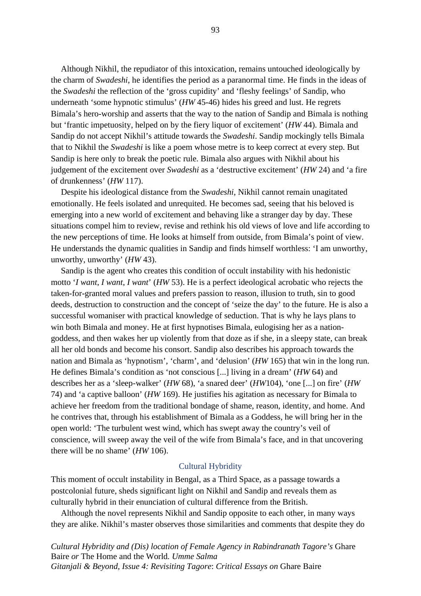Although Nikhil, the repudiator of this intoxication, remains untouched ideologically by the charm of *Swadeshi*, he identifies the period as a paranormal time. He finds in the ideas of the *Swadeshi* the reflection of the 'gross cupidity' and 'fleshy feelings' of Sandip, who underneath 'some hypnotic stimulus' (*HW* 45-46) hides his greed and lust. He regrets Bimala's hero-worship and asserts that the way to the nation of Sandip and Bimala is nothing but 'frantic impetuosity, helped on by the fiery liquor of excitement' (*HW* 44). Bimala and Sandip do not accept Nikhil's attitude towards the *Swadeshi*. Sandip mockingly tells Bimala that to Nikhil the *Swadeshi* is like a poem whose metre is to keep correct at every step. But Sandip is here only to break the poetic rule. Bimala also argues with Nikhil about his judgement of the excitement over *Swadeshi* as a 'destructive excitement' (*HW* 24) and 'a fire of drunkenness' (*HW* 117).

Despite his ideological distance from the *Swadeshi*, Nikhil cannot remain unagitated emotionally. He feels isolated and unrequited. He becomes sad, seeing that his beloved is emerging into a new world of excitement and behaving like a stranger day by day. These situations compel him to review, revise and rethink his old views of love and life according to the new perceptions of time. He looks at himself from outside, from Bimala's point of view. He understands the dynamic qualities in Sandip and finds himself worthless: 'I am unworthy, unworthy, unworthy' (*HW* 43).

Sandip is the agent who creates this condition of occult instability with his hedonistic motto '*I want*, *I want, I want*' (*HW* 53). He is a perfect ideological acrobatic who rejects the taken-for-granted moral values and prefers passion to reason, illusion to truth, sin to good deeds, destruction to construction and the concept of 'seize the day' to the future. He is also a successful womaniser with practical knowledge of seduction. That is why he lays plans to win both Bimala and money. He at first hypnotises Bimala, eulogising her as a nationgoddess, and then wakes her up violently from that doze as if she, in a sleepy state, can break all her old bonds and become his consort. Sandip also describes his approach towards the nation and Bimala as 'hypnotism', 'charm', and 'delusion' (*HW* 165) that win in the long run. He defines Bimala's condition as 'not conscious [...] living in a dream' (*HW* 64) and describes her as a 'sleep-walker' (*HW* 68), 'a snared deer' (*HW*104), 'one [...] on fire' (*HW* 74) and 'a captive balloon' (*HW* 169). He justifies his agitation as necessary for Bimala to achieve her freedom from the traditional bondage of shame, reason, identity, and home. And he contrives that, through his establishment of Bimala as a Goddess, he will bring her in the open world: 'The turbulent west wind, which has swept away the country's veil of conscience, will sweep away the veil of the wife from Bimala's face, and in that uncovering there will be no shame' (*HW* 106).

#### Cultural Hybridity

This moment of occult instability in Bengal, as a Third Space, as a passage towards a postcolonial future, sheds significant light on Nikhil and Sandip and reveals them as culturally hybrid in their enunciation of cultural difference from the British.

Although the novel represents Nikhil and Sandip opposite to each other, in many ways they are alike. Nikhil's master observes those similarities and comments that despite they do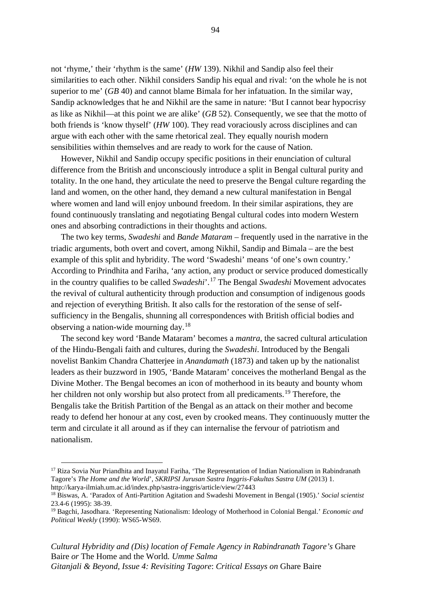not 'rhyme,' their 'rhythm is the same' (*HW* 139). Nikhil and Sandip also feel their similarities to each other. Nikhil considers Sandip his equal and rival: 'on the whole he is not superior to me' (*GB* 40) and cannot blame Bimala for her infatuation. In the similar way, Sandip acknowledges that he and Nikhil are the same in nature: 'But I cannot bear hypocrisy as like as Nikhil—at this point we are alike' (*GB* 52). Consequently, we see that the motto of both friends is 'know thyself' (*HW* 100). They read voraciously across disciplines and can argue with each other with the same rhetorical zeal. They equally nourish modern sensibilities within themselves and are ready to work for the cause of Nation.

However, Nikhil and Sandip occupy specific positions in their enunciation of cultural difference from the British and unconsciously introduce a split in Bengal cultural purity and totality. In the one hand, they articulate the need to preserve the Bengal culture regarding the land and women, on the other hand, they demand a new cultural manifestation in Bengal where women and land will enjoy unbound freedom. In their similar aspirations, they are found continuously translating and negotiating Bengal cultural codes into modern Western ones and absorbing contradictions in their thoughts and actions.

The two key terms, *Swadeshi* and *Bande Mataram* – frequently used in the narrative in the triadic arguments, both overt and covert, among Nikhil, Sandip and Bimala – are the best example of this split and hybridity. The word 'Swadeshi' means 'of one's own country.' According to Prindhita and Fariha, 'any action, any product or service produced domestically in the country qualifies to be called *Swadeshi*'. [17](#page-100-0) The Bengal *Swadeshi* Movement advocates the revival of cultural authenticity through production and consumption of indigenous goods and rejection of everything British. It also calls for the restoration of the sense of selfsufficiency in the Bengalis, shunning all correspondences with British official bodies and observing a nation-wide mourning day.[18](#page-100-1)

The second key word 'Bande Mataram' becomes a *mantra*, the sacred cultural articulation of the Hindu-Bengali faith and cultures, during the *Swadeshi*. Introduced by the Bengali novelist Bankim Chandra Chatterjee in *Anandamath* (1873) and taken up by the nationalist leaders as their buzzword in 1905, 'Bande Mataram' conceives the motherland Bengal as the Divine Mother. The Bengal becomes an icon of motherhood in its beauty and bounty whom her children not only worship but also protect from all predicaments.<sup>[19](#page-100-2)</sup> Therefore, the Bengalis take the British Partition of the Bengal as an attack on their mother and become ready to defend her honour at any cost, even by crooked means. They continuously mutter the term and circulate it all around as if they can internalise the fervour of patriotism and nationalism.

<span id="page-100-0"></span><sup>&</sup>lt;sup>17</sup> Riza Sovia Nur Priandhita and Inayatul Fariha, 'The Representation of Indian Nationalism in Rabindranath Tagore's *The Home and the World*', *SKRIPSI Jurusan Sastra Inggris-Fakultas Sastra UM* (2013) 1. http://karya-ilmiah.um.ac.id/index.php/sastra-inggris/article/view/27443

<span id="page-100-1"></span><sup>18</sup> Biswas, A. 'Paradox of Anti-Partition Agitation and Swadeshi Movement in Bengal (1905).' *Social scientist*  23.4-6 (1995): 38-39.

<span id="page-100-2"></span><sup>19</sup> Bagchi, Jasodhara. 'Representing Nationalism: Ideology of Motherhood in Colonial Bengal.' *Economic and Political Weekly* (1990): WS65-WS69.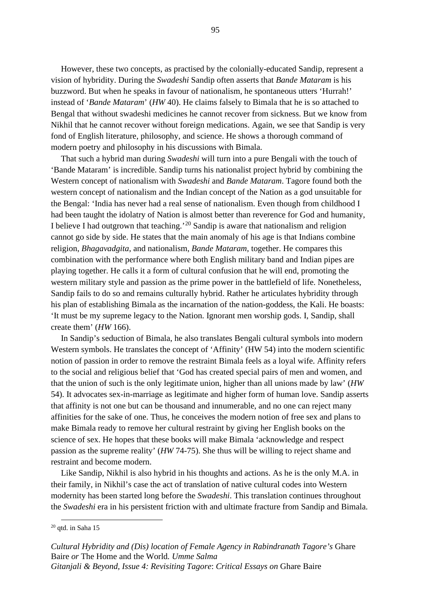However, these two concepts, as practised by the colonially-educated Sandip, represent a vision of hybridity. During the *Swadeshi* Sandip often asserts that *Bande Mataram* is his buzzword. But when he speaks in favour of nationalism, he spontaneous utters 'Hurrah!' instead of '*Bande Mataram*' (*HW* 40). He claims falsely to Bimala that he is so attached to Bengal that without swadeshi medicines he cannot recover from sickness. But we know from Nikhil that he cannot recover without foreign medications. Again, we see that Sandip is very fond of English literature, philosophy, and science. He shows a thorough command of modern poetry and philosophy in his discussions with Bimala.

That such a hybrid man during *Swadeshi* will turn into a pure Bengali with the touch of 'Bande Mataram' is incredible. Sandip turns his nationalist project hybrid by combining the Western concept of nationalism with *Swadeshi* and *Bande Mataram*. Tagore found both the western concept of nationalism and the Indian concept of the Nation as a god unsuitable for the Bengal: 'India has never had a real sense of nationalism. Even though from childhood I had been taught the idolatry of Nation is almost better than reverence for God and humanity, I believe I had outgrown that teaching.'[20](#page-101-0) Sandip is aware that nationalism and religion cannot go side by side. He states that the main anomaly of his age is that Indians combine religion, *Bhagavadgita*, and nationalism, *Bande Mataram*, together. He compares this combination with the performance where both English military band and Indian pipes are playing together. He calls it a form of cultural confusion that he will end, promoting the western military style and passion as the prime power in the battlefield of life. Nonetheless, Sandip fails to do so and remains culturally hybrid. Rather he articulates hybridity through his plan of establishing Bimala as the incarnation of the nation-goddess, the Kali. He boasts: 'It must be my supreme legacy to the Nation. Ignorant men worship gods. I, Sandip, shall create them' (*HW* 166).

In Sandip's seduction of Bimala, he also translates Bengali cultural symbols into modern Western symbols. He translates the concept of 'Affinity' (HW 54) into the modern scientific notion of passion in order to remove the restraint Bimala feels as a loyal wife. Affinity refers to the social and religious belief that 'God has created special pairs of men and women, and that the union of such is the only legitimate union, higher than all unions made by law' (*HW* 54). It advocates sex-in-marriage as legitimate and higher form of human love. Sandip asserts that affinity is not one but can be thousand and innumerable, and no one can reject many affinities for the sake of one. Thus, he conceives the modern notion of free sex and plans to make Bimala ready to remove her cultural restraint by giving her English books on the science of sex. He hopes that these books will make Bimala 'acknowledge and respect passion as the supreme reality' (*HW* 74-75). She thus will be willing to reject shame and restraint and become modern.

Like Sandip, Nikhil is also hybrid in his thoughts and actions. As he is the only M.A. in their family, in Nikhil's case the act of translation of native cultural codes into Western modernity has been started long before the *Swadeshi*. This translation continues throughout the *Swadeshi* era in his persistent friction with and ultimate fracture from Sandip and Bimala.

<span id="page-101-0"></span> $20$  qtd. in Saha 15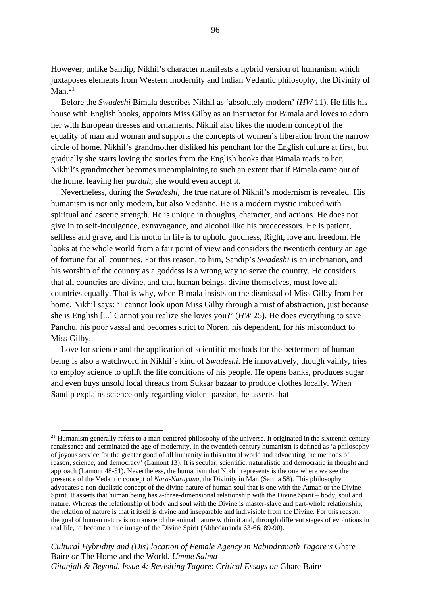However, unlike Sandip, Nikhil's character manifests a hybrid version of humanism which juxtaposes elements from Western modernity and Indian Vedantic philosophy, the Divinity of Man $^{21}$  $^{21}$  $^{21}$ 

Before the *Swadeshi* Bimala describes Nikhil as 'absolutely modern' (*HW* 11). He fills his house with English books, appoints Miss Gilby as an instructor for Bimala and loves to adorn her with European dresses and ornaments. Nikhil also likes the modern concept of the equality of man and woman and supports the concepts of women's liberation from the narrow circle of home. Nikhil's grandmother disliked his penchant for the English culture at first, but gradually she starts loving the stories from the English books that Bimala reads to her. Nikhil's grandmother becomes uncomplaining to such an extent that if Bimala came out of the home, leaving her *purdah*, she would even accept it.

Nevertheless, during the *Swadeshi*, the true nature of Nikhil's modernism is revealed. His humanism is not only modern, but also Vedantic. He is a modern mystic imbued with spiritual and ascetic strength. He is unique in thoughts, character, and actions. He does not give in to self-indulgence, extravagance, and alcohol like his predecessors. He is patient, selfless and grave, and his motto in life is to uphold goodness, Right, love and freedom. He looks at the whole world from a fair point of view and considers the twentieth century an age of fortune for all countries. For this reason, to him, Sandip's *Swadeshi* is an inebriation, and his worship of the country as a goddess is a wrong way to serve the country. He considers that all countries are divine, and that human beings, divine themselves, must love all countries equally. That is why, when Bimala insists on the dismissal of Miss Gilby from her home, Nikhil says: 'I cannot look upon Miss Gilby through a mist of abstraction, just because she is English [...] Cannot you realize she loves you?' (*HW* 25). He does everything to save Panchu, his poor vassal and becomes strict to Noren, his dependent, for his misconduct to Miss Gilby.

Love for science and the application of scientific methods for the betterment of human being is also a watchword in Nikhil's kind of *Swadeshi*. He innovatively, though vainly, tries to employ science to uplift the life conditions of his people. He opens banks, produces sugar and even buys unsold local threads from Suksar bazaar to produce clothes locally. When Sandip explains science only regarding violent passion, he asserts that

<span id="page-102-0"></span> $^{21}$  Humanism generally refers to a man-centered philosophy of the universe. It originated in the sixteenth century renaissance and germinated the age of modernity. In the twentieth century humanism is defined as 'a philosophy of joyous service for the greater good of all humanity in this natural world and advocating the methods of reason, science, and democracy' (Lamont 13). It is secular, scientific, naturalistic and democratic in thought and approach (Lamont 48-51). Nevertheless, the humanism that Nikhil represents is the one where we see the presence of the Vedantic concept of *Nara-Narayana*, the Divinity in Man (Sarma 58). This philosophy advocates a non-dualistic concept of the divine nature of human soul that is one with the Atman or the Divine Spirit. It asserts that human being has a-three-dimensional relationship with the Divine Spirit – body, soul and nature. Whereas the relationship of body and soul with the Divine is master-slave and part-whole relationship, the relation of nature is that it itself is divine and inseparable and indivisible from the Divine. For this reason, the goal of human nature is to transcend the animal nature within it and, through different stages of evolutions in real life, to become a true image of the Divine Spirit (Abhedananda 63-66; 89-90).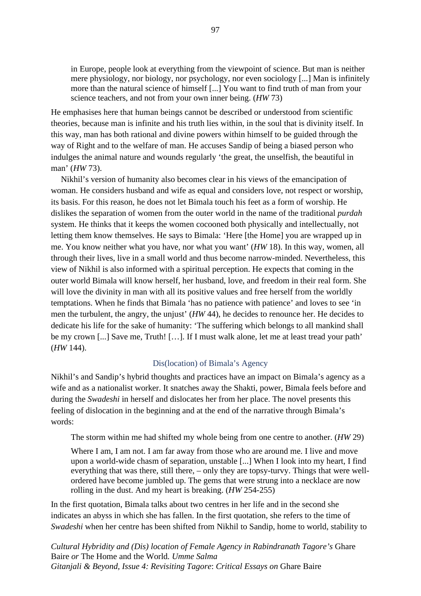in Europe, people look at everything from the viewpoint of science. But man is neither mere physiology, nor biology, nor psychology, nor even sociology [...] Man is infinitely more than the natural science of himself [...] You want to find truth of man from your science teachers, and not from your own inner being. (*HW* 73)

He emphasises here that human beings cannot be described or understood from scientific theories, because man is infinite and his truth lies within, in the soul that is divinity itself. In this way, man has both rational and divine powers within himself to be guided through the way of Right and to the welfare of man. He accuses Sandip of being a biased person who indulges the animal nature and wounds regularly 'the great, the unselfish, the beautiful in man' (*HW* 73).

Nikhil's version of humanity also becomes clear in his views of the emancipation of woman. He considers husband and wife as equal and considers love, not respect or worship, its basis. For this reason, he does not let Bimala touch his feet as a form of worship. He dislikes the separation of women from the outer world in the name of the traditional *purdah* system. He thinks that it keeps the women cocooned both physically and intellectually, not letting them know themselves. He says to Bimala: 'Here [the Home] you are wrapped up in me. You know neither what you have, nor what you want' (*HW* 18). In this way, women, all through their lives, live in a small world and thus become narrow-minded. Nevertheless, this view of Nikhil is also informed with a spiritual perception. He expects that coming in the outer world Bimala will know herself, her husband, love, and freedom in their real form. She will love the divinity in man with all its positive values and free herself from the worldly temptations. When he finds that Bimala 'has no patience with patience' and loves to see 'in men the turbulent, the angry, the unjust' (*HW* 44), he decides to renounce her. He decides to dedicate his life for the sake of humanity: 'The suffering which belongs to all mankind shall be my crown [...] Save me, Truth! [...]. If I must walk alone, let me at least tread your path' (*HW* 144).

## Dis(location) of Bimala's Agency

Nikhil's and Sandip's hybrid thoughts and practices have an impact on Bimala's agency as a wife and as a nationalist worker. It snatches away the Shakti, power, Bimala feels before and during the *Swadeshi* in herself and dislocates her from her place. The novel presents this feeling of dislocation in the beginning and at the end of the narrative through Bimala's words:

The storm within me had shifted my whole being from one centre to another. (*HW* 29)

Where I am, I am not. I am far away from those who are around me. I live and move upon a world-wide chasm of separation, unstable [...] When I look into my heart, I find everything that was there, still there, – only they are topsy-turvy. Things that were wellordered have become jumbled up. The gems that were strung into a necklace are now rolling in the dust. And my heart is breaking. (*HW* 254-255)

In the first quotation, Bimala talks about two centres in her life and in the second she indicates an abyss in which she has fallen. In the first quotation, she refers to the time of *Swadeshi* when her centre has been shifted from Nikhil to Sandip, home to world, stability to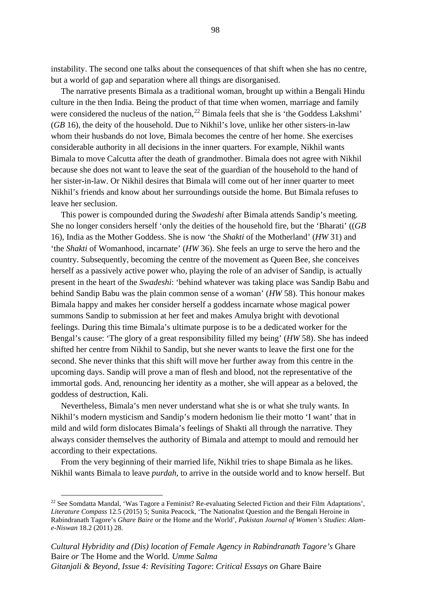instability. The second one talks about the consequences of that shift when she has no centre, but a world of gap and separation where all things are disorganised.

The narrative presents Bimala as a traditional woman, brought up within a Bengali Hindu culture in the then India. Being the product of that time when women, marriage and family were considered the nucleus of the nation,  $^{22}$  $^{22}$  $^{22}$  Bimala feels that she is 'the Goddess Lakshmi' (*GB* 16), the deity of the household. Due to Nikhil's love, unlike her other sisters-in-law whom their husbands do not love, Bimala becomes the centre of her home. She exercises considerable authority in all decisions in the inner quarters. For example, Nikhil wants Bimala to move Calcutta after the death of grandmother. Bimala does not agree with Nikhil because she does not want to leave the seat of the guardian of the household to the hand of her sister-in-law. Or Nikhil desires that Bimala will come out of her inner quarter to meet Nikhil's friends and know about her surroundings outside the home. But Bimala refuses to leave her seclusion.

This power is compounded during the *Swadeshi* after Bimala attends Sandip's meeting. She no longer considers herself 'only the deities of the household fire, but the 'Bharati' ((*GB* 16), India as the Mother Goddess. She is now 'the *Shakti* of the Motherland' (*HW* 31) and 'the *Shakti* of Womanhood, incarnate' (*HW* 36). She feels an urge to serve the hero and the country. Subsequently, becoming the centre of the movement as Queen Bee, she conceives herself as a passively active power who, playing the role of an adviser of Sandip, is actually present in the heart of the *Swadeshi*: 'behind whatever was taking place was Sandip Babu and behind Sandip Babu was the plain common sense of a woman' (*HW* 58). This honour makes Bimala happy and makes her consider herself a goddess incarnate whose magical power summons Sandip to submission at her feet and makes Amulya bright with devotional feelings. During this time Bimala's ultimate purpose is to be a dedicated worker for the Bengal's cause: 'The glory of a great responsibility filled my being' (*HW* 58). She has indeed shifted her centre from Nikhil to Sandip, but she never wants to leave the first one for the second. She never thinks that this shift will move her further away from this centre in the upcoming days. Sandip will prove a man of flesh and blood, not the representative of the immortal gods. And, renouncing her identity as a mother, she will appear as a beloved, the goddess of destruction, Kali.

Nevertheless, Bimala's men never understand what she is or what she truly wants. In Nikhil's modern mysticism and Sandip's modern hedonism lie their motto 'I want' that in mild and wild form dislocates Bimala's feelings of Shakti all through the narrative. They always consider themselves the authority of Bimala and attempt to mould and remould her according to their expectations.

From the very beginning of their married life, Nikhil tries to shape Bimala as he likes. Nikhil wants Bimala to leave *purdah*, to arrive in the outside world and to know herself. But

<span id="page-104-0"></span><sup>22</sup> See Somdatta Mandal, 'Was Tagore a Feminist? Re-evaluating Selected Fiction and their Film Adaptations', *Literature Compass* 12.5 (2015) 5; Sunita Peacock, 'The Nationalist Question and the Bengali Heroine in Rabindranath Tagore's *Ghare Baire* or the Home and the World', *Pakistan Journal of Women's Studies*: *Alame-Niswan* 18.2 (2011) 28.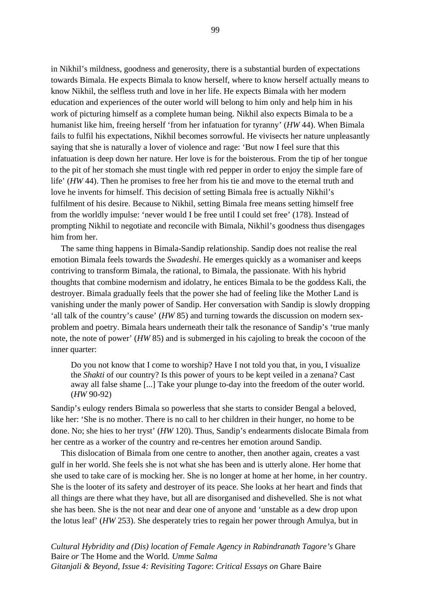in Nikhil's mildness, goodness and generosity, there is a substantial burden of expectations towards Bimala. He expects Bimala to know herself, where to know herself actually means to know Nikhil, the selfless truth and love in her life. He expects Bimala with her modern education and experiences of the outer world will belong to him only and help him in his work of picturing himself as a complete human being. Nikhil also expects Bimala to be a humanist like him, freeing herself 'from her infatuation for tyranny' (*HW* 44). When Bimala fails to fulfil his expectations, Nikhil becomes sorrowful. He vivisects her nature unpleasantly saying that she is naturally a lover of violence and rage: 'But now I feel sure that this infatuation is deep down her nature. Her love is for the boisterous. From the tip of her tongue to the pit of her stomach she must tingle with red pepper in order to enjoy the simple fare of life' (*HW* 44). Then he promises to free her from his tie and move to the eternal truth and love he invents for himself. This decision of setting Bimala free is actually Nikhil's fulfilment of his desire. Because to Nikhil, setting Bimala free means setting himself free from the worldly impulse: 'never would I be free until I could set free' (178). Instead of prompting Nikhil to negotiate and reconcile with Bimala, Nikhil's goodness thus disengages him from her.

The same thing happens in Bimala-Sandip relationship. Sandip does not realise the real emotion Bimala feels towards the *Swadeshi*. He emerges quickly as a womaniser and keeps contriving to transform Bimala, the rational, to Bimala, the passionate. With his hybrid thoughts that combine modernism and idolatry, he entices Bimala to be the goddess Kali, the destroyer. Bimala gradually feels that the power she had of feeling like the Mother Land is vanishing under the manly power of Sandip. Her conversation with Sandip is slowly dropping 'all talk of the country's cause' (*HW* 85) and turning towards the discussion on modern sexproblem and poetry. Bimala hears underneath their talk the resonance of Sandip's 'true manly note, the note of power' (*HW* 85) and is submerged in his cajoling to break the cocoon of the inner quarter:

Do you not know that I come to worship? Have I not told you that, in you, I visualize the *Shakti* of our country? Is this power of yours to be kept veiled in a zenana? Cast away all false shame [...] Take your plunge to-day into the freedom of the outer world. (*HW* 90-92)

Sandip's eulogy renders Bimala so powerless that she starts to consider Bengal a beloved, like her: 'She is no mother. There is no call to her children in their hunger, no home to be done. No; she hies to her tryst' (*HW* 120). Thus, Sandip's endearments dislocate Bimala from her centre as a worker of the country and re-centres her emotion around Sandip.

This dislocation of Bimala from one centre to another, then another again, creates a vast gulf in her world. She feels she is not what she has been and is utterly alone. Her home that she used to take care of is mocking her. She is no longer at home at her home, in her country. She is the looter of its safety and destroyer of its peace. She looks at her heart and finds that all things are there what they have, but all are disorganised and dishevelled. She is not what she has been. She is the not near and dear one of anyone and 'unstable as a dew drop upon the lotus leaf' (*HW* 253). She desperately tries to regain her power through Amulya, but in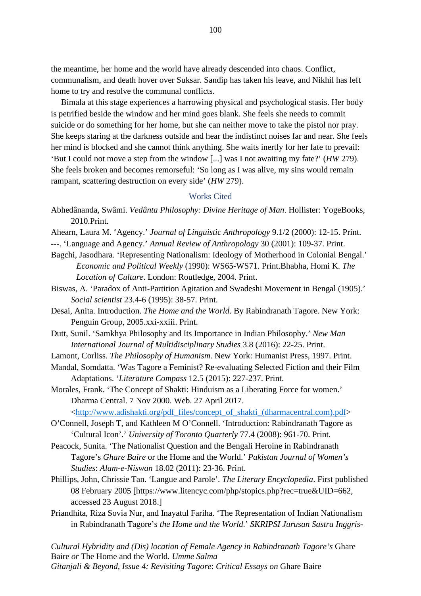the meantime, her home and the world have already descended into chaos. Conflict, communalism, and death hover over Suksar. Sandip has taken his leave, and Nikhil has left home to try and resolve the communal conflicts.

Bimala at this stage experiences a harrowing physical and psychological stasis. Her body is petrified beside the window and her mind goes blank. She feels she needs to commit suicide or do something for her home, but she can neither move to take the pistol nor pray. She keeps staring at the darkness outside and hear the indistinct noises far and near. She feels her mind is blocked and she cannot think anything. She waits inertly for her fate to prevail: 'But I could not move a step from the window [...] was I not awaiting my fate?' (*HW* 279). She feels broken and becomes remorseful: 'So long as I was alive, my sins would remain rampant, scattering destruction on every side' (*HW* 279).

#### Works Cited

- Abhedânanda, Swâmi. *Vedânta Philosophy: Divine Heritage of Man*. Hollister: YogeBooks, 2010.Print.
- Ahearn, Laura M. 'Agency.' *Journal of Linguistic Anthropology* 9.1/2 (2000): 12-15. Print.
- ---. 'Language and Agency.' *Annual Review of Anthropology* 30 (2001): 109-37. Print.
- Bagchi, Jasodhara. 'Representing Nationalism: Ideology of Motherhood in Colonial Bengal.' *Economic and Political Weekly* (1990): WS65-WS71. Print.Bhabha, Homi K. *The Location of Culture*. London: Routledge, 2004. Print.
- Biswas, A. 'Paradox of Anti-Partition Agitation and Swadeshi Movement in Bengal (1905).' *Social scientist* 23.4-6 (1995): 38-57. Print.
- Desai, Anita. Introduction. *The Home and the World*. By Rabindranath Tagore. New York: Penguin Group, 2005.xxi-xxiii. Print.
- Dutt, Sunil. 'Samkhya Philosophy and Its Importance in Indian Philosophy.' *New Man International Journal of Multidisciplinary Studies* 3.8 (2016): 22-25. Print.
- Lamont, Corliss. *The Philosophy of Humanism*. New York: Humanist Press, 1997. Print.
- Mandal, Somdatta. 'Was Tagore a Feminist? Re-evaluating Selected Fiction and their Film Adaptations. '*Literature Compass* 12.5 (2015): 227-237. Print.

Morales, Frank. 'The Concept of Shakti: Hinduism as a Liberating Force for women.' Dharma Central. 7 Nov 2000. Web. 27 April 2017.

[<http://www.adishakti.org/pdf\\_files/concept\\_of\\_shakti\\_\(dharmacentral.com\).pdf>](http://www.adishakti.org/pdf_files/concept_of_shakti_(dharmacentral.com).pdf)

- O'Connell, Joseph T, and Kathleen M O'Connell. 'Introduction: Rabindranath Tagore as 'Cultural Icon'.' *University of Toronto Quarterly* 77.4 (2008): 961-70. Print.
- Peacock, Sunita. 'The Nationalist Question and the Bengali Heroine in Rabindranath Tagore's *Ghare Baire* or the Home and the World.' *Pakistan Journal of Women's Studies*: *Alam-e-Niswan* 18.02 (2011): 23-36. Print.
- Phillips, John, Chrissie Tan. 'Langue and Parole'. *The Literary Encyclopedia*. First published 08 February 2005 [https://www.litencyc.com/php/stopics.php?rec=true&UID=662, accessed 23 August 2018.]
- Priandhita, Riza Sovia Nur, and Inayatul Fariha. 'The Representation of Indian Nationalism in Rabindranath Tagore's *the Home and the World*.' *SKRIPSI Jurusan Sastra Inggris-*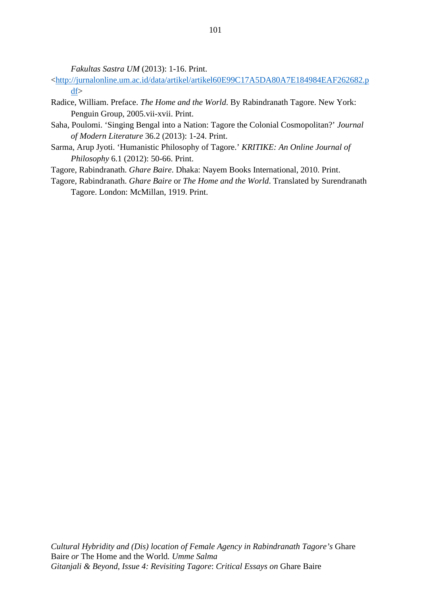*Fakultas Sastra UM* (2013): 1-16. Print.

- [<http://jurnalonline.um.ac.id/data/artikel/artikel60E99C17A5DA80A7E184984EAF262682.p](http://jurnalonline.um.ac.id/data/artikel/artikel60E99C17A5DA80A7E184984EAF262682.pdf) [df>](http://jurnalonline.um.ac.id/data/artikel/artikel60E99C17A5DA80A7E184984EAF262682.pdf)
- Radice, William. Preface. *The Home and the World*. By Rabindranath Tagore. New York: Penguin Group, 2005.vii-xvii. Print.
- Saha, Poulomi. 'Singing Bengal into a Nation: Tagore the Colonial Cosmopolitan?' *Journal of Modern Literature* 36.2 (2013): 1-24. Print.
- Sarma, Arup Jyoti. 'Humanistic Philosophy of Tagore.' *KRITIKE: An Online Journal of Philosophy* 6.1 (2012): 50-66. Print.
- Tagore, Rabindranath. *Ghare Baire*. Dhaka: Nayem Books International, 2010. Print.
- Tagore, Rabindranath. *Ghare Baire* or *The Home and the World*. Translated by Surendranath Tagore. London: McMillan, 1919. Print.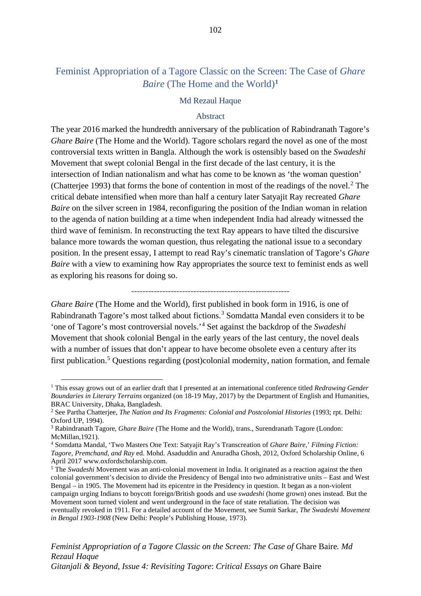# Feminist Appropriation of a Tagore Classic on the Screen: The Case of *Ghare Baire* (The Home and the World)**[1](#page-108-0)**

## Md Rezaul Haque

## Abstract

The year 2016 marked the hundredth anniversary of the publication of Rabindranath Tagore's *Ghare Baire* (The Home and the World). Tagore scholars regard the novel as one of the most controversial texts written in Bangla. Although the work is ostensibly based on the *Swadeshi* Movement that swept colonial Bengal in the first decade of the last century, it is the intersection of Indian nationalism and what has come to be known as 'the woman question' (Chatterjee 1993) that forms the bone of contention in most of the readings of the novel. $2$  The critical debate intensified when more than half a century later Satyajit Ray recreated *Ghare Baire* on the silver screen in 1984, reconfiguring the position of the Indian woman in relation to the agenda of nation building at a time when independent India had already witnessed the third wave of feminism. In reconstructing the text Ray appears to have tilted the discursive balance more towards the woman question, thus relegating the national issue to a secondary position. In the present essay, I attempt to read Ray's cinematic translation of Tagore's *Ghare Baire* with a view to examining how Ray appropriates the source text to feminist ends as well as exploring his reasons for doing so.

--------------------------------------------------------

*Ghare Baire* (The Home and the World), first published in book form in 1916, is one of Rabindranath Tagore's most talked about fictions.<sup>[3](#page-108-2)</sup> Somdatta Mandal even considers it to be 'one of Tagore's most controversial novels.'[4](#page-108-3) Set against the backdrop of the *Swadeshi* Movement that shook colonial Bengal in the early years of the last century, the novel deals with a number of issues that don't appear to have become obsolete even a century after its first publication.[5](#page-108-4) Questions regarding (post)colonial modernity, nation formation, and female

<span id="page-108-0"></span><sup>1</sup> This essay grows out of an earlier draft that I presented at an international conference titled *Redrawing Gender Boundaries in Literary Terrains* organized (on 18-19 May, 2017) by the Department of English and Humanities, BRAC University, Dhaka, Bangladesh.

<span id="page-108-1"></span><sup>2</sup> See Partha Chatterjee, *The Nation and Its Fragments: Colonial and Postcolonial Histories* (1993; rpt. Delhi: Oxford UP, 1994).

<span id="page-108-2"></span><sup>3</sup> Rabindranath Tagore, *Ghare Baire* (The Home and the World), trans., Surendranath Tagore (London: McMillan,1921).

<span id="page-108-3"></span><sup>4</sup> Somdatta Mandal, 'Two Masters One Text: Satyajit Ray's Transcreation of *Ghare Baire*,' *Filming Fiction: Tagore, Premchand, and Ray* ed. Mohd. Asaduddin and Anuradha Ghosh, 2012, Oxford Scholarship Online, 6 April 2017 www.oxfordscholarship.com.

<span id="page-108-4"></span><sup>5</sup> The *Swadeshi* Movement was an anti-colonial movement in India. It originated as a reaction against the then colonial government's decision to divide the Presidency of Bengal into two administrative units – East and West Bengal – in 1905. The Movement had its epicentre in the Presidency in question. It began as a non-violent campaign urging Indians to boycott foreign/British goods and use *swadeshi* (home grown) ones instead. But the Movement soon turned violent and went underground in the face of state retaliation. The decision was eventually revoked in 1911. For a detailed account of the Movement, see Sumit Sarkar, *The Swadeshi Movement in Bengal 1903-1908* (New Delhi: People's Publishing House, 1973).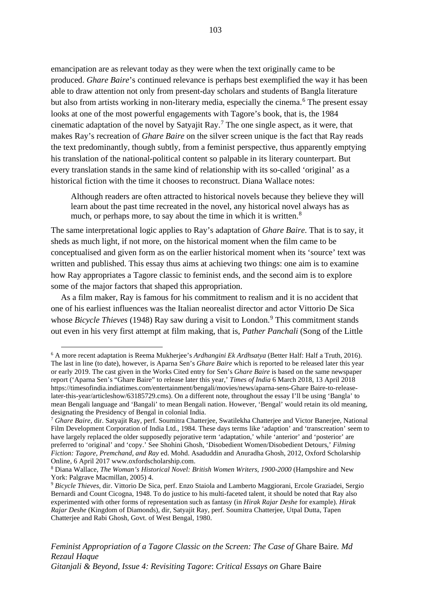emancipation are as relevant today as they were when the text originally came to be produced. *Ghare Baire*'s continued relevance is perhaps best exemplified the way it has been able to draw attention not only from present-day scholars and students of Bangla literature but also from artists working in non-literary media, especially the cinema.<sup>[6](#page-109-0)</sup> The present essay looks at one of the most powerful engagements with Tagore's book, that is, the 1984 cinematic adaptation of the novel by Satyajit Ray.<sup>[7](#page-109-1)</sup> The one single aspect, as it were, that makes Ray's recreation of *Ghare Baire* on the silver screen unique is the fact that Ray reads the text predominantly, though subtly, from a feminist perspective, thus apparently emptying his translation of the national-political content so palpable in its literary counterpart. But every translation stands in the same kind of relationship with its so-called 'original' as a historical fiction with the time it chooses to reconstruct. Diana Wallace notes:

Although readers are often attracted to historical novels because they believe they will learn about the past time recreated in the novel, any historical novel always has as much, or perhaps more, to say about the time in which it is written.<sup>[8](#page-109-2)</sup>

The same interpretational logic applies to Ray's adaptation of *Ghare Baire*. That is to say, it sheds as much light, if not more, on the historical moment when the film came to be conceptualised and given form as on the earlier historical moment when its 'source' text was written and published. This essay thus aims at achieving two things: one aim is to examine how Ray appropriates a Tagore classic to feminist ends, and the second aim is to explore some of the major factors that shaped this appropriation.

As a film maker, Ray is famous for his commitment to realism and it is no accident that one of his earliest influences was the Italian neorealist director and actor Vittorio De Sica whose *Bicycle Thieves* (1[9](#page-109-3)48) Ray saw during a visit to London.<sup>9</sup> This commitment stands out even in his very first attempt at film making, that is, *Pather Panchali* (Song of the Little

*Feminist Appropriation of a Tagore Classic on the Screen: The Case of* Ghare Baire*. Md Rezaul Haque Gitanjali & Beyond, Issue 4: Revisiting Tagore*: *Critical Essays on* Ghare Baire

<span id="page-109-0"></span><sup>6</sup> A more recent adaptation is Reema Mukherjee's *Ardhangini Ek Ardhsatya* (Better Half: Half a Truth, 2016). The last in line (to date), however, is Aparna Sen's *Ghare Baire* which is reported to be released later this year or early 2019. The cast given in the Works Cited entry for Sen's *Ghare Baire* is based on the same newspaper report ('Aparna Sen's "Ghare Baire" to release later this year,' *Times of India* 6 March 2018, 13 April 2018 https://timesofindia.indiatimes.com/entertainment/bengali/movies/news/aparna-sens-Ghare Baire-to-releaselater-this-year/articleshow/63185729.cms). On a different note, throughout the essay I'll be using 'Bangla' to mean Bengali language and 'Bangali' to mean Bengali nation. However, 'Bengal' would retain its old meaning, designating the Presidency of Bengal in colonial India.

<span id="page-109-1"></span><sup>7</sup> *Ghare Baire*, dir. Satyajit Ray, perf. Soumitra Chatterjee, Swatilekha Chatterjee and Victor Banerjee, National Film Development Corporation of India Ltd., 1984. These days terms like 'adaption' and 'transcreation' seem to have largely replaced the older supposedly pejorative term 'adaptation,' while 'anterior' and 'posterior' are preferred to 'original' and 'copy.' See Shohini Ghosh, 'Disobedient Women/Disobedient Detours,' *Filming Fiction: Tagore, Premchand, and Ray* ed. Mohd. Asaduddin and Anuradha Ghosh, 2012, Oxford Scholarship Online, 6 April 2017 www.oxfordscholarship.com.

<span id="page-109-2"></span><sup>8</sup> Diana Wallace, *The Woman's Historical Novel: British Women Writers*, *1900-2000* (Hampshire and New York: Palgrave Macmillan, 2005) 4.

<span id="page-109-3"></span><sup>9</sup> *Bicycle Thieves*, dir. Vittorio De Sica, perf. Enzo Staiola and Lamberto Maggiorani, Ercole Graziadei, Sergio Bernardi and Count Cicogna, 1948. To do justice to his multi-faceted talent, it should be noted that Ray also experimented with other forms of representation such as fantasy (in *Hirak Rajar Deshe* for example). *Hirak Rajar Deshe* (Kingdom of Diamonds), dir, Satyajit Ray, perf. Soumitra Chatterjee, Utpal Dutta, Tapen Chatterjee and Rabi Ghosh, Govt. of West Bengal, 1980.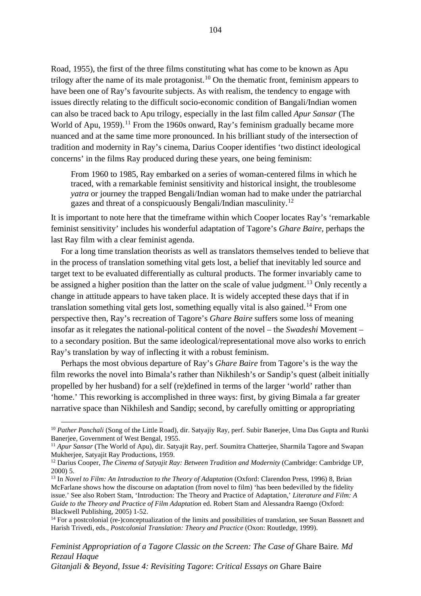Road, 1955), the first of the three films constituting what has come to be known as Apu trilogy after the name of its male protagonist.<sup>[10](#page-110-0)</sup> On the thematic front, feminism appears to have been one of Ray's favourite subjects. As with realism, the tendency to engage with issues directly relating to the difficult socio-economic condition of Bangali/Indian women can also be traced back to Apu trilogy, especially in the last film called *Apur Sansar* (The World of Apu, 1959).<sup>[11](#page-110-1)</sup> From the 1960s onward, Ray's feminism gradually became more nuanced and at the same time more pronounced. In his brilliant study of the intersection of tradition and modernity in Ray's cinema, Darius Cooper identifies 'two distinct ideological concerns' in the films Ray produced during these years, one being feminism:

From 1960 to 1985, Ray embarked on a series of woman-centered films in which he traced, with a remarkable feminist sensitivity and historical insight, the troublesome *yatra* or journey the trapped Bengali/Indian woman had to make under the patriarchal gazes and threat of a conspicuously Bengali/Indian masculinity.[12](#page-110-2)

It is important to note here that the timeframe within which Cooper locates Ray's 'remarkable feminist sensitivity' includes his wonderful adaptation of Tagore's *Ghare Baire*, perhaps the last Ray film with a clear feminist agenda.

For a long time translation theorists as well as translators themselves tended to believe that in the process of translation something vital gets lost, a belief that inevitably led source and target text to be evaluated differentially as cultural products. The former invariably came to be assigned a higher position than the latter on the scale of value judgment.<sup>[13](#page-110-3)</sup> Only recently a change in attitude appears to have taken place. It is widely accepted these days that if in translation something vital gets lost, something equally vital is also gained.<sup>[14](#page-110-4)</sup> From one perspective then, Ray's recreation of Tagore's *Ghare Baire* suffers some loss of meaning insofar as it relegates the national-political content of the novel – the *Swadeshi* Movement – to a secondary position. But the same ideological/representational move also works to enrich Ray's translation by way of inflecting it with a robust feminism.

Perhaps the most obvious departure of Ray's *Ghare Baire* from Tagore's is the way the film reworks the novel into Bimala's rather than Nikhilesh's or Sandip's quest (albeit initially propelled by her husband) for a self (re)defined in terms of the larger 'world' rather than 'home.' This reworking is accomplished in three ways: first, by giving Bimala a far greater narrative space than Nikhilesh and Sandip; second, by carefully omitting or appropriating

*Feminist Appropriation of a Tagore Classic on the Screen: The Case of Ghare Baire. Md Rezaul Haque*

*Gitanjali & Beyond, Issue 4: Revisiting Tagore*: *Critical Essays on* Ghare Baire

<span id="page-110-0"></span><sup>&</sup>lt;sup>10</sup> Pather Panchali (Song of the Little Road), dir. Satyajiy Ray, perf. Subir Banerjee, Uma Das Gupta and Runki Banerjee, Government of West Bengal, 1955.

<span id="page-110-1"></span><sup>&</sup>lt;sup>11</sup> *Apur Sansar* (The World of Apu), dir. Satyajit Ray, perf. Soumitra Chatterjee, Sharmila Tagore and Swapan Mukherjee, Satyajit Ray Productions, 1959.

<span id="page-110-2"></span><sup>&</sup>lt;sup>12</sup> Darius Cooper, *The Cinema of Satyajit Ray: Between Tradition and Modernity* (Cambridge: Cambridge UP, 2000) 5.

<span id="page-110-3"></span><sup>13</sup> In *Novel to Film: An Introduction to the Theory of Adaptation* (Oxford: Clarendon Press, 1996) 8, Brian McFarlane shows how the discourse on adaptation (from novel to film) 'has been bedevilled by the fidelity issue.' See also Robert Stam, 'Introduction: The Theory and Practice of Adaptation,' *Literature and Film: A Guide to the Theory and Practice of Film Adaptation* ed. Robert Stam and Alessandra Raengo (Oxford: Blackwell Publishing, 2005) 1-52.

<span id="page-110-4"></span><sup>&</sup>lt;sup>14</sup> For a postcolonial (re-)conceptualization of the limits and possibilities of translation, see Susan Bassnett and Harish Trivedi, eds., *Postcolonial Translation: Theory and Practice* (Oxon: Routledge, 1999).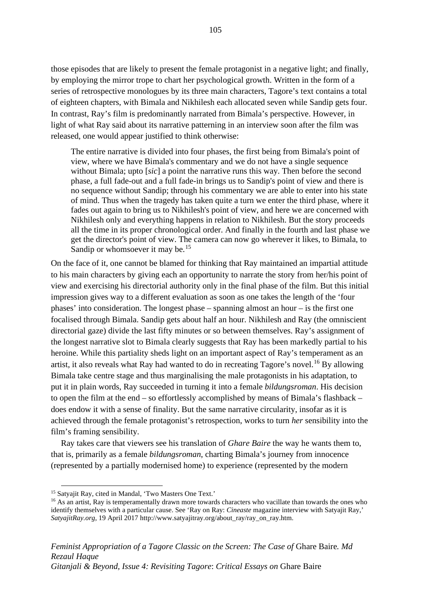those episodes that are likely to present the female protagonist in a negative light; and finally, by employing the mirror trope to chart her psychological growth. Written in the form of a series of retrospective monologues by its three main characters, Tagore's text contains a total of eighteen chapters, with Bimala and Nikhilesh each allocated seven while Sandip gets four. In contrast, Ray's film is predominantly narrated from Bimala's perspective. However, in light of what Ray said about its narrative patterning in an interview soon after the film was released, one would appear justified to think otherwise:

The entire narrative is divided into four phases, the first being from Bimala's point of view, where we have Bimala's commentary and we do not have a single sequence without Bimala; upto [*sic*] a point the narrative runs this way. Then before the second phase, a full fade-out and a full fade-in brings us to Sandip's point of view and there is no sequence without Sandip; through his commentary we are able to enter into his state of mind. Thus when the tragedy has taken quite a turn we enter the third phase, where it fades out again to bring us to Nikhilesh's point of view, and here we are concerned with Nikhilesh only and everything happens in relation to Nikhilesh. But the story proceeds all the time in its proper chronological order. And finally in the fourth and last phase we get the director's point of view. The camera can now go wherever it likes, to Bimala, to Sandip or whomsoever it may be.<sup>[15](#page-111-0)</sup>

On the face of it, one cannot be blamed for thinking that Ray maintained an impartial attitude to his main characters by giving each an opportunity to narrate the story from her/his point of view and exercising his directorial authority only in the final phase of the film. But this initial impression gives way to a different evaluation as soon as one takes the length of the 'four phases' into consideration. The longest phase – spanning almost an hour – is the first one focalised through Bimala. Sandip gets about half an hour. Nikhilesh and Ray (the omniscient directorial gaze) divide the last fifty minutes or so between themselves. Ray's assignment of the longest narrative slot to Bimala clearly suggests that Ray has been markedly partial to his heroine. While this partiality sheds light on an important aspect of Ray's temperament as an artist, it also reveals what Ray had wanted to do in recreating Tagore's novel.<sup>[16](#page-111-1)</sup> By allowing Bimala take centre stage and thus marginalising the male protagonists in his adaptation, to put it in plain words, Ray succeeded in turning it into a female *bildungsroman*. His decision to open the film at the end – so effortlessly accomplished by means of Bimala's flashback – does endow it with a sense of finality. But the same narrative circularity, insofar as it is achieved through the female protagonist's retrospection, works to turn *her* sensibility into the film's framing sensibility.

Ray takes care that viewers see his translation of *Ghare Baire* the way he wants them to, that is, primarily as a female *bildungsroman*, charting Bimala's journey from innocence (represented by a partially modernised home) to experience (represented by the modern

<span id="page-111-0"></span><sup>&</sup>lt;sup>15</sup> Satyajit Ray, cited in Mandal, 'Two Masters One Text.'

<span id="page-111-1"></span><sup>&</sup>lt;sup>16</sup> As an artist, Ray is temperamentally drawn more towards characters who vacillate than towards the ones who identify themselves with a particular cause. See 'Ray on Ray: *Cineaste* magazine interview with Satyajit Ray,' *SatyajitRay.org*, 19 April 2017 http://www.satyajitray.org/about\_ray/ray\_on\_ray.htm.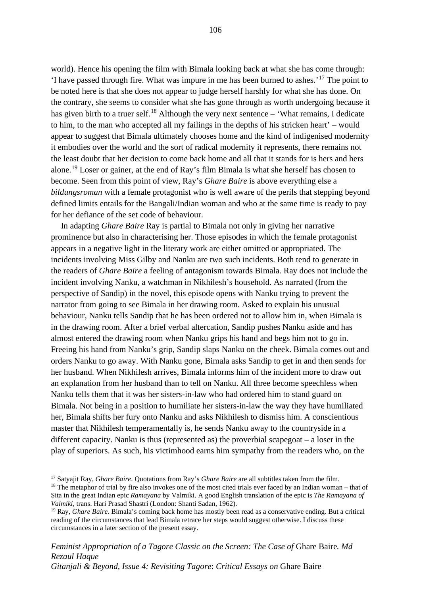world). Hence his opening the film with Bimala looking back at what she has come through: 'I have passed through fire. What was impure in me has been burned to ashes.'[17](#page-112-0) The point to be noted here is that she does not appear to judge herself harshly for what she has done. On the contrary, she seems to consider what she has gone through as worth undergoing because it has given birth to a truer self.<sup>[18](#page-112-1)</sup> Although the very next sentence – 'What remains, I dedicate to him, to the man who accepted all my failings in the depths of his stricken heart' – would appear to suggest that Bimala ultimately chooses home and the kind of indigenised modernity it embodies over the world and the sort of radical modernity it represents, there remains not the least doubt that her decision to come back home and all that it stands for is hers and hers alone.[19](#page-112-2) Loser or gainer, at the end of Ray's film Bimala is what she herself has chosen to become. Seen from this point of view, Ray's *Ghare Baire* is above everything else a *bildungsroman* with a female protagonist who is well aware of the perils that stepping beyond defined limits entails for the Bangali/Indian woman and who at the same time is ready to pay for her defiance of the set code of behaviour.

In adapting *Ghare Baire* Ray is partial to Bimala not only in giving her narrative prominence but also in characterising her. Those episodes in which the female protagonist appears in a negative light in the literary work are either omitted or appropriated. The incidents involving Miss Gilby and Nanku are two such incidents. Both tend to generate in the readers of *Ghare Baire* a feeling of antagonism towards Bimala. Ray does not include the incident involving Nanku, a watchman in Nikhilesh's household. As narrated (from the perspective of Sandip) in the novel, this episode opens with Nanku trying to prevent the narrator from going to see Bimala in her drawing room. Asked to explain his unusual behaviour, Nanku tells Sandip that he has been ordered not to allow him in, when Bimala is in the drawing room. After a brief verbal altercation, Sandip pushes Nanku aside and has almost entered the drawing room when Nanku grips his hand and begs him not to go in. Freeing his hand from Nanku's grip, Sandip slaps Nanku on the cheek. Bimala comes out and orders Nanku to go away. With Nanku gone, Bimala asks Sandip to get in and then sends for her husband. When Nikhilesh arrives, Bimala informs him of the incident more to draw out an explanation from her husband than to tell on Nanku. All three become speechless when Nanku tells them that it was her sisters-in-law who had ordered him to stand guard on Bimala. Not being in a position to humiliate her sisters-in-law the way they have humiliated her, Bimala shifts her fury onto Nanku and asks Nikhilesh to dismiss him. A conscientious master that Nikhilesh temperamentally is, he sends Nanku away to the countryside in a different capacity. Nanku is thus (represented as) the proverbial scapegoat – a loser in the play of superiors. As such, his victimhood earns him sympathy from the readers who, on the

<span id="page-112-0"></span><sup>&</sup>lt;sup>17</sup> Satyajit Ray, *Ghare Baire*. Quotations from Ray's *Ghare Baire* are all subtitles taken from the film.<br><sup>18</sup> The metaphor of trial by fire also invokes one of the most cited trials ever faced by an Indian woman – tha

<span id="page-112-1"></span>Sita in the great Indian epic *Ramayana* by Valmiki. A good English translation of the epic is *The Ramayana of Valmiki*, trans. Hari Prasad Shastri (London: Shanti Sadan, 1962).

<span id="page-112-2"></span><sup>&</sup>lt;sup>19</sup> Ray, *Ghare Baire*. Bimala's coming back home has mostly been read as a conservative ending. But a critical reading of the circumstances that lead Bimala retrace her steps would suggest otherwise. I discuss these circumstances in a later section of the present essay.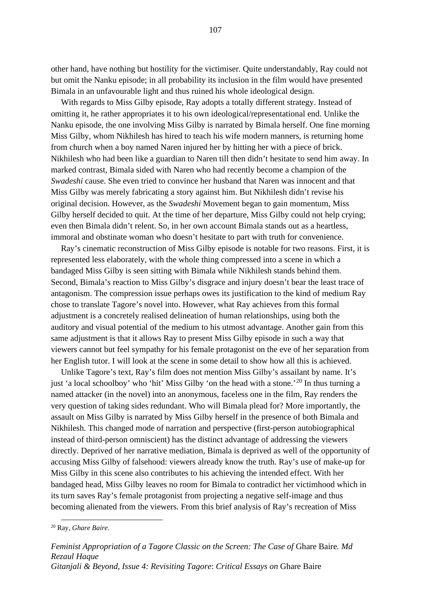other hand, have nothing but hostility for the victimiser. Quite understandably, Ray could not but omit the Nanku episode; in all probability its inclusion in the film would have presented Bimala in an unfavourable light and thus ruined his whole ideological design.

With regards to Miss Gilby episode, Ray adopts a totally different strategy. Instead of omitting it, he rather appropriates it to his own ideological/representational end. Unlike the Nanku episode, the one involving Miss Gilby is narrated by Bimala herself. One fine morning Miss Gilby, whom Nikhilesh has hired to teach his wife modern manners, is returning home from church when a boy named Naren injured her by hitting her with a piece of brick. Nikhilesh who had been like a guardian to Naren till then didn't hesitate to send him away. In marked contrast, Bimala sided with Naren who had recently become a champion of the *Swadeshi* cause. She even tried to convince her husband that Naren was innocent and that Miss Gilby was merely fabricating a story against him. But Nikhilesh didn't revise his original decision. However, as the *Swadeshi* Movement began to gain momentum, Miss Gilby herself decided to quit. At the time of her departure, Miss Gilby could not help crying; even then Bimala didn't relent. So, in her own account Bimala stands out as a heartless, immoral and obstinate woman who doesn't hesitate to part with truth for convenience.

Ray's cinematic reconstruction of Miss Gilby episode is notable for two reasons. First, it is represented less elaborately, with the whole thing compressed into a scene in which a bandaged Miss Gilby is seen sitting with Bimala while Nikhilesh stands behind them. Second, Bimala's reaction to Miss Gilby's disgrace and injury doesn't bear the least trace of antagonism. The compression issue perhaps owes its justification to the kind of medium Ray chose to translate Tagore's novel into. However, what Ray achieves from this formal adjustment is a concretely realised delineation of human relationships, using both the auditory and visual potential of the medium to his utmost advantage. Another gain from this same adjustment is that it allows Ray to present Miss Gilby episode in such a way that viewers cannot but feel sympathy for his female protagonist on the eve of her separation from her English tutor. I will look at the scene in some detail to show how all this is achieved.

Unlike Tagore's text, Ray's film does not mention Miss Gilby's assailant by name. It's just 'a local schoolboy' who 'hit' Miss Gilby 'on the head with a stone.'<sup>[20](#page-113-0)</sup> In thus turning a named attacker (in the novel) into an anonymous, faceless one in the film, Ray renders the very question of taking sides redundant. Who will Bimala plead for? More importantly, the assault on Miss Gilby is narrated by Miss Gilby herself in the presence of both Bimala and Nikhilesh. This changed mode of narration and perspective (first-person autobiographical instead of third-person omniscient) has the distinct advantage of addressing the viewers directly. Deprived of her narrative mediation, Bimala is deprived as well of the opportunity of accusing Miss Gilby of falsehood: viewers already know the truth. Ray's use of make-up for Miss Gilby in this scene also contributes to his achieving the intended effect. With her bandaged head, Miss Gilby leaves no room for Bimala to contradict her victimhood which in its turn saves Ray's female protagonist from projecting a negative self-image and thus becoming alienated from the viewers. From this brief analysis of Ray's recreation of Miss

<span id="page-113-0"></span><sup>20</sup> Ray, *Ghare Baire*.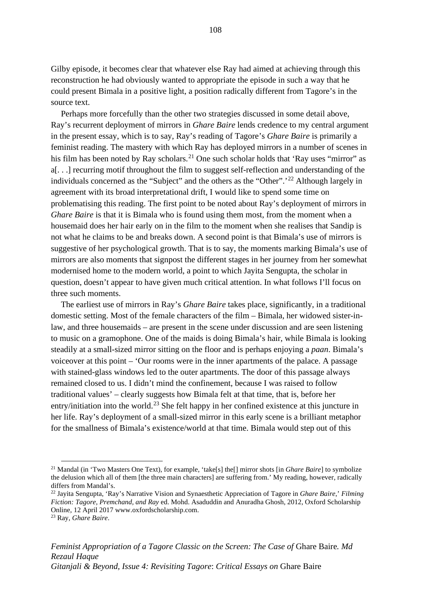Gilby episode, it becomes clear that whatever else Ray had aimed at achieving through this reconstruction he had obviously wanted to appropriate the episode in such a way that he could present Bimala in a positive light, a position radically different from Tagore's in the source text.

Perhaps more forcefully than the other two strategies discussed in some detail above, Ray's recurrent deployment of mirrors in *Ghare Baire* lends credence to my central argument in the present essay, which is to say, Ray's reading of Tagore's *Ghare Baire* is primarily a feminist reading. The mastery with which Ray has deployed mirrors in a number of scenes in his film has been noted by Ray scholars.<sup>[21](#page-114-0)</sup> One such scholar holds that 'Ray uses "mirror" as a[. . .] recurring motif throughout the film to suggest self-reflection and understanding of the individuals concerned as the "Subject" and the others as the "Other".<sup>[22](#page-114-1)</sup> Although largely in agreement with its broad interpretational drift, I would like to spend some time on problematising this reading. The first point to be noted about Ray's deployment of mirrors in *Ghare Baire* is that it is Bimala who is found using them most, from the moment when a housemaid does her hair early on in the film to the moment when she realises that Sandip is not what he claims to be and breaks down. A second point is that Bimala's use of mirrors is suggestive of her psychological growth. That is to say, the moments marking Bimala's use of mirrors are also moments that signpost the different stages in her journey from her somewhat modernised home to the modern world, a point to which Jayita Sengupta, the scholar in question, doesn't appear to have given much critical attention. In what follows I'll focus on three such moments.

The earliest use of mirrors in Ray's *Ghare Baire* takes place, significantly, in a traditional domestic setting. Most of the female characters of the film – Bimala, her widowed sister-inlaw, and three housemaids – are present in the scene under discussion and are seen listening to music on a gramophone. One of the maids is doing Bimala's hair, while Bimala is looking steadily at a small-sized mirror sitting on the floor and is perhaps enjoying a *paan*. Bimala's voiceover at this point – 'Our rooms were in the inner apartments of the palace. A passage with stained-glass windows led to the outer apartments. The door of this passage always remained closed to us. I didn't mind the confinement, because I was raised to follow traditional values' – clearly suggests how Bimala felt at that time, that is, before her entry/initiation into the world.<sup>[23](#page-114-2)</sup> She felt happy in her confined existence at this juncture in her life. Ray's deployment of a small-sized mirror in this early scene is a brilliant metaphor for the smallness of Bimala's existence/world at that time. Bimala would step out of this

<span id="page-114-0"></span><sup>21</sup> Mandal (in 'Two Masters One Text), for example, 'take[s] the[] mirror shots [in *Ghare Baire*] to symbolize the delusion which all of them [the three main characters] are suffering from.' My reading, however, radically differs from Mandal's.

<span id="page-114-1"></span><sup>22</sup> Jayita Sengupta, 'Ray's Narrative Vision and Synaesthetic Appreciation of Tagore in *Ghare Baire*,' *Filming Fiction: Tagore, Premchand, and Ray* ed. Mohd. Asaduddin and Anuradha Ghosh, 2012, Oxford Scholarship Online, 12 April 2017 www.oxfordscholarship.com.

<span id="page-114-2"></span><sup>23</sup> Ray, *Ghare Baire*.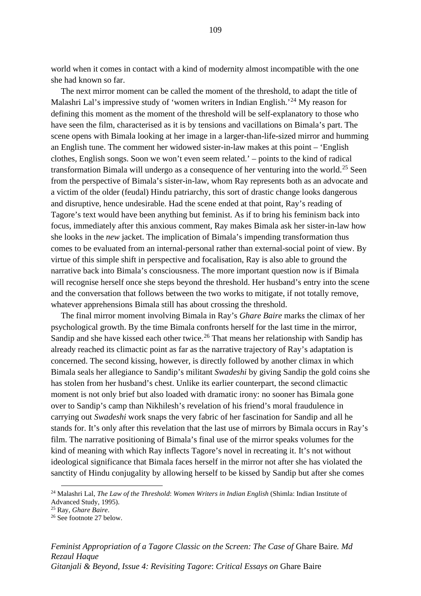world when it comes in contact with a kind of modernity almost incompatible with the one she had known so far.

The next mirror moment can be called the moment of the threshold, to adapt the title of Malashri Lal's impressive study of 'women writers in Indian English.<sup>'[24](#page-115-0)</sup> My reason for defining this moment as the moment of the threshold will be self-explanatory to those who have seen the film, characterised as it is by tensions and vacillations on Bimala's part. The scene opens with Bimala looking at her image in a larger-than-life-sized mirror and humming an English tune. The comment her widowed sister-in-law makes at this point – 'English clothes, English songs. Soon we won't even seem related.' – points to the kind of radical transformation Bimala will undergo as a consequence of her venturing into the world.<sup>[25](#page-115-1)</sup> Seen from the perspective of Bimala's sister-in-law, whom Ray represents both as an advocate and a victim of the older (feudal) Hindu patriarchy, this sort of drastic change looks dangerous and disruptive, hence undesirable. Had the scene ended at that point, Ray's reading of Tagore's text would have been anything but feminist. As if to bring his feminism back into focus, immediately after this anxious comment, Ray makes Bimala ask her sister-in-law how she looks in the *new* jacket. The implication of Bimala's impending transformation thus comes to be evaluated from an internal-personal rather than external-social point of view. By virtue of this simple shift in perspective and focalisation, Ray is also able to ground the narrative back into Bimala's consciousness. The more important question now is if Bimala will recognise herself once she steps beyond the threshold. Her husband's entry into the scene and the conversation that follows between the two works to mitigate, if not totally remove, whatever apprehensions Bimala still has about crossing the threshold.

The final mirror moment involving Bimala in Ray's *Ghare Baire* marks the climax of her psychological growth. By the time Bimala confronts herself for the last time in the mirror, Sandip and she have kissed each other twice.<sup>[26](#page-115-2)</sup> That means her relationship with Sandip has already reached its climactic point as far as the narrative trajectory of Ray's adaptation is concerned. The second kissing, however, is directly followed by another climax in which Bimala seals her allegiance to Sandip's militant *Swadeshi* by giving Sandip the gold coins she has stolen from her husband's chest. Unlike its earlier counterpart, the second climactic moment is not only brief but also loaded with dramatic irony: no sooner has Bimala gone over to Sandip's camp than Nikhilesh's revelation of his friend's moral fraudulence in carrying out *Swadeshi* work snaps the very fabric of her fascination for Sandip and all he stands for. It's only after this revelation that the last use of mirrors by Bimala occurs in Ray's film. The narrative positioning of Bimala's final use of the mirror speaks volumes for the kind of meaning with which Ray inflects Tagore's novel in recreating it. It's not without ideological significance that Bimala faces herself in the mirror not after she has violated the sanctity of Hindu conjugality by allowing herself to be kissed by Sandip but after she comes

<span id="page-115-0"></span><sup>24</sup> Malashri Lal, *The Law of the Threshold*: *Women Writers in Indian English* (Shimla: Indian Institute of Advanced Study, 1995).

<span id="page-115-1"></span><sup>25</sup> Ray, *Ghare Baire*.

<span id="page-115-2"></span><sup>26</sup> See footnote 27 below.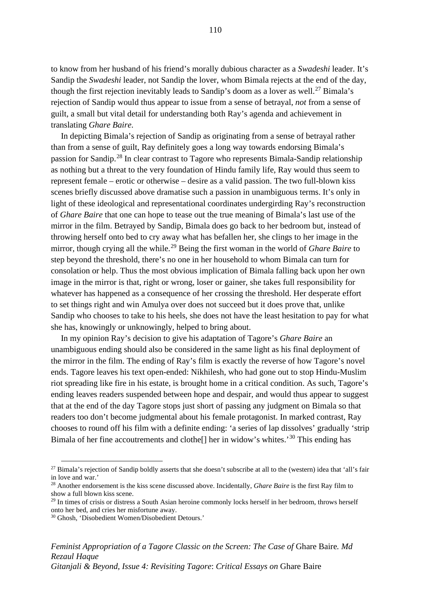to know from her husband of his friend's morally dubious character as a *Swadeshi* leader. It's Sandip the *Swadeshi* leader, not Sandip the lover, whom Bimala rejects at the end of the day, though the first rejection inevitably leads to Sandip's doom as a lover as well.<sup>[27](#page-116-0)</sup> Bimala's rejection of Sandip would thus appear to issue from a sense of betrayal, *not* from a sense of guilt, a small but vital detail for understanding both Ray's agenda and achievement in translating *Ghare Baire*.

In depicting Bimala's rejection of Sandip as originating from a sense of betrayal rather than from a sense of guilt, Ray definitely goes a long way towards endorsing Bimala's passion for Sandip.[28](#page-116-1) In clear contrast to Tagore who represents Bimala-Sandip relationship as nothing but a threat to the very foundation of Hindu family life, Ray would thus seem to represent female – erotic or otherwise – desire as a valid passion. The two full-blown kiss scenes briefly discussed above dramatise such a passion in unambiguous terms. It's only in light of these ideological and representational coordinates undergirding Ray's reconstruction of *Ghare Baire* that one can hope to tease out the true meaning of Bimala's last use of the mirror in the film. Betrayed by Sandip, Bimala does go back to her bedroom but, instead of throwing herself onto bed to cry away what has befallen her, she clings to her image in the mirror, though crying all the while.[29](#page-116-2) Being the first woman in the world of *Ghare Baire* to step beyond the threshold, there's no one in her household to whom Bimala can turn for consolation or help. Thus the most obvious implication of Bimala falling back upon her own image in the mirror is that, right or wrong, loser or gainer, she takes full responsibility for whatever has happened as a consequence of her crossing the threshold. Her desperate effort to set things right and win Amulya over does not succeed but it does prove that, unlike Sandip who chooses to take to his heels, she does not have the least hesitation to pay for what she has, knowingly or unknowingly, helped to bring about.

In my opinion Ray's decision to give his adaptation of Tagore's *Ghare Baire* an unambiguous ending should also be considered in the same light as his final deployment of the mirror in the film. The ending of Ray's film is exactly the reverse of how Tagore's novel ends. Tagore leaves his text open-ended: Nikhilesh, who had gone out to stop Hindu-Muslim riot spreading like fire in his estate, is brought home in a critical condition. As such, Tagore's ending leaves readers suspended between hope and despair, and would thus appear to suggest that at the end of the day Tagore stops just short of passing any judgment on Bimala so that readers too don't become judgmental about his female protagonist. In marked contrast, Ray chooses to round off his film with a definite ending: 'a series of lap dissolves' gradually 'strip Bimala of her fine accoutrements and clothe<sup>[]</sup> her in widow's whites.<sup>[30](#page-116-3)</sup> This ending has

<span id="page-116-0"></span> $27$  Bimala's rejection of Sandip boldly asserts that she doesn't subscribe at all to the (western) idea that 'all's fair in love and war.'

<span id="page-116-1"></span><sup>28</sup> Another endorsement is the kiss scene discussed above. Incidentally, *Ghare Baire* is the first Ray film to show a full blown kiss scene.

<span id="page-116-2"></span><sup>&</sup>lt;sup>29</sup> In times of crisis or distress a South Asian heroine commonly locks herself in her bedroom, throws herself onto her bed, and cries her misfortune away.

<span id="page-116-3"></span><sup>30</sup> Ghosh, 'Disobedient Women/Disobedient Detours.'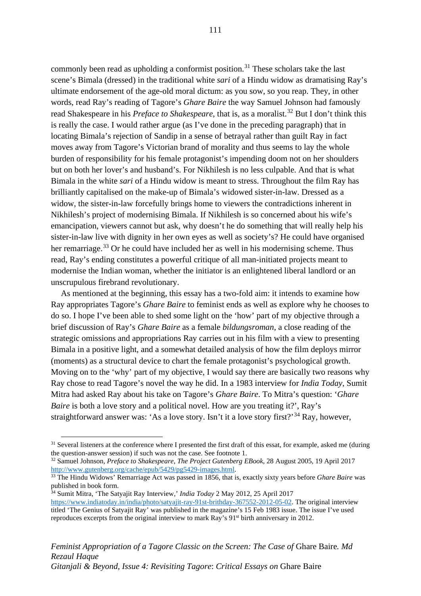commonly been read as upholding a conformist position.<sup>[31](#page-117-0)</sup> These scholars take the last scene's Bimala (dressed) in the traditional white *sari* of a Hindu widow as dramatising Ray's ultimate endorsement of the age-old moral dictum: as you sow, so you reap. They, in other words, read Ray's reading of Tagore's *Ghare Baire* the way Samuel Johnson had famously read Shakespeare in his *Preface to Shakespeare*, that is, as a moralist.<sup>[32](#page-117-1)</sup> But I don't think this is really the case. I would rather argue (as I've done in the preceding paragraph) that in locating Bimala's rejection of Sandip in a sense of betrayal rather than guilt Ray in fact moves away from Tagore's Victorian brand of morality and thus seems to lay the whole burden of responsibility for his female protagonist's impending doom not on her shoulders but on both her lover's and husband's. For Nikhilesh is no less culpable. And that is what Bimala in the white *sari* of a Hindu widow is meant to stress. Throughout the film Ray has brilliantly capitalised on the make-up of Bimala's widowed sister-in-law. Dressed as a widow, the sister-in-law forcefully brings home to viewers the contradictions inherent in Nikhilesh's project of modernising Bimala. If Nikhilesh is so concerned about his wife's emancipation, viewers cannot but ask, why doesn't he do something that will really help his sister-in-law live with dignity in her own eyes as well as society's? He could have organised her remarriage.<sup>[33](#page-117-2)</sup> Or he could have included her as well in his modernising scheme. Thus read, Ray's ending constitutes a powerful critique of all man-initiated projects meant to modernise the Indian woman, whether the initiator is an enlightened liberal landlord or an unscrupulous firebrand revolutionary.

As mentioned at the beginning, this essay has a two-fold aim: it intends to examine how Ray appropriates Tagore's *Ghare Baire* to feminist ends as well as explore why he chooses to do so. I hope I've been able to shed some light on the 'how' part of my objective through a brief discussion of Ray's *Ghare Baire* as a female *bildungsroman*, a close reading of the strategic omissions and appropriations Ray carries out in his film with a view to presenting Bimala in a positive light, and a somewhat detailed analysis of how the film deploys mirror (moments) as a structural device to chart the female protagonist's psychological growth. Moving on to the 'why' part of my objective, I would say there are basically two reasons why Ray chose to read Tagore's novel the way he did. In a 1983 interview for *India Today*, Sumit Mitra had asked Ray about his take on Tagore's *Ghare Baire*. To Mitra's question: '*Ghare Baire* is both a love story and a political novel. How are you treating it?', Ray's straightforward answer was: 'As a love story. Isn't it a love story first?'<sup>[34](#page-117-3)</sup> Ray, however,

<span id="page-117-1"></span><sup>32</sup> Samuel Johnson, *Preface to Shakespeare*, *The Project Gutenberg EBook*, 28 August 2005, 19 April 2017

<span id="page-117-3"></span><sup>34</sup> Sumit Mitra, 'The Satyajit Ray Interview,' *India Today* 2 May 2012, 25 April 2017 [https://www.indiatoday.in/india/photo/satyajit-ray-91st-brithday-367552-2012-05-02.](https://www.indiatoday.in/india/photo/satyajit-ray-91st-brithday-367552-2012-05-02) The original interview titled 'The Genius of Satyajit Ray' was published in the magazine's 15 Feb 1983 issue. The issue I've used reproduces excerpts from the original interview to mark Ray's 91st birth anniversary in 2012.

*Feminist Appropriation of a Tagore Classic on the Screen: The Case of Ghare Baire. Md Rezaul Haque Gitanjali & Beyond, Issue 4: Revisiting Tagore*: *Critical Essays on* Ghare Baire

<span id="page-117-0"></span><sup>&</sup>lt;sup>31</sup> Several listeners at the conference where I presented the first draft of this essat, for example, asked me (during the question-answer session) if such was not the case. See footnote 1.

<span id="page-117-2"></span><sup>&</sup>lt;sup>33</sup> The Hindu Widows' Remarriage Act was passed in 1856, that is, exactly sixty years before *Ghare Baire* was published in book form.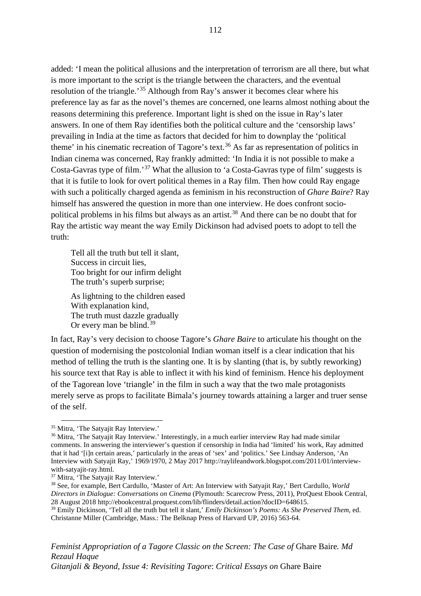added: 'I mean the political allusions and the interpretation of terrorism are all there, but what is more important to the script is the triangle between the characters, and the eventual resolution of the triangle.'[35](#page-118-0) Although from Ray's answer it becomes clear where his preference lay as far as the novel's themes are concerned, one learns almost nothing about the reasons determining this preference. Important light is shed on the issue in Ray's later answers. In one of them Ray identifies both the political culture and the 'censorship laws' prevailing in India at the time as factors that decided for him to downplay the 'political theme' in his cinematic recreation of Tagore's text.<sup>[36](#page-118-1)</sup> As far as representation of politics in Indian cinema was concerned, Ray frankly admitted: 'In India it is not possible to make a Costa-Gavras type of film.'[37](#page-118-2) What the allusion to 'a Costa-Gavras type of film' suggests is that it is futile to look for overt political themes in a Ray film. Then how could Ray engage with such a politically charged agenda as feminism in his reconstruction of *Ghare Baire*? Ray himself has answered the question in more than one interview. He does confront socio-political problems in his films but always as an artist.<sup>[38](#page-118-3)</sup> And there can be no doubt that for Ray the artistic way meant the way Emily Dickinson had advised poets to adopt to tell the truth:

Tell all the truth but tell it slant, Success in circuit lies, Too bright for our infirm delight The truth's superb surprise;

As lightning to the children eased With explanation kind, The truth must dazzle gradually Or every man be blind. $39$ 

In fact, Ray's very decision to choose Tagore's *Ghare Baire* to articulate his thought on the question of modernising the postcolonial Indian woman itself is a clear indication that his method of telling the truth is the slanting one. It is by slanting (that is, by subtly reworking) his source text that Ray is able to inflect it with his kind of feminism. Hence his deployment of the Tagorean love 'triangle' in the film in such a way that the two male protagonists merely serve as props to facilitate Bimala's journey towards attaining a larger and truer sense of the self.

*Feminist Appropriation of a Tagore Classic on the Screen: The Case of Ghare Baire. Md Rezaul Haque Gitanjali & Beyond, Issue 4: Revisiting Tagore*: *Critical Essays on* Ghare Baire

<span id="page-118-0"></span><sup>35</sup> Mitra, 'The Satyajit Ray Interview.'

<span id="page-118-1"></span><sup>&</sup>lt;sup>36</sup> Mitra, 'The Satyajit Ray Interview.' Interestingly, in a much earlier interview Ray had made similar comments. In answering the interviewer's question if censorship in India had 'limited' his work, Ray admitted that it had '[i]n certain areas,' particularly in the areas of 'sex' and 'politics.' See Lindsay Anderson, 'An Interview with Satyajit Ray,' 1969/1970, 2 May 2017 http://raylifeandwork.blogspot.com/2011/01/interviewwith-satyajit-ray.html.<br><sup>37</sup> Mitra, 'The Satyajit Ray Interview.'

<span id="page-118-2"></span>

<span id="page-118-3"></span><sup>38</sup> See, for example, Bert Cardullo, 'Master of Art: An Interview with Satyajit Ray,' Bert Cardullo, *World Directors in Dialogue: Conversations on Cinema* (Plymouth: Scarecrow Press, 2011), ProQuest Ebook Central, 28 August 2018 http://ebookcentral.proquest.com/lib/flinders/detail.action?docID=648615.

<span id="page-118-4"></span><sup>39</sup> Emily Dickinson, 'Tell all the truth but tell it slant,' *Emily Dickinson's Poems: As She Preserved Them*, ed. Christanne Miller (Cambridge, Mass.: The Belknap Press of Harvard UP, 2016) 563-64.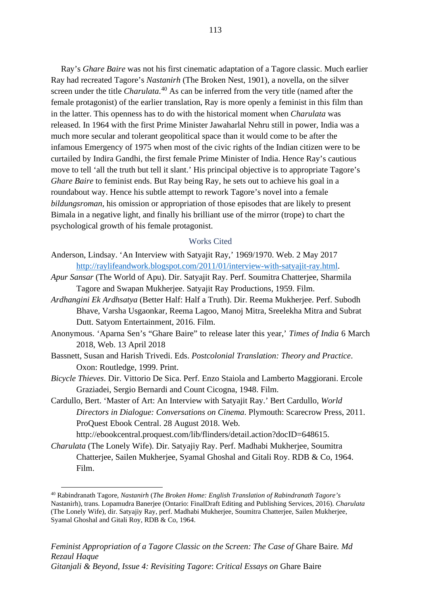Ray's *Ghare Baire* was not his first cinematic adaptation of a Tagore classic. Much earlier Ray had recreated Tagore's *Nastanirh* (The Broken Nest, 1901), a novella, on the silver screen under the title *Charulata*. [40](#page-119-0) As can be inferred from the very title (named after the female protagonist) of the earlier translation, Ray is more openly a feminist in this film than in the latter. This openness has to do with the historical moment when *Charulata* was released. In 1964 with the first Prime Minister Jawaharlal Nehru still in power, India was a much more secular and tolerant geopolitical space than it would come to be after the infamous Emergency of 1975 when most of the civic rights of the Indian citizen were to be curtailed by Indira Gandhi, the first female Prime Minister of India. Hence Ray's cautious move to tell 'all the truth but tell it slant.' His principal objective is to appropriate Tagore's *Ghare Baire* to feminist ends. But Ray being Ray, he sets out to achieve his goal in a roundabout way. Hence his subtle attempt to rework Tagore's novel into a female *bildungsroman*, his omission or appropriation of those episodes that are likely to present Bimala in a negative light, and finally his brilliant use of the mirror (trope) to chart the psychological growth of his female protagonist.

## Works Cited

- Anderson, Lindsay. 'An Interview with Satyajit Ray,' 1969/1970. Web. 2 May 2017 [http://raylifeandwork.blogspot.com/2011/01/interview-with-satyajit-ray.html.](http://raylifeandwork.blogspot.com/2011/01/interview-with-satyajit-ray.html)
- *Apur Sansar* (The World of Apu). Dir. Satyajit Ray. Perf. Soumitra Chatterjee, Sharmila Tagore and Swapan Mukherjee. Satyajit Ray Productions, 1959. Film.
- *Ardhangini Ek Ardhsatya* (Better Half: Half a Truth). Dir. Reema Mukherjee. Perf. Subodh Bhave, Varsha Usgaonkar, Reema Lagoo, Manoj Mitra, Sreelekha Mitra and Subrat Dutt. Satyom Entertainment, 2016. Film.
- Anonymous. 'Aparna Sen's "Ghare Baire" to release later this year,' *Times of India* 6 March 2018, Web. 13 April 2018
- Bassnett, Susan and Harish Trivedi. Eds. *Postcolonial Translation: Theory and Practice*. Oxon: Routledge, 1999. Print.
- *Bicycle Thieves*. Dir. Vittorio De Sica. Perf. Enzo Staiola and Lamberto Maggiorani. Ercole Graziadei, Sergio Bernardi and Count Cicogna, 1948. Film.
- Cardullo, Bert. 'Master of Art: An Interview with Satyajit Ray.' Bert Cardullo, *World Directors in Dialogue: Conversations on Cinema*. Plymouth: Scarecrow Press, 2011. ProQuest Ebook Central. 28 August 2018. Web.

http://ebookcentral.proquest.com/lib/flinders/detail.action?docID=648615.

*Charulata* (The Lonely Wife). Dir. Satyajiy Ray. Perf. Madhabi Mukherjee, Soumitra Chatterjee, Sailen Mukherjee, Syamal Ghoshal and Gitali Roy. RDB & Co, 1964. Film.

<span id="page-119-0"></span><sup>40</sup> Rabindranath Tagore, *Nastanirh* (*The Broken Home: English Translation of Rabindranath Tagore's* Nastanirh), trans. Lopamudra Banerjee (Ontario: FinalDraft Editing and Publishing Services, 2016). *Charulata*  (The Lonely Wife), dir. Satyajiy Ray, perf. Madhabi Mukherjee, Soumitra Chatterjee, Sailen Mukherjee, Syamal Ghoshal and Gitali Roy, RDB & Co, 1964.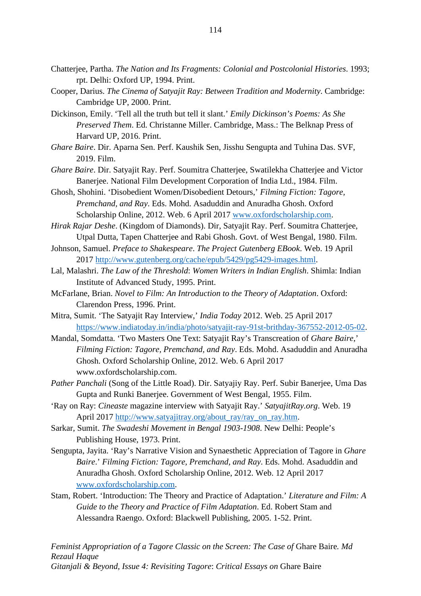- Chatterjee, Partha. *The Nation and Its Fragments: Colonial and Postcolonial Histories*. 1993; rpt. Delhi: Oxford UP, 1994. Print.
- Cooper, Darius. *The Cinema of Satyajit Ray: Between Tradition and Modernity*. Cambridge: Cambridge UP, 2000. Print.
- Dickinson, Emily. 'Tell all the truth but tell it slant.' *Emily Dickinson's Poems: As She Preserved Them*. Ed. Christanne Miller. Cambridge, Mass.: The Belknap Press of Harvard UP, 2016. Print.
- *Ghare Baire*. Dir. Aparna Sen. Perf. Kaushik Sen, Jisshu Sengupta and Tuhina Das. SVF, 2019. Film.
- *Ghare Baire*. Dir. Satyajit Ray. Perf. Soumitra Chatterjee, Swatilekha Chatterjee and Victor Banerjee. National Film Development Corporation of India Ltd., 1984. Film.
- Ghosh, Shohini. 'Disobedient Women/Disobedient Detours,' *Filming Fiction: Tagore, Premchand, and Ray*. Eds. Mohd. Asaduddin and Anuradha Ghosh. Oxford Scholarship Online, 2012. Web. 6 April 2017 [www.oxfordscholarship.com.](http://www.oxfordscholarship.com/)

*Hirak Rajar Deshe*. (Kingdom of Diamonds). Dir, Satyajit Ray. Perf. Soumitra Chatterjee, Utpal Dutta, Tapen Chatterjee and Rabi Ghosh. Govt. of West Bengal, 1980. Film.

- Johnson, Samuel. *Preface to Shakespeare*. *The Project Gutenberg EBook*. Web. 19 April 2017 [http://www.gutenberg.org/cache/epub/5429/pg5429-images.html.](http://www.gutenberg.org/cache/epub/5429/pg5429-images.html)
- Lal, Malashri. *The Law of the Threshold*: *Women Writers in Indian English*. Shimla: Indian Institute of Advanced Study, 1995. Print.
- McFarlane, Brian. *Novel to Film: An Introduction to the Theory of Adaptation*. Oxford: Clarendon Press, 1996. Print.
- Mitra, Sumit. 'The Satyajit Ray Interview,' *India Today* 2012. Web. 25 April 2017 [https://www.indiatoday.in/india/photo/satyajit-ray-91st-brithday-367552-2012-05-02.](https://www.indiatoday.in/india/photo/satyajit-ray-91st-brithday-367552-2012-05-02)
- Mandal, Somdatta. 'Two Masters One Text: Satyajit Ray's Transcreation of *Ghare Baire*,' *Filming Fiction: Tagore, Premchand, and Ray*. Eds. Mohd. Asaduddin and Anuradha Ghosh. Oxford Scholarship Online, 2012. Web. 6 April 2017 www.oxfordscholarship.com.
- *Pather Panchali* (Song of the Little Road). Dir. Satyajiy Ray. Perf. Subir Banerjee, Uma Das Gupta and Runki Banerjee. Government of West Bengal, 1955. Film.
- 'Ray on Ray: *Cineaste* magazine interview with Satyajit Ray.' *SatyajitRay.org*. Web. 19 April 2017 [http://www.satyajitray.org/about\\_ray/ray\\_on\\_ray.htm.](http://www.satyajitray.org/about_ray/ray_on_ray.htm)
- Sarkar, Sumit. *The Swadeshi Movement in Bengal 1903-1908*. New Delhi: People's Publishing House, 1973. Print.
- Sengupta, Jayita. 'Ray's Narrative Vision and Synaesthetic Appreciation of Tagore in *Ghare Baire*.' *Filming Fiction: Tagore, Premchand, and Ray*. Eds. Mohd. Asaduddin and Anuradha Ghosh. Oxford Scholarship Online, 2012. Web. 12 April 2017 [www.oxfordscholarship.com.](http://www.oxfordscholarship.com/)
- Stam, Robert. 'Introduction: The Theory and Practice of Adaptation.' *Literature and Film: A Guide to the Theory and Practice of Film Adaptation*. Ed. Robert Stam and Alessandra Raengo. Oxford: Blackwell Publishing, 2005. 1-52. Print.

*Feminist Appropriation of a Tagore Classic on the Screen: The Case of* Ghare Baire*. Md Rezaul Haque Gitanjali & Beyond, Issue 4: Revisiting Tagore*: *Critical Essays on* Ghare Baire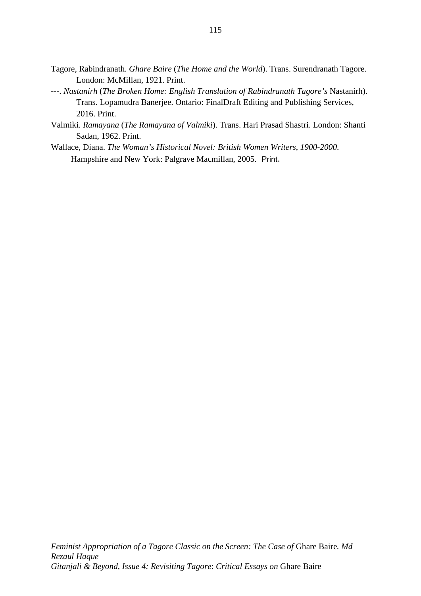- Tagore, Rabindranath. *Ghare Baire* (*The Home and the World*). Trans. Surendranath Tagore. London: McMillan, 1921. Print.
- ---. *Nastanirh* (*The Broken Home: English Translation of Rabindranath Tagore's* Nastanirh). Trans. Lopamudra Banerjee. Ontario: FinalDraft Editing and Publishing Services, 2016. Print.
- Valmiki. *Ramayana* (*The Ramayana of Valmiki*). Trans. Hari Prasad Shastri. London: Shanti Sadan, 1962. Print.
- Wallace, Diana. *The Woman's Historical Novel: British Women Writers*, *1900-2000*. Hampshire and New York: Palgrave Macmillan, 2005. Print.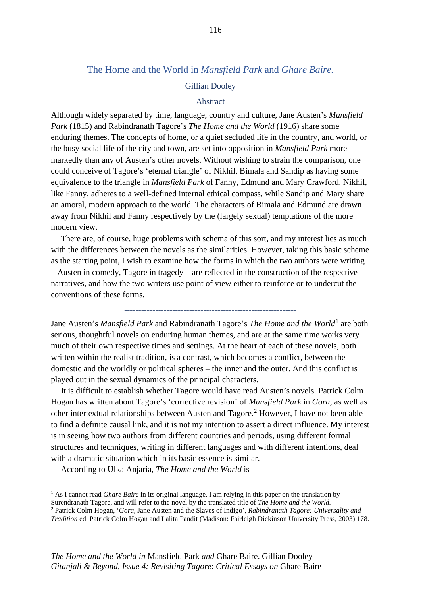## The Home and the World in *Mansfield Park* and *Ghare Baire.*

## Gillian Dooley

## Abstract

Although widely separated by time, language, country and culture, Jane Austen's *Mansfield Park* (1815) and Rabindranath Tagore's *The Home and the World* (1916) share some enduring themes. The concepts of home, or a quiet secluded life in the country, and world, or the busy social life of the city and town, are set into opposition in *Mansfield Park* more markedly than any of Austen's other novels. Without wishing to strain the comparison, one could conceive of Tagore's 'eternal triangle' of Nikhil, Bimala and Sandip as having some equivalence to the triangle in *Mansfield Park* of Fanny, Edmund and Mary Crawford. Nikhil, like Fanny, adheres to a well-defined internal ethical compass, while Sandip and Mary share an amoral, modern approach to the world. The characters of Bimala and Edmund are drawn away from Nikhil and Fanny respectively by the (largely sexual) temptations of the more modern view.

There are, of course, huge problems with schema of this sort, and my interest lies as much with the differences between the novels as the similarities. However, taking this basic scheme as the starting point, I wish to examine how the forms in which the two authors were writing – Austen in comedy, Tagore in tragedy – are reflected in the construction of the respective narratives, and how the two writers use point of view either to reinforce or to undercut the conventions of these forms.

-------------------------------------------------------------

Jane Austen's *Mansfield Park* and Rabindranath Tagore's *The Home and the World*[1](#page-122-0) are both serious, thoughtful novels on enduring human themes, and are at the same time works very much of their own respective times and settings. At the heart of each of these novels, both written within the realist tradition, is a contrast, which becomes a conflict, between the domestic and the worldly or political spheres – the inner and the outer. And this conflict is played out in the sexual dynamics of the principal characters.

It is difficult to establish whether Tagore would have read Austen's novels. Patrick Colm Hogan has written about Tagore's 'corrective revision' of *Mansfield Park* in *Gora*, as well as other intertextual relationships between Austen and Tagore.[2](#page-122-1) However, I have not been able to find a definite causal link, and it is not my intention to assert a direct influence. My interest is in seeing how two authors from different countries and periods, using different formal structures and techniques, writing in different languages and with different intentions, deal with a dramatic situation which in its basic essence is similar.

According to Ulka Anjaria, *The Home and the World* is

<span id="page-122-0"></span><sup>1</sup> As I cannot read *Ghare Baire* in its original language, I am relying in this paper on the translation by Surendranath Tagore, and will refer to the novel by the translated title of *The Home and the World.* <sup>2</sup> Patrick Colm Hogan, '*Gora*, Jane Austen and the Slaves of Indigo', *Rabindranath Tagore: Universality and* 

<span id="page-122-1"></span>*Tradition* ed. Patrick Colm Hogan and Lalita Pandit (Madison: Fairleigh Dickinson University Press, 2003) 178.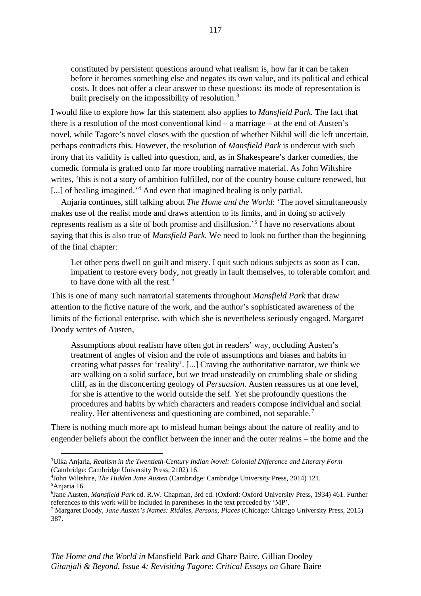constituted by persistent questions around what realism is, how far it can be taken before it becomes something else and negates its own value, and its political and ethical costs*.* It does not offer a clear answer to these questions; its mode of representation is built precisely on the impossibility of resolution.<sup>[3](#page-123-0)</sup>

I would like to explore how far this statement also applies to *Mansfield Park.* The fact that there is a resolution of the most conventional kind – a marriage – at the end of Austen's novel, while Tagore's novel closes with the question of whether Nikhil will die left uncertain, perhaps contradicts this. However, the resolution of *Mansfield Park* is undercut with such irony that its validity is called into question, and, as in Shakespeare's darker comedies, the comedic formula is grafted onto far more troubling narrative material. As John Wiltshire writes, 'this is not a story of ambition fulfilled, nor of the country house culture renewed, but [...] of healing imagined.<sup>'[4](#page-123-1)</sup> And even that imagined healing is only partial.

Anjaria continues, still talking about *The Home and the World*: 'The novel simultaneously makes use of the realist mode and draws attention to its limits, and in doing so actively represents realism as a site of both promise and disillusion.' [5](#page-123-2) I have no reservations about saying that this is also true of *Mansfield Park.* We need to look no further than the beginning of the final chapter:

Let other pens dwell on guilt and misery. I quit such odious subjects as soon as I can, impatient to restore every body, not greatly in fault themselves, to tolerable comfort and to have done with all the rest.<sup>[6](#page-123-3)</sup>

This is one of many such narratorial statements throughout *Mansfield Park* that draw attention to the fictive nature of the work, and the author's sophisticated awareness of the limits of the fictional enterprise, with which she is nevertheless seriously engaged. Margaret Doody writes of Austen,

Assumptions about realism have often got in readers' way, occluding Austen's treatment of angles of vision and the role of assumptions and biases and habits in creating what passes for 'reality'. [...] Craving the authoritative narrator, we think we are walking on a solid surface, but we tread unsteadily on crumbling shale or sliding cliff, as in the disconcerting geology of *Persuasion*. Austen reassures us at one level, for she is attentive to the world outside the self. Yet she profoundly questions the procedures and habits by which characters and readers compose individual and social reality. Her attentiveness and questioning are combined, not separable.<sup>[7](#page-123-4)</sup>

There is nothing much more apt to mislead human beings about the nature of reality and to engender beliefs about the conflict between the inner and the outer realms – the home and the

<span id="page-123-0"></span><sup>3</sup> Ulka Anjaria, *Realism in the Twentieth-Century Indian Novel: Colonial Difference and Literary Form*  (Cambridge: Cambridge University Press, 2102) 16.

<span id="page-123-1"></span><sup>4</sup> John Wiltshire, *The Hidden Jane Austen* (Cambridge: Cambridge University Press, 2014) 121. 5 Anjaria 16.

<span id="page-123-3"></span><span id="page-123-2"></span><sup>6</sup> Jane Austen, *Mansfield Park* ed. R.W. Chapman, 3rd ed. (Oxford: Oxford University Press, 1934) 461. Further references to this work will be included in parentheses in the text preceded by 'MP'.

<span id="page-123-4"></span><sup>7</sup> Margaret Doody, *Jane Austen's Names: Riddles, Persons, Places* (Chicago: Chicago University Press, 2015) 387.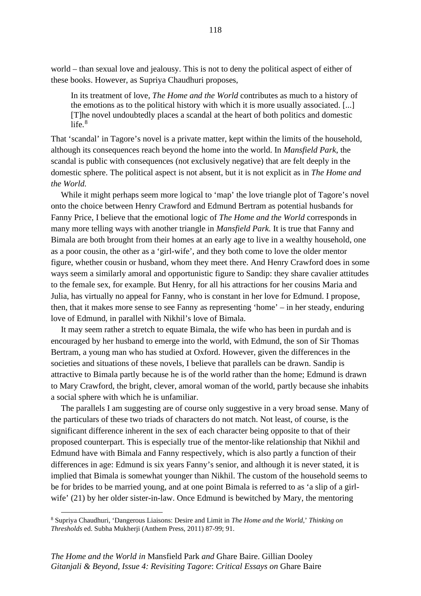world – than sexual love and jealousy. This is not to deny the political aspect of either of these books. However, as Supriya Chaudhuri proposes,

In its treatment of love, *The Home and the World* contributes as much to a history of the emotions as to the political history with which it is more usually associated. [...] [T]he novel undoubtedly places a scandal at the heart of both politics and domestic life. $8$ 

That 'scandal' in Tagore's novel is a private matter, kept within the limits of the household, although its consequences reach beyond the home into the world. In *Mansfield Park*, the scandal is public with consequences (not exclusively negative) that are felt deeply in the domestic sphere. The political aspect is not absent, but it is not explicit as in *The Home and the World.*

While it might perhaps seem more logical to 'map' the love triangle plot of Tagore's novel onto the choice between Henry Crawford and Edmund Bertram as potential husbands for Fanny Price, I believe that the emotional logic of *The Home and the World* corresponds in many more telling ways with another triangle in *Mansfield Park.* It is true that Fanny and Bimala are both brought from their homes at an early age to live in a wealthy household, one as a poor cousin, the other as a 'girl-wife', and they both come to love the older mentor figure, whether cousin or husband, whom they meet there. And Henry Crawford does in some ways seem a similarly amoral and opportunistic figure to Sandip: they share cavalier attitudes to the female sex, for example. But Henry, for all his attractions for her cousins Maria and Julia, has virtually no appeal for Fanny, who is constant in her love for Edmund. I propose, then, that it makes more sense to see Fanny as representing 'home' – in her steady, enduring love of Edmund, in parallel with Nikhil's love of Bimala.

It may seem rather a stretch to equate Bimala, the wife who has been in purdah and is encouraged by her husband to emerge into the world, with Edmund, the son of Sir Thomas Bertram, a young man who has studied at Oxford. However, given the differences in the societies and situations of these novels, I believe that parallels can be drawn. Sandip is attractive to Bimala partly because he is of the world rather than the home; Edmund is drawn to Mary Crawford, the bright, clever, amoral woman of the world, partly because she inhabits a social sphere with which he is unfamiliar.

The parallels I am suggesting are of course only suggestive in a very broad sense. Many of the particulars of these two triads of characters do not match. Not least, of course, is the significant difference inherent in the sex of each character being opposite to that of their proposed counterpart. This is especially true of the mentor-like relationship that Nikhil and Edmund have with Bimala and Fanny respectively, which is also partly a function of their differences in age: Edmund is six years Fanny's senior, and although it is never stated, it is implied that Bimala is somewhat younger than Nikhil. The custom of the household seems to be for brides to be married young, and at one point Bimala is referred to as 'a slip of a girlwife' (21) by her older sister-in-law. Once Edmund is bewitched by Mary, the mentoring

<span id="page-124-0"></span><sup>8</sup> Supriya Chaudhuri, 'Dangerous Liaisons: Desire and Limit in *The Home and the World*,' *Thinking on Thresholds* ed. Subha Mukherji (Anthem Press, 2011) 87-99; 91.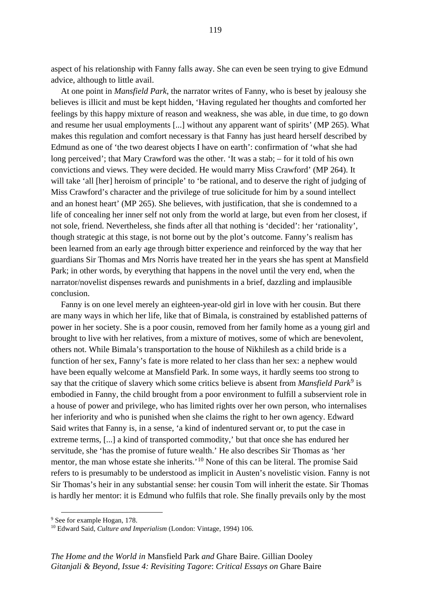aspect of his relationship with Fanny falls away. She can even be seen trying to give Edmund advice, although to little avail.

At one point in *Mansfield Park*, the narrator writes of Fanny, who is beset by jealousy she believes is illicit and must be kept hidden, 'Having regulated her thoughts and comforted her feelings by this happy mixture of reason and weakness, she was able, in due time, to go down and resume her usual employments [...] without any apparent want of spirits' (MP 265). What makes this regulation and comfort necessary is that Fanny has just heard herself described by Edmund as one of 'the two dearest objects I have on earth': confirmation of 'what she had long perceived'; that Mary Crawford was the other. 'It was a stab; – for it told of his own convictions and views. They were decided. He would marry Miss Crawford' (MP 264). It will take 'all [her] heroism of principle' to 'be rational, and to deserve the right of judging of Miss Crawford's character and the privilege of true solicitude for him by a sound intellect and an honest heart' (MP 265). She believes, with justification, that she is condemned to a life of concealing her inner self not only from the world at large, but even from her closest, if not sole, friend. Nevertheless, she finds after all that nothing is 'decided': her 'rationality', though strategic at this stage, is not borne out by the plot's outcome. Fanny's realism has been learned from an early age through bitter experience and reinforced by the way that her guardians Sir Thomas and Mrs Norris have treated her in the years she has spent at Mansfield Park; in other words, by everything that happens in the novel until the very end, when the narrator/novelist dispenses rewards and punishments in a brief, dazzling and implausible conclusion.

Fanny is on one level merely an eighteen-year-old girl in love with her cousin. But there are many ways in which her life, like that of Bimala, is constrained by established patterns of power in her society. She is a poor cousin, removed from her family home as a young girl and brought to live with her relatives, from a mixture of motives, some of which are benevolent, others not. While Bimala's transportation to the house of Nikhilesh as a child bride is a function of her sex, Fanny's fate is more related to her class than her sex: a nephew would have been equally welcome at Mansfield Park. In some ways, it hardly seems too strong to say that the critique of slavery which some critics believe is absent from *Mansfield Park*[9](#page-125-0) is embodied in Fanny, the child brought from a poor environment to fulfill a subservient role in a house of power and privilege, who has limited rights over her own person, who internalises her inferiority and who is punished when she claims the right to her own agency. Edward Said writes that Fanny is, in a sense, 'a kind of indentured servant or, to put the case in extreme terms, [...] a kind of transported commodity,' but that once she has endured her servitude, she 'has the promise of future wealth.' He also describes Sir Thomas as 'her mentor, the man whose estate she inherits.<sup>'[10](#page-125-1)</sup> None of this can be literal. The promise Said refers to is presumably to be understood as implicit in Austen's novelistic vision. Fanny is not Sir Thomas's heir in any substantial sense: her cousin Tom will inherit the estate. Sir Thomas is hardly her mentor: it is Edmund who fulfils that role. She finally prevails only by the most

<span id="page-125-0"></span><sup>&</sup>lt;sup>9</sup> See for example Hogan, 178.

<span id="page-125-1"></span><sup>10</sup> Edward Said, *Culture and Imperialism* (London: Vintage, 1994) 106.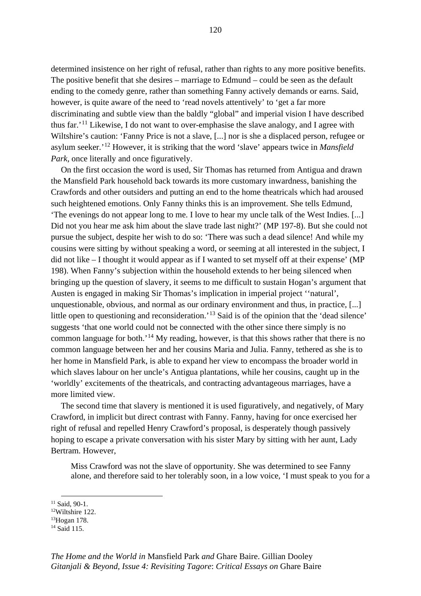determined insistence on her right of refusal, rather than rights to any more positive benefits. The positive benefit that she desires – marriage to Edmund – could be seen as the default ending to the comedy genre, rather than something Fanny actively demands or earns. Said, however, is quite aware of the need to 'read novels attentively' to 'get a far more discriminating and subtle view than the baldly "global" and imperial vision I have described thus far.' [11](#page-126-0) Likewise, I do not want to over-emphasise the slave analogy, and I agree with Wiltshire's caution: 'Fanny Price is not a slave, [...] nor is she a displaced person, refugee or asylum seeker.' [12](#page-126-1) However, it is striking that the word 'slave' appears twice in *Mansfield Park*, once literally and once figuratively.

On the first occasion the word is used, Sir Thomas has returned from Antigua and drawn the Mansfield Park household back towards its more customary inwardness, banishing the Crawfords and other outsiders and putting an end to the home theatricals which had aroused such heightened emotions. Only Fanny thinks this is an improvement. She tells Edmund, 'The evenings do not appear long to me. I love to hear my uncle talk of the West Indies. [...] Did not you hear me ask him about the slave trade last night?' (MP 197-8). But she could not pursue the subject, despite her wish to do so: 'There was such a dead silence! And while my cousins were sitting by without speaking a word, or seeming at all interested in the subject, I did not like – I thought it would appear as if I wanted to set myself off at their expense' (MP 198). When Fanny's subjection within the household extends to her being silenced when bringing up the question of slavery, it seems to me difficult to sustain Hogan's argument that Austen is engaged in making Sir Thomas's implication in imperial project ''natural', unquestionable, obvious, and normal as our ordinary environment and thus, in practice, [...] little open to questioning and reconsideration.<sup>[13](#page-126-2)</sup> Said is of the opinion that the 'dead silence' suggests 'that one world could not be connected with the other since there simply is no common language for both.<sup>'[14](#page-126-3)</sup> My reading, however, is that this shows rather that there is no common language between her and her cousins Maria and Julia. Fanny, tethered as she is to her home in Mansfield Park, is able to expand her view to encompass the broader world in which slaves labour on her uncle's Antigua plantations, while her cousins, caught up in the 'worldly' excitements of the theatricals, and contracting advantageous marriages, have a more limited view.

The second time that slavery is mentioned it is used figuratively, and negatively, of Mary Crawford, in implicit but direct contrast with Fanny. Fanny, having for once exercised her right of refusal and repelled Henry Crawford's proposal, is desperately though passively hoping to escape a private conversation with his sister Mary by sitting with her aunt, Lady Bertram. However,

Miss Crawford was not the slave of opportunity. She was determined to see Fanny alone, and therefore said to her tolerably soon, in a low voice, 'I must speak to you for a

<span id="page-126-0"></span><sup>11</sup> Said, 90-1.

<span id="page-126-1"></span><sup>12</sup>Wiltshire 122.

<span id="page-126-2"></span><sup>13</sup>Hogan 178.

<span id="page-126-3"></span><sup>&</sup>lt;sup>14</sup> Said 115.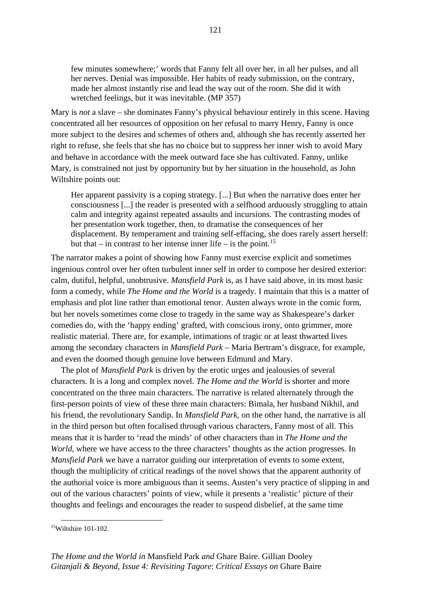few minutes somewhere;' words that Fanny felt all over her, in all her pulses, and all her nerves. Denial was impossible. Her habits of ready submission, on the contrary, made her almost instantly rise and lead the way out of the room. She did it with wretched feelings, but it was inevitable. (MP 357)

Mary is *not* a slave – she dominates Fanny's physical behaviour entirely in this scene. Having concentrated all her resources of opposition on her refusal to marry Henry, Fanny is once more subject to the desires and schemes of others and, although she has recently asserted her right to refuse, she feels that she has no choice but to suppress her inner wish to avoid Mary and behave in accordance with the meek outward face she has cultivated. Fanny, unlike Mary, is constrained not just by opportunity but by her situation in the household, as John Wiltshire points out:

Her apparent passivity is a coping strategy. [...] But when the narrative does enter her consciousness [...] the reader is presented with a selfhood arduously struggling to attain calm and integrity against repeated assaults and incursions. The contrasting modes of her presentation work together, then, to dramatise the consequences of her displacement. By temperament and training self-effacing, she does rarely assert herself: but that – in contrast to her intense inner life – is the point.<sup>[15](#page-127-0)</sup>

The narrator makes a point of showing how Fanny must exercise explicit and sometimes ingenious control over her often turbulent inner self in order to compose her desired exterior: calm, dutiful, helpful, unobtrusive. *Mansfield Park* is, as I have said above, in its most basic form a comedy, while *The Home and the World* is a tragedy. I maintain that this is a matter of emphasis and plot line rather than emotional tenor. Austen always wrote in the comic form, but her novels sometimes come close to tragedy in the same way as Shakespeare's darker comedies do, with the 'happy ending' grafted, with conscious irony, onto grimmer, more realistic material. There are, for example, intimations of tragic or at least thwarted lives among the secondary characters in *Mansfield Park* – Maria Bertram's disgrace, for example, and even the doomed though genuine love between Edmund and Mary.

The plot of *Mansfield Park* is driven by the erotic urges and jealousies of several characters. It is a long and complex novel. *The Home and the World* is shorter and more concentrated on the three main characters. The narrative is related alternately through the first-person points of view of these three main characters: Bimala, her husband Nikhil, and his friend, the revolutionary Sandip. In *Mansfield Park*, on the other hand*,* the narrative is all in the third person but often focalised through various characters, Fanny most of all. This means that it is harder to 'read the minds' of other characters than in *The Home and the World*, where we have access to the three characters' thoughts as the action progresses. In *Mansfield Park* we have a narrator guiding our interpretation of events to some extent, though the multiplicity of critical readings of the novel shows that the apparent authority of the authorial voice is more ambiguous than it seems. Austen's very practice of slipping in and out of the various characters' points of view, while it presents a 'realistic' picture of their thoughts and feelings and encourages the reader to suspend disbelief, at the same time

<span id="page-127-0"></span><sup>15</sup>Wiltshire 101-102.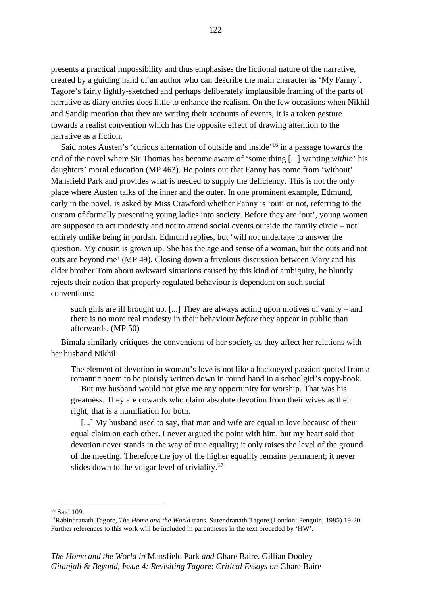presents a practical impossibility and thus emphasises the fictional nature of the narrative, created by a guiding hand of an author who can describe the main character as 'My Fanny'. Tagore's fairly lightly-sketched and perhaps deliberately implausible framing of the parts of narrative as diary entries does little to enhance the realism. On the few occasions when Nikhil and Sandip mention that they are writing their accounts of events, it is a token gesture towards a realist convention which has the opposite effect of drawing attention to the narrative as a fiction.

Said notes Austen's 'curious alternation of outside and inside<sup>, [16](#page-128-0)</sup> in a passage towards the end of the novel where Sir Thomas has become aware of 'some thing [...] wanting *within*' his daughters' moral education (MP 463). He points out that Fanny has come from 'without' Mansfield Park and provides what is needed to supply the deficiency. This is not the only place where Austen talks of the inner and the outer. In one prominent example, Edmund, early in the novel, is asked by Miss Crawford whether Fanny is 'out' or not, referring to the custom of formally presenting young ladies into society. Before they are 'out', young women are supposed to act modestly and not to attend social events outside the family circle – not entirely unlike being in purdah. Edmund replies, but 'will not undertake to answer the question. My cousin is grown up. She has the age and sense of a woman, but the outs and not outs are beyond me' (MP 49). Closing down a frivolous discussion between Mary and his elder brother Tom about awkward situations caused by this kind of ambiguity, he bluntly rejects their notion that properly regulated behaviour is dependent on such social conventions:

such girls are ill brought up. [...] They are always acting upon motives of vanity – and there is no more real modesty in their behaviour *before* they appear in public than afterwards. (MP 50)

Bimala similarly critiques the conventions of her society as they affect her relations with her husband Nikhil:

The element of devotion in woman's love is not like a hackneyed passion quoted from a romantic poem to be piously written down in round hand in a schoolgirl's copy-book.

But my husband would not give me any opportunity for worship. That was his greatness. They are cowards who claim absolute devotion from their wives as their right; that is a humiliation for both.

[...] My husband used to say, that man and wife are equal in love because of their equal claim on each other. I never argued the point with him, but my heart said that devotion never stands in the way of true equality; it only raises the level of the ground of the meeting. Therefore the joy of the higher equality remains permanent; it never slides down to the vulgar level of triviality. $17$ 

<span id="page-128-0"></span><sup>16</sup> Said 109.

<span id="page-128-1"></span><sup>17</sup>Rabindranath Tagore, *The Home and the World* trans. Surendranath Tagore (London: Penguin, 1985) 19-20. Further references to this work will be included in parentheses in the text preceded by 'HW'.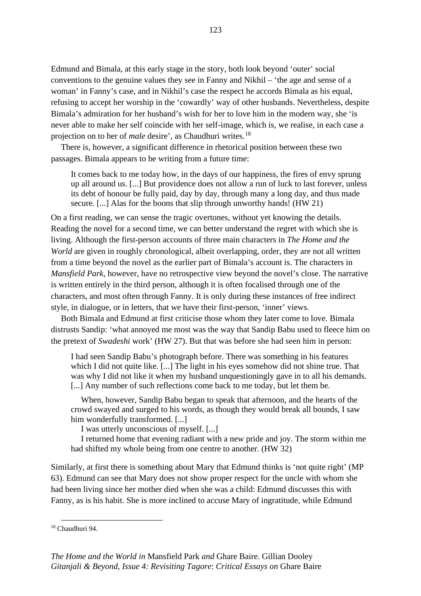Edmund and Bimala, at this early stage in the story, both look beyond 'outer' social conventions to the genuine values they see in Fanny and Nikhil – 'the age and sense of a woman' in Fanny's case, and in Nikhil's case the respect he accords Bimala as his equal, refusing to accept her worship in the 'cowardly' way of other husbands. Nevertheless, despite Bimala's admiration for her husband's wish for her to love him in the modern way, she 'is never able to make her self coincide with her self-image, which is, we realise, in each case a projection on to her of *male* desire', as Chaudhuri writes.[18](#page-129-0)

There is, however, a significant difference in rhetorical position between these two passages. Bimala appears to be writing from a future time:

It comes back to me today how, in the days of our happiness, the fires of envy sprung up all around us. [...] But providence does not allow a run of luck to last forever, unless its debt of honour be fully paid, day by day, through many a long day, and thus made secure. [...] Alas for the boons that slip through unworthy hands! (HW 21)

On a first reading, we can sense the tragic overtones, without yet knowing the details. Reading the novel for a second time, we can better understand the regret with which she is living. Although the first-person accounts of three main characters in *The Home and the World* are given in roughly chronological, albeit overlapping, order, they are not all written from a time beyond the novel as the earlier part of Bimala's account is. The characters in *Mansfield Park*, however, have no retrospective view beyond the novel's close. The narrative is written entirely in the third person, although it is often focalised through one of the characters, and most often through Fanny. It is only during these instances of free indirect style, in dialogue, or in letters, that we have their first-person, 'inner' views.

Both Bimala and Edmund at first criticise those whom they later come to love. Bimala distrusts Sandip: 'what annoyed me most was the way that Sandip Babu used to fleece him on the pretext of *Swadeshi* work' (HW 27). But that was before she had seen him in person:

I had seen Sandip Babu's photograph before. There was something in his features which I did not quite like. [...] The light in his eyes somehow did not shine true. That was why I did not like it when my husband unquestioningly gave in to all his demands. [...] Any number of such reflections come back to me today, but let them be.

When, however, Sandip Babu began to speak that afternoon, and the hearts of the crowd swayed and surged to his words, as though they would break all bounds, I saw him wonderfully transformed. [...]

I was utterly unconscious of myself. [...]

I returned home that evening radiant with a new pride and joy. The storm within me had shifted my whole being from one centre to another. (HW 32)

Similarly, at first there is something about Mary that Edmund thinks is 'not quite right' (MP 63). Edmund can see that Mary does not show proper respect for the uncle with whom she had been living since her mother died when she was a child: Edmund discusses this with Fanny, as is his habit. She is more inclined to accuse Mary of ingratitude, while Edmund

<span id="page-129-0"></span><sup>18</sup> Chaudhuri 94.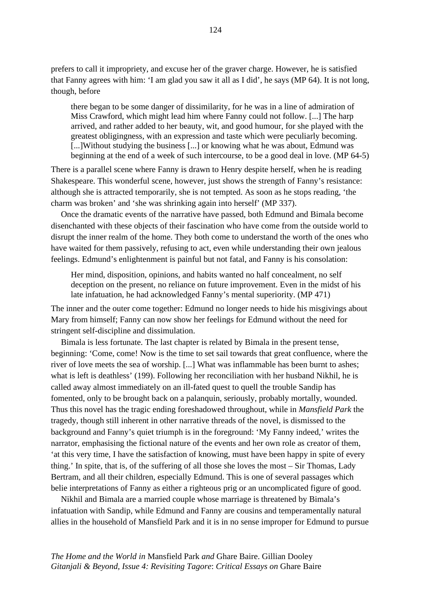prefers to call it impropriety, and excuse her of the graver charge. However, he is satisfied that Fanny agrees with him: 'I am glad you saw it all as I did', he says (MP 64). It is not long, though, before

there began to be some danger of dissimilarity, for he was in a line of admiration of Miss Crawford, which might lead him where Fanny could not follow. [...] The harp arrived, and rather added to her beauty, wit, and good humour, for she played with the greatest obligingness, with an expression and taste which were peculiarly becoming. [...]Without studying the business [...] or knowing what he was about, Edmund was beginning at the end of a week of such intercourse, to be a good deal in love. (MP 64-5)

There is a parallel scene where Fanny is drawn to Henry despite herself, when he is reading Shakespeare. This wonderful scene, however, just shows the strength of Fanny's resistance: although she is attracted temporarily, she is not tempted. As soon as he stops reading, 'the charm was broken' and 'she was shrinking again into herself' (MP 337).

Once the dramatic events of the narrative have passed, both Edmund and Bimala become disenchanted with these objects of their fascination who have come from the outside world to disrupt the inner realm of the home. They both come to understand the worth of the ones who have waited for them passively, refusing to act, even while understanding their own jealous feelings. Edmund's enlightenment is painful but not fatal, and Fanny is his consolation:

Her mind, disposition, opinions, and habits wanted no half concealment, no self deception on the present, no reliance on future improvement. Even in the midst of his late infatuation, he had acknowledged Fanny's mental superiority. (MP 471)

The inner and the outer come together: Edmund no longer needs to hide his misgivings about Mary from himself; Fanny can now show her feelings for Edmund without the need for stringent self-discipline and dissimulation.

Bimala is less fortunate. The last chapter is related by Bimala in the present tense, beginning: 'Come, come! Now is the time to set sail towards that great confluence, where the river of love meets the sea of worship. [...] What was inflammable has been burnt to ashes; what is left is deathless' (199). Following her reconciliation with her husband Nikhil, he is called away almost immediately on an ill-fated quest to quell the trouble Sandip has fomented, only to be brought back on a palanquin, seriously, probably mortally, wounded. Thus this novel has the tragic ending foreshadowed throughout, while in *Mansfield Park* the tragedy, though still inherent in other narrative threads of the novel, is dismissed to the background and Fanny's quiet triumph is in the foreground: 'My Fanny indeed,' writes the narrator, emphasising the fictional nature of the events and her own role as creator of them, 'at this very time, I have the satisfaction of knowing, must have been happy in spite of every thing.' In spite, that is, of the suffering of all those she loves the most – Sir Thomas, Lady Bertram, and all their children, especially Edmund. This is one of several passages which belie interpretations of Fanny as either a righteous prig or an uncomplicated figure of good.

Nikhil and Bimala are a married couple whose marriage is threatened by Bimala's infatuation with Sandip, while Edmund and Fanny are cousins and temperamentally natural allies in the household of Mansfield Park and it is in no sense improper for Edmund to pursue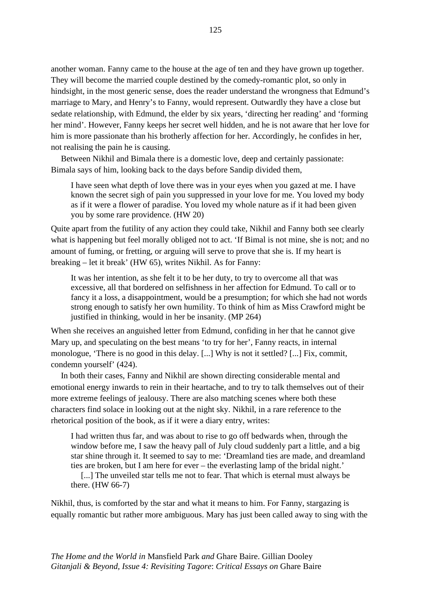another woman. Fanny came to the house at the age of ten and they have grown up together. They will become the married couple destined by the comedy-romantic plot, so only in hindsight, in the most generic sense, does the reader understand the wrongness that Edmund's marriage to Mary, and Henry's to Fanny, would represent. Outwardly they have a close but sedate relationship, with Edmund, the elder by six years, 'directing her reading' and 'forming her mind'. However, Fanny keeps her secret well hidden, and he is not aware that her love for him is more passionate than his brotherly affection for her. Accordingly, he confides in her, not realising the pain he is causing.

Between Nikhil and Bimala there is a domestic love, deep and certainly passionate: Bimala says of him, looking back to the days before Sandip divided them,

I have seen what depth of love there was in your eyes when you gazed at me. I have known the secret sigh of pain you suppressed in your love for me. You loved my body as if it were a flower of paradise. You loved my whole nature as if it had been given you by some rare providence. (HW 20)

Quite apart from the futility of any action they could take, Nikhil and Fanny both see clearly what is happening but feel morally obliged not to act. 'If Bimal is not mine, she is not; and no amount of fuming, or fretting, or arguing will serve to prove that she is. If my heart is breaking – let it break' (HW 65), writes Nikhil. As for Fanny:

It was her intention, as she felt it to be her duty, to try to overcome all that was excessive, all that bordered on selfishness in her affection for Edmund. To call or to fancy it a loss, a disappointment, would be a presumption; for which she had not words strong enough to satisfy her own humility. To think of him as Miss Crawford might be justified in thinking, would in her be insanity. (MP 264)

When she receives an anguished letter from Edmund, confiding in her that he cannot give Mary up, and speculating on the best means 'to try for her', Fanny reacts, in internal monologue, 'There is no good in this delay. [...] Why is not it settled? [...] Fix, commit, condemn yourself' (424).

In both their cases, Fanny and Nikhil are shown directing considerable mental and emotional energy inwards to rein in their heartache, and to try to talk themselves out of their more extreme feelings of jealousy. There are also matching scenes where both these characters find solace in looking out at the night sky. Nikhil, in a rare reference to the rhetorical position of the book, as if it were a diary entry, writes:

I had written thus far, and was about to rise to go off bedwards when, through the window before me, I saw the heavy pall of July cloud suddenly part a little, and a big star shine through it. It seemed to say to me: 'Dreamland ties are made, and dreamland ties are broken, but I am here for ever – the everlasting lamp of the bridal night.'

[...] The unveiled star tells me not to fear. That which is eternal must always be there. (HW 66-7)

Nikhil, thus, is comforted by the star and what it means to him. For Fanny, stargazing is equally romantic but rather more ambiguous. Mary has just been called away to sing with the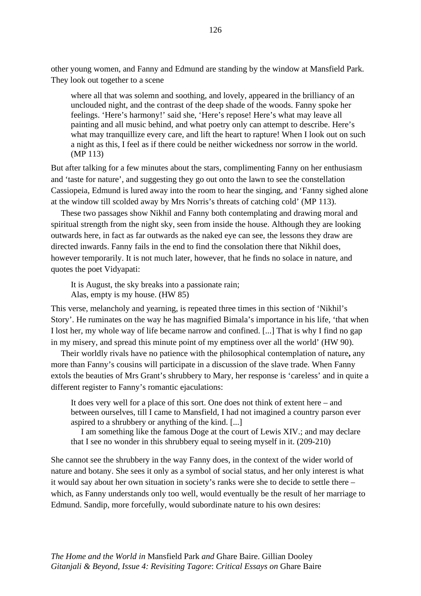other young women, and Fanny and Edmund are standing by the window at Mansfield Park. They look out together to a scene

where all that was solemn and soothing, and lovely, appeared in the brilliancy of an unclouded night, and the contrast of the deep shade of the woods. Fanny spoke her feelings. 'Here's harmony!' said she, 'Here's repose! Here's what may leave all painting and all music behind, and what poetry only can attempt to describe. Here's what may tranquillize every care, and lift the heart to rapture! When I look out on such a night as this, I feel as if there could be neither wickedness nor sorrow in the world. (MP 113)

But after talking for a few minutes about the stars, complimenting Fanny on her enthusiasm and 'taste for nature', and suggesting they go out onto the lawn to see the constellation Cassiopeia, Edmund is lured away into the room to hear the singing, and 'Fanny sighed alone at the window till scolded away by Mrs Norris's threats of catching cold' (MP 113).

These two passages show Nikhil and Fanny both contemplating and drawing moral and spiritual strength from the night sky, seen from inside the house. Although they are looking outwards here, in fact as far outwards as the naked eye can see, the lessons they draw are directed inwards. Fanny fails in the end to find the consolation there that Nikhil does, however temporarily. It is not much later, however, that he finds no solace in nature, and quotes the poet Vidyapati:

It is August, the sky breaks into a passionate rain; Alas, empty is my house. (HW 85)

This verse, melancholy and yearning, is repeated three times in this section of 'Nikhil's Story'. He ruminates on the way he has magnified Bimala's importance in his life, 'that when I lost her, my whole way of life became narrow and confined. [...] That is why I find no gap in my misery, and spread this minute point of my emptiness over all the world' (HW 90).

Their worldly rivals have no patience with the philosophical contemplation of nature**,** any more than Fanny's cousins will participate in a discussion of the slave trade. When Fanny extols the beauties of Mrs Grant's shrubbery to Mary, her response is 'careless' and in quite a different register to Fanny's romantic ejaculations:

It does very well for a place of this sort. One does not think of extent here – and between ourselves, till I came to Mansfield, I had not imagined a country parson ever aspired to a shrubbery or anything of the kind. [...]

I am something like the famous Doge at the court of Lewis XIV.; and may declare that I see no wonder in this shrubbery equal to seeing myself in it. (209-210)

She cannot see the shrubbery in the way Fanny does, in the context of the wider world of nature and botany. She sees it only as a symbol of social status, and her only interest is what it would say about her own situation in society's ranks were she to decide to settle there – which, as Fanny understands only too well, would eventually be the result of her marriage to Edmund. Sandip, more forcefully, would subordinate nature to his own desires: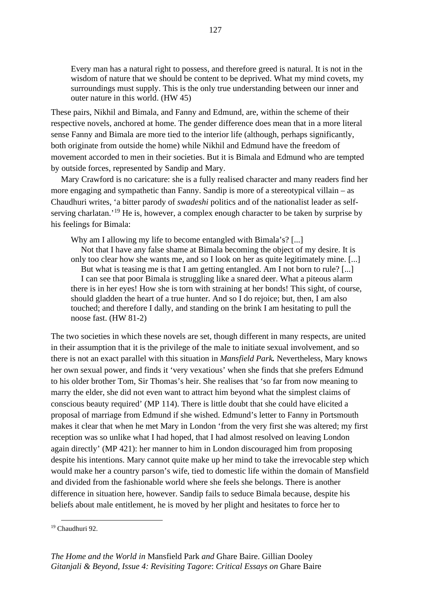Every man has a natural right to possess, and therefore greed is natural. It is not in the wisdom of nature that we should be content to be deprived. What my mind covets, my surroundings must supply. This is the only true understanding between our inner and outer nature in this world. (HW 45)

These pairs, Nikhil and Bimala, and Fanny and Edmund, are, within the scheme of their respective novels, anchored at home. The gender difference does mean that in a more literal sense Fanny and Bimala are more tied to the interior life (although, perhaps significantly, both originate from outside the home) while Nikhil and Edmund have the freedom of movement accorded to men in their societies. But it is Bimala and Edmund who are tempted by outside forces, represented by Sandip and Mary.

Mary Crawford is no caricature: she is a fully realised character and many readers find her more engaging and sympathetic than Fanny. Sandip is more of a stereotypical villain – as Chaudhuri writes, 'a bitter parody of *swadeshi* politics and of the nationalist leader as self-serving charlatan.<sup>'[19](#page-133-0)</sup> He is, however, a complex enough character to be taken by surprise by his feelings for Bimala:

Why am I allowing my life to become entangled with Bimala's? [...]

Not that I have any false shame at Bimala becoming the object of my desire. It is only too clear how she wants me, and so I look on her as quite legitimately mine. [...] But what is teasing me is that I am getting entangled. Am I not born to rule? [...] I can see that poor Bimala is struggling like a snared deer. What a piteous alarm there is in her eyes! How she is torn with straining at her bonds! This sight, of course, should gladden the heart of a true hunter. And so I do rejoice; but, then, I am also touched; and therefore I dally, and standing on the brink I am hesitating to pull the noose fast. (HW 81-2)

The two societies in which these novels are set, though different in many respects, are united in their assumption that it is the privilege of the male to initiate sexual involvement, and so there is not an exact parallel with this situation in *Mansfield Park.* Nevertheless, Mary knows her own sexual power, and finds it 'very vexatious' when she finds that she prefers Edmund to his older brother Tom, Sir Thomas's heir. She realises that 'so far from now meaning to marry the elder, she did not even want to attract him beyond what the simplest claims of conscious beauty required' (MP 114). There is little doubt that she could have elicited a proposal of marriage from Edmund if she wished. Edmund's letter to Fanny in Portsmouth makes it clear that when he met Mary in London 'from the very first she was altered; my first reception was so unlike what I had hoped, that I had almost resolved on leaving London again directly' (MP 421): her manner to him in London discouraged him from proposing despite his intentions. Mary cannot quite make up her mind to take the irrevocable step which would make her a country parson's wife, tied to domestic life within the domain of Mansfield and divided from the fashionable world where she feels she belongs. There is another difference in situation here, however. Sandip fails to seduce Bimala because, despite his beliefs about male entitlement, he is moved by her plight and hesitates to force her to

<span id="page-133-0"></span><sup>19</sup> Chaudhuri 92.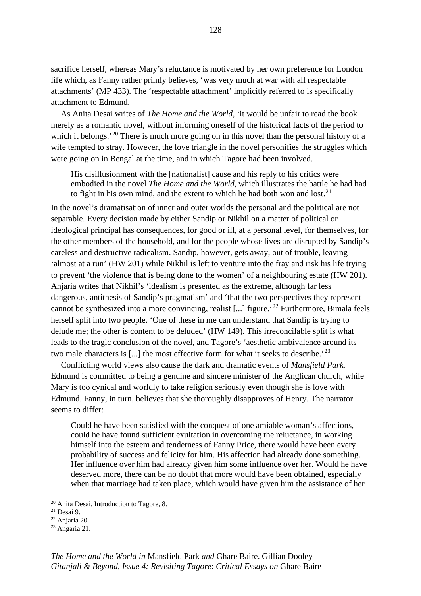sacrifice herself, whereas Mary's reluctance is motivated by her own preference for London life which, as Fanny rather primly believes, 'was very much at war with all respectable attachments' (MP 433). The 'respectable attachment' implicitly referred to is specifically attachment to Edmund.

As Anita Desai writes of *The Home and the World*, 'it would be unfair to read the book merely as a romantic novel, without informing oneself of the historical facts of the period to which it belongs.<sup>'[20](#page-134-0)</sup> There is much more going on in this novel than the personal history of a wife tempted to stray. However, the love triangle in the novel personifies the struggles which were going on in Bengal at the time, and in which Tagore had been involved.

His disillusionment with the [nationalist] cause and his reply to his critics were embodied in the novel *The Home and the World*, which illustrates the battle he had had to fight in his own mind, and the extent to which he had both won and lost. $21$ 

In the novel's dramatisation of inner and outer worlds the personal and the political are not separable. Every decision made by either Sandip or Nikhil on a matter of political or ideological principal has consequences, for good or ill, at a personal level, for themselves, for the other members of the household, and for the people whose lives are disrupted by Sandip's careless and destructive radicalism. Sandip, however, gets away, out of trouble, leaving 'almost at a run' (HW 201) while Nikhil is left to venture into the fray and risk his life trying to prevent 'the violence that is being done to the women' of a neighbouring estate (HW 201). Anjaria writes that Nikhil's 'idealism is presented as the extreme, although far less dangerous, antithesis of Sandip's pragmatism' and 'that the two perspectives they represent cannot be synthesized into a more convincing, realist [...] figure.'[22](#page-134-2) Furthermore, Bimala feels herself split into two people. 'One of these in me can understand that Sandip is trying to delude me; the other is content to be deluded' (HW 149). This irreconcilable split is what leads to the tragic conclusion of the novel, and Tagore's 'aesthetic ambivalence around its two male characters is [...] the most effective form for what it seeks to describe.<sup>'[23](#page-134-3)</sup>

Conflicting world views also cause the dark and dramatic events of *Mansfield Park.*  Edmund is committed to being a genuine and sincere minister of the Anglican church, while Mary is too cynical and worldly to take religion seriously even though she is love with Edmund. Fanny, in turn, believes that she thoroughly disapproves of Henry. The narrator seems to differ:

Could he have been satisfied with the conquest of one amiable woman's affections, could he have found sufficient exultation in overcoming the reluctance, in working himself into the esteem and tenderness of Fanny Price, there would have been every probability of success and felicity for him. His affection had already done something. Her influence over him had already given him some influence over her. Would he have deserved more, there can be no doubt that more would have been obtained, especially when that marriage had taken place, which would have given him the assistance of her

<span id="page-134-0"></span><sup>20</sup> Anita Desai, Introduction to Tagore, 8.

<span id="page-134-1"></span><sup>21</sup> Desai 9.

<span id="page-134-2"></span><sup>22</sup> Anjaria 20.

<span id="page-134-3"></span><sup>23</sup> Angaria 21.

*The Home and the World in* Mansfield Park *and* Ghare Baire. Gillian Dooley *Gitanjali & Beyond, Issue 4: Revisiting Tagore*: *Critical Essays on* Ghare Baire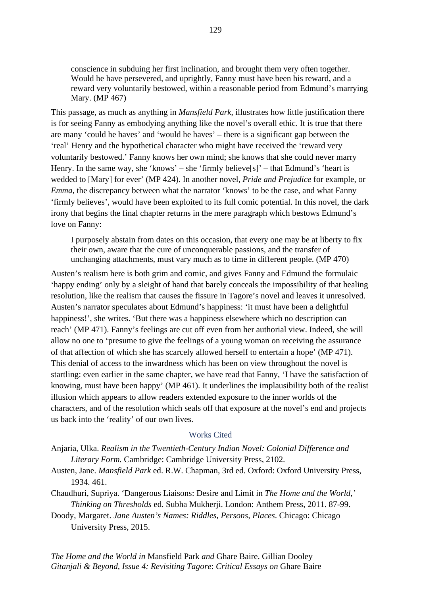conscience in subduing her first inclination, and brought them very often together. Would he have persevered, and uprightly, Fanny must have been his reward, and a reward very voluntarily bestowed, within a reasonable period from Edmund's marrying Mary. (MP 467)

This passage, as much as anything in *Mansfield Park*, illustrates how little justification there is for seeing Fanny as embodying anything like the novel's overall ethic. It is true that there are many 'could he haves' and 'would he haves' – there is a significant gap between the 'real' Henry and the hypothetical character who might have received the 'reward very voluntarily bestowed.' Fanny knows her own mind; she knows that she could never marry Henry. In the same way, she 'knows' – she 'firmly believe[s]' – that Edmund's 'heart is wedded to [Mary] for ever' (MP 424). In another novel, *Pride and Prejudice* for example, or *Emma*, the discrepancy between what the narrator 'knows' to be the case, and what Fanny 'firmly believes', would have been exploited to its full comic potential. In this novel, the dark irony that begins the final chapter returns in the mere paragraph which bestows Edmund's love on Fanny:

I purposely abstain from dates on this occasion, that every one may be at liberty to fix their own, aware that the cure of unconquerable passions, and the transfer of unchanging attachments, must vary much as to time in different people. (MP 470)

Austen's realism here is both grim and comic, and gives Fanny and Edmund the formulaic 'happy ending' only by a sleight of hand that barely conceals the impossibility of that healing resolution, like the realism that causes the fissure in Tagore's novel and leaves it unresolved. Austen's narrator speculates about Edmund's happiness: 'it must have been a delightful happiness!', she writes. 'But there was a happiness elsewhere which no description can reach' (MP 471). Fanny's feelings are cut off even from her authorial view. Indeed, she will allow no one to 'presume to give the feelings of a young woman on receiving the assurance of that affection of which she has scarcely allowed herself to entertain a hope' (MP 471). This denial of access to the inwardness which has been on view throughout the novel is startling: even earlier in the same chapter, we have read that Fanny, 'I have the satisfaction of knowing, must have been happy' (MP 461). It underlines the implausibility both of the realist illusion which appears to allow readers extended exposure to the inner worlds of the characters, and of the resolution which seals off that exposure at the novel's end and projects us back into the 'reality' of our own lives.

## Works Cited

- Anjaria, Ulka. *Realism in the Twentieth-Century Indian Novel: Colonial Difference and Literary Form.* Cambridge: Cambridge University Press, 2102.
- Austen, Jane. *Mansfield Park* ed. R.W. Chapman, 3rd ed. Oxford: Oxford University Press, 1934. 461.
- Chaudhuri, Supriya. 'Dangerous Liaisons: Desire and Limit in *The Home and the World,' Thinking on Thresholds* ed. Subha Mukherji. London: Anthem Press, 2011. 87-99.
- Doody, Margaret. *Jane Austen's Names: Riddles, Persons, Places*. Chicago: Chicago University Press, 2015.

*The Home and the World in* Mansfield Park *and* Ghare Baire. Gillian Dooley *Gitanjali & Beyond, Issue 4: Revisiting Tagore*: *Critical Essays on* Ghare Baire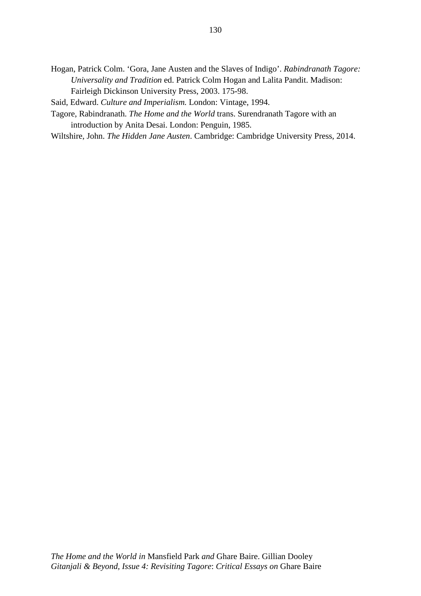Hogan, Patrick Colm. 'Gora, Jane Austen and the Slaves of Indigo'. *Rabindranath Tagore: Universality and Tradition* ed. Patrick Colm Hogan and Lalita Pandit. Madison: Fairleigh Dickinson University Press, 2003. 175-98.

Said, Edward. *Culture and Imperialism.* London: Vintage, 1994.

- Tagore, Rabindranath. *The Home and the World* trans. Surendranath Tagore with an introduction by Anita Desai. London: Penguin, 1985.
- Wiltshire, John. *The Hidden Jane Austen*. Cambridge: Cambridge University Press, 2014.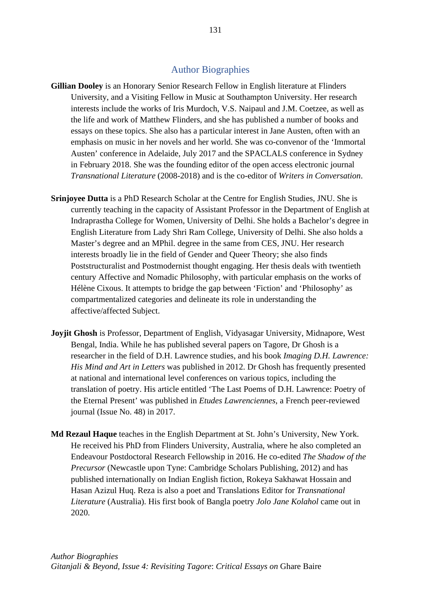## Author Biographies

- **Gillian Dooley** is an Honorary Senior Research Fellow in English literature at Flinders University, and a Visiting Fellow in Music at Southampton University. Her research interests include the works of Iris Murdoch, V.S. Naipaul and J.M. Coetzee, as well as the life and work of Matthew Flinders, and she has published a number of books and essays on these topics. She also has a particular interest in Jane Austen, often with an emphasis on music in her novels and her world. She was co-convenor of the 'Immortal Austen' conference in Adelaide, July 2017 and the SPACLALS conference in Sydney in February 2018. She was the founding editor of the open access electronic journal *Transnational Literature* (2008-2018) and is the co-editor of *Writers in Conversation*.
- **Srinjoyee Dutta** is a PhD Research Scholar at the Centre for English Studies, JNU. She is currently teaching in the capacity of Assistant Professor in the Department of English at Indraprastha College for Women, University of Delhi. She holds a Bachelor's degree in English Literature from Lady Shri Ram College, University of Delhi. She also holds a Master's degree and an MPhil. degree in the same from CES, JNU. Her research interests broadly lie in the field of Gender and Queer Theory; she also finds Poststructuralist and Postmodernist thought engaging. Her thesis deals with twentieth century Affective and Nomadic Philosophy, with particular emphasis on the works of Hélène Cixous. It attempts to bridge the gap between 'Fiction' and 'Philosophy' as compartmentalized categories and delineate its role in understanding the affective/affected Subject.
- **Joyjit Ghosh** is Professor, Department of English, Vidyasagar University, Midnapore, West Bengal, India. While he has published several papers on Tagore, Dr Ghosh is a researcher in the field of D.H. Lawrence studies, and his book *Imaging D.H. Lawrence: His Mind and Art in Letters* was published in 2012. Dr Ghosh has frequently presented at national and international level conferences on various topics, including the translation of poetry. His article entitled 'The Last Poems of D.H. Lawrence: Poetry of the Eternal Present' was published in *Etudes Lawrenciennes*, a French peer-reviewed journal (Issue No. 48) in 2017.
- **Md Rezaul Haque** teaches in the English Department at St. John's University, New York. He received his PhD from Flinders University, Australia, where he also completed an Endeavour Postdoctoral Research Fellowship in 2016. He co-edited *The Shadow of the Precursor* (Newcastle upon Tyne: Cambridge Scholars Publishing, 2012) and has published internationally on Indian English fiction, Rokeya Sakhawat Hossain and Hasan Azizul Huq. Reza is also a poet and Translations Editor for *Transnational Literature* (Australia). His first book of Bangla poetry *Jolo Jane Kolahol* came out in 2020.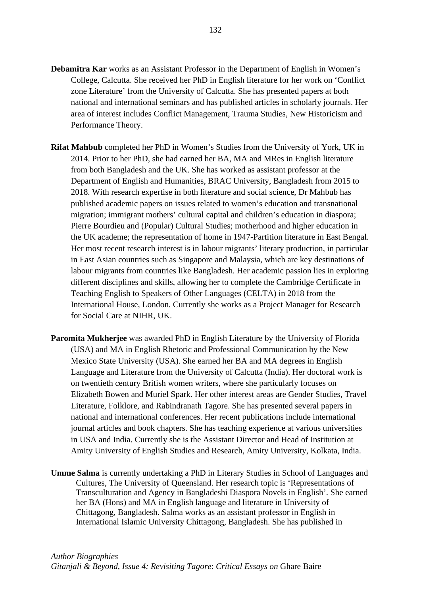- **Debamitra Kar** works as an Assistant Professor in the Department of English in Women's College, Calcutta. She received her PhD in English literature for her work on 'Conflict zone Literature' from the University of Calcutta. She has presented papers at both national and international seminars and has published articles in scholarly journals. Her area of interest includes Conflict Management, Trauma Studies, New Historicism and Performance Theory.
- **Rifat Mahbub** completed her PhD in Women's Studies from the University of York, UK in 2014. Prior to her PhD, she had earned her BA, MA and MRes in English literature from both Bangladesh and the UK. She has worked as assistant professor at the Department of English and Humanities, BRAC University, Bangladesh from 2015 to 2018. With research expertise in both literature and social science, Dr Mahbub has published academic papers on issues related to women's education and transnational migration; immigrant mothers' cultural capital and children's education in diaspora; Pierre Bourdieu and (Popular) Cultural Studies; motherhood and higher education in the UK academe; the representation of home in 1947-Partition literature in East Bengal. Her most recent research interest is in labour migrants' literary production, in particular in East Asian countries such as Singapore and Malaysia, which are key destinations of labour migrants from countries like Bangladesh. Her academic passion lies in exploring different disciplines and skills, allowing her to complete the Cambridge Certificate in Teaching English to Speakers of Other Languages (CELTA) in 2018 from the International House, London. Currently she works as a Project Manager for Research for Social Care at NIHR, UK.
- **Paromita Mukherjee** was awarded PhD in English Literature by the University of Florida (USA) and MA in English Rhetoric and Professional Communication by the New Mexico State University (USA). She earned her BA and MA degrees in English Language and Literature from the University of Calcutta (India). Her doctoral work is on twentieth century British women writers, where she particularly focuses on Elizabeth Bowen and Muriel Spark. Her other interest areas are Gender Studies, Travel Literature, Folklore, and Rabindranath Tagore. She has presented several papers in national and international conferences. Her recent publications include international journal articles and book chapters. She has teaching experience at various universities in USA and India. Currently she is the Assistant Director and Head of Institution at Amity University of English Studies and Research, Amity University, Kolkata, India.
- **Umme Salma** is currently undertaking a PhD in Literary Studies in School of Languages and Cultures, The University of Queensland. Her research topic is 'Representations of Transculturation and Agency in Bangladeshi Diaspora Novels in English'. She earned her BA (Hons) and MA in English language and literature in University of Chittagong, Bangladesh. Salma works as an assistant professor in English in International Islamic University Chittagong, Bangladesh. She has published in